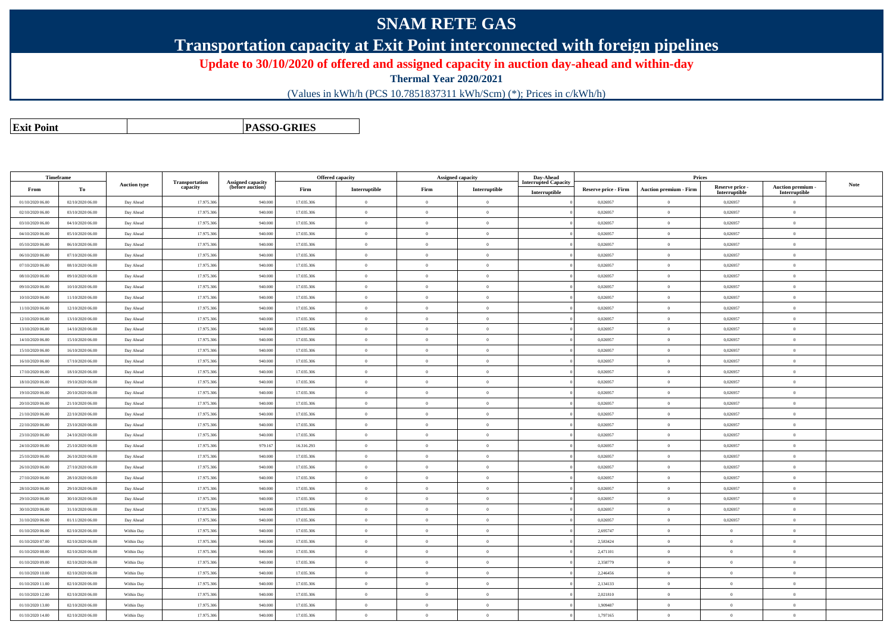## **SNAM RETE GAS**

**Transportation capacity at Exit Point interconnected with foreign pipelines**

**Update to 30/10/2020 of offered and assigned capacity in auction day-ahead and within-day**

**Thermal Year 2020/2021**

(Values in kWh/h (PCS 10.7851837311 kWh/Scm) (\*); Prices in c/kWh/h)

**Exit PointPASSO-GRIES**

|                  | Timeframe        |                     |                            |                                              |            | Offered capacity                        |                | <b>Assigned capacity</b> | Day-Ahead                   |                             | Prices                          |                                                         |                           |             |
|------------------|------------------|---------------------|----------------------------|----------------------------------------------|------------|-----------------------------------------|----------------|--------------------------|-----------------------------|-----------------------------|---------------------------------|---------------------------------------------------------|---------------------------|-------------|
| From             | To               | <b>Auction type</b> | Transportation<br>capacity | <b>Assigned capacity</b><br>(before auction) | Firm       | $\label{prop:1} \textbf{Interruptible}$ | Firm           | Interruptible            | <b>Interrupted Capacity</b> | <b>Reserve price - Firm</b> | <b>Auction premium - Firm</b>   | Reserve price -                                         | Auction premium -         | <b>Note</b> |
| 01/10/2020 06.00 | 02/10/2020 06:00 | Day Ahead           | 17.975.306                 | 940.000                                      | 17.035.306 | $\mathbf{0}$                            | $\theta$       | $\overline{0}$           | Interruptible               | 0,026957                    | $\overline{0}$                  | $\label{prop:inter} \textbf{Interruptible}$<br>0,026957 | Interruptible<br>$\theta$ |             |
| 02/10/2020 06.00 | 03/10/2020 06:00 | Day Ahead           | 17.975.30                  | 940.000                                      | 17.035.306 | $\,$ 0                                  | $\theta$       | $\overline{0}$           |                             | 0,026957                    | $\,$ 0 $\,$                     | 0,026957                                                | $\theta$                  |             |
| 03/10/2020 06.00 | 04/10/2020 06:00 | Day Ahead           | 17.975.306                 | 940.000                                      | 17.035.306 | $\overline{0}$                          | $\theta$       | $\overline{0}$           |                             | 0,026957                    | $\overline{0}$                  | 0,026957                                                | $\Omega$                  |             |
| 04/10/2020 06.00 | 05/10/2020 06:00 | Day Ahead           | 17.975.306                 | 940.000                                      | 17.035.306 | $\overline{0}$                          | $\theta$       | $\overline{0}$           |                             | 0,026957                    | $\bf{0}$                        | 0,026957                                                | $\overline{0}$            |             |
| 05/10/2020 06.00 | 06/10/2020 06:00 | Day Ahead           | 17.975.306                 | 940.000                                      | 17.035.306 | $\overline{0}$                          | $\theta$       | $\overline{0}$           |                             | 0,026957                    | $\bf{0}$                        | 0,026957                                                | $\theta$                  |             |
| 06/10/2020 06.00 | 07/10/2020 06:00 | Day Ahead           | 17.975.306                 | 940.000                                      | 17.035.306 | $\overline{0}$                          | $\theta$       | $\overline{0}$           |                             | 0,026957                    | $\overline{0}$                  | 0,026957                                                | $\overline{0}$            |             |
| 07/10/2020 06.00 | 08/10/2020 06:00 | Day Ahead           | 17.975.306                 | 940.000                                      | 17.035.306 | $\overline{0}$                          | $\theta$       | $\overline{0}$           |                             | 0,026957                    | $\bf{0}$                        | 0,026957                                                | $\overline{0}$            |             |
| 08/10/2020 06:00 | 09/10/2020 06:00 | Day Ahead           | 17.975.30                  | 940.000                                      | 17.035.306 | $\overline{0}$                          | $\theta$       | $\overline{0}$           |                             | 0,026957                    | $\overline{0}$                  | 0,026957                                                | $\theta$                  |             |
| 09/10/2020 06.00 | 10/10/2020 06:00 | Day Ahead           | 17.975.306                 | 940.000                                      | 17.035.306 | $\bf{0}$                                | $\overline{0}$ | $\overline{0}$           |                             | 0,026957                    | $\overline{0}$                  | 0,026957                                                | $\bf{0}$                  |             |
| 10/10/2020 06:00 | 11/10/2020 06:00 | Day Ahead           | 17.975.30                  | 940.000                                      | 17.035.306 | $\overline{0}$                          | $\theta$       | $\overline{0}$           |                             | 0,026957                    | $\overline{0}$                  | 0,026957                                                | $\overline{0}$            |             |
| 11/10/2020 06:00 | 12/10/2020 06:00 | Day Ahead           | 17.975.306                 | 940.000                                      | 17.035.306 | $\overline{0}$                          | $\theta$       | $\overline{0}$           |                             | 0,026957                    | $\bf{0}$                        | 0,026957                                                | $\theta$                  |             |
| 12/10/2020 06:00 | 13/10/2020 06:00 | Day Ahead           | 17.975.306                 | 940.000                                      | 17.035.306 | $\,$ 0                                  | $\theta$       | $\overline{0}$           |                             | 0,026957                    | $\bf{0}$                        | 0,026957                                                | $\theta$                  |             |
| 13/10/2020 06:00 | 14/10/2020 06.00 | Day Ahead           | 17.975.306                 | 940.000                                      | 17.035.306 | $\theta$                                | $\overline{0}$ | $\overline{0}$           |                             | 0,026957                    | $\bf{0}$                        | 0,026957                                                | $\overline{0}$            |             |
| 14/10/2020 06.00 | 15/10/2020 06:00 | Day Ahead           | 17.975.30                  | 940.000                                      | 17.035.306 | $\overline{0}$                          | $\theta$       | $\overline{0}$           |                             | 0,026957                    | $\overline{0}$                  | 0,026957                                                | $\overline{0}$            |             |
| 15/10/2020 06:00 | 16/10/2020 06:00 | Day Ahead           | 17.975.306                 | 940.000                                      | 17.035.306 | $\overline{0}$                          | $\theta$       | $\overline{0}$           |                             | 0,026957                    | $\bf{0}$                        | 0,026957                                                | $\theta$                  |             |
| 16/10/2020 06:00 | 17/10/2020 06:00 | Day Ahead           | 17.975.306                 | 940.000                                      | 17.035.306 | $\overline{0}$                          | $\Omega$       | $\overline{0}$           |                             | 0,026957                    | $\bf{0}$                        | 0,026957                                                | $\Omega$                  |             |
| 17/10/2020 06.00 | 18/10/2020 06:00 | Day Ahead           | 17.975.306                 | 940.000                                      | 17.035.306 | $\bf{0}$                                | $\theta$       | $\overline{0}$           |                             | 0,026957                    | $\overline{0}$                  | 0,026957                                                | $\overline{0}$            |             |
| 18/10/2020 06:00 | 19/10/2020 06:00 | Day Ahead           | 17.975.30                  | 940.000                                      | 17.035.306 | $\,$ 0                                  | $\theta$       | $\overline{0}$           |                             | 0,026957                    | $\overline{0}$                  | 0,026957                                                | $\theta$                  |             |
| 19/10/2020 06.00 | 20/10/2020 06:00 | Day Ahead           | 17.975.306                 | 940.000                                      | 17.035.306 | $\bf{0}$                                | $\bf{0}$       | $\overline{0}$           |                             | 0,026957                    | $\bf{0}$                        | 0,026957                                                | $\bf{0}$                  |             |
| 20/10/2020 06:00 | 21/10/2020 06:00 | Day Ahead           | 17.975.306                 | 940.000                                      | 17.035.306 | $\overline{0}$                          | $\theta$       | $\overline{0}$           |                             | 0,026957                    | $\overline{0}$                  | 0,026957                                                | $\overline{0}$            |             |
| 21/10/2020 06.00 | 22/10/2020 06:00 | Day Ahead           | 17.975.306                 | 940.000                                      | 17.035.306 | $\,$ 0                                  | $\theta$       | $\overline{0}$           |                             | 0,026957                    | $\hspace{0.1mm}0\hspace{0.1mm}$ | 0,026957                                                | $\overline{0}$            |             |
| 22/10/2020 06.00 | 23/10/2020 06:00 | Day Ahead           | 17.975.30                  | 940.000                                      | 17.035.306 | $\bf{0}$                                | $\bf{0}$       | $\overline{0}$           |                             | 0,026957                    | $\overline{0}$                  | 0,026957                                                | $\bf{0}$                  |             |
| 23/10/2020 06:00 | 24/10/2020 06.00 | Day Ahead           | 17.975.306                 | 940.000                                      | 17.035.306 | $\overline{0}$                          | $\theta$       | $\overline{0}$           |                             | 0,026957                    | $\bf{0}$                        | 0,026957                                                | $\overline{0}$            |             |
| 24/10/2020 06.00 | 25/10/2020 06:00 | Day Ahead           | 17.975.30                  | 979.167                                      | 16.316.293 | $\overline{0}$                          | $\theta$       | $\overline{0}$           |                             | 0,026957                    | $\overline{0}$                  | 0,026957                                                | $\theta$                  |             |
| 25/10/2020 06.00 | 26/10/2020 06:00 | Day Ahead           | 17.975.306                 | 940.000                                      | 17.035.306 | $\bf{0}$                                | $\overline{0}$ | $\overline{0}$           |                             | 0,026957                    | $\overline{0}$                  | 0,026957                                                | $\bf{0}$                  |             |
| 26/10/2020 06.00 | 27/10/2020 06:00 | Day Ahead           | 17.975.30                  | 940.000                                      | 17.035.306 | $\overline{0}$                          | $\theta$       | $\overline{0}$           |                             | 0,026957                    | $\overline{0}$                  | 0,026957                                                | $\overline{0}$            |             |
| 27/10/2020 06.00 | 28/10/2020 06:00 | Day Ahead           | 17.975.306                 | 940.000                                      | 17.035.306 | $\overline{0}$                          | $\theta$       | $\overline{0}$           |                             | 0,026957                    | $\overline{0}$                  | 0,026957                                                | $\overline{0}$            |             |
| 28/10/2020 06:00 | 29/10/2020 06:00 | Day Ahead           | 17.975.306                 | 940.000                                      | 17.035.306 | $\,$ 0                                  | $\overline{0}$ | $\overline{0}$           |                             | 0,026957                    | $\hspace{0.1mm}0\hspace{0.1mm}$ | 0,026957                                                | $\overline{0}$            |             |
| 29/10/2020 06.00 | 30/10/2020 06:00 | Day Ahead           | 17.975.306                 | 940.000                                      | 17.035.306 | $\overline{0}$                          | $\theta$       | $\overline{0}$           |                             | 0,026957                    | $\bf{0}$                        | 0,026957                                                | $\overline{0}$            |             |
| 30/10/2020 06.00 | 31/10/2020 06:00 | Day Ahead           | 17.975.30                  | 940.000                                      | 17.035.306 | $\overline{0}$                          | $\theta$       | $\overline{0}$           |                             | 0,026957                    | $\overline{0}$                  | 0,026957                                                | $\overline{0}$            |             |
| 31/10/2020 06.00 | 01/11/2020 06.00 | Day Ahead           | 17.975.306                 | 940,000                                      | 17.035.306 | $\theta$                                | $\Omega$       | $\overline{0}$           |                             | 0,026957                    | $\overline{0}$                  | 0.026957                                                | $\Omega$                  |             |
| 01/10/2020 06.00 | 02/10/2020 06:00 | Within Day          | 17.975.306                 | 940.000                                      | 17.035.306 | $\bf{0}$                                | $\theta$       | $\overline{0}$           |                             | 2,695747                    | $\,$ 0 $\,$                     | $\theta$                                                | $\overline{0}$            |             |
| 01/10/2020 07.00 | 02/10/2020 06.00 | Within Day          | 17.975.306                 | 940.000                                      | 17.035.306 | $\overline{0}$                          | $\theta$       | $\overline{0}$           |                             | 2,583424                    | $\bf{0}$                        | $\mathbf{0}$                                            | $\overline{0}$            |             |
| 01/10/2020 08:00 | 02/10/2020 06:00 | Within Day          | 17.975.306                 | 940.000                                      | 17.035.306 | $\,$ 0                                  | $\theta$       | $\overline{0}$           |                             | 2,471101                    | $\bf{0}$                        | $\overline{0}$                                          | $\overline{0}$            |             |
| 01/10/2020 09:00 | 02/10/2020 06:00 | Within Day          | 17.975.306                 | 940.000                                      | 17.035.306 | $\overline{0}$                          | $\theta$       | $\overline{0}$           |                             | 2,358779                    | $\overline{0}$                  | $\overline{0}$                                          | $\theta$                  |             |
| 01/10/2020 10:00 | 02/10/2020 06.00 | Within Day          | 17.975.306                 | 940.000                                      | 17.035.306 | $\overline{0}$                          | $\theta$       | $\overline{0}$           |                             | 2,246456                    | $\bf{0}$                        | $\overline{0}$                                          | $\overline{0}$            |             |
| 01/10/2020 11:00 | 02/10/2020 06:00 | Within Day          | 17.975.306                 | 940.000                                      | 17.035.306 | $\overline{0}$                          | $\theta$       | $\overline{0}$           |                             | 2,134133                    | $\hspace{0.1mm}0\hspace{0.1mm}$ | $\overline{0}$                                          | $\theta$                  |             |
| 01/10/2020 12:00 | 02/10/2020 06:00 | Within Day          | 17.975.306                 | 940.000                                      | 17.035.306 | $\bf{0}$                                | $\theta$       | $\overline{0}$           |                             | 2,021810                    | $\overline{0}$                  | $\overline{0}$                                          | $\overline{0}$            |             |
| 01/10/2020 13.00 | 02/10/2020 06:00 | Within Day          | 17.975.306                 | 940.000                                      | 17.035.306 | $\theta$                                | $\Omega$       | $\overline{0}$           |                             | 1,909487                    | $\overline{0}$                  | $\mathbf{0}$                                            | $\overline{0}$            |             |
| 01/10/2020 14:00 | 02/10/2020 06:00 | Within Day          | 17.975.306                 | 940.000                                      | 17.035.306 | $\overline{0}$                          | $\overline{0}$ | $\theta$                 |                             | 1,797165                    | $\overline{0}$                  | $\Omega$                                                | $\overline{0}$            |             |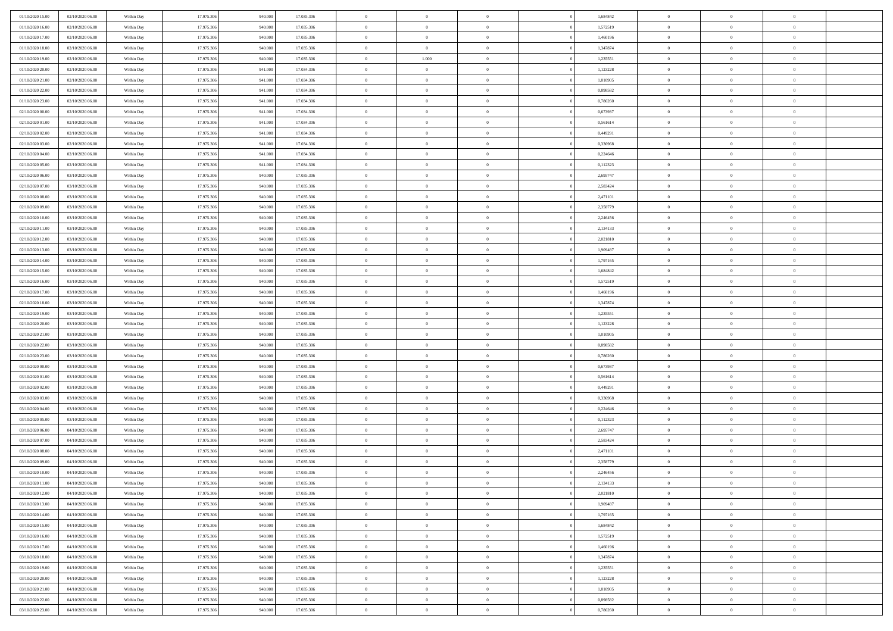| 01/10/2020 15.00                     | 02/10/2020 06:00                     | Within Day               | 17.975.306               | 940.000            | 17.035.306               | $\,$ 0 $\,$        | $\overline{0}$                | $\overline{0}$                 |          | 1,684842             | $\bf{0}$                    | $\overline{0}$             | $\,0\,$                          |  |
|--------------------------------------|--------------------------------------|--------------------------|--------------------------|--------------------|--------------------------|--------------------|-------------------------------|--------------------------------|----------|----------------------|-----------------------------|----------------------------|----------------------------------|--|
| 01/10/2020 16:00                     | 02/10/2020 06:00                     | Within Day               | 17.975.306               | 940,000            | 17.035.306               | $\overline{0}$     | $\overline{0}$                | $\mathbf{0}$                   |          | 1,572519             | $\theta$                    | $\overline{0}$             | $\theta$                         |  |
| 01/10/2020 17:00                     | 02/10/2020 06:00                     | Within Day               | 17.975.306               | 940.000            | 17.035.306               | $\theta$           | $\overline{0}$                | $\overline{0}$                 |          | 1,460196             | $\mathbf{0}$                | $\overline{0}$             | $\overline{0}$                   |  |
| 01/10/2020 18:00                     | 02/10/2020 06.00                     | Within Day               | 17.975.306               | 940.000            | 17.035.306               | $\,$ 0 $\,$        | $\overline{0}$                | $\overline{0}$                 |          | 1,347874             | $\bf{0}$                    | $\overline{0}$             | $\bf{0}$                         |  |
| 01/10/2020 19:00                     | 02/10/2020 06.00                     | Within Day               | 17.975.306               | 940,000            | 17.035.306               | $\bf{0}$           | 1.000                         | $\mathbf{0}$                   |          | 1,235551             | $\bf{0}$                    | $\theta$                   | $\,0\,$                          |  |
| 01/10/2020 20:00                     | 02/10/2020 06:00                     | Within Day               | 17.975.306               | 941.000            | 17.034.306               | $\theta$           | $\overline{0}$                | $\mathbf{0}$                   |          | 1,123228             | $\mathbf{0}$                | $\overline{0}$             | $\overline{0}$                   |  |
| 01/10/2020 21:00                     | 02/10/2020 06:00                     | Within Day               | 17.975.306               | 941.000            | 17.034.306               | $\,$ 0 $\,$        | $\overline{0}$                | $\overline{0}$                 |          | 1,010905             | $\bf{0}$                    | $\overline{0}$             | $\,0\,$                          |  |
| 01/10/2020 22.00                     | 02/10/2020 06.00                     | Within Day               | 17.975.306               | 941.000            | 17.034.306               | $\overline{0}$     | $\overline{0}$                | $\mathbf{0}$                   |          | 0,898582             | $\,$ 0 $\,$                 | $\overline{0}$             | $\theta$                         |  |
| 01/10/2020 23:00                     | 02/10/2020 06:00                     | Within Day               | 17.975.306               | 941.000            | 17.034.306               | $\theta$           | $\overline{0}$                | $\mathbf{0}$                   |          | 0,786260             | $\mathbf{0}$                | $\overline{0}$             | $\overline{0}$                   |  |
| 02/10/2020 00:00                     | 02/10/2020 06.00                     | Within Day               | 17.975.306               | 941.000            | 17.034.306               | $\,$ 0 $\,$        | $\overline{0}$                | $\Omega$                       |          | 0,673937             | $\bf{0}$                    | $\overline{0}$             | $\,0\,$                          |  |
| 02/10/2020 01:00                     | 02/10/2020 06.00                     | Within Day               | 17.975.306               | 941.000            | 17.034.306               | $\bf{0}$           | $\overline{0}$                | $\mathbf{0}$                   |          | 0,561614             | $\bf{0}$                    | $\mathbf{0}$               | $\theta$                         |  |
| 02/10/2020 02.00                     | 02/10/2020 06:00                     | Within Day               | 17.975.306               | 941.000            | 17.034.306               | $\theta$           | $\overline{0}$                | $\overline{0}$                 |          | 0,449291             | $\mathbf{0}$                | $\overline{0}$             | $\overline{0}$                   |  |
| 02/10/2020 03:00                     | 02/10/2020 06:00                     | Within Day               | 17.975.306               | 941.000            | 17.034.306               | $\,$ 0 $\,$        | $\overline{0}$                | $\overline{0}$                 |          | 0,336968             | $\bf{0}$                    | $\overline{0}$             | $\bf{0}$                         |  |
| 02/10/2020 04:00                     | 02/10/2020 06:00                     | Within Day               | 17.975.306               | 941.000            | 17.034.306               | $\bf{0}$           | $\overline{0}$                | $\mathbf{0}$                   |          | 0,224646             | $\bf{0}$                    | $\theta$                   | $\,0\,$                          |  |
| 02/10/2020 05:00                     | 02/10/2020 06:00                     | Within Day               | 17.975.306               | 941.000            | 17.034.306               | $\theta$           | $\overline{0}$                | $\mathbf{0}$                   |          | 0,112323             | $\mathbf{0}$                | $\overline{0}$             | $\overline{0}$                   |  |
| 02/10/2020 06:00                     | 03/10/2020 06.00                     | Within Day               | 17.975.306               | 940.000            | 17.035.306               | $\,$ 0 $\,$        | $\overline{0}$                | $\overline{0}$                 |          | 2,695747             | $\bf{0}$                    | $\overline{0}$             | $\bf{0}$                         |  |
| 02/10/2020 07.00                     | 03/10/2020 06.00                     | Within Day               | 17.975.306               | 940,000            | 17.035.306               | $\,$ 0             | $\overline{0}$                | $\mathbf{0}$                   |          | 2,583424             | $\bf{0}$                    | $\overline{0}$             | $\theta$                         |  |
| 02/10/2020 08:00                     | 03/10/2020 06:00                     | Within Day               | 17.975.306               | 940.000            | 17.035.306               | $\theta$           | $\overline{0}$                | $\mathbf{0}$                   |          | 2,471101             | $\mathbf{0}$                | $\overline{0}$             | $\overline{0}$                   |  |
| 02/10/2020 09:00                     | 03/10/2020 06.00                     | Within Day               | 17.975.306               | 940.000            | 17.035.306               | $\,$ 0 $\,$        | $\overline{0}$                | $\Omega$                       |          | 2,358779             | $\bf{0}$                    | $\overline{0}$             | $\,0\,$                          |  |
| 02/10/2020 10:00                     | 03/10/2020 06.00                     | Within Day               | 17.975.306               | 940,000            | 17.035.306               | $\bf{0}$           | $\overline{0}$                | $\mathbf{0}$                   |          | 2,246456             | $\bf{0}$                    | $\mathbf{0}$               | $\theta$                         |  |
| 02/10/2020 11:00                     | 03/10/2020 06:00                     | Within Day               | 17.975.306               | 940.000            | 17.035.306               | $\theta$           | $\overline{0}$                | $\mathbf{0}$                   |          | 2,134133             | $\mathbf{0}$                | $\overline{0}$             | $\overline{0}$                   |  |
| 02/10/2020 12:00                     | 03/10/2020 06.00                     | Within Day               | 17.975.306               | 940.000            | 17.035.306               | $\,$ 0 $\,$        | $\overline{0}$                | $\overline{0}$                 |          | 2,021810             | $\bf{0}$                    | $\overline{0}$             | $\bf{0}$                         |  |
| 02/10/2020 13:00                     | 03/10/2020 06.00                     | Within Day               | 17.975.306               | 940,000            | 17.035.306               | $\bf{0}$           | $\overline{0}$                | $\mathbf{0}$                   |          | 1,909487             | $\bf{0}$                    | $\mathbf{0}$               | $\,0\,$                          |  |
| 02/10/2020 14:00                     | 03/10/2020 06:00                     | Within Day               | 17.975.306               | 940.000            | 17.035.306               | $\theta$           | $\overline{0}$                | $\mathbf{0}$                   |          | 1,797165             | $\mathbf{0}$                | $\overline{0}$             | $\overline{0}$                   |  |
| 02/10/2020 15:00                     | 03/10/2020 06.00                     | Within Day               | 17.975.306               | 940.000            | 17.035.306               | $\,$ 0 $\,$        | $\overline{0}$                | $\overline{0}$                 |          | 1,684842             | $\bf{0}$                    | $\overline{0}$             | $\,0\,$                          |  |
| 02/10/2020 16:00                     | 03/10/2020 06.00                     | Within Day               | 17.975.306               | 940,000            | 17.035.306               | $\,$ 0             | $\overline{0}$                | $\mathbf{0}$                   |          | 1,572519             | $\bf{0}$                    | $\overline{0}$             | $\theta$                         |  |
| 02/10/2020 17:00                     | 03/10/2020 06:00                     | Within Day               | 17.975.306               | 940.000            | 17.035.306               | $\theta$           | $\overline{0}$                | $\mathbf{0}$                   |          | 1,460196             | $\mathbf{0}$                | $\overline{0}$             | $\overline{0}$                   |  |
| 02/10/2020 18:00                     | 03/10/2020 06:00                     | Within Day               | 17.975.306               | 940.000            | 17.035.306               | $\,$ 0 $\,$        | $\overline{0}$                | $\Omega$                       |          | 1,347874             | $\bf{0}$                    | $\overline{0}$             | $\,0\,$                          |  |
| 02/10/2020 19:00                     | 03/10/2020 06.00                     | Within Day               | 17.975.306               | 940,000            | 17.035.306               | $\bf{0}$           | $\overline{0}$                | $\mathbf{0}$                   |          | 1,235551             | $\bf{0}$                    | $\mathbf{0}$               | $\overline{0}$                   |  |
| 02/10/2020 20:00                     | 03/10/2020 06:00                     | Within Day               | 17.975.306               | 940.000            | 17.035.306               | $\theta$           | $\overline{0}$                | $\overline{0}$                 |          | 1,123228             | $\mathbf{0}$                | $\overline{0}$             | $\overline{0}$                   |  |
| 02/10/2020 21:00                     | 03/10/2020 06:00                     | Within Day               | 17.975.306               | 940.000            | 17.035.306               | $\theta$           | $\overline{0}$                | $\overline{0}$                 |          | 1,010905             | $\,$ 0                      | $\overline{0}$             | $\,$ 0 $\,$                      |  |
| 02/10/2020 22.00                     | 03/10/2020 06.00                     | Within Day               | 17.975.306               | 940,000            | 17.035.306               | $\bf{0}$           | $\overline{0}$                | $\mathbf{0}$                   |          | 0,898582             | $\bf{0}$                    | $\mathbf{0}$               | $\bf{0}$                         |  |
| 02/10/2020 23:00                     | 03/10/2020 06:00                     | Within Day               | 17.975.306               | 940.000            | 17.035.306               | $\theta$           | $\overline{0}$                | $\mathbf{0}$                   |          | 0,786260             | $\mathbf{0}$                | $\overline{0}$             | $\overline{0}$                   |  |
| 03/10/2020 00:00                     | 03/10/2020 06:00                     | Within Day               | 17.975.306               | 940.000            | 17.035.306               | $\theta$           | $\overline{0}$                | $\overline{0}$                 |          | 0,673937             | $\,$ 0                      | $\overline{0}$             | $\theta$                         |  |
| 03/10/2020 01:00                     | 03/10/2020 06.00                     | Within Day               | 17.975.306               | 940,000            | 17.035.306               | $\bf{0}$           | $\overline{0}$                | $\mathbf{0}$                   |          | 0,561614             | $\mathbf{0}$                | $\overline{0}$             | $\overline{0}$                   |  |
| 03/10/2020 02:00                     | 03/10/2020 06:00                     | Within Day               | 17.975.306               | 940.000            | 17.035.306               | $\theta$           | $\overline{0}$                | $\mathbf{0}$                   |          | 0,449291             | $\mathbf{0}$                | $\overline{0}$             | $\overline{0}$                   |  |
| 03/10/2020 03:00                     | 03/10/2020 06:00                     | Within Day               | 17.975.306               | 940.000            | 17.035.306               | $\theta$           | $\overline{0}$                | $\overline{0}$                 |          | 0,336968             | $\,$ 0                      | $\overline{0}$             | $\theta$                         |  |
| 03/10/2020 04:00                     | 03/10/2020 06.00                     | Within Day               | 17.975.306               | 940,000            | 17.035.306               | $\bf{0}$           | $\overline{0}$                | $\mathbf{0}$                   |          | 0,224646             | $\bf{0}$                    | $\mathbf{0}$               | $\overline{0}$                   |  |
| 03/10/2020 05:00                     | 03/10/2020 06:00                     | Within Day               | 17.975.306               | 940.000            | 17.035.306               | $\theta$           | $\overline{0}$                | $\overline{0}$                 |          | 0,112323             | $\mathbf{0}$                | $\overline{0}$             | $\overline{0}$                   |  |
| 03/10/2020 06:00                     | 04/10/2020 06:00                     | Within Day               | 17.975.306               | 940.000            | 17.035.306               | $\,$ 0 $\,$        | $\overline{0}$                | $\overline{0}$                 |          | 2,695747             | $\,$ 0                      | $\overline{0}$             | $\,$ 0 $\,$                      |  |
| 03/10/2020 07:00<br>03/10/2020 08:00 | 04/10/2020 06.00<br>04/10/2020 06:00 | Within Day<br>Within Day | 17.975.306<br>17.975.306 | 940.000<br>940.000 | 17.035.306<br>17.035.306 | $\,$ 0<br>$\theta$ | $\,$ 0 $\,$<br>$\overline{0}$ | $\overline{0}$<br>$\mathbf{0}$ |          | 2,583424<br>2,471101 | $\,$ 0 $\,$<br>$\mathbf{0}$ | $\bf{0}$<br>$\overline{0}$ | $\overline{0}$<br>$\overline{0}$ |  |
| 03/10/2020 09:00                     | 04/10/2020 06.00                     | Within Day               | 17.975.306               | 940.000            | 17.035.306               | $\overline{0}$     | $\overline{0}$                | $\overline{0}$                 |          | 2,358779             | $\,$ 0                      | $\overline{0}$             | $\theta$                         |  |
| 03/10/2020 10:00                     | 04/10/2020 06:00                     | Within Day               | 17.975.306               | 940,000            | 17.035.306               | $\bf{0}$           | $\overline{0}$                | $\mathbf{0}$                   |          | 2,246456             | $\bf{0}$                    | $\overline{0}$             | $\overline{0}$                   |  |
| 03/10/2020 11:00                     | 04/10/2020 06:00                     | Within Day               | 17.975.306               | 940.000            | 17.035.306               | $\overline{0}$     | $\theta$                      |                                |          | 2,134133             | $\overline{0}$              | $\Omega$                   | $\theta$                         |  |
| 03/10/2020 12:00                     | 04/10/2020 06:00                     | Within Day               | 17.975.306               | 940.000            | 17.035.306               | $\,$ 0 $\,$        | $\overline{0}$                | $\overline{0}$                 |          | 2,021810             | $\,$ 0 $\,$                 | $\bf{0}$                   | $\theta$                         |  |
| 03/10/2020 13:00                     | 04/10/2020 06:00                     | Within Day               | 17.975.306               | 940,000            | 17.035.306               | $\overline{0}$     | $\overline{0}$                | $\overline{0}$                 |          | 1,909487             | $\mathbf{0}$                | $\overline{0}$             | $\overline{0}$                   |  |
| 03/10/2020 14:00                     | 04/10/2020 06:00                     | Within Day               | 17.975.306               | 940.000            | 17.035.306               | $\mathbf{0}$       | $\overline{0}$                | $\overline{0}$                 |          | 1,797165             | $\,$ 0 $\,$                 | $\bf{0}$                   | $\mathbf{0}$                     |  |
| 03/10/2020 15:00                     | 04/10/2020 06:00                     | Within Day               | 17.975.306               | 940.000            | 17.035.306               | $\,$ 0 $\,$        | $\overline{0}$                | $\overline{0}$                 | $\theta$ | 1,684842             | $\,$ 0 $\,$                 | $\bf{0}$                   | $\,$ 0 $\,$                      |  |
| 03/10/2020 16:00                     | 04/10/2020 06:00                     | Within Day               | 17.975.306               | 940,000            | 17.035.306               | $\,$ 0 $\,$        | $\,$ 0 $\,$                   | $\overline{0}$                 |          | 1,572519             | $\,$ 0 $\,$                 | $\overline{0}$             | $\overline{0}$                   |  |
| 03/10/2020 17:00                     | 04/10/2020 06:00                     | Within Day               | 17.975.306               | 940.000            | 17.035.306               | $\mathbf{0}$       | $\overline{0}$                | $\overline{0}$                 |          | 1,460196             | $\mathbf{0}$                | $\overline{0}$             | $\overline{0}$                   |  |
| 03/10/2020 18:00                     | 04/10/2020 06:00                     | Within Day               | 17.975.306               | 940.000            | 17.035.306               | $\,$ 0 $\,$        | $\overline{0}$                | $\overline{0}$                 |          | 1,347874             | $\,$ 0 $\,$                 | $\overline{0}$             | $\,$ 0 $\,$                      |  |
| 03/10/2020 19:00                     | 04/10/2020 06.00                     | Within Day               | 17.975.306               | 940,000            | 17.035.306               | $\overline{0}$     | $\overline{0}$                | $\overline{0}$                 |          | 1,235551             | $\mathbf{0}$                | $\overline{0}$             | $\mathbf{0}$                     |  |
| 03/10/2020 20:00                     | 04/10/2020 06:00                     | Within Day               | 17.975.306               | 940.000            | 17.035.306               | $\mathbf{0}$       | $\overline{0}$                | $\overline{0}$                 |          | 1,123228             | $\mathbf{0}$                | $\bf{0}$                   | $\overline{0}$                   |  |
| 03/10/2020 21:00                     | 04/10/2020 06:00                     | Within Day               | 17.975.306               | 940.000            | 17.035.306               | $\,$ 0 $\,$        | $\overline{0}$                | $\overline{0}$                 |          | 1,010905             | $\,$ 0 $\,$                 | $\mathbf{0}$               | $\,$ 0 $\,$                      |  |
| 03/10/2020 22.00                     | 04/10/2020 06.00                     | Within Day               | 17.975.306               | 940,000            | 17.035.306               | $\,$ 0 $\,$        | $\,$ 0 $\,$                   | $\overline{0}$                 |          | 0,898582             | $\,$ 0 $\,$                 | $\overline{0}$             | $\overline{0}$                   |  |
| 03/10/2020 23.00                     | 04/10/2020 06:00                     | Within Day               | 17.975.306               | 940.000            | 17.035.306               | $\theta$           | $\overline{0}$                | $\overline{0}$                 |          | 0,786260             | $\mathbf{0}$                | $\overline{0}$             | $\overline{0}$                   |  |
|                                      |                                      |                          |                          |                    |                          |                    |                               |                                |          |                      |                             |                            |                                  |  |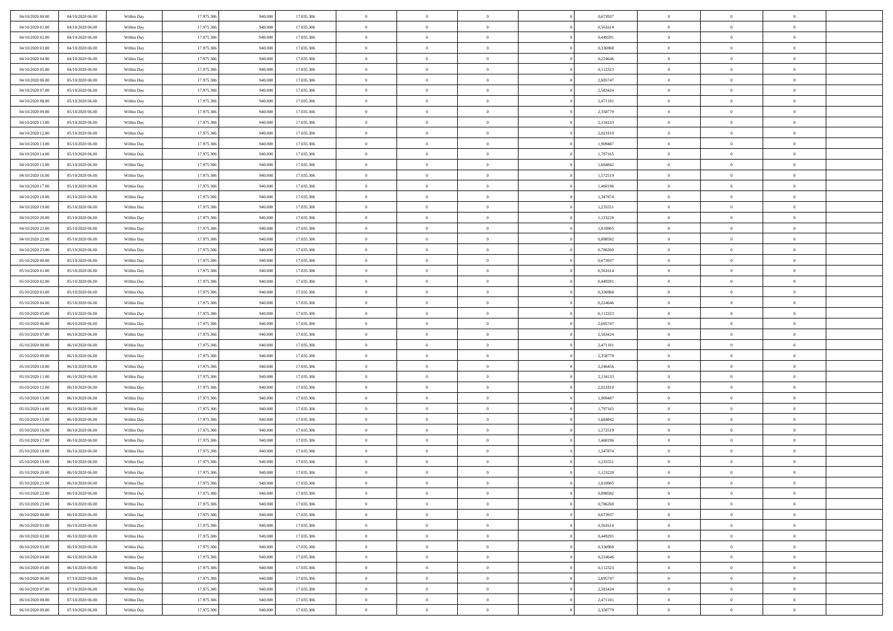| 04/10/2020 00:00 | 04/10/2020 06.00 | Within Day | 17.975.306 | 940.000            | 17.035.306 | $\bf{0}$       | $\overline{0}$ | $\Omega$       | 0,673937 | $\bf{0}$       | $\overline{0}$ | $\bf{0}$       |  |
|------------------|------------------|------------|------------|--------------------|------------|----------------|----------------|----------------|----------|----------------|----------------|----------------|--|
| 04/10/2020 01:00 | 04/10/2020 06:00 | Within Day | 17.975.306 | 940,00             | 17.035.306 | $\overline{0}$ | $\overline{0}$ | $\Omega$       | 0,561614 | $\overline{0}$ | $\theta$       | $\overline{0}$ |  |
| 04/10/2020 02:00 | 04/10/2020 06:00 | Within Day | 17.975.306 | 940.000            | 17.035.306 | $\overline{0}$ | $\overline{0}$ | $\overline{0}$ | 0,449291 | $\mathbf{0}$   | $\overline{0}$ | $\theta$       |  |
| 04/10/2020 03:00 | 04/10/2020 06:00 | Within Day | 17.975.306 | 940.000            | 17.035.306 | $\bf{0}$       | $\overline{0}$ | $\overline{0}$ | 0,336968 | $\mathbf{0}$   | $\overline{0}$ | $\bf{0}$       |  |
| 04/10/2020 04:00 | 04/10/2020 06.00 |            | 17.975.306 | 940,000            | 17.035.306 | $\bf{0}$       | $\overline{0}$ | $\overline{0}$ | 0,224646 | $\bf{0}$       | $\overline{0}$ | $\bf{0}$       |  |
| 04/10/2020 05:00 |                  | Within Day |            |                    |            | $\overline{0}$ |                |                |          |                |                | $\theta$       |  |
|                  | 04/10/2020 06:00 | Within Day | 17.975.306 | 940.000            | 17.035.306 |                | $\overline{0}$ | $\overline{0}$ | 0,112323 | $\mathbf{0}$   | $\overline{0}$ |                |  |
| 04/10/2020 06:00 | 05/10/2020 06:00 | Within Day | 17.975.306 | 940.000            | 17.035.306 | $\bf{0}$       | $\overline{0}$ | $\overline{0}$ | 2,695747 | $\bf{0}$       | $\overline{0}$ | $\bf{0}$       |  |
| 04/10/2020 07:00 | 05/10/2020 06:00 | Within Day | 17.975.306 | 940,000            | 17.035.306 | $\overline{0}$ | $\overline{0}$ | $\overline{0}$ | 2,583424 | $\mathbf{0}$   | $\theta$       | $\theta$       |  |
| 04/10/2020 08:00 | 05/10/2020 06:00 | Within Day | 17.975.306 | 940.000            | 17.035.306 | $\overline{0}$ | $\overline{0}$ | $\overline{0}$ | 2,471101 | $\mathbf{0}$   | $\overline{0}$ | $\theta$       |  |
| 04/10/2020 09:00 | 05/10/2020 06:00 | Within Day | 17.975.306 | 940.000            | 17.035.306 | $\bf{0}$       | $\bf{0}$       | $\Omega$       | 2,358779 | $\bf{0}$       | $\overline{0}$ | $\bf{0}$       |  |
| 04/10/2020 11:00 | 05/10/2020 06:00 | Within Day | 17.975.306 | 940,000            | 17.035.306 | $\bf{0}$       | $\overline{0}$ | $\overline{0}$ | 2,134133 | $\mathbf{0}$   | $\theta$       | $\theta$       |  |
| 04/10/2020 12:00 | 05/10/2020 06:00 | Within Day | 17.975.306 | 940.000            | 17.035.306 | $\overline{0}$ | $\overline{0}$ | $\overline{0}$ | 2,021810 | $\mathbf{0}$   | $\overline{0}$ | $\theta$       |  |
| 04/10/2020 13:00 | 05/10/2020 06:00 | Within Day | 17.975.306 | 940.000            | 17.035.306 | $\bf{0}$       | $\overline{0}$ | $\overline{0}$ | 1,909487 | $\bf{0}$       | $\overline{0}$ | $\bf{0}$       |  |
| 04/10/2020 14:00 | 05/10/2020 06:00 | Within Day | 17.975.306 | 940,000            | 17.035.306 | $\bf{0}$       | $\overline{0}$ | $\overline{0}$ | 1,797165 | $\bf{0}$       | $\theta$       | $\bf{0}$       |  |
| 04/10/2020 15.00 | 05/10/2020 06:00 | Within Day | 17.975.306 | 940.000            | 17.035.306 | $\overline{0}$ | $\overline{0}$ | $\overline{0}$ | 1,684842 | $\overline{0}$ | $\overline{0}$ | $\theta$       |  |
| 04/10/2020 16.00 | 05/10/2020 06:00 | Within Day | 17.975.306 | 940.000            | 17.035.306 | $\bf{0}$       | $\overline{0}$ | $\Omega$       | 1,572519 | $\bf{0}$       | $\overline{0}$ | $\bf{0}$       |  |
| 04/10/2020 17:00 | 05/10/2020 06:00 | Within Day | 17.975.306 | 940,000            | 17.035.306 | $\,$ 0 $\,$    | $\overline{0}$ | $\overline{0}$ | 1,460196 | $\mathbf{0}$   | $\theta$       | $\theta$       |  |
| 04/10/2020 18.00 | 05/10/2020 06:00 | Within Day | 17.975.306 | 940.000            | 17.035.306 | $\overline{0}$ | $\overline{0}$ | $\overline{0}$ | 1,347874 | $\mathbf{0}$   | $\overline{0}$ | $\theta$       |  |
| 04/10/2020 19:00 | 05/10/2020 06:00 | Within Day | 17.975.306 | 940.000            | 17.035.306 | $\bf{0}$       | $\overline{0}$ | $\Omega$       | 1,235551 | $\bf{0}$       | $\overline{0}$ | $\bf{0}$       |  |
| 04/10/2020 20:00 | 05/10/2020 06:00 | Within Day | 17.975.306 | 940,000            | 17.035.306 | $\overline{0}$ | $\overline{0}$ | $\overline{0}$ | 1,123228 | $\mathbf{0}$   | $\theta$       | $\overline{0}$ |  |
| 04/10/2020 21.00 | 05/10/2020 06:00 | Within Day | 17.975.306 | 940.000            | 17.035.306 | $\overline{0}$ | $\overline{0}$ | $\overline{0}$ | 1,010905 | $\mathbf{0}$   | $\overline{0}$ | $\theta$       |  |
| 04/10/2020 22.00 |                  |            |            |                    |            | $\bf{0}$       |                | $\overline{0}$ |          |                | $\overline{0}$ | $\bf{0}$       |  |
|                  | 05/10/2020 06:00 | Within Day | 17.975.306 | 940.000<br>940,000 | 17.035.306 |                | $\overline{0}$ |                | 0,898582 | $\mathbf{0}$   |                |                |  |
| 04/10/2020 23.00 | 05/10/2020 06:00 | Within Day | 17.975.306 |                    | 17.035.306 | $\bf{0}$       | $\overline{0}$ | $\overline{0}$ | 0,786260 | $\bf{0}$       | $\overline{0}$ | $\bf{0}$       |  |
| 05/10/2020 00:00 | 05/10/2020 06:00 | Within Day | 17.975.306 | 940.000            | 17.035.306 | $\overline{0}$ | $\overline{0}$ | $\overline{0}$ | 0,673937 | $\overline{0}$ | $\overline{0}$ | $\theta$       |  |
| 05/10/2020 01:00 | 05/10/2020 06:00 | Within Day | 17.975.306 | 940.000            | 17.035.306 | $\bf{0}$       | $\overline{0}$ | $\overline{0}$ | 0,561614 | $\bf{0}$       | $\overline{0}$ | $\bf{0}$       |  |
| 05/10/2020 02:00 | 05/10/2020 06:00 | Within Day | 17.975.306 | 940,00             | 17.035.306 | $\theta$       | $\overline{0}$ | $\overline{0}$ | 0,449291 | $\mathbf{0}$   | $\overline{0}$ | $\overline{0}$ |  |
| 05/10/2020 03:00 | 05/10/2020 06:00 | Within Day | 17.975.306 | 940.000            | 17.035.306 | $\overline{0}$ | $\overline{0}$ | $\overline{0}$ | 0,336968 | $\mathbf{0}$   | $\overline{0}$ | $\theta$       |  |
| 05/10/2020 04:00 | 05/10/2020 06:00 | Within Day | 17.975.306 | 940.000            | 17.035.306 | $\bf{0}$       | $\overline{0}$ | $\Omega$       | 0,224646 | $\mathbf{0}$   | $\overline{0}$ | $\bf{0}$       |  |
| 05/10/2020 05:00 | 05/10/2020 06:00 | Within Day | 17.975.306 | 940,000            | 17.035.306 | $\bf{0}$       | $\overline{0}$ | $\overline{0}$ | 0,112323 | $\mathbf{0}$   | $\theta$       | $\overline{0}$ |  |
| 05/10/2020 06:00 | 06/10/2020 06:00 | Within Day | 17.975.306 | 940.000            | 17.035.306 | $\overline{0}$ | $\overline{0}$ | $\overline{0}$ | 2,695747 | $\mathbf{0}$   | $\overline{0}$ | $\theta$       |  |
| 05/10/2020 07:00 | 06/10/2020 06:00 | Within Day | 17.975.306 | 940.000            | 17.035.306 | $\,$ 0         | $\overline{0}$ | $\overline{0}$ | 2,583424 | $\,$ 0 $\,$    | $\overline{0}$ | $\,0\,$        |  |
| 05/10/2020 08:00 | 06/10/2020 06:00 | Within Day | 17.975.306 | 940,00             | 17.035.306 | $\bf{0}$       | $\overline{0}$ | $\overline{0}$ | 2,471101 | $\bf{0}$       | $\theta$       | $\bf{0}$       |  |
| 05/10/2020 09:00 | 06/10/2020 06:00 | Within Day | 17.975.306 | 940.000            | 17.035.306 | $\overline{0}$ | $\overline{0}$ | $\overline{0}$ | 2,358779 | $\mathbf{0}$   | $\overline{0}$ | $\theta$       |  |
| 05/10/2020 10:00 | 06/10/2020 06:00 | Within Day | 17.975.306 | 940.000            | 17.035.306 | $\,$ 0         | $\overline{0}$ | $\theta$       | 2,246456 | $\,$ 0         | $\overline{0}$ | $\mathbf{0}$   |  |
| 05/10/2020 11:00 | 06/10/2020 06:00 | Within Day | 17.975.306 | 940,000            | 17.035.306 | $\bf{0}$       | $\overline{0}$ | $\overline{0}$ | 2,134133 | $\mathbf{0}$   | $\overline{0}$ | $\overline{0}$ |  |
| 05/10/2020 12:00 | 06/10/2020 06:00 | Within Day | 17.975.306 | 940.000            | 17.035.306 | $\overline{0}$ | $\overline{0}$ | $\overline{0}$ | 2,021810 | $\mathbf{0}$   | $\overline{0}$ | $\theta$       |  |
| 05/10/2020 13:00 | 06/10/2020 06:00 | Within Day | 17.975.306 | 940.000            | 17.035.306 | $\overline{0}$ | $\overline{0}$ | $\overline{0}$ | 1,909487 | $\,$ 0 $\,$    | $\overline{0}$ | $\mathbf{0}$   |  |
| 05/10/2020 14:00 | 06/10/2020 06:00 | Within Day | 17.975.306 | 940,000            | 17.035.306 | $\bf{0}$       | $\overline{0}$ | $\overline{0}$ | 1,797165 | $\mathbf{0}$   | $\theta$       | $\bf{0}$       |  |
| 05/10/2020 15:00 | 06/10/2020 06:00 | Within Day | 17.975.306 | 940.000            | 17.035.306 | $\overline{0}$ | $\overline{0}$ | $\overline{0}$ | 1,684842 | $\mathbf{0}$   | $\overline{0}$ | $\theta$       |  |
| 05/10/2020 16:00 | 06/10/2020 06:00 | Within Day | 17.975.306 | 940.000            | 17.035.306 | $\,$ 0         | $\overline{0}$ | $\overline{0}$ | 1,572519 | $\,$ 0 $\,$    | $\overline{0}$ | $\,0\,$        |  |
| 05/10/2020 17:00 | 06/10/2020 06:00 | Within Day | 17.975.306 | 940,000            | 17.035.306 | $\bf{0}$       | $\overline{0}$ | $\overline{0}$ | 1,460196 | $\,$ 0 $\,$    | $\overline{0}$ | $\bf{0}$       |  |
| 05/10/2020 18:00 | 06/10/2020 06:00 |            | 17.975.306 | 940.000            | 17.035.306 | $\overline{0}$ | $\overline{0}$ | $\overline{0}$ | 1,347874 | $\overline{0}$ | $\overline{0}$ | $\theta$       |  |
|                  |                  | Within Day |            |                    |            |                |                |                |          |                |                |                |  |
| 05/10/2020 19:00 | 06/10/2020 06:00 | Within Day | 17.975.306 | 940.000            | 17.035.306 | $\overline{0}$ | $\overline{0}$ | $\overline{0}$ | 1,235551 | $\overline{0}$ | $\overline{0}$ | $\mathbf{0}$   |  |
| 05/10/2020 20:00 | 06/10/2020 06:00 | Within Day | 17.975.306 | 940,00             | 17.035.306 | $\bf{0}$       | $\overline{0}$ | $\overline{0}$ | 1,123228 | $\mathbf{0}$   | $\overline{0}$ | $\bf{0}$       |  |
| 05/10/2020 21:00 | 06/10/2020 06:00 | Within Day | 17.975.306 | 940.000            | 17.035.306 | $\overline{0}$ | $\theta$       |                | 1,010905 | $\overline{0}$ | $\Omega$       | $\overline{0}$ |  |
| 05/10/2020 22.00 | 06/10/2020 06:00 | Within Day | 17.975.306 | 940.000            | 17.035.306 | $\,$ 0 $\,$    | $\overline{0}$ | $\overline{0}$ | 0,898582 | $\,$ 0 $\,$    | $\bf{0}$       | $\mathbf{0}$   |  |
| 05/10/2020 23:00 | 06/10/2020 06:00 | Within Day | 17.975.306 | 940,00             | 17.035.306 | $\mathbf{0}$   | $\overline{0}$ | $\overline{0}$ | 0.786260 | $\,$ 0 $\,$    | $\overline{0}$ | $\overline{0}$ |  |
| 06/10/2020 00:00 | 06/10/2020 06:00 | Within Day | 17.975.306 | 940.000            | 17.035.306 | $\mathbf{0}$   | $\overline{0}$ | $\overline{0}$ | 0,673937 | $\mathbf{0}$   | $\bf{0}$       | $\overline{0}$ |  |
| 06/10/2020 01:00 | 06/10/2020 06:00 | Within Day | 17.975.306 | 940.000            | 17.035.306 | $\,$ 0 $\,$    | $\overline{0}$ | $\overline{0}$ | 0,561614 | $\,$ 0 $\,$    | $\bf{0}$       | $\theta$       |  |
| 06/10/2020 02:00 | 06/10/2020 06:00 | Within Day | 17.975.306 | 940.000            | 17.035.306 | $\,$ 0 $\,$    | $\,$ 0 $\,$    | $\overline{0}$ | 0,449291 | $\,$ 0 $\,$    | $\overline{0}$ | $\overline{0}$ |  |
| 06/10/2020 03:00 | 06/10/2020 06:00 | Within Day | 17.975.306 | 940.000            | 17.035.306 | $\mathbf{0}$   | $\overline{0}$ | $\overline{0}$ | 0,336968 | $\mathbf{0}$   | $\bf{0}$       | $\overline{0}$ |  |
| 06/10/2020 04:00 | 06/10/2020 06:00 | Within Day | 17.975.306 | 940.000            | 17.035.306 | $\,$ 0 $\,$    | $\overline{0}$ | $\overline{0}$ | 0,224646 | $\,$ 0 $\,$    | $\mathbf{0}$   | $\theta$       |  |
| 06/10/2020 05:00 | 06/10/2020 06:00 | Within Day | 17.975.306 | 940,00             | 17.035.306 | $\mathbf{0}$   | $\overline{0}$ | $\overline{0}$ | 0,112323 | $\,$ 0 $\,$    | $\overline{0}$ | $\overline{0}$ |  |
| 06/10/2020 06.00 | 07/10/2020 06:00 | Within Day | 17.975.306 | 940.000            | 17.035.306 | $\mathbf{0}$   | $\overline{0}$ | $\overline{0}$ | 2,695747 | $\mathbf{0}$   | $\bf{0}$       | $\overline{0}$ |  |
| 06/10/2020 07.00 | 07/10/2020 06:00 | Within Day | 17.975.306 | 940.000            | 17.035.306 | $\,$ 0 $\,$    | $\overline{0}$ | $\overline{0}$ | 2,583424 | $\,$ 0 $\,$    | $\mathbf{0}$   | $\theta$       |  |
| 06/10/2020 08:00 | 07/10/2020 06:00 | Within Day | 17.975.306 | 940,000            | 17.035.306 | $\mathbf{0}$   | $\overline{0}$ | $\overline{0}$ | 2,471101 | $\,$ 0 $\,$    | $\overline{0}$ | $\overline{0}$ |  |
| 06/10/2020 09:00 | 07/10/2020 06:00 | Within Day | 17.975.306 | 940.000            | 17.035.306 | $\mathbf{0}$   | $\overline{0}$ | $\overline{0}$ | 2,358779 | $\mathbf{0}$   | $\mathbf{0}$   | $\overline{0}$ |  |
|                  |                  |            |            |                    |            |                |                |                |          |                |                |                |  |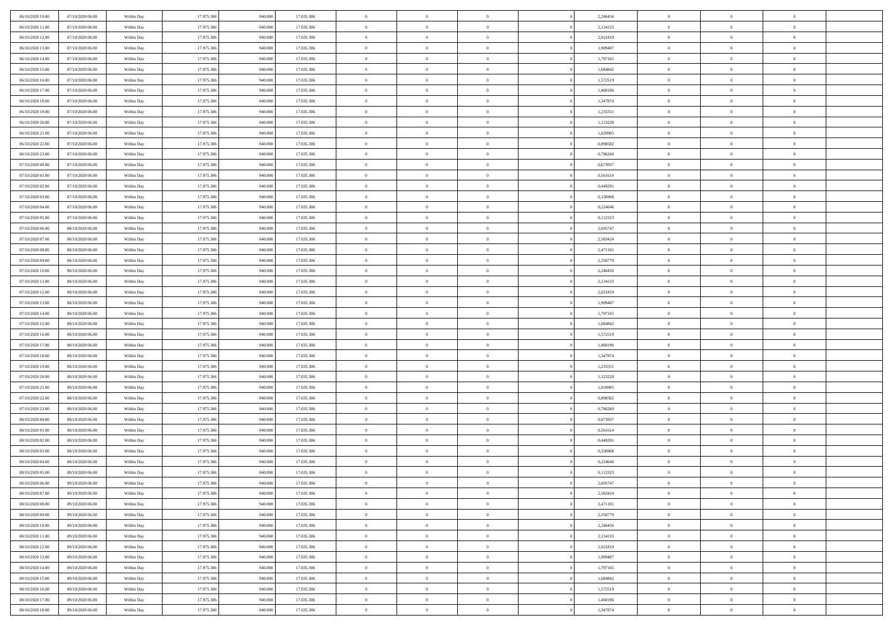| 06/10/2020 10:00                     | 07/10/2020 06:00                     | Within Day               | 17.975.306               | 940.000            | 17.035.306               | $\,$ 0 $\,$              | $\overline{0}$                   | $\overline{0}$                   | 2,246456             | $\bf{0}$                     | $\overline{0}$                 | $\,0\,$                          |  |
|--------------------------------------|--------------------------------------|--------------------------|--------------------------|--------------------|--------------------------|--------------------------|----------------------------------|----------------------------------|----------------------|------------------------------|--------------------------------|----------------------------------|--|
| 06/10/2020 11:00                     | 07/10/2020 06.00                     | Within Day               | 17.975.306               | 940,000            | 17.035.306               | $\overline{0}$           | $\overline{0}$                   | $\mathbf{0}$                     | 2,134133             | $\theta$                     | $\overline{0}$                 | $\theta$                         |  |
| 06/10/2020 12:00                     | 07/10/2020 06:00                     | Within Dav               | 17.975.306               | 940.000            | 17.035.306               | $\theta$                 | $\overline{0}$                   | $\overline{0}$                   | 2,021810             | $\mathbf{0}$                 | $\overline{0}$                 | $\overline{0}$                   |  |
| 06/10/2020 13:00                     | 07/10/2020 06.00                     | Within Day               | 17.975.306               | 940.000            | 17.035.306               | $\,$ 0 $\,$              | $\overline{0}$                   | $\overline{0}$                   | 1,909487             | $\bf{0}$                     | $\overline{0}$                 | $\bf{0}$                         |  |
| 06/10/2020 14:00                     | 07/10/2020 06.00                     | Within Day               | 17.975.306               | 940,000            | 17.035.306               | $\bf{0}$                 | $\overline{0}$                   | $\mathbf{0}$                     | 1,797165             | $\bf{0}$                     | $\theta$                       | $\,0\,$                          |  |
| 06/10/2020 15:00                     | 07/10/2020 06:00                     | Within Dav               | 17.975.306               | 940.000            | 17.035.306               | $\theta$                 | $\overline{0}$                   | $\mathbf{0}$                     | 1,684842             | $\mathbf{0}$                 | $\overline{0}$                 | $\overline{0}$                   |  |
| 06/10/2020 16:00                     | 07/10/2020 06.00                     | Within Day               | 17.975.306               | 940.000            | 17.035.306               | $\,$ 0 $\,$              | $\overline{0}$                   | $\overline{0}$                   | 1,572519             | $\bf{0}$                     | $\overline{0}$                 | $\,0\,$                          |  |
| 06/10/2020 17.00                     | 07/10/2020 06.00                     | Within Day               | 17.975.306               | 940,000            | 17.035.306               | $\overline{0}$           | $\overline{0}$                   | $\mathbf{0}$                     | 1,460196             | $\,$ 0 $\,$                  | $\overline{0}$                 | $\theta$                         |  |
| 06/10/2020 18:00                     | 07/10/2020 06:00                     | Within Day               | 17.975.306               | 940.000            | 17.035.306               | $\theta$                 | $\overline{0}$                   | $\mathbf{0}$                     | 1,347874             | $\mathbf{0}$                 | $\overline{0}$                 | $\overline{0}$                   |  |
| 06/10/2020 19:00                     | 07/10/2020 06.00                     | Within Day               | 17.975.306               | 940.000            | 17.035.306               | $\,$ 0 $\,$              | $\overline{0}$                   | $\Omega$                         | 1,235551             | $\bf{0}$                     | $\overline{0}$                 | $\,0\,$                          |  |
| 06/10/2020 20:00                     | 07/10/2020 06.00                     | Within Day               | 17.975.306               | 940,000            | 17.035.306               | $\bf{0}$                 | $\overline{0}$                   | $\mathbf{0}$                     | 1,123228             | $\bf{0}$                     | $\mathbf{0}$                   | $\theta$                         |  |
| 06/10/2020 21:00                     | 07/10/2020 06:00                     | Within Dav               | 17.975.306               | 940.000            | 17.035.306               | $\theta$                 | $\overline{0}$                   | $\overline{0}$                   | 1,010905             | $\mathbf{0}$                 | $\overline{0}$                 | $\overline{0}$                   |  |
| 06/10/2020 22.00                     | 07/10/2020 06.00                     | Within Day               | 17.975.306               | 940.000            | 17.035.306               | $\,$ 0 $\,$              | $\overline{0}$                   | $\overline{0}$                   | 0,898582             | $\bf{0}$                     | $\overline{0}$                 | $\bf{0}$                         |  |
| 06/10/2020 23.00                     | 07/10/2020 06.00                     | Within Day               | 17.975.306               | 940,000            | 17.035.306               | $\bf{0}$                 | $\overline{0}$                   | $\mathbf{0}$                     | 0,786260             | $\bf{0}$                     | $\theta$                       | $\,0\,$                          |  |
| 07/10/2020 00:00                     | 07/10/2020 06:00                     | Within Dav               | 17.975.306               | 940.000            | 17.035.306               | $\theta$                 | $\overline{0}$                   | $\mathbf{0}$                     | 0,673937             | $\mathbf{0}$                 | $\overline{0}$                 | $\overline{0}$                   |  |
| 07/10/2020 01:00                     | 07/10/2020 06.00                     | Within Day               | 17.975.306               | 940.000            | 17.035.306               | $\,$ 0 $\,$              | $\overline{0}$                   | $\overline{0}$                   | 0,561614             | $\bf{0}$                     | $\overline{0}$                 | $\bf{0}$                         |  |
| 07/10/2020 02.00                     | 07/10/2020 06.00                     | Within Day               | 17.975.306               | 940,000            | 17.035.306               | $\,$ 0                   | $\overline{0}$                   | $\mathbf{0}$                     | 0,449291             | $\bf{0}$                     | $\overline{0}$                 | $\theta$                         |  |
| 07/10/2020 03:00                     | 07/10/2020 06:00                     | Within Day               | 17.975.306               | 940.000            | 17.035.306               | $\theta$                 | $\overline{0}$                   | $\mathbf{0}$                     | 0,336968             | $\mathbf{0}$                 | $\overline{0}$                 | $\overline{0}$                   |  |
| 07/10/2020 04:00                     | 07/10/2020 06.00                     | Within Day               | 17.975.306               | 940.000            | 17.035.306               | $\,$ 0 $\,$              | $\overline{0}$                   | $\Omega$                         | 0,224646             | $\bf{0}$                     | $\overline{0}$                 | $\,0\,$                          |  |
| 07/10/2020 05:00                     | 07/10/2020 06.00                     | Within Day               | 17.975.306               | 940,000            | 17.035.306               | $\bf{0}$                 | $\overline{0}$                   | $\mathbf{0}$                     | 0,112323             | $\bf{0}$                     | $\mathbf{0}$                   | $\overline{0}$                   |  |
| 07/10/2020 06:00                     | 08/10/2020 06:00                     | Within Dav               | 17.975.306               | 940.000            | 17.035.306               | $\theta$                 | $\overline{0}$                   | $\mathbf{0}$                     | 2,695747             | $\mathbf{0}$                 | $\overline{0}$                 | $\overline{0}$                   |  |
| 07/10/2020 07.00                     | 08/10/2020 06:00                     | Within Day               | 17.975.306               | 940.000            | 17.035.306               | $\,$ 0 $\,$              | $\overline{0}$                   | $\overline{0}$                   | 2,583424             | $\bf{0}$                     | $\overline{0}$                 | $\bf{0}$                         |  |
| 07/10/2020 08:00                     | 08/10/2020 06:00                     | Within Day               | 17.975.306               | 940,000            | 17.035.306               | $\bf{0}$                 | $\overline{0}$                   | $\mathbf{0}$                     | 2,471101             | $\bf{0}$                     | $\mathbf{0}$                   | $\,0\,$                          |  |
| 07/10/2020 09:00                     | 08/10/2020 06:00                     | Within Dav               | 17.975.306               | 940.000            | 17.035.306               | $\theta$                 | $\overline{0}$                   | $\mathbf{0}$                     | 2,358779             | $\mathbf{0}$                 | $\overline{0}$                 | $\overline{0}$                   |  |
| 07/10/2020 10:00                     | 08/10/2020 06:00                     | Within Day               | 17.975.306               | 940.000            | 17.035.306               | $\,$ 0 $\,$              | $\overline{0}$                   | $\overline{0}$                   | 2,246456             | $\bf{0}$                     | $\overline{0}$                 | $\,0\,$                          |  |
| 07/10/2020 11:00                     | 08/10/2020 06:00                     | Within Day               | 17.975.306               | 940,000            | 17.035.306               | $\,$ 0                   | $\overline{0}$                   | $\mathbf{0}$                     | 2,134133             | $\bf{0}$                     | $\overline{0}$                 | $\overline{0}$                   |  |
| 07/10/2020 12:00                     | 08/10/2020 06:00                     | Within Day               | 17.975.306               | 940.000            | 17.035.306               | $\theta$                 | $\overline{0}$                   | $\mathbf{0}$                     | 2,021810             | $\mathbf{0}$                 | $\bf{0}$                       | $\overline{0}$                   |  |
| 07/10/2020 13:00                     | 08/10/2020 06:00                     | Within Day               | 17.975.306               | 940.000            | 17.035.306               | $\,$ 0 $\,$              | $\overline{0}$                   | $\Omega$                         | 1,909487             | $\bf{0}$                     | $\overline{0}$                 | $\,0\,$                          |  |
| 07/10/2020 14:00                     | 08/10/2020 06:00                     | Within Day               | 17.975.306               | 940,000            | 17.035.306               | $\bf{0}$                 | $\overline{0}$                   | $\mathbf{0}$                     | 1,797165             | $\bf{0}$                     | $\mathbf{0}$                   | $\overline{0}$                   |  |
| 07/10/2020 15:00                     | 08/10/2020 06:00                     | Within Dav               | 17.975.306               | 940.000            | 17.035.306               | $\theta$                 | $\overline{0}$                   | $\overline{0}$                   | 1,684842             | $\mathbf{0}$                 | $\overline{0}$                 | $\overline{0}$                   |  |
| 07/10/2020 16:00                     | 08/10/2020 06:00                     | Within Day               | 17.975.306               | 940.000            | 17.035.306               | $\theta$                 | $\overline{0}$                   | $\overline{0}$                   | 1,572519             | $\,$ 0                       | $\overline{0}$                 | $\,$ 0 $\,$                      |  |
| 07/10/2020 17.00                     | 08/10/2020 06:00                     | Within Day               | 17.975.306               | 940,000            | 17.035.306               | $\bf{0}$                 | $\overline{0}$                   | $\mathbf{0}$                     | 1,460196             | $\bf{0}$                     | $\mathbf{0}$                   | $\overline{0}$                   |  |
| 07/10/2020 18:00                     | 08/10/2020 06:00                     | Within Dav               | 17.975.306               | 940.000            | 17.035.306               | $\theta$                 | $\overline{0}$                   | $\mathbf{0}$                     | 1,347874             | $\mathbf{0}$                 | $\overline{0}$                 | $\overline{0}$                   |  |
| 07/10/2020 19:00                     | 08/10/2020 06:00                     | Within Day               | 17.975.306               | 940.000            | 17.035.306               | $\theta$                 | $\overline{0}$                   | $\overline{0}$                   | 1,235551             | $\,$ 0                       | $\overline{0}$                 | $\theta$                         |  |
| 07/10/2020 20:00                     | 08/10/2020 06:00                     | Within Day               | 17.975.306               | 940,000            | 17.035.306               | $\bf{0}$                 | $\overline{0}$                   | $\mathbf{0}$                     | 1,123228             | $\mathbf{0}$                 | $\overline{0}$                 | $\overline{0}$                   |  |
| 07/10/2020 21:00                     | 08/10/2020 06:00                     | Within Day               | 17.975.306               | 940.000            | 17.035.306               | $\theta$                 | $\overline{0}$                   | $\mathbf{0}$                     | 1,010905             | $\mathbf{0}$                 | $\overline{0}$                 | $\overline{0}$                   |  |
| 07/10/2020 22.00                     | 08/10/2020 06:00                     | Within Day               | 17.975.306               | 940.000            | 17.035.306               | $\theta$                 | $\overline{0}$                   | $\overline{0}$                   | 0,898582             | $\,$ 0                       | $\overline{0}$                 | $\theta$                         |  |
| 07/10/2020 23.00                     | 08/10/2020 06:00                     | Within Day               | 17.975.306               | 940,000            | 17.035.306               | $\bf{0}$                 | $\overline{0}$                   | $\mathbf{0}$                     | 0,786260             | $\bf{0}$                     | $\mathbf{0}$                   | $\overline{0}$                   |  |
| 08/10/2020 00:00                     | 08/10/2020 06:00                     | Within Dav               | 17.975.306               | 940.000            | 17.035.306               | $\theta$                 | $\overline{0}$                   | $\overline{0}$                   | 0,673937             | $\mathbf{0}$                 | $\overline{0}$                 | $\overline{0}$                   |  |
| 08/10/2020 01:00                     | 08/10/2020 06:00                     | Within Day               | 17.975.306               | 940.000            | 17.035.306               | $\,$ 0 $\,$              | $\overline{0}$                   | $\overline{0}$                   | 0,561614             | $\,$ 0                       | $\overline{0}$                 | $\,$ 0 $\,$                      |  |
| 08/10/2020 02:00                     | 08/10/2020 06:00                     | Within Day               | 17.975.306               | 940.000            | 17.035.306               | $\bf{0}$                 | $\,$ 0 $\,$                      | $\mathbf{0}$                     | 0,449291             | $\,$ 0 $\,$                  | $\overline{0}$                 | $\overline{0}$                   |  |
| 08/10/2020 03:00                     | 08/10/2020 06:00                     | Within Dav               | 17.975.306               | 940.000            | 17.035.306               | $\theta$                 | $\overline{0}$                   | $\mathbf{0}$                     | 0,336968             | $\mathbf{0}$                 | $\overline{0}$                 | $\overline{0}$                   |  |
| 08/10/2020 04:00                     | 08/10/2020 06:00                     | Within Day               | 17.975.306               | 940.000            | 17.035.306               | $\overline{0}$           | $\overline{0}$                   | $\overline{0}$                   | 0,224646             | $\overline{0}$               | $\overline{0}$                 | $\theta$                         |  |
| 08/10/2020 05:00                     | 08/10/2020 06:00                     | Within Day               | 17.975.306               | 940,000            | 17.035.306               | $\bf{0}$                 | $\overline{0}$                   | $\mathbf{0}$                     | 0,112323             | $\bf{0}$                     | $\overline{0}$                 | $\bf{0}$                         |  |
| 08/10/2020 06:00                     | 09/10/2020 06:00                     | Within Day               | 17.975.306               | 940.000            | 17.035.306               | $\overline{0}$           | $\theta$                         |                                  | 2,695747             | $\overline{0}$               | $\Omega$                       | $\theta$                         |  |
| 08/10/2020 07:00                     | 09/10/2020 06:00                     | Within Day               | 17.975.306               | 940.000            | 17.035.306               | $\,$ 0 $\,$              | $\overline{0}$                   | $\overline{0}$                   | 2,583424             | $\,$ 0 $\,$                  | $\bf{0}$                       | $\theta$                         |  |
| 08/10/2020 08:00                     | 09/10/2020 06:00<br>09/10/2020 06:00 | Within Day               | 17.975.306<br>17.975.306 | 940,000            | 17.035.306               | $\bf{0}$                 | $\overline{0}$                   | $\overline{0}$                   | 2,471101             | $\mathbf{0}$<br>$\,$ 0 $\,$  | $\overline{0}$                 | $\overline{0}$                   |  |
| 08/10/2020 09:00                     |                                      | Within Day               |                          | 940.000            | 17.035.306               | $\mathbf{0}$             | $\overline{0}$                   | $\overline{0}$                   | 2,358779             |                              | $\bf{0}$                       | $\mathbf{0}$                     |  |
| 08/10/2020 10:00                     | 09/10/2020 06:00                     | Within Day               | 17.975.306               | 940.000            | 17.035.306               | $\,$ 0 $\,$              | $\overline{0}$                   | $\overline{0}$                   | 2,246456             | $\,$ 0 $\,$                  | $\bf{0}$                       | $\,$ 0 $\,$                      |  |
| 08/10/2020 11:00                     | 09/10/2020 06.00                     | Within Day               | 17.975.306               | 940,000            | 17.035.306               | $\,$ 0 $\,$              | $\,$ 0 $\,$                      | $\overline{0}$                   | 2,134133             | $\,$ 0 $\,$                  | $\overline{0}$                 | $\overline{0}$                   |  |
| 08/10/2020 12:00                     | 09/10/2020 06:00                     | Within Day               | 17.975.306               | 940.000            | 17.035.306               | $\mathbf{0}$             | $\overline{0}$                   | $\overline{0}$                   | 2,021810             | $\mathbf{0}$                 | $\overline{0}$                 | $\overline{0}$                   |  |
| 08/10/2020 13:00                     | 09/10/2020 06:00                     | Within Day               | 17.975.306               | 940.000<br>940,000 | 17.035.306               | $\,$ 0 $\,$              | $\overline{0}$                   | $\overline{0}$<br>$\overline{0}$ | 1,909487             | $\,$ 0 $\,$                  | $\mathbf{0}$<br>$\overline{0}$ | $\,$ 0 $\,$                      |  |
| 08/10/2020 14:00<br>08/10/2020 15:00 | 09/10/2020 06.00<br>09/10/2020 06:00 | Within Day<br>Within Day | 17.975.306<br>17.975.306 | 940.000            | 17.035.306<br>17.035.306 | $\bf{0}$<br>$\mathbf{0}$ | $\overline{0}$<br>$\overline{0}$ | $\overline{0}$                   | 1,797165<br>1,684842 | $\mathbf{0}$<br>$\mathbf{0}$ | $\bf{0}$                       | $\overline{0}$<br>$\overline{0}$ |  |
|                                      |                                      |                          |                          |                    |                          | $\,$ 0 $\,$              |                                  | $\overline{0}$                   |                      |                              | $\mathbf{0}$                   | $\,$ 0 $\,$                      |  |
| 08/10/2020 16:00<br>08/10/2020 17:00 | 09/10/2020 06:00<br>09/10/2020 06.00 | Within Day               | 17.975.306<br>17.975.306 | 940.000<br>940,000 | 17.035.306<br>17.035.306 | $\,$ 0 $\,$              | $\overline{0}$<br>$\,$ 0 $\,$    | $\overline{0}$                   | 1,572519<br>1,460196 | $\,$ 0 $\,$                  | $\overline{0}$                 | $\overline{0}$                   |  |
| 08/10/2020 18:00                     | 09/10/2020 06:00                     | Within Day               | 17.975.306               | 940.000            | 17.035.306               | $\theta$                 | $\overline{0}$                   | $\overline{0}$                   | 1,347874             | $\bf{0}$<br>$\mathbf{0}$     | $\overline{0}$                 | $\overline{0}$                   |  |
|                                      |                                      | Within Day               |                          |                    |                          |                          |                                  |                                  |                      |                              |                                |                                  |  |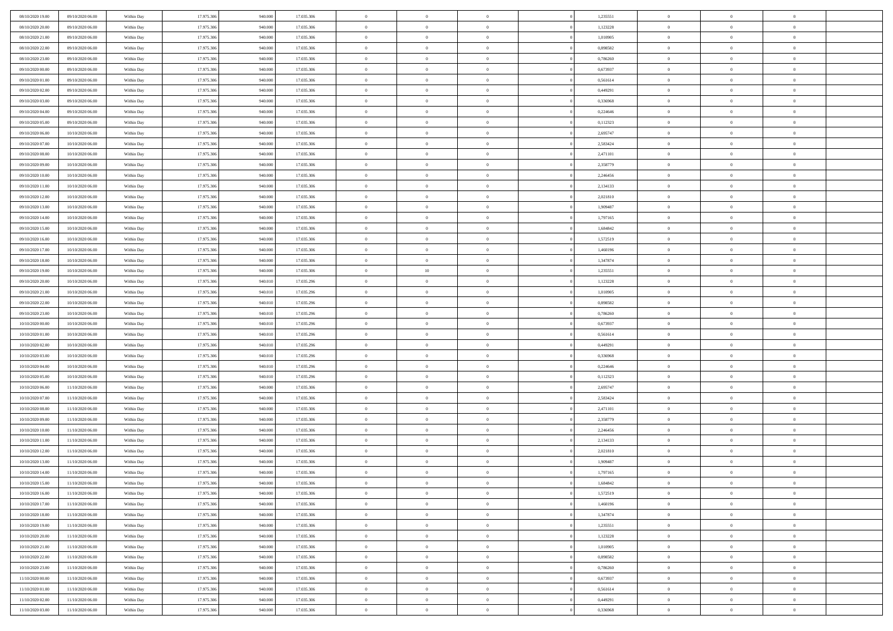| 08/10/2020 19:00                     | 09/10/2020 06:00 | Within Day | 17.975.306 | 940.000 | 17.035.306 | $\bf{0}$       | $\overline{0}$ | $\overline{0}$ | 1,235551 | $\bf{0}$       | $\overline{0}$ | $\bf{0}$       |  |
|--------------------------------------|------------------|------------|------------|---------|------------|----------------|----------------|----------------|----------|----------------|----------------|----------------|--|
| 08/10/2020 20:00                     | 09/10/2020 06:00 | Within Day | 17.975.306 | 940,00  | 17.035.306 | $\overline{0}$ | $\overline{0}$ | $\Omega$       | 1,123228 | $\overline{0}$ | $\theta$       | $\theta$       |  |
| 08/10/2020 21:00                     | 09/10/2020 06:00 | Within Day | 17.975.306 | 940.000 | 17.035.306 | $\overline{0}$ | $\overline{0}$ | $\overline{0}$ | 1,010905 | $\mathbf{0}$   | $\overline{0}$ | $\theta$       |  |
| 08/10/2020 22:00                     | 09/10/2020 06:00 | Within Day | 17.975.306 | 940.000 | 17.035.306 | $\bf{0}$       | $\overline{0}$ | $\overline{0}$ | 0,898582 | $\mathbf{0}$   | $\overline{0}$ | $\bf{0}$       |  |
| 08/10/2020 23:00                     | 09/10/2020 06:00 | Within Day | 17.975.306 | 940,000 | 17.035.306 | $\bf{0}$       | $\overline{0}$ | $\overline{0}$ | 0,786260 | $\bf{0}$       | $\overline{0}$ | $\bf{0}$       |  |
| 09/10/2020 00:00                     | 09/10/2020 06:00 | Within Day | 17.975.306 | 940.000 | 17.035.306 | $\overline{0}$ | $\overline{0}$ | $\overline{0}$ | 0,673937 | $\mathbf{0}$   | $\overline{0}$ | $\theta$       |  |
| 09/10/2020 01:00                     | 09/10/2020 06:00 | Within Day | 17.975.306 | 940.000 | 17.035.306 | $\bf{0}$       | $\overline{0}$ | $\overline{0}$ | 0,561614 | $\bf{0}$       | $\overline{0}$ | $\bf{0}$       |  |
| 09/10/2020 02:00                     | 09/10/2020 06:00 | Within Day | 17.975.306 | 940,000 | 17.035.306 | $\overline{0}$ | $\overline{0}$ | $\overline{0}$ | 0,449291 | $\mathbf{0}$   | $\theta$       | $\theta$       |  |
| 09/10/2020 03:00                     | 09/10/2020 06:00 | Within Day | 17.975.306 | 940.000 | 17.035.306 | $\overline{0}$ | $\overline{0}$ | $\overline{0}$ | 0,336968 | $\mathbf{0}$   | $\overline{0}$ | $\theta$       |  |
| 09/10/2020 04.00                     | 09/10/2020 06:00 |            | 17.975.306 | 940.000 | 17.035.306 | $\bf{0}$       | $\overline{0}$ | $\Omega$       | 0,224646 | $\bf{0}$       | $\overline{0}$ | $\bf{0}$       |  |
|                                      |                  | Within Day |            |         |            |                |                |                |          |                |                |                |  |
| 09/10/2020 05:00<br>09/10/2020 06:00 | 09/10/2020 06:00 | Within Day | 17.975.306 | 940,000 | 17.035.306 | $\bf{0}$       | $\overline{0}$ | $\overline{0}$ | 0,112323 | $\mathbf{0}$   | $\theta$       | $\theta$       |  |
|                                      | 10/10/2020 06:00 | Within Day | 17.975.306 | 940.000 | 17.035.306 | $\overline{0}$ | $\overline{0}$ | $\overline{0}$ | 2,695747 | $\mathbf{0}$   | $\overline{0}$ | $\theta$       |  |
| 09/10/2020 07:00                     | 10/10/2020 06:00 | Within Day | 17.975.306 | 940.000 | 17.035.306 | $\bf{0}$       | $\overline{0}$ | $\overline{0}$ | 2,583424 | $\mathbf{0}$   | $\overline{0}$ | $\bf{0}$       |  |
| 09/10/2020 08:00                     | 10/10/2020 06:00 | Within Day | 17.975.306 | 940,000 | 17.035.306 | $\bf{0}$       | $\overline{0}$ | $\overline{0}$ | 2,471101 | $\bf{0}$       | $\theta$       | $\bf{0}$       |  |
| 09/10/2020 09:00                     | 10/10/2020 06:00 | Within Day | 17.975.306 | 940.000 | 17.035.306 | $\overline{0}$ | $\overline{0}$ | $\overline{0}$ | 2,358779 | $\overline{0}$ | $\overline{0}$ | $\theta$       |  |
| 09/10/2020 10:00                     | 10/10/2020 06:00 | Within Day | 17.975.306 | 940.000 | 17.035.306 | $\bf{0}$       | $\overline{0}$ | $\Omega$       | 2,246456 | $\bf{0}$       | $\overline{0}$ | $\bf{0}$       |  |
| 09/10/2020 11:00                     | 10/10/2020 06:00 | Within Day | 17.975.306 | 940,000 | 17.035.306 | $\,$ 0 $\,$    | $\overline{0}$ | $\overline{0}$ | 2,134133 | $\mathbf{0}$   | $\theta$       | $\theta$       |  |
| 09/10/2020 12:00                     | 10/10/2020 06:00 | Within Day | 17.975.306 | 940.000 | 17.035.306 | $\overline{0}$ | $\overline{0}$ | $\overline{0}$ | 2,021810 | $\mathbf{0}$   | $\overline{0}$ | $\theta$       |  |
| 09/10/2020 13.00                     | 10/10/2020 06:00 | Within Day | 17.975.306 | 940.000 | 17.035.306 | $\bf{0}$       | $\overline{0}$ | $\Omega$       | 1,909487 | $\bf{0}$       | $\overline{0}$ | $\bf{0}$       |  |
| 09/10/2020 14:00                     | 10/10/2020 06:00 | Within Day | 17.975.306 | 940,000 | 17.035.306 | $\bf{0}$       | $\overline{0}$ | $\overline{0}$ | 1,797165 | $\mathbf{0}$   | $\mathbf{0}$   | $\overline{0}$ |  |
| 09/10/2020 15:00                     | 10/10/2020 06:00 | Within Day | 17.975.306 | 940.000 | 17.035.306 | $\overline{0}$ | $\overline{0}$ | $\overline{0}$ | 1,684842 | $\mathbf{0}$   | $\overline{0}$ | $\theta$       |  |
| 09/10/2020 16:00                     | 10/10/2020 06:00 | Within Day | 17.975.306 | 940.000 | 17.035.306 | $\bf{0}$       | $\overline{0}$ | $\overline{0}$ | 1,572519 | $\mathbf{0}$   | $\overline{0}$ | $\bf{0}$       |  |
| 09/10/2020 17:00                     | 10/10/2020 06:00 | Within Day | 17.975.306 | 940,000 | 17.035.306 | $\bf{0}$       | $\overline{0}$ | $\overline{0}$ | 1,460196 | $\mathbf{0}$   | $\overline{0}$ | $\bf{0}$       |  |
| 09/10/2020 18:00                     | 10/10/2020 06:00 | Within Day | 17.975.306 | 940.000 | 17.035.306 | $\overline{0}$ | $\overline{0}$ | $\overline{0}$ | 1,347874 | $\mathbf{0}$   | $\overline{0}$ | $\theta$       |  |
| 09/10/2020 19:00                     | 10/10/2020 06:00 | Within Day | 17.975.306 | 940.000 | 17.035.306 | $\bf{0}$       | $10\,$         | $\overline{0}$ | 1,235551 | $\bf{0}$       | $\overline{0}$ | $\bf{0}$       |  |
| 09/10/2020 20:00                     | 10/10/2020 06:00 | Within Day | 17.975.306 | 940.01  | 17.035.296 | $\,$ 0 $\,$    | $\overline{0}$ | $\overline{0}$ | 1,123228 | $\mathbf{0}$   | $\overline{0}$ | $\overline{0}$ |  |
| 09/10/2020 21:00                     | 10/10/2020 06:00 | Within Day | 17.975.306 | 940.010 | 17.035.296 | $\overline{0}$ | $\overline{0}$ | $\overline{0}$ | 1,010905 | $\mathbf{0}$   | $\overline{0}$ | $\theta$       |  |
| 09/10/2020 22.00                     | 10/10/2020 06:00 | Within Day | 17.975.306 | 940.010 | 17.035.296 | $\bf{0}$       | $\overline{0}$ | $\Omega$       | 0,898582 | $\mathbf{0}$   | $\overline{0}$ | $\bf{0}$       |  |
| 09/10/2020 23.00                     | 10/10/2020 06:00 | Within Day | 17.975.306 | 940.01  | 17.035.296 | $\bf{0}$       | $\overline{0}$ | $\overline{0}$ | 0.786260 | $\mathbf{0}$   | $\theta$       | $\overline{0}$ |  |
| 10/10/2020 00:00                     | 10/10/2020 06:00 | Within Day | 17.975.306 | 940.010 | 17.035.296 | $\overline{0}$ | $\overline{0}$ | $\overline{0}$ | 0,673937 | $\mathbf{0}$   | $\overline{0}$ | $\theta$       |  |
| 10/10/2020 01:00                     | 10/10/2020 06:00 | Within Day | 17.975.306 | 940.010 | 17.035.296 | $\,$ 0         | $\overline{0}$ | $\overline{0}$ | 0,561614 | $\,$ 0 $\,$    | $\overline{0}$ | $\,0\,$        |  |
| 10/10/2020 02:00                     | 10/10/2020 06:00 | Within Day | 17.975.306 | 940.01  | 17.035.296 | $\bf{0}$       | $\overline{0}$ | $\overline{0}$ | 0,449291 | $\bf{0}$       | $\overline{0}$ | $\bf{0}$       |  |
| 10/10/2020 03:00                     | 10/10/2020 06:00 | Within Day | 17.975.306 | 940.010 | 17.035.296 | $\overline{0}$ | $\overline{0}$ | $\overline{0}$ | 0,336968 | $\mathbf{0}$   | $\overline{0}$ | $\theta$       |  |
| 10/10/2020 04:00                     | 10/10/2020 06:00 | Within Day | 17.975.306 | 940.010 | 17.035.296 | $\,$ 0         | $\overline{0}$ | $\theta$       | 0,224646 | $\,$ 0         | $\overline{0}$ | $\mathbf{0}$   |  |
| 10/10/2020 05:00                     | 10/10/2020 06:00 | Within Day | 17.975.306 | 940.01  | 17.035.296 | $\bf{0}$       | $\overline{0}$ | $\overline{0}$ | 0,112323 | $\mathbf{0}$   | $\overline{0}$ | $\overline{0}$ |  |
| 10/10/2020 06:00                     | 11/10/2020 06:00 | Within Day | 17.975.306 | 940.000 | 17.035.306 | $\overline{0}$ | $\overline{0}$ | $\overline{0}$ | 2,695747 | $\mathbf{0}$   | $\overline{0}$ | $\theta$       |  |
| 10/10/2020 07:00                     | 11/10/2020 06:00 | Within Day | 17.975.306 | 940.000 | 17.035.306 | $\overline{0}$ | $\overline{0}$ | $\overline{0}$ | 2,583424 | $\,$ 0 $\,$    | $\overline{0}$ | $\mathbf{0}$   |  |
| 10/10/2020 08:00                     | 11/10/2020 06:00 | Within Day | 17.975.306 | 940,000 | 17.035.306 | $\bf{0}$       | $\overline{0}$ | $\overline{0}$ | 2,471101 | $\mathbf{0}$   | $\mathbf{0}$   | $\bf{0}$       |  |
| 10/10/2020 09:00                     | 11/10/2020 06:00 | Within Day | 17.975.306 | 940.000 | 17.035.306 | $\overline{0}$ | $\overline{0}$ | $\overline{0}$ | 2,358779 | $\mathbf{0}$   | $\overline{0}$ | $\theta$       |  |
| 10/10/2020 10:00                     | 11/10/2020 06:00 | Within Day | 17.975.306 | 940.000 | 17.035.306 | $\,$ 0         | $\overline{0}$ | $\overline{0}$ | 2,246456 | $\,$ 0 $\,$    | $\overline{0}$ | $\,$ 0 $\,$    |  |
| 10/10/2020 11:00                     | 11/10/2020 06:00 | Within Day | 17.975.306 | 940,000 | 17.035.306 | $\bf{0}$       | $\overline{0}$ | $\overline{0}$ | 2,134133 | $\,$ 0 $\,$    | $\overline{0}$ | $\bf{0}$       |  |
| 10/10/2020 12:00                     | 11/10/2020 06:00 | Within Day | 17.975.306 | 940.000 | 17.035.306 | $\overline{0}$ | $\overline{0}$ | $\overline{0}$ | 2,021810 | $\overline{0}$ | $\overline{0}$ | $\theta$       |  |
| 10/10/2020 13:00                     | 11/10/2020 06:00 | Within Day | 17.975.306 | 940.000 | 17.035.306 | $\overline{0}$ | $\overline{0}$ | $\overline{0}$ | 1,909487 | $\overline{0}$ | $\overline{0}$ | $\mathbf{0}$   |  |
| 10/10/2020 14:00                     | 11/10/2020 06:00 | Within Day | 17.975.306 | 940,00  | 17.035.306 | $\bf{0}$       | $\overline{0}$ | $\overline{0}$ | 1,797165 | $\mathbf{0}$   | $\overline{0}$ | $\bf{0}$       |  |
| 10/10/2020 15:00                     | 11/10/2020 06:00 | Within Day | 17.975.306 | 940.000 | 17.035.306 | $\overline{0}$ | $\theta$       |                | 1,684842 | $\overline{0}$ | $\Omega$       | $\overline{0}$ |  |
| 10/10/2020 16:00                     | 11/10/2020 06:00 | Within Day | 17.975.306 | 940.000 | 17.035.306 | $\,$ 0 $\,$    | $\overline{0}$ | $\overline{0}$ | 1,572519 | $\,$ 0 $\,$    | $\bf{0}$       | $\,$ 0 $\,$    |  |
| 10/10/2020 17:00                     | 11/10/2020 06:00 | Within Day | 17.975.306 | 940,00  | 17.035.306 | $\mathbf{0}$   | $\overline{0}$ | $\overline{0}$ | 1,460196 | $\,$ 0 $\,$    | $\overline{0}$ | $\overline{0}$ |  |
| 10/10/2020 18:00                     | 11/10/2020 06:00 | Within Day | 17.975.306 | 940.000 | 17.035.306 | $\mathbf{0}$   | $\overline{0}$ | $\overline{0}$ | 1,347874 | $\mathbf{0}$   | $\bf{0}$       | $\overline{0}$ |  |
| 10/10/2020 19:00                     | 11/10/2020 06:00 | Within Day | 17.975.306 | 940.000 | 17.035.306 | $\,$ 0 $\,$    | $\overline{0}$ | $\overline{0}$ | 1,235551 | $\,$ 0 $\,$    | $\bf{0}$       | $\theta$       |  |
| 10/10/2020 20:00                     | 11/10/2020 06:00 | Within Day | 17.975.306 | 940.000 | 17.035.306 | $\,$ 0 $\,$    | $\,$ 0 $\,$    | $\overline{0}$ | 1,123228 | $\,$ 0 $\,$    | $\overline{0}$ | $\mathbf{0}$   |  |
| 10/10/2020 21:00                     | 11/10/2020 06:00 | Within Day | 17.975.306 | 940.000 | 17.035.306 | $\mathbf{0}$   | $\overline{0}$ | $\overline{0}$ | 1,010905 | $\mathbf{0}$   | $\bf{0}$       | $\overline{0}$ |  |
| 10/10/2020 22:00                     | 11/10/2020 06:00 | Within Day | 17.975.306 | 940.000 | 17.035.306 | $\,$ 0 $\,$    | $\overline{0}$ | $\overline{0}$ | 0,898582 | $\,$ 0 $\,$    | $\mathbf{0}$   | $\theta$       |  |
| 10/10/2020 23.00                     | 11/10/2020 06:00 | Within Day | 17.975.306 | 940,00  | 17.035.306 | $\mathbf{0}$   | $\overline{0}$ | $\overline{0}$ | 0,786260 | $\,$ 0 $\,$    | $\overline{0}$ | $\mathbf{0}$   |  |
| 11/10/2020 00:00                     | 11/10/2020 06:00 | Within Day | 17.975.306 | 940.000 | 17.035.306 | $\mathbf{0}$   | $\overline{0}$ | $\overline{0}$ | 0,673937 | $\mathbf{0}$   | $\bf{0}$       | $\overline{0}$ |  |
| 11/10/2020 01:00                     | 11/10/2020 06:00 | Within Day | 17.975.306 | 940.000 | 17.035.306 | $\,$ 0 $\,$    | $\overline{0}$ | $\overline{0}$ | 0,561614 | $\,$ 0 $\,$    | $\mathbf{0}$   | $\theta$       |  |
| 11/10/2020 02.00                     | 11/10/2020 06:00 | Within Day | 17.975.306 | 940,000 | 17.035.306 | $\mathbf{0}$   | $\overline{0}$ | $\overline{0}$ | 0,449291 | $\,$ 0 $\,$    | $\overline{0}$ | $\overline{0}$ |  |
| 11/10/2020 03:00                     | 11/10/2020 06:00 |            | 17.975.306 | 940.000 | 17.035.306 | $\overline{0}$ | $\overline{0}$ | $\overline{0}$ | 0,336968 | $\mathbf{0}$   | $\mathbf{0}$   | $\overline{0}$ |  |
|                                      |                  | Within Day |            |         |            |                |                |                |          |                |                |                |  |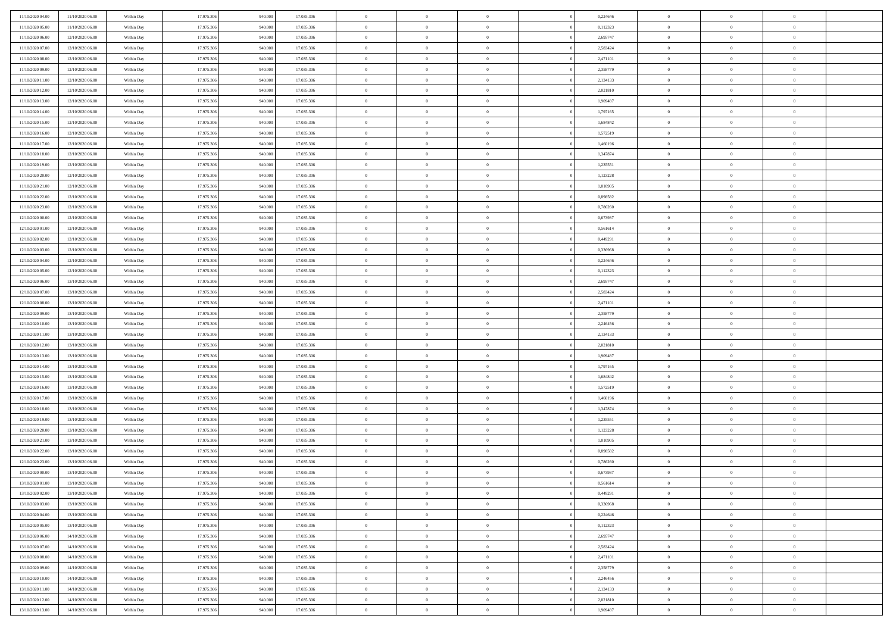| 11/10/2020 04:00 | 11/10/2020 06:00 | Within Day | 17.975.306 | 940.000            | 17.035.306 | $\bf{0}$       | $\overline{0}$ | $\overline{0}$ | 0,224646 | $\bf{0}$       | $\overline{0}$ | $\bf{0}$       |  |
|------------------|------------------|------------|------------|--------------------|------------|----------------|----------------|----------------|----------|----------------|----------------|----------------|--|
| 11/10/2020 05:00 | 11/10/2020 06:00 | Within Day | 17.975.306 | 940,00             | 17.035.306 | $\overline{0}$ | $\overline{0}$ | $\Omega$       | 0,112323 | $\overline{0}$ | $\theta$       | $\theta$       |  |
| 11/10/2020 06:00 | 12/10/2020 06:00 | Within Day | 17.975.306 | 940.000            | 17.035.306 | $\overline{0}$ | $\overline{0}$ | $\overline{0}$ | 2,695747 | $\mathbf{0}$   | $\overline{0}$ | $\theta$       |  |
| 11/10/2020 07:00 | 12/10/2020 06:00 | Within Day | 17.975.306 | 940.000            | 17.035.306 | $\bf{0}$       | $\overline{0}$ | $\overline{0}$ | 2,583424 | $\mathbf{0}$   | $\overline{0}$ | $\bf{0}$       |  |
| 11/10/2020 08:00 | 12/10/2020 06:00 |            | 17.975.306 | 940,000            | 17.035.306 | $\bf{0}$       | $\overline{0}$ | $\overline{0}$ | 2,471101 | $\bf{0}$       | $\overline{0}$ | $\bf{0}$       |  |
|                  |                  | Within Day |            |                    |            | $\overline{0}$ |                |                |          |                |                | $\theta$       |  |
| 11/10/2020 09:00 | 12/10/2020 06:00 | Within Day | 17.975.306 | 940.000            | 17.035.306 |                | $\overline{0}$ | $\overline{0}$ | 2,358779 | $\mathbf{0}$   | $\overline{0}$ |                |  |
| 11/10/2020 11:00 | 12/10/2020 06:00 | Within Day | 17.975.306 | 940.000            | 17.035.306 | $\bf{0}$       | $\overline{0}$ | $\overline{0}$ | 2,134133 | $\mathbf{0}$   | $\overline{0}$ | $\bf{0}$       |  |
| 11/10/2020 12:00 | 12/10/2020 06:00 | Within Day | 17.975.306 | 940,000            | 17.035.306 | $\overline{0}$ | $\overline{0}$ | $\overline{0}$ | 2,021810 | $\mathbf{0}$   | $\theta$       | $\theta$       |  |
| 11/10/2020 13:00 | 12/10/2020 06:00 | Within Day | 17.975.306 | 940.000            | 17.035.306 | $\overline{0}$ | $\overline{0}$ | $\overline{0}$ | 1,909487 | $\mathbf{0}$   | $\overline{0}$ | $\theta$       |  |
| 11/10/2020 14:00 | 12/10/2020 06:00 | Within Day | 17.975.306 | 940.000            | 17.035.306 | $\bf{0}$       | $\overline{0}$ | $\Omega$       | 1,797165 | $\mathbf{0}$   | $\overline{0}$ | $\bf{0}$       |  |
| 11/10/2020 15:00 | 12/10/2020 06:00 | Within Day | 17.975.306 | 940,000            | 17.035.306 | $\bf{0}$       | $\overline{0}$ | $\overline{0}$ | 1.684842 | $\mathbf{0}$   | $\theta$       | $\theta$       |  |
| 11/10/2020 16.00 | 12/10/2020 06:00 | Within Day | 17.975.306 | 940.000            | 17.035.306 | $\overline{0}$ | $\overline{0}$ | $\overline{0}$ | 1,572519 | $\mathbf{0}$   | $\overline{0}$ | $\theta$       |  |
| 11/10/2020 17:00 | 12/10/2020 06:00 | Within Day | 17.975.306 | 940.000            | 17.035.306 | $\bf{0}$       | $\overline{0}$ | $\overline{0}$ | 1,460196 | $\mathbf{0}$   | $\overline{0}$ | $\bf{0}$       |  |
| 11/10/2020 18:00 | 12/10/2020 06:00 | Within Day | 17.975.306 | 940,000            | 17.035.306 | $\bf{0}$       | $\overline{0}$ | $\overline{0}$ | 1,347874 | $\bf{0}$       | $\theta$       | $\bf{0}$       |  |
| 11/10/2020 19:00 | 12/10/2020 06:00 | Within Day | 17.975.306 | 940.000            | 17.035.306 | $\overline{0}$ | $\overline{0}$ | $\overline{0}$ | 1,235551 | $\mathbf{0}$   | $\overline{0}$ | $\theta$       |  |
| 11/10/2020 20.00 | 12/10/2020 06:00 | Within Day | 17.975.306 | 940.000            | 17.035.306 | $\bf{0}$       | $\overline{0}$ | $\Omega$       | 1,123228 | $\mathbf{0}$   | $\overline{0}$ | $\bf{0}$       |  |
| 11/10/2020 21:00 | 12/10/2020 06:00 | Within Day | 17.975.306 | 940,000            | 17.035.306 | $\,$ 0 $\,$    | $\overline{0}$ | $\overline{0}$ | 1,010905 | $\mathbf{0}$   | $\overline{0}$ | $\theta$       |  |
| 11/10/2020 22.00 | 12/10/2020 06:00 | Within Day | 17.975.306 | 940.000            | 17.035.306 | $\overline{0}$ | $\overline{0}$ | $\overline{0}$ | 0,898582 | $\mathbf{0}$   | $\overline{0}$ | $\theta$       |  |
| 11/10/2020 23.00 | 12/10/2020 06:00 | Within Day | 17.975.306 | 940.000            | 17.035.306 | $\bf{0}$       | $\overline{0}$ | $\Omega$       | 0,786260 | $\mathbf{0}$   | $\overline{0}$ | $\bf{0}$       |  |
| 12/10/2020 00:00 | 12/10/2020 06:00 | Within Day | 17.975.306 | 940,000            | 17.035.306 | $\bf{0}$       | $\overline{0}$ | $\overline{0}$ | 0,673937 | $\mathbf{0}$   | $\mathbf{0}$   | $\overline{0}$ |  |
| 12/10/2020 01:00 | 12/10/2020 06:00 | Within Day | 17.975.306 | 940.000            | 17.035.306 | $\overline{0}$ | $\overline{0}$ | $\overline{0}$ | 0,561614 | $\mathbf{0}$   | $\overline{0}$ | $\theta$       |  |
| 12/10/2020 02.00 | 12/10/2020 06:00 | Within Day | 17.975.306 | 940.000            | 17.035.306 | $\bf{0}$       | $\overline{0}$ | $\overline{0}$ | 0,449291 | $\mathbf{0}$   | $\overline{0}$ | $\bf{0}$       |  |
| 12/10/2020 03:00 | 12/10/2020 06:00 | Within Day | 17.975.306 | 940,000            | 17.035.306 | $\,0\,$        | $\overline{0}$ | $\overline{0}$ | 0,336968 | $\,$ 0 $\,$    | $\overline{0}$ | $\bf{0}$       |  |
| 12/10/2020 04:00 | 12/10/2020 06:00 | Within Day | 17.975.306 | 940.000            | 17.035.306 | $\overline{0}$ | $\overline{0}$ | $\overline{0}$ | 0,224646 | $\mathbf{0}$   | $\overline{0}$ | $\theta$       |  |
| 12/10/2020 05:00 | 12/10/2020 06:00 | Within Day | 17.975.306 | 940.000            | 17.035.306 | $\bf{0}$       | $\overline{0}$ | $\overline{0}$ | 0,112323 | $\bf{0}$       | $\overline{0}$ | $\bf{0}$       |  |
| 12/10/2020 06:00 | 13/10/2020 06:00 | Within Day | 17.975.306 | 940,000            | 17.035.306 | $\,$ 0 $\,$    | $\overline{0}$ | $\overline{0}$ | 2,695747 | $\mathbf{0}$   | $\overline{0}$ | $\overline{0}$ |  |
| 12/10/2020 07:00 | 13/10/2020 06:00 | Within Day | 17.975.306 | 940.000            | 17.035.306 | $\overline{0}$ | $\overline{0}$ | $\overline{0}$ | 2,583424 | $\mathbf{0}$   | $\overline{0}$ | $\theta$       |  |
| 12/10/2020 08:00 | 13/10/2020 06:00 | Within Day | 17.975.306 | 940.000            | 17.035.306 | $\bf{0}$       | $\overline{0}$ | $\Omega$       | 2,471101 | $\mathbf{0}$   | $\overline{0}$ | $\bf{0}$       |  |
| 12/10/2020 09:00 | 13/10/2020 06:00 | Within Day | 17.975.306 | 940,000            | 17.035.306 | $\bf{0}$       | $\overline{0}$ | $\overline{0}$ | 2,358779 | $\mathbf{0}$   | $\theta$       | $\overline{0}$ |  |
| 12/10/2020 10:00 | 13/10/2020 06:00 | Within Day | 17.975.306 | 940.000            | 17.035.306 | $\overline{0}$ | $\overline{0}$ | $\overline{0}$ | 2,246456 | $\mathbf{0}$   | $\overline{0}$ | $\theta$       |  |
|                  |                  |            |            |                    |            | $\,$ 0         | $\overline{0}$ | $\overline{0}$ |          | $\,$ 0 $\,$    | $\overline{0}$ | $\,0\,$        |  |
| 12/10/2020 11:00 | 13/10/2020 06:00 | Within Day | 17.975.306 | 940.000<br>940,000 | 17.035.306 |                |                |                | 2,134133 |                |                |                |  |
| 12/10/2020 12:00 | 13/10/2020 06:00 | Within Day | 17.975.306 |                    | 17.035.306 | $\bf{0}$       | $\overline{0}$ | $\overline{0}$ | 2,021810 | $\,$ 0 $\,$    | $\overline{0}$ | $\overline{0}$ |  |
| 12/10/2020 13:00 | 13/10/2020 06:00 | Within Day | 17.975.306 | 940.000            | 17.035.306 | $\overline{0}$ | $\overline{0}$ | $\overline{0}$ | 1,909487 | $\mathbf{0}$   | $\overline{0}$ | $\theta$       |  |
| 12/10/2020 14:00 | 13/10/2020 06:00 | Within Day | 17.975.306 | 940.000            | 17.035.306 | $\,$ 0         | $\overline{0}$ | $\theta$       | 1,797165 | $\,$ 0 $\,$    | $\overline{0}$ | $\mathbf{0}$   |  |
| 12/10/2020 15:00 | 13/10/2020 06:00 | Within Day | 17.975.306 | 940,000            | 17.035.306 | $\,$ 0 $\,$    | $\overline{0}$ | $\overline{0}$ | 1,684842 | $\mathbf{0}$   | $\overline{0}$ | $\overline{0}$ |  |
| 12/10/2020 16.00 | 13/10/2020 06:00 | Within Day | 17.975.306 | 940.000            | 17.035.306 | $\overline{0}$ | $\overline{0}$ | $\overline{0}$ | 1,572519 | $\mathbf{0}$   | $\overline{0}$ | $\theta$       |  |
| 12/10/2020 17:00 | 13/10/2020 06:00 | Within Day | 17.975.306 | 940.000            | 17.035.306 | $\,$ 0         | $\overline{0}$ | $\overline{0}$ | 1,460196 | $\,$ 0 $\,$    | $\overline{0}$ | $\mathbf{0}$   |  |
| 12/10/2020 18:00 | 13/10/2020 06:00 | Within Day | 17.975.306 | 940,000            | 17.035.306 | $\bf{0}$       | $\overline{0}$ | $\overline{0}$ | 1,347874 | $\mathbf{0}$   | $\overline{0}$ | $\overline{0}$ |  |
| 12/10/2020 19:00 | 13/10/2020 06:00 | Within Day | 17.975.306 | 940.000            | 17.035.306 | $\overline{0}$ | $\overline{0}$ | $\overline{0}$ | 1,235551 | $\mathbf{0}$   | $\overline{0}$ | $\theta$       |  |
| 12/10/2020 20:00 | 13/10/2020 06:00 | Within Day | 17.975.306 | 940.000            | 17.035.306 | $\,$ 0         | $\overline{0}$ | $\overline{0}$ | 1,123228 | $\,$ 0 $\,$    | $\overline{0}$ | $\,0\,$        |  |
| 12/10/2020 21:00 | 13/10/2020 06:00 | Within Day | 17.975.306 | 940,000            | 17.035.306 | $\,$ 0 $\,$    | $\,$ 0 $\,$    | $\overline{0}$ | 1,010905 | $\,$ 0 $\,$    | $\overline{0}$ | $\bf{0}$       |  |
| 12/10/2020 22:00 | 13/10/2020 06:00 | Within Day | 17.975.306 | 940.000            | 17.035.306 | $\overline{0}$ | $\overline{0}$ | $\overline{0}$ | 0,898582 | $\mathbf{0}$   | $\overline{0}$ | $\theta$       |  |
| 12/10/2020 23:00 | 13/10/2020 06:00 | Within Day | 17.975.306 | 940.000            | 17.035.306 | $\overline{0}$ | $\overline{0}$ | $\overline{0}$ | 0,786260 | $\,$ 0         | $\overline{0}$ | $\mathbf{0}$   |  |
| 13/10/2020 00:00 | 13/10/2020 06:00 | Within Day | 17.975.306 | 940,00             | 17.035.306 | $\bf{0}$       | $\overline{0}$ | $\overline{0}$ | 0,673937 | $\mathbf{0}$   | $\overline{0}$ | $\bf{0}$       |  |
| 13/10/2020 01:00 | 13/10/2020 06:00 | Within Day | 17.975.306 | 940.000            | 17.035.306 | $\overline{0}$ | $\theta$       |                | 0,561614 | $\overline{0}$ | $\Omega$       | $\overline{0}$ |  |
| 13/10/2020 02:00 | 13/10/2020 06:00 | Within Day | 17.975.306 | 940.000            | 17.035.306 | $\,$ 0 $\,$    | $\overline{0}$ | $\overline{0}$ | 0,449291 | $\,$ 0 $\,$    | $\bf{0}$       | $\mathbf{0}$   |  |
| 13/10/2020 03:00 | 13/10/2020 06:00 | Within Day | 17.975.306 | 940,00             | 17.035.306 | $\mathbf{0}$   | $\overline{0}$ | $\overline{0}$ | 0.336968 | $\,$ 0 $\,$    | $\overline{0}$ | $\overline{0}$ |  |
| 13/10/2020 04:00 | 13/10/2020 06:00 | Within Day | 17.975.306 | 940.000            | 17.035.306 | $\mathbf{0}$   | $\overline{0}$ | $\overline{0}$ | 0,224646 | $\mathbf{0}$   | $\bf{0}$       | $\overline{0}$ |  |
| 13/10/2020 05:00 | 13/10/2020 06:00 | Within Day | 17.975.306 | 940.000            | 17.035.306 | $\,$ 0 $\,$    | $\overline{0}$ | $\overline{0}$ | 0,112323 | $\,$ 0 $\,$    | $\bf{0}$       | $\theta$       |  |
| 13/10/2020 06:00 | 14/10/2020 06:00 | Within Day | 17.975.306 | 940.000            | 17.035.306 | $\,$ 0 $\,$    | $\,$ 0 $\,$    | $\overline{0}$ | 2,695747 | $\,$ 0 $\,$    | $\overline{0}$ | $\mathbf{0}$   |  |
| 13/10/2020 07:00 | 14/10/2020 06:00 | Within Day | 17.975.306 | 940.000            | 17.035.306 | $\mathbf{0}$   | $\overline{0}$ | $\overline{0}$ | 2,583424 | $\mathbf{0}$   | $\bf{0}$       | $\overline{0}$ |  |
| 13/10/2020 08:00 | 14/10/2020 06:00 | Within Day | 17.975.306 | 940.000            | 17.035.306 | $\,$ 0 $\,$    | $\overline{0}$ | $\overline{0}$ | 2,471101 | $\,$ 0 $\,$    | $\mathbf{0}$   | $\theta$       |  |
| 13/10/2020 09:00 | 14/10/2020 06:00 | Within Day | 17.975.306 | 940,00             | 17.035.306 | $\mathbf{0}$   | $\overline{0}$ | $\overline{0}$ | 2,358779 | $\,$ 0 $\,$    | $\overline{0}$ | $\mathbf{0}$   |  |
| 13/10/2020 10:00 | 14/10/2020 06:00 | Within Day | 17.975.306 | 940.000            | 17.035.306 | $\mathbf{0}$   | $\overline{0}$ | $\overline{0}$ | 2,246456 | $\mathbf{0}$   | $\bf{0}$       | $\overline{0}$ |  |
| 13/10/2020 11:00 | 14/10/2020 06:00 | Within Day | 17.975.306 | 940.000            | 17.035.306 | $\,$ 0 $\,$    | $\overline{0}$ | $\overline{0}$ | 2,134133 | $\,$ 0 $\,$    | $\mathbf{0}$   | $\theta$       |  |
| 13/10/2020 12:00 | 14/10/2020 06:00 | Within Day | 17.975.306 | 940,000            | 17.035.306 | $\mathbf{0}$   | $\overline{0}$ | $\overline{0}$ | 2,021810 | $\,$ 0 $\,$    | $\overline{0}$ | $\overline{0}$ |  |
| 13/10/2020 13:00 | 14/10/2020 06:00 | Within Day | 17.975.306 | 940.000            | 17.035.306 | $\mathbf{0}$   | $\overline{0}$ | $\overline{0}$ | 1,909487 | $\mathbf{0}$   | $\mathbf{0}$   | $\overline{0}$ |  |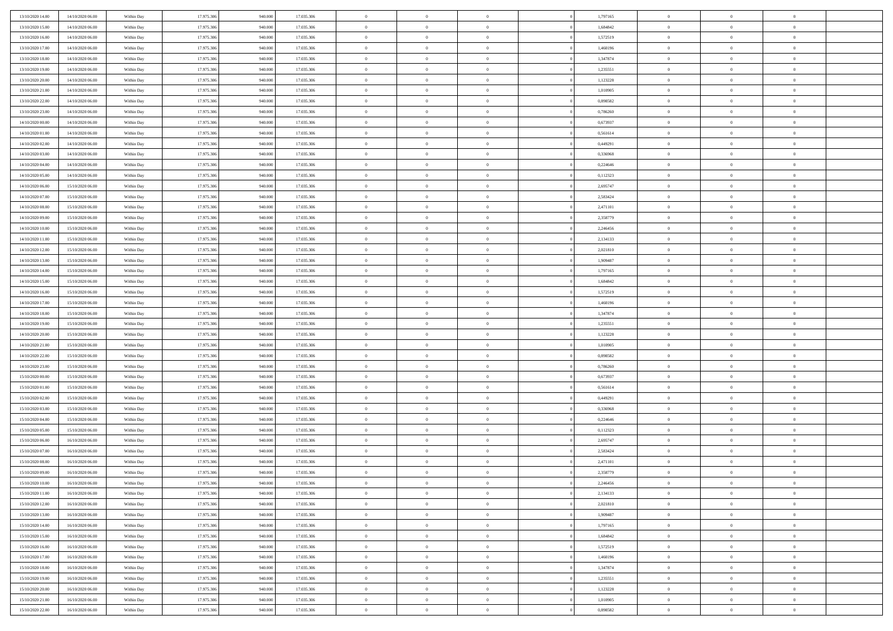| 13/10/2020 14:00 | 14/10/2020 06:00 | Within Day | 17.975.306 | 940.000 | 17.035.306 | $\bf{0}$       | $\overline{0}$ | $\overline{0}$ | 1,797165 | $\bf{0}$       | $\overline{0}$ | $\bf{0}$       |  |
|------------------|------------------|------------|------------|---------|------------|----------------|----------------|----------------|----------|----------------|----------------|----------------|--|
| 13/10/2020 15:00 | 14/10/2020 06:00 | Within Day | 17.975.306 | 940,00  | 17.035.306 | $\overline{0}$ | $\overline{0}$ | $\Omega$       | 1.684842 | $\overline{0}$ | $\theta$       | $\theta$       |  |
| 13/10/2020 16:00 | 14/10/2020 06:00 | Within Day | 17.975.306 | 940.000 | 17.035.306 | $\overline{0}$ | $\overline{0}$ | $\overline{0}$ | 1,572519 | $\mathbf{0}$   | $\overline{0}$ | $\theta$       |  |
| 13/10/2020 17:00 | 14/10/2020 06:00 | Within Day | 17.975.306 | 940.000 | 17.035.306 | $\bf{0}$       | $\overline{0}$ | $\overline{0}$ | 1,460196 | $\mathbf{0}$   | $\overline{0}$ | $\bf{0}$       |  |
| 13/10/2020 18:00 | 14/10/2020 06:00 | Within Day | 17.975.306 | 940,000 | 17.035.306 | $\bf{0}$       | $\overline{0}$ | $\overline{0}$ | 1,347874 | $\bf{0}$       | $\overline{0}$ | $\bf{0}$       |  |
|                  |                  |            |            |         |            | $\overline{0}$ |                |                |          |                |                | $\theta$       |  |
| 13/10/2020 19:00 | 14/10/2020 06:00 | Within Day | 17.975.306 | 940.000 | 17.035.306 |                | $\overline{0}$ | $\overline{0}$ | 1,235551 | $\mathbf{0}$   | $\overline{0}$ |                |  |
| 13/10/2020 20:00 | 14/10/2020 06:00 | Within Day | 17.975.306 | 940.000 | 17.035.306 | $\bf{0}$       | $\overline{0}$ | $\overline{0}$ | 1,123228 | $\mathbf{0}$   | $\overline{0}$ | $\bf{0}$       |  |
| 13/10/2020 21:00 | 14/10/2020 06:00 | Within Day | 17.975.306 | 940,000 | 17.035.306 | $\overline{0}$ | $\overline{0}$ | $\overline{0}$ | 1,010905 | $\mathbf{0}$   | $\theta$       | $\theta$       |  |
| 13/10/2020 22:00 | 14/10/2020 06:00 | Within Day | 17.975.306 | 940.000 | 17.035.306 | $\overline{0}$ | $\overline{0}$ | $\overline{0}$ | 0,898582 | $\mathbf{0}$   | $\overline{0}$ | $\theta$       |  |
| 13/10/2020 23:00 | 14/10/2020 06:00 | Within Day | 17.975.306 | 940.000 | 17.035.306 | $\bf{0}$       | $\overline{0}$ | $\Omega$       | 0,786260 | $\mathbf{0}$   | $\overline{0}$ | $\bf{0}$       |  |
| 14/10/2020 00:00 | 14/10/2020 06:00 | Within Day | 17.975.306 | 940,000 | 17.035.306 | $\bf{0}$       | $\overline{0}$ | $\overline{0}$ | 0.673937 | $\mathbf{0}$   | $\theta$       | $\overline{0}$ |  |
| 14/10/2020 01:00 | 14/10/2020 06:00 | Within Day | 17.975.306 | 940.000 | 17.035.306 | $\overline{0}$ | $\overline{0}$ | $\overline{0}$ | 0,561614 | $\mathbf{0}$   | $\overline{0}$ | $\theta$       |  |
| 14/10/2020 02:00 | 14/10/2020 06:00 | Within Day | 17.975.306 | 940.000 | 17.035.306 | $\bf{0}$       | $\overline{0}$ | $\overline{0}$ | 0,449291 | $\mathbf{0}$   | $\overline{0}$ | $\bf{0}$       |  |
| 14/10/2020 03:00 | 14/10/2020 06:00 | Within Day | 17.975.306 | 940,000 | 17.035.306 | $\bf{0}$       | $\overline{0}$ | $\overline{0}$ | 0,336968 | $\bf{0}$       | $\theta$       | $\bf{0}$       |  |
| 14/10/2020 04:00 | 14/10/2020 06:00 | Within Day | 17.975.306 | 940.000 | 17.035.306 | $\overline{0}$ | $\overline{0}$ | $\overline{0}$ | 0,224646 | $\mathbf{0}$   | $\overline{0}$ | $\theta$       |  |
| 14/10/2020 05.00 | 14/10/2020 06:00 | Within Day | 17.975.306 | 940.000 | 17.035.306 | $\bf{0}$       | $\overline{0}$ | $\Omega$       | 0,112323 | $\bf{0}$       | $\overline{0}$ | $\bf{0}$       |  |
| 14/10/2020 06:00 | 15/10/2020 06:00 | Within Day | 17.975.306 | 940,000 | 17.035.306 | $\,$ 0 $\,$    | $\overline{0}$ | $\overline{0}$ | 2,695747 | $\mathbf{0}$   | $\overline{0}$ | $\theta$       |  |
| 14/10/2020 07:00 | 15/10/2020 06:00 | Within Day | 17.975.306 | 940.000 | 17.035.306 | $\overline{0}$ | $\overline{0}$ | $\overline{0}$ | 2,583424 | $\mathbf{0}$   | $\overline{0}$ | $\theta$       |  |
| 14/10/2020 08:00 | 15/10/2020 06:00 | Within Day | 17.975.306 | 940.000 | 17.035.306 | $\bf{0}$       | $\overline{0}$ | $\Omega$       | 2,471101 | $\bf{0}$       | $\overline{0}$ | $\bf{0}$       |  |
| 14/10/2020 09:00 | 15/10/2020 06:00 | Within Day | 17.975.306 | 940,000 | 17.035.306 | $\bf{0}$       | $\overline{0}$ | $\overline{0}$ | 2,358779 | $\mathbf{0}$   | $\mathbf{0}$   | $\overline{0}$ |  |
| 14/10/2020 10:00 | 15/10/2020 06:00 | Within Day | 17.975.306 | 940.000 | 17.035.306 | $\overline{0}$ | $\overline{0}$ | $\overline{0}$ | 2,246456 | $\mathbf{0}$   | $\overline{0}$ | $\theta$       |  |
| 14/10/2020 11:00 | 15/10/2020 06:00 | Within Day | 17.975.306 | 940.000 | 17.035.306 | $\bf{0}$       | $\overline{0}$ | $\overline{0}$ | 2,134133 | $\mathbf{0}$   | $\overline{0}$ | $\bf{0}$       |  |
| 14/10/2020 12:00 | 15/10/2020 06:00 |            | 17.975.306 | 940,000 | 17.035.306 | $\,$ 0 $\,$    | $\overline{0}$ | $\overline{0}$ | 2,021810 | $\,$ 0 $\,$    | $\overline{0}$ | $\bf{0}$       |  |
|                  |                  | Within Day |            |         |            | $\overline{0}$ |                |                |          |                |                | $\theta$       |  |
| 14/10/2020 13:00 | 15/10/2020 06:00 | Within Day | 17.975.306 | 940.000 | 17.035.306 |                | $\overline{0}$ | $\overline{0}$ | 1,909487 | $\mathbf{0}$   | $\overline{0}$ |                |  |
| 14/10/2020 14:00 | 15/10/2020 06:00 | Within Day | 17.975.306 | 940.000 | 17.035.306 | $\bf{0}$       | $\overline{0}$ | $\overline{0}$ | 1,797165 | $\bf{0}$       | $\overline{0}$ | $\bf{0}$       |  |
| 14/10/2020 15:00 | 15/10/2020 06:00 | Within Day | 17.975.306 | 940,00  | 17.035.306 | $\,$ 0 $\,$    | $\overline{0}$ | $\overline{0}$ | 1,684842 | $\mathbf{0}$   | $\overline{0}$ | $\overline{0}$ |  |
| 14/10/2020 16.00 | 15/10/2020 06:00 | Within Day | 17.975.306 | 940.000 | 17.035.306 | $\overline{0}$ | $\overline{0}$ | $\overline{0}$ | 1,572519 | $\mathbf{0}$   | $\overline{0}$ | $\theta$       |  |
| 14/10/2020 17.00 | 15/10/2020 06:00 | Within Day | 17.975.306 | 940.000 | 17.035.306 | $\bf{0}$       | $\overline{0}$ | $\Omega$       | 1,460196 | $\mathbf{0}$   | $\overline{0}$ | $\bf{0}$       |  |
| 14/10/2020 18:00 | 15/10/2020 06:00 | Within Day | 17.975.306 | 940,000 | 17.035.306 | $\bf{0}$       | $\overline{0}$ | $\overline{0}$ | 1,347874 | $\mathbf{0}$   | $\overline{0}$ | $\overline{0}$ |  |
| 14/10/2020 19:00 | 15/10/2020 06:00 | Within Day | 17.975.306 | 940.000 | 17.035.306 | $\overline{0}$ | $\overline{0}$ | $\overline{0}$ | 1,235551 | $\mathbf{0}$   | $\overline{0}$ | $\theta$       |  |
| 14/10/2020 20:00 | 15/10/2020 06:00 | Within Day | 17.975.306 | 940.000 | 17.035.306 | $\,$ 0         | $\overline{0}$ | $\overline{0}$ | 1,123228 | $\,$ 0 $\,$    | $\overline{0}$ | $\,0\,$        |  |
| 14/10/2020 21:00 | 15/10/2020 06:00 | Within Day | 17.975.306 | 940,00  | 17.035.306 | $\bf{0}$       | $\overline{0}$ | $\overline{0}$ | 1,010905 | $\,$ 0 $\,$    | $\overline{0}$ | $\overline{0}$ |  |
| 14/10/2020 22.00 | 15/10/2020 06:00 | Within Day | 17.975.306 | 940.000 | 17.035.306 | $\overline{0}$ | $\overline{0}$ | $\overline{0}$ | 0,898582 | $\mathbf{0}$   | $\overline{0}$ | $\theta$       |  |
| 14/10/2020 23:00 | 15/10/2020 06:00 | Within Day | 17.975.306 | 940.000 | 17.035.306 | $\,$ 0         | $\overline{0}$ | $\theta$       | 0,786260 | $\,$ 0 $\,$    | $\overline{0}$ | $\mathbf{0}$   |  |
| 15/10/2020 00:00 | 15/10/2020 06:00 | Within Day | 17.975.306 | 940,000 | 17.035.306 | $\,$ 0 $\,$    | $\overline{0}$ | $\overline{0}$ | 0,673937 | $\mathbf{0}$   | $\overline{0}$ | $\overline{0}$ |  |
| 15/10/2020 01:00 | 15/10/2020 06:00 | Within Day | 17.975.306 | 940.000 | 17.035.306 | $\overline{0}$ | $\overline{0}$ | $\overline{0}$ | 0,561614 | $\mathbf{0}$   | $\overline{0}$ | $\theta$       |  |
| 15/10/2020 02:00 | 15/10/2020 06:00 | Within Day | 17.975.306 | 940.000 | 17.035.306 | $\,$ 0         | $\overline{0}$ | $\overline{0}$ | 0,449291 | $\,$ 0 $\,$    | $\overline{0}$ | $\mathbf{0}$   |  |
| 15/10/2020 03:00 | 15/10/2020 06:00 | Within Day | 17.975.306 | 940,000 | 17.035.306 | $\bf{0}$       | $\overline{0}$ | $\overline{0}$ | 0,336968 | $\mathbf{0}$   | $\overline{0}$ | $\overline{0}$ |  |
| 15/10/2020 04:00 | 15/10/2020 06:00 | Within Day | 17.975.306 | 940.000 | 17.035.306 | $\overline{0}$ | $\overline{0}$ | $\overline{0}$ | 0,224646 | $\mathbf{0}$   | $\overline{0}$ | $\theta$       |  |
| 15/10/2020 05:00 | 15/10/2020 06:00 | Within Day | 17.975.306 | 940.000 | 17.035.306 | $\,$ 0         | $\overline{0}$ | $\overline{0}$ | 0,112323 | $\,$ 0 $\,$    | $\overline{0}$ | $\,0\,$        |  |
| 15/10/2020 06:00 | 16/10/2020 06:00 | Within Day | 17.975.306 | 940,000 | 17.035.306 | $\,$ 0 $\,$    | $\,$ 0 $\,$    | $\overline{0}$ | 2,695747 | $\,$ 0 $\,$    | $\overline{0}$ | $\overline{0}$ |  |
| 15/10/2020 07:00 | 16/10/2020 06:00 | Within Day | 17.975.306 | 940.000 | 17.035.306 | $\overline{0}$ | $\overline{0}$ | $\overline{0}$ | 2,583424 | $\mathbf{0}$   | $\overline{0}$ | $\theta$       |  |
| 15/10/2020 08:00 | 16/10/2020 06:00 | Within Day | 17.975.306 | 940.000 | 17.035.306 | $\overline{0}$ | $\overline{0}$ | $\overline{0}$ | 2,471101 | $\,$ 0         | $\overline{0}$ | $\mathbf{0}$   |  |
| 15/10/2020 09:00 | 16/10/2020 06:00 | Within Day | 17.975.306 | 940,00  | 17.035.306 | $\bf{0}$       | $\overline{0}$ | $\overline{0}$ | 2,358779 | $\mathbf{0}$   | $\overline{0}$ | $\overline{0}$ |  |
| 15/10/2020 10:00 | 16/10/2020 06:00 | Within Day | 17.975.306 | 940.000 | 17.035.306 | $\overline{0}$ | $\theta$       |                | 2,246456 | $\overline{0}$ | $\Omega$       | $\overline{0}$ |  |
| 15/10/2020 11:00 | 16/10/2020 06:00 | Within Day | 17.975.306 | 940.000 | 17.035.306 | $\,$ 0 $\,$    | $\overline{0}$ | $\overline{0}$ | 2,134133 | $\,$ 0 $\,$    | $\bf{0}$       | $\,0\,$        |  |
| 15/10/2020 12:00 | 16/10/2020 06:00 | Within Day | 17.975.306 | 940,00  | 17.035.306 | $\mathbf{0}$   | $\overline{0}$ | $\overline{0}$ | 2,021810 | $\,$ 0 $\,$    | $\overline{0}$ | $\overline{0}$ |  |
| 15/10/2020 13:00 | 16/10/2020 06:00 | Within Day | 17.975.306 | 940.000 | 17.035.306 | $\mathbf{0}$   | $\overline{0}$ | $\overline{0}$ | 1,909487 | $\mathbf{0}$   | $\bf{0}$       | $\overline{0}$ |  |
| 15/10/2020 14:00 | 16/10/2020 06:00 | Within Day | 17.975.306 | 940.000 | 17.035.306 | $\,$ 0 $\,$    | $\overline{0}$ | $\overline{0}$ | 1,797165 | $\,$ 0 $\,$    | $\bf{0}$       | $\theta$       |  |
| 15/10/2020 15:00 | 16/10/2020 06:00 | Within Day | 17.975.306 | 940.000 | 17.035.306 | $\,$ 0 $\,$    | $\,$ 0 $\,$    | $\overline{0}$ | 1,684842 | $\,$ 0 $\,$    | $\overline{0}$ | $\mathbf{0}$   |  |
| 15/10/2020 16.00 | 16/10/2020 06:00 | Within Day | 17.975.306 | 940.000 | 17.035.306 | $\mathbf{0}$   | $\overline{0}$ | $\overline{0}$ | 1,572519 | $\mathbf{0}$   | $\bf{0}$       | $\overline{0}$ |  |
|                  |                  |            |            |         |            | $\,$ 0 $\,$    | $\overline{0}$ | $\overline{0}$ |          |                | $\mathbf{0}$   | $\theta$       |  |
| 15/10/2020 17.00 | 16/10/2020 06:00 | Within Day | 17.975.306 | 940.000 | 17.035.306 |                |                |                | 1,460196 | $\,$ 0 $\,$    |                |                |  |
| 15/10/2020 18:00 | 16/10/2020 06:00 | Within Day | 17.975.306 | 940.000 | 17.035.306 | $\mathbf{0}$   | $\overline{0}$ | $\overline{0}$ | 1,347874 | $\,$ 0 $\,$    | $\overline{0}$ | $\mathbf{0}$   |  |
| 15/10/2020 19:00 | 16/10/2020 06:00 | Within Day | 17.975.306 | 940.000 | 17.035.306 | $\mathbf{0}$   | $\overline{0}$ | $\overline{0}$ | 1,235551 | $\mathbf{0}$   | $\bf{0}$       | $\overline{0}$ |  |
| 15/10/2020 20:00 | 16/10/2020 06:00 | Within Day | 17.975.306 | 940.000 | 17.035.306 | $\,$ 0 $\,$    | $\overline{0}$ | $\overline{0}$ | 1,123228 | $\,$ 0 $\,$    | $\mathbf{0}$   | $\theta$       |  |
| 15/10/2020 21.00 | 16/10/2020 06:00 | Within Day | 17.975.306 | 940,000 | 17.035.306 | $\mathbf{0}$   | $\overline{0}$ | $\overline{0}$ | 1,010905 | $\,$ 0 $\,$    | $\overline{0}$ | $\overline{0}$ |  |
| 15/10/2020 22.00 | 16/10/2020 06:00 | Within Day | 17.975.306 | 940.000 | 17.035.306 | $\mathbf{0}$   | $\overline{0}$ | $\overline{0}$ | 0,898582 | $\mathbf{0}$   | $\mathbf{0}$   | $\overline{0}$ |  |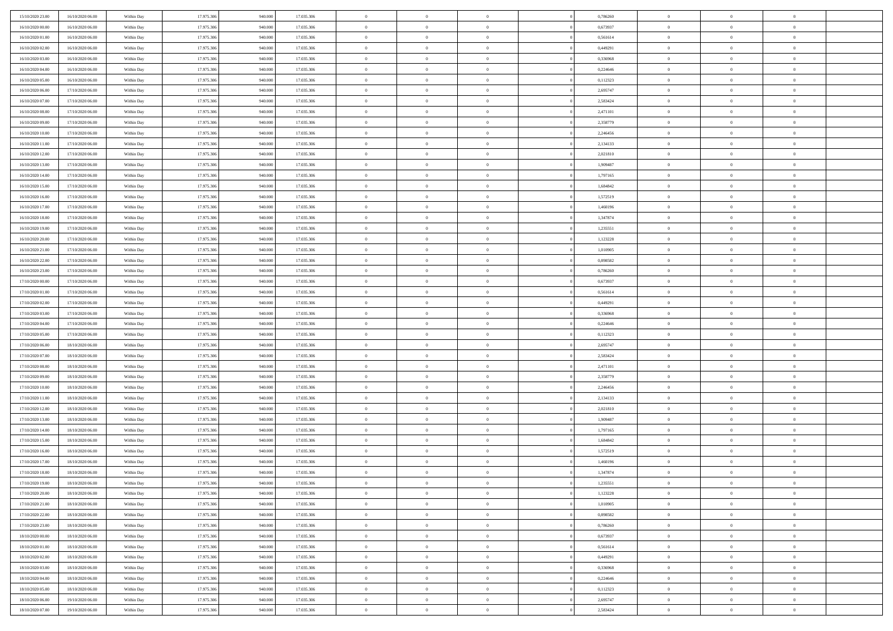| 15/10/2020 23:00 | 16/10/2020 06:00 | Within Day | 17.975.306 | 940.000 | 17.035.306 | $\,$ 0 $\,$    | $\overline{0}$ | $\overline{0}$ |          | 0,786260 | $\bf{0}$       | $\overline{0}$ | $\,0\,$        |  |
|------------------|------------------|------------|------------|---------|------------|----------------|----------------|----------------|----------|----------|----------------|----------------|----------------|--|
| 16/10/2020 00:00 | 16/10/2020 06:00 | Within Day | 17.975.306 | 940,000 | 17.035.306 | $\overline{0}$ | $\overline{0}$ | $\mathbf{0}$   |          | 0,673937 | $\theta$       | $\overline{0}$ | $\theta$       |  |
| 16/10/2020 01:00 | 16/10/2020 06:00 | Within Dav | 17.975.306 | 940.000 | 17.035.306 | $\theta$       | $\overline{0}$ | $\overline{0}$ |          | 0,561614 | $\mathbf{0}$   | $\overline{0}$ | $\overline{0}$ |  |
| 16/10/2020 02.00 | 16/10/2020 06:00 | Within Day | 17.975.306 | 940.000 | 17.035.306 | $\,$ 0 $\,$    | $\overline{0}$ | $\overline{0}$ |          | 0,449291 | $\bf{0}$       | $\overline{0}$ | $\bf{0}$       |  |
| 16/10/2020 03:00 | 16/10/2020 06:00 | Within Day | 17.975.306 | 940,000 | 17.035.306 | $\bf{0}$       | $\overline{0}$ | $\mathbf{0}$   |          | 0,336968 | $\bf{0}$       | $\theta$       | $\,0\,$        |  |
| 16/10/2020 04:00 | 16/10/2020 06:00 | Within Dav | 17.975.306 | 940.000 | 17.035.306 | $\theta$       | $\overline{0}$ | $\mathbf{0}$   |          | 0,224646 | $\mathbf{0}$   | $\overline{0}$ | $\overline{0}$ |  |
| 16/10/2020 05:00 | 16/10/2020 06:00 | Within Day | 17.975.306 | 940.000 | 17.035.306 | $\,$ 0 $\,$    | $\overline{0}$ | $\overline{0}$ |          | 0,112323 | $\bf{0}$       | $\overline{0}$ | $\bf{0}$       |  |
| 16/10/2020 06:00 | 17/10/2020 06:00 | Within Day | 17.975.306 | 940,000 | 17.035.306 | $\overline{0}$ | $\overline{0}$ | $\mathbf{0}$   |          | 2,695747 | $\,$ 0 $\,$    | $\overline{0}$ | $\theta$       |  |
| 16/10/2020 07:00 | 17/10/2020 06:00 | Within Day | 17.975.306 | 940.000 | 17.035.306 | $\theta$       | $\overline{0}$ | $\mathbf{0}$   |          | 2,583424 | $\mathbf{0}$   | $\overline{0}$ | $\overline{0}$ |  |
| 16/10/2020 08:00 | 17/10/2020 06.00 | Within Day | 17.975.306 | 940.000 | 17.035.306 | $\,$ 0 $\,$    | $\overline{0}$ | $\Omega$       |          | 2,471101 | $\bf{0}$       | $\overline{0}$ | $\bf{0}$       |  |
| 16/10/2020 09:00 | 17/10/2020 06.00 | Within Day | 17.975.306 | 940,000 | 17.035.306 | $\bf{0}$       | $\overline{0}$ | $\mathbf{0}$   |          | 2,358779 | $\bf{0}$       | $\mathbf{0}$   | $\theta$       |  |
| 16/10/2020 10:00 | 17/10/2020 06:00 | Within Dav | 17.975.306 | 940.000 | 17.035.306 | $\theta$       | $\overline{0}$ | $\overline{0}$ |          | 2,246456 | $\mathbf{0}$   | $\overline{0}$ | $\overline{0}$ |  |
| 16/10/2020 11:00 | 17/10/2020 06:00 | Within Day | 17.975.306 | 940.000 | 17.035.306 | $\,$ 0 $\,$    | $\overline{0}$ | $\overline{0}$ |          | 2,134133 | $\bf{0}$       | $\overline{0}$ | $\bf{0}$       |  |
| 16/10/2020 12:00 | 17/10/2020 06:00 | Within Day | 17.975.306 | 940,000 | 17.035.306 | $\,$ 0         | $\overline{0}$ | $\mathbf{0}$   |          | 2,021810 | $\bf{0}$       | $\mathbf{0}$   | $\,0\,$        |  |
| 16/10/2020 13:00 | 17/10/2020 06:00 | Within Dav | 17.975.306 | 940.000 | 17.035.306 | $\theta$       | $\overline{0}$ | $\mathbf{0}$   |          | 1,909487 | $\mathbf{0}$   | $\overline{0}$ | $\overline{0}$ |  |
| 16/10/2020 14:00 | 17/10/2020 06.00 | Within Day | 17.975.306 | 940.000 | 17.035.306 | $\,$ 0 $\,$    | $\overline{0}$ | $\Omega$       |          | 1,797165 | $\bf{0}$       | $\overline{0}$ | $\bf{0}$       |  |
| 16/10/2020 15:00 | 17/10/2020 06.00 | Within Day | 17.975.306 | 940,000 | 17.035.306 | $\,$ 0         | $\overline{0}$ | $\mathbf{0}$   |          | 1,684842 | $\bf{0}$       | $\overline{0}$ | $\theta$       |  |
| 16/10/2020 16:00 | 17/10/2020 06:00 | Within Day | 17.975.306 | 940.000 | 17.035.306 | $\theta$       | $\overline{0}$ | $\mathbf{0}$   |          | 1,572519 | $\mathbf{0}$   | $\overline{0}$ | $\overline{0}$ |  |
| 16/10/2020 17:00 | 17/10/2020 06.00 | Within Day | 17.975.306 | 940.000 | 17.035.306 | $\,$ 0 $\,$    | $\overline{0}$ | $\Omega$       |          | 1,460196 | $\bf{0}$       | $\overline{0}$ | $\,0\,$        |  |
| 16/10/2020 18:00 | 17/10/2020 06.00 | Within Day | 17.975.306 | 940,000 | 17.035.306 | $\bf{0}$       | $\overline{0}$ | $\mathbf{0}$   |          | 1,347874 | $\bf{0}$       | $\mathbf{0}$   | $\overline{0}$ |  |
| 16/10/2020 19:00 | 17/10/2020 06:00 | Within Dav | 17.975.306 | 940.000 | 17.035.306 | $\theta$       | $\overline{0}$ | $\mathbf{0}$   |          | 1,235551 | $\mathbf{0}$   | $\overline{0}$ | $\overline{0}$ |  |
| 16/10/2020 20:00 | 17/10/2020 06.00 | Within Day | 17.975.306 | 940.000 | 17.035.306 | $\,$ 0 $\,$    | $\overline{0}$ | $\overline{0}$ |          | 1,123228 | $\bf{0}$       | $\overline{0}$ | $\bf{0}$       |  |
| 16/10/2020 21:00 | 17/10/2020 06:00 | Within Day | 17.975.306 | 940,000 | 17.035.306 | $\,$ 0         | $\overline{0}$ | $\mathbf{0}$   |          | 1,010905 | $\bf{0}$       | $\bf{0}$       | $\,0\,$        |  |
| 16/10/2020 22:00 | 17/10/2020 06:00 | Within Dav | 17.975.306 | 940.000 | 17.035.306 | $\theta$       | $\overline{0}$ | $\mathbf{0}$   |          | 0,898582 | $\mathbf{0}$   | $\overline{0}$ | $\overline{0}$ |  |
| 16/10/2020 23.00 | 17/10/2020 06:00 | Within Day | 17.975.306 | 940.000 | 17.035.306 | $\,$ 0 $\,$    | $\overline{0}$ | $\overline{0}$ |          | 0,786260 | $\bf{0}$       | $\overline{0}$ | $\bf{0}$       |  |
| 17/10/2020 00:00 | 17/10/2020 06.00 | Within Day | 17.975.306 | 940,000 | 17.035.306 | $\,$ 0         | $\overline{0}$ | $\mathbf{0}$   |          | 0,673937 | $\bf{0}$       | $\overline{0}$ | $\overline{0}$ |  |
| 17/10/2020 01:00 | 17/10/2020 06:00 | Within Day | 17.975.306 | 940.000 | 17.035.306 | $\theta$       | $\overline{0}$ | $\mathbf{0}$   |          | 0,561614 | $\mathbf{0}$   | $\overline{0}$ | $\overline{0}$ |  |
| 17/10/2020 02.00 | 17/10/2020 06:00 | Within Day | 17.975.306 | 940.000 | 17.035.306 | $\,$ 0 $\,$    | $\overline{0}$ | $\Omega$       |          | 0,449291 | $\bf{0}$       | $\overline{0}$ | $\bf{0}$       |  |
| 17/10/2020 03.00 | 17/10/2020 06.00 | Within Day | 17.975.306 | 940,000 | 17.035.306 | $\bf{0}$       | $\overline{0}$ | $\mathbf{0}$   |          | 0,336968 | $\bf{0}$       | $\mathbf{0}$   | $\overline{0}$ |  |
| 17/10/2020 04:00 | 17/10/2020 06:00 | Within Dav | 17.975.306 | 940.000 | 17.035.306 | $\theta$       | $\overline{0}$ | $\overline{0}$ |          | 0,224646 | $\mathbf{0}$   | $\overline{0}$ | $\overline{0}$ |  |
| 17/10/2020 05:00 | 17/10/2020 06:00 | Within Day | 17.975.306 | 940.000 | 17.035.306 | $\theta$       | $\overline{0}$ | $\overline{0}$ |          | 0,112323 | $\,$ 0         | $\overline{0}$ | $\,$ 0 $\,$    |  |
| 17/10/2020 06:00 | 18/10/2020 06:00 | Within Day | 17.975.306 | 940,000 | 17.035.306 | $\bf{0}$       | $\overline{0}$ | $\mathbf{0}$   |          | 2,695747 | $\bf{0}$       | $\mathbf{0}$   | $\overline{0}$ |  |
| 17/10/2020 07:00 | 18/10/2020 06:00 | Within Dav | 17.975.306 | 940.000 | 17.035.306 | $\theta$       | $\overline{0}$ | $\mathbf{0}$   |          | 2,583424 | $\mathbf{0}$   | $\overline{0}$ | $\overline{0}$ |  |
| 17/10/2020 08:00 | 18/10/2020 06:00 | Within Day | 17.975.306 | 940.000 | 17.035.306 | $\theta$       | $\overline{0}$ | $\overline{0}$ |          | 2,471101 | $\,$ 0         | $\overline{0}$ | $\theta$       |  |
| 17/10/2020 09:00 | 18/10/2020 06:00 | Within Day | 17.975.306 | 940,000 | 17.035.306 | $\bf{0}$       | $\overline{0}$ | $\mathbf{0}$   |          | 2,358779 | $\mathbf{0}$   | $\overline{0}$ | $\overline{0}$ |  |
| 17/10/2020 10:00 | 18/10/2020 06:00 | Within Day | 17.975.306 | 940.000 | 17.035.306 | $\theta$       | $\overline{0}$ | $\mathbf{0}$   |          | 2,246456 | $\mathbf{0}$   | $\overline{0}$ | $\overline{0}$ |  |
| 17/10/2020 11:00 | 18/10/2020 06:00 | Within Day | 17.975.306 | 940.000 | 17.035.306 | $\theta$       | $\overline{0}$ | $\overline{0}$ |          | 2,134133 | $\,$ 0         | $\overline{0}$ | $\theta$       |  |
| 17/10/2020 12.00 | 18/10/2020 06:00 | Within Day | 17.975.306 | 940,000 | 17.035.306 | $\bf{0}$       | $\overline{0}$ | $\mathbf{0}$   |          | 2,021810 | $\bf{0}$       | $\mathbf{0}$   | $\overline{0}$ |  |
| 17/10/2020 13:00 | 18/10/2020 06:00 | Within Dav | 17.975.306 | 940.000 | 17.035.306 | $\theta$       | $\overline{0}$ | $\overline{0}$ |          | 1,909487 | $\mathbf{0}$   | $\overline{0}$ | $\overline{0}$ |  |
| 17/10/2020 14:00 | 18/10/2020 06:00 | Within Day | 17.975.306 | 940.000 | 17.035.306 | $\,$ 0 $\,$    | $\overline{0}$ | $\overline{0}$ |          | 1,797165 | $\,$ 0         | $\overline{0}$ | $\,$ 0 $\,$    |  |
| 17/10/2020 15:00 | 18/10/2020 06:00 | Within Day | 17.975.306 | 940.000 | 17.035.306 | $\,$ 0         | $\,$ 0 $\,$    | $\overline{0}$ |          | 1,684842 | $\,$ 0 $\,$    | $\overline{0}$ | $\overline{0}$ |  |
| 17/10/2020 16:00 | 18/10/2020 06:00 | Within Dav | 17.975.306 | 940.000 | 17.035.306 | $\theta$       | $\overline{0}$ | $\mathbf{0}$   |          | 1,572519 | $\mathbf{0}$   | $\overline{0}$ | $\overline{0}$ |  |
| 17/10/2020 17:00 | 18/10/2020 06:00 | Within Day | 17.975.306 | 940.000 | 17.035.306 | $\theta$       | $\overline{0}$ | $\overline{0}$ |          | 1,460196 | $\,$ 0         | $\overline{0}$ | $\theta$       |  |
| 17/10/2020 18:00 | 18/10/2020 06:00 | Within Day | 17.975.306 | 940,000 | 17.035.306 | $\bf{0}$       | $\overline{0}$ | $\mathbf{0}$   |          | 1,347874 | $\bf{0}$       | $\overline{0}$ | $\overline{0}$ |  |
| 17/10/2020 19:00 | 18/10/2020 06:00 | Within Day | 17.975.306 | 940.000 | 17.035.306 | $\overline{0}$ | $\theta$       |                |          | 1,235551 | $\overline{0}$ | $\theta$       | $\theta$       |  |
| 17/10/2020 20:00 | 18/10/2020 06:00 | Within Day | 17.975.306 | 940.000 | 17.035.306 | $\,$ 0 $\,$    | $\overline{0}$ | $\overline{0}$ |          | 1,123228 | $\,$ 0 $\,$    | $\bf{0}$       | $\theta$       |  |
| 17/10/2020 21.00 | 18/10/2020 06:00 | Within Day | 17.975.306 | 940,000 | 17.035.306 | $\bf{0}$       | $\,$ 0 $\,$    | $\overline{0}$ |          | 1,010905 | $\,$ 0 $\,$    | $\overline{0}$ | $\overline{0}$ |  |
| 17/10/2020 22.00 | 18/10/2020 06:00 | Within Day | 17.975.306 | 940.000 | 17.035.306 | $\mathbf{0}$   | $\overline{0}$ | $\overline{0}$ |          | 0,898582 | $\,$ 0 $\,$    | $\bf{0}$       | $\mathbf{0}$   |  |
| 17/10/2020 23:00 | 18/10/2020 06:00 | Within Day | 17.975.306 | 940.000 | 17.035.306 | $\,$ 0 $\,$    | $\overline{0}$ | $\overline{0}$ | $\theta$ | 0,786260 | $\,$ 0 $\,$    | $\bf{0}$       | $\,$ 0 $\,$    |  |
| 18/10/2020 00:00 | 18/10/2020 06:00 | Within Day | 17.975.306 | 940,000 | 17.035.306 | $\,$ 0 $\,$    | $\,$ 0 $\,$    | $\overline{0}$ |          | 0,673937 | $\,$ 0 $\,$    | $\overline{0}$ | $\overline{0}$ |  |
| 18/10/2020 01:00 | 18/10/2020 06:00 | Within Day | 17.975.306 | 940.000 | 17.035.306 | $\mathbf{0}$   | $\overline{0}$ | $\overline{0}$ |          | 0,561614 | $\mathbf{0}$   | $\overline{0}$ | $\overline{0}$ |  |
| 18/10/2020 02:00 | 18/10/2020 06:00 | Within Day | 17.975.306 | 940.000 | 17.035.306 | $\,$ 0 $\,$    | $\overline{0}$ | $\overline{0}$ |          | 0,449291 | $\,$ 0 $\,$    | $\overline{0}$ | $\,$ 0 $\,$    |  |
| 18/10/2020 03:00 | 18/10/2020 06:00 | Within Day | 17.975.306 | 940,000 | 17.035.306 | $\bf{0}$       | $\overline{0}$ | $\overline{0}$ |          | 0,336968 | $\mathbf{0}$   | $\overline{0}$ | $\overline{0}$ |  |
| 18/10/2020 04:00 | 18/10/2020 06:00 | Within Day | 17.975.306 | 940.000 | 17.035.306 | $\overline{0}$ | $\overline{0}$ | $\overline{0}$ |          | 0,224646 | $\mathbf{0}$   | $\bf{0}$       | $\overline{0}$ |  |
| 18/10/2020 05:00 | 18/10/2020 06:00 | Within Day | 17.975.306 | 940.000 | 17.035.306 | $\,$ 0 $\,$    | $\overline{0}$ | $\overline{0}$ |          | 0,112323 | $\,$ 0 $\,$    | $\overline{0}$ | $\,$ 0 $\,$    |  |
| 18/10/2020 06:00 | 19/10/2020 06.00 | Within Day | 17.975.306 | 940,000 | 17.035.306 | $\,$ 0 $\,$    | $\,$ 0 $\,$    | $\overline{0}$ |          | 2,695747 | $\bf{0}$       | $\overline{0}$ | $\overline{0}$ |  |
| 18/10/2020 07:00 | 19/10/2020 06:00 | Within Day | 17.975.306 | 940.000 | 17.035.306 | $\theta$       | $\overline{0}$ | $\overline{0}$ |          | 2,583424 | $\mathbf{0}$   | $\overline{0}$ | $\overline{0}$ |  |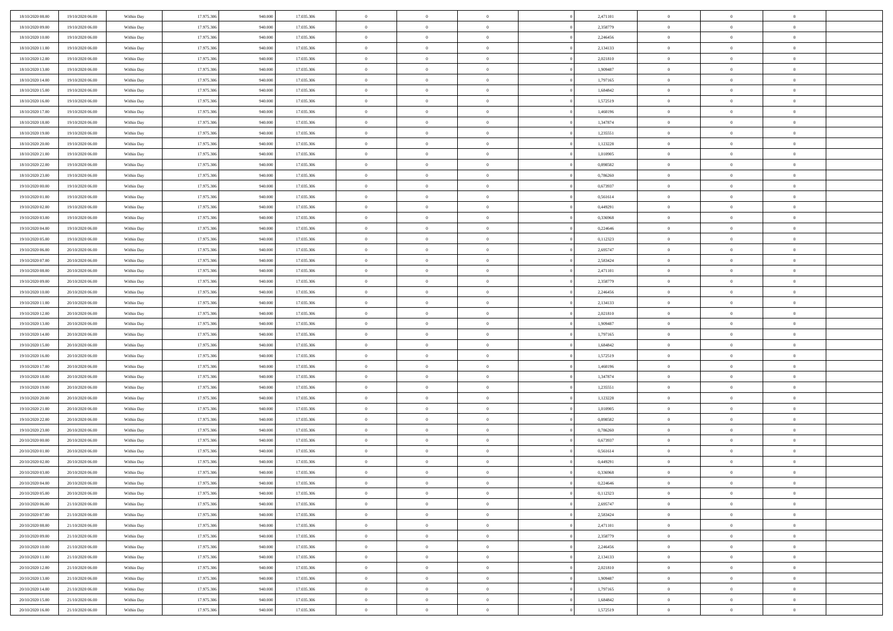| 18/10/2020 08:00                     | 19/10/2020 06:00                     | Within Day               | 17.975.306 | 940.000 | 17.035.306               | $\bf{0}$       | $\overline{0}$ | $\overline{0}$ | 2,471101             | $\bf{0}$                     | $\overline{0}$ | $\bf{0}$       |  |
|--------------------------------------|--------------------------------------|--------------------------|------------|---------|--------------------------|----------------|----------------|----------------|----------------------|------------------------------|----------------|----------------|--|
| 18/10/2020 09:00                     | 19/10/2020 06:00                     | Within Day               | 17.975.306 | 940,00  | 17.035.306               | $\overline{0}$ | $\overline{0}$ | $\Omega$       | 2,358779             | $\overline{0}$               | $\theta$       | $\theta$       |  |
| 18/10/2020 10:00                     | 19/10/2020 06:00                     | Within Day               | 17.975.306 | 940.000 | 17.035.306               | $\overline{0}$ | $\overline{0}$ | $\overline{0}$ | 2,246456             | $\mathbf{0}$                 | $\overline{0}$ | $\theta$       |  |
| 18/10/2020 11:00                     | 19/10/2020 06:00                     | Within Day               | 17.975.306 | 940.000 | 17.035.306               | $\bf{0}$       | $\overline{0}$ | $\overline{0}$ | 2,134133             | $\mathbf{0}$                 | $\overline{0}$ | $\bf{0}$       |  |
| 18/10/2020 12:00                     | 19/10/2020 06:00                     |                          | 17.975.306 | 940,000 | 17.035.306               | $\bf{0}$       | $\overline{0}$ | $\overline{0}$ | 2,021810             | $\bf{0}$                     | $\overline{0}$ | $\bf{0}$       |  |
| 18/10/2020 13:00                     | 19/10/2020 06:00                     | Within Day<br>Within Day | 17.975.306 | 940.000 | 17.035.306               | $\overline{0}$ | $\overline{0}$ |                | 1,909487             | $\mathbf{0}$                 | $\overline{0}$ | $\theta$       |  |
|                                      |                                      |                          |            |         |                          |                |                | $\overline{0}$ |                      |                              |                |                |  |
| 18/10/2020 14:00                     | 19/10/2020 06:00                     | Within Day               | 17.975.306 | 940.000 | 17.035.306               | $\bf{0}$       | $\overline{0}$ | $\overline{0}$ | 1,797165             | $\bf{0}$                     | $\overline{0}$ | $\bf{0}$       |  |
| 18/10/2020 15:00                     | 19/10/2020 06:00                     | Within Day               | 17.975.306 | 940,000 | 17.035.306               | $\overline{0}$ | $\overline{0}$ | $\overline{0}$ | 1,684842             | $\mathbf{0}$                 | $\theta$       | $\theta$       |  |
| 18/10/2020 16:00                     | 19/10/2020 06:00                     | Within Day               | 17.975.306 | 940.000 | 17.035.306               | $\overline{0}$ | $\overline{0}$ | $\overline{0}$ | 1,572519             | $\mathbf{0}$                 | $\overline{0}$ | $\theta$       |  |
| 18/10/2020 17:00                     | 19/10/2020 06:00                     | Within Day               | 17.975.306 | 940.000 | 17.035.306               | $\bf{0}$       | $\overline{0}$ | $\Omega$       | 1,460196             | $\mathbf{0}$                 | $\overline{0}$ | $\bf{0}$       |  |
| 18/10/2020 18:00                     | 19/10/2020 06:00                     | Within Day               | 17.975.306 | 940,000 | 17.035.306               | $\bf{0}$       | $\overline{0}$ | $\overline{0}$ | 1,347874             | $\mathbf{0}$                 | $\theta$       | $\overline{0}$ |  |
| 18/10/2020 19:00                     | 19/10/2020 06:00                     | Within Day               | 17.975.306 | 940.000 | 17.035.306               | $\overline{0}$ | $\overline{0}$ | $\overline{0}$ | 1,235551             | $\mathbf{0}$                 | $\overline{0}$ | $\theta$       |  |
| 18/10/2020 20:00                     | 19/10/2020 06:00                     | Within Day               | 17.975.306 | 940.000 | 17.035.306               | $\bf{0}$       | $\overline{0}$ | $\overline{0}$ | 1,123228             | $\mathbf{0}$                 | $\overline{0}$ | $\bf{0}$       |  |
| 18/10/2020 21:00                     | 19/10/2020 06:00                     | Within Day               | 17.975.306 | 940,000 | 17.035.306               | $\bf{0}$       | $\overline{0}$ | $\overline{0}$ | 1,010905             | $\bf{0}$                     | $\theta$       | $\bf{0}$       |  |
| 18/10/2020 22.00                     | 19/10/2020 06:00                     | Within Day               | 17.975.306 | 940.000 | 17.035.306               | $\overline{0}$ | $\overline{0}$ | $\overline{0}$ | 0,898582             | $\mathbf{0}$                 | $\overline{0}$ | $\theta$       |  |
| 18/10/2020 23.00                     | 19/10/2020 06:00                     | Within Day               | 17.975.306 | 940.000 | 17.035.306               | $\bf{0}$       | $\overline{0}$ | $\Omega$       | 0,786260             | $\mathbf{0}$                 | $\overline{0}$ | $\bf{0}$       |  |
| 19/10/2020 00:00                     | 19/10/2020 06:00                     | Within Day               | 17.975.306 | 940,000 | 17.035.306               | $\,$ 0 $\,$    | $\overline{0}$ | $\overline{0}$ | 0.673937             | $\mathbf{0}$                 | $\overline{0}$ | $\theta$       |  |
| 19/10/2020 01:00                     | 19/10/2020 06:00                     | Within Day               | 17.975.306 | 940.000 | 17.035.306               | $\overline{0}$ | $\overline{0}$ | $\overline{0}$ | 0,561614             | $\mathbf{0}$                 | $\overline{0}$ | $\theta$       |  |
| 19/10/2020 02:00                     | 19/10/2020 06:00                     | Within Day               | 17.975.306 | 940.000 | 17.035.306               | $\bf{0}$       | $\overline{0}$ | $\Omega$       | 0,449291             | $\bf{0}$                     | $\overline{0}$ | $\bf{0}$       |  |
| 19/10/2020 03:00                     | 19/10/2020 06:00                     | Within Day               | 17.975.306 | 940,000 | 17.035.306               | $\bf{0}$       | $\overline{0}$ | $\overline{0}$ | 0,336968             | $\mathbf{0}$                 | $\mathbf{0}$   | $\overline{0}$ |  |
| 19/10/2020 04:00                     | 19/10/2020 06:00                     | Within Day               | 17.975.306 | 940.000 | 17.035.306               | $\overline{0}$ | $\overline{0}$ | $\overline{0}$ | 0,224646             | $\mathbf{0}$                 | $\overline{0}$ | $\theta$       |  |
| 19/10/2020 05:00                     | 19/10/2020 06:00                     | Within Day               | 17.975.306 | 940.000 | 17.035.306               | $\bf{0}$       | $\overline{0}$ | $\overline{0}$ | 0,112323             | $\mathbf{0}$                 | $\overline{0}$ | $\bf{0}$       |  |
| 19/10/2020 06:00                     | 20/10/2020 06:00                     | Within Day               | 17.975.306 | 940,000 | 17.035.306               | $\bf{0}$       | $\overline{0}$ | $\overline{0}$ | 2,695747             | $\,$ 0 $\,$                  | $\overline{0}$ | $\bf{0}$       |  |
| 19/10/2020 07:00                     | 20/10/2020 06:00                     | Within Day               | 17.975.306 | 940.000 | 17.035.306               | $\overline{0}$ | $\overline{0}$ | $\overline{0}$ | 2,583424             | $\mathbf{0}$                 | $\overline{0}$ | $\theta$       |  |
| 19/10/2020 08:00                     | 20/10/2020 06:00                     | Within Day               | 17.975.306 | 940.000 | 17.035.306               | $\bf{0}$       | $\overline{0}$ | $\overline{0}$ | 2,471101             | $\bf{0}$                     | $\overline{0}$ | $\bf{0}$       |  |
| 19/10/2020 09:00                     | 20/10/2020 06:00                     | Within Day               | 17.975.306 | 940,00  | 17.035.306               | $\,$ 0 $\,$    | $\overline{0}$ | $\overline{0}$ | 2,358779             | $\mathbf{0}$                 | $\overline{0}$ | $\overline{0}$ |  |
| 19/10/2020 10:00                     | 20/10/2020 06:00                     | Within Day               | 17.975.306 | 940.000 | 17.035.306               | $\overline{0}$ | $\overline{0}$ | $\overline{0}$ | 2,246456             | $\mathbf{0}$                 | $\overline{0}$ | $\theta$       |  |
| 19/10/2020 11:00                     | 20/10/2020 06:00                     | Within Day               | 17.975.306 | 940.000 | 17.035.306               | $\bf{0}$       | $\overline{0}$ | $\Omega$       | 2,134133             | $\mathbf{0}$                 | $\overline{0}$ | $\bf{0}$       |  |
| 19/10/2020 12:00                     | 20/10/2020 06:00                     | Within Day               | 17.975.306 | 940,000 | 17.035.306               | $\bf{0}$       | $\overline{0}$ | $\overline{0}$ | 2,021810             | $\mathbf{0}$                 | $\theta$       | $\overline{0}$ |  |
| 19/10/2020 13:00                     | 20/10/2020 06:00                     | Within Day               | 17.975.306 | 940.000 | 17.035.306               | $\overline{0}$ | $\overline{0}$ | $\overline{0}$ | 1,909487             | $\mathbf{0}$                 | $\overline{0}$ | $\theta$       |  |
| 19/10/2020 14:00                     | 20/10/2020 06:00                     | Within Day               | 17.975.306 | 940.000 | 17.035.306               | $\,$ 0         | $\overline{0}$ | $\overline{0}$ | 1,797165             | $\,$ 0 $\,$                  | $\overline{0}$ | $\,0\,$        |  |
| 19/10/2020 15:00                     | 20/10/2020 06:00                     | Within Day               | 17.975.306 | 940,00  | 17.035.306               | $\bf{0}$       | $\overline{0}$ | $\overline{0}$ | 1,684842             | $\mathbf{0}$                 | $\overline{0}$ | $\overline{0}$ |  |
| 19/10/2020 16:00                     | 20/10/2020 06:00                     | Within Day               | 17.975.306 | 940.000 | 17.035.306               | $\overline{0}$ | $\overline{0}$ | $\overline{0}$ | 1,572519             | $\mathbf{0}$                 | $\overline{0}$ | $\theta$       |  |
| 19/10/2020 17:00                     | 20/10/2020 06:00                     |                          | 17.975.306 | 940.000 | 17.035.306               | $\,$ 0         | $\overline{0}$ | $\theta$       | 1,460196             | $\,$ 0 $\,$                  | $\overline{0}$ | $\mathbf{0}$   |  |
|                                      |                                      | Within Day               | 17.975.306 | 940,000 |                          | $\bf{0}$       | $\overline{0}$ | $\overline{0}$ |                      |                              | $\overline{0}$ | $\overline{0}$ |  |
| 19/10/2020 18:00<br>19/10/2020 19:00 | 20/10/2020 06:00<br>20/10/2020 06:00 | Within Day<br>Within Day | 17.975.306 | 940.000 | 17.035.306<br>17.035.306 | $\overline{0}$ | $\overline{0}$ |                | 1,347874<br>1,235551 | $\mathbf{0}$<br>$\mathbf{0}$ | $\overline{0}$ | $\theta$       |  |
|                                      |                                      |                          |            |         |                          |                |                | $\overline{0}$ |                      |                              |                |                |  |
| 19/10/2020 20:00                     | 20/10/2020 06:00                     | Within Day               | 17.975.306 | 940.000 | 17.035.306               | $\,$ 0         | $\overline{0}$ | $\overline{0}$ | 1,123228             | $\,$ 0 $\,$                  | $\overline{0}$ | $\mathbf{0}$   |  |
| 19/10/2020 21:00                     | 20/10/2020 06:00                     | Within Day               | 17.975.306 | 940,000 | 17.035.306               | $\bf{0}$       | $\overline{0}$ | $\overline{0}$ | 1,010905             | $\mathbf{0}$                 | $\mathbf{0}$   | $\bf{0}$       |  |
| 19/10/2020 22:00                     | 20/10/2020 06:00                     | Within Day               | 17.975.306 | 940.000 | 17.035.306               | $\overline{0}$ | $\overline{0}$ | $\overline{0}$ | 0,898582             | $\mathbf{0}$                 | $\overline{0}$ | $\theta$       |  |
| 19/10/2020 23.00                     | 20/10/2020 06:00                     | Within Day               | 17.975.306 | 940.000 | 17.035.306               | $\,$ 0         | $\overline{0}$ | $\overline{0}$ | 0,786260             | $\,$ 0 $\,$                  | $\overline{0}$ | $\,0\,$        |  |
| 20/10/2020 00:00                     | 20/10/2020 06:00                     | Within Day               | 17.975.306 | 940,000 | 17.035.306               | $\,$ 0 $\,$    | $\,$ 0 $\,$    | $\overline{0}$ | 0,673937             | $\,$ 0 $\,$                  | $\overline{0}$ | $\bf{0}$       |  |
| 20/10/2020 01:00                     | 20/10/2020 06:00                     | Within Day               | 17.975.306 | 940.000 | 17.035.306               | $\overline{0}$ | $\overline{0}$ | $\overline{0}$ | 0,561614             | $\mathbf{0}$                 | $\overline{0}$ | $\theta$       |  |
| 20/10/2020 02:00                     | 20/10/2020 06:00                     | Within Day               | 17.975.306 | 940.000 | 17.035.306               | $\overline{0}$ | $\overline{0}$ | $\overline{0}$ | 0,449291             | $\,$ 0                       | $\overline{0}$ | $\mathbf{0}$   |  |
| 20/10/2020 03:00                     | 20/10/2020 06:00                     | Within Day               | 17.975.306 | 940,00  | 17.035.306               | $\bf{0}$       | $\overline{0}$ | $\overline{0}$ | 0.336968             | $\mathbf{0}$                 | $\overline{0}$ | $\overline{0}$ |  |
| 20/10/2020 04:00                     | 20/10/2020 06:00                     | Within Day               | 17.975.306 | 940.000 | 17.035.306               | $\overline{0}$ | $\theta$       |                | 0,224646             | $\overline{0}$               | $\Omega$       | $\overline{0}$ |  |
| 20/10/2020 05:00                     | 20/10/2020 06:00                     | Within Day               | 17.975.306 | 940.000 | 17.035.306               | $\,$ 0 $\,$    | $\overline{0}$ | $\overline{0}$ | 0,112323             | $\,$ 0 $\,$                  | $\bf{0}$       | $\,$ 0 $\,$    |  |
| 20/10/2020 06:00                     | 21/10/2020 06:00                     | Within Day               | 17.975.306 | 940,00  | 17.035.306               | $\mathbf{0}$   | $\overline{0}$ | $\overline{0}$ | 2,695747             | $\,$ 0 $\,$                  | $\overline{0}$ | $\overline{0}$ |  |
| 20/10/2020 07:00                     | 21/10/2020 06:00                     | Within Day               | 17.975.306 | 940.000 | 17.035.306               | $\mathbf{0}$   | $\overline{0}$ | $\overline{0}$ | 2,583424             | $\mathbf{0}$                 | $\bf{0}$       | $\overline{0}$ |  |
| 20/10/2020 08:00                     | 21/10/2020 06:00                     | Within Day               | 17.975.306 | 940.000 | 17.035.306               | $\,$ 0 $\,$    | $\overline{0}$ | $\overline{0}$ | 2,471101             | $\,$ 0 $\,$                  | $\bf{0}$       | $\theta$       |  |
| 20/10/2020 09:00                     | 21/10/2020 06.00                     | Within Day               | 17.975.306 | 940.000 | 17.035.306               | $\,$ 0 $\,$    | $\,$ 0 $\,$    | $\overline{0}$ | 2,358779             | $\,$ 0 $\,$                  | $\overline{0}$ | $\mathbf{0}$   |  |
| 20/10/2020 10:00                     | 21/10/2020 06:00                     | Within Day               | 17.975.306 | 940.000 | 17.035.306               | $\mathbf{0}$   | $\overline{0}$ | $\overline{0}$ | 2,246456             | $\mathbf{0}$                 | $\bf{0}$       | $\overline{0}$ |  |
| 20/10/2020 11:00                     | 21/10/2020 06:00                     | Within Day               | 17.975.306 | 940.000 | 17.035.306               | $\,$ 0 $\,$    | $\overline{0}$ | $\overline{0}$ | 2,134133             | $\,$ 0 $\,$                  | $\mathbf{0}$   | $\theta$       |  |
| 20/10/2020 12:00                     | 21/10/2020 06.00                     | Within Day               | 17.975.306 | 940,00  | 17.035.306               | $\mathbf{0}$   | $\overline{0}$ | $\overline{0}$ | 2,021810             | $\,$ 0 $\,$                  | $\overline{0}$ | $\mathbf{0}$   |  |
| 20/10/2020 13:00                     | 21/10/2020 06:00                     | Within Day               | 17.975.306 | 940.000 | 17.035.306               | $\mathbf{0}$   | $\overline{0}$ | $\overline{0}$ | 1,909487             | $\mathbf{0}$                 | $\bf{0}$       | $\overline{0}$ |  |
| 20/10/2020 14:00                     | 21/10/2020 06:00                     | Within Day               | 17.975.306 | 940.000 | 17.035.306               | $\,$ 0 $\,$    | $\overline{0}$ | $\overline{0}$ | 1,797165             | $\,$ 0 $\,$                  | $\overline{0}$ | $\theta$       |  |
| 20/10/2020 15:00                     | 21/10/2020 06.00                     | Within Day               | 17.975.306 | 940,000 | 17.035.306               | $\,$ 0 $\,$    | $\overline{0}$ | $\overline{0}$ | 1,684842             | $\,$ 0 $\,$                  | $\overline{0}$ | $\overline{0}$ |  |
| 20/10/2020 16:00                     | 21/10/2020 06:00                     | Within Day               | 17.975.306 | 940.000 | 17.035.306               | $\mathbf{0}$   | $\overline{0}$ | $\overline{0}$ | 1,572519             | $\mathbf{0}$                 | $\overline{0}$ | $\overline{0}$ |  |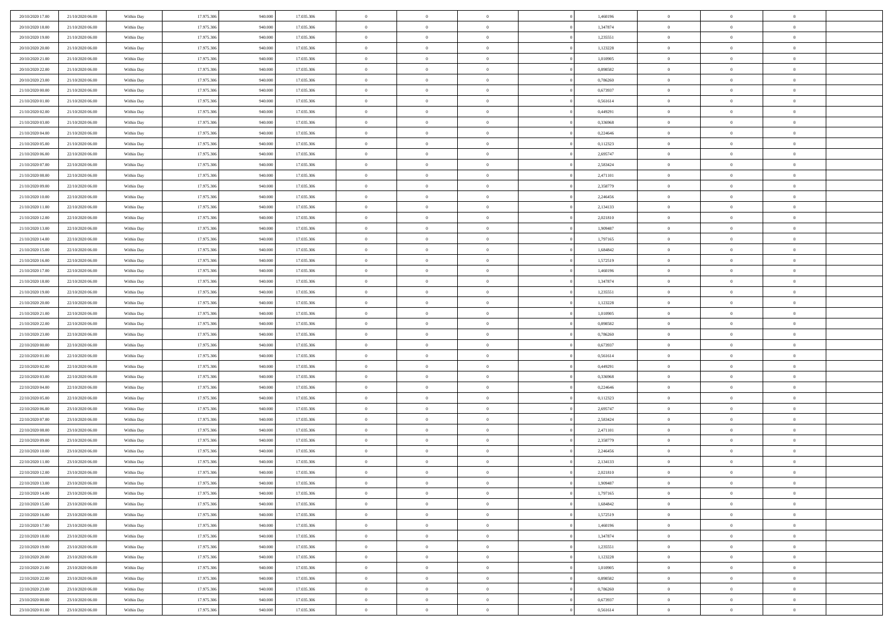| 20/10/2020 17:00                     | 21/10/2020 06.00 | Within Day               | 17.975.306 | 940.000 | 17.035.306 | $\,$ 0 $\,$    | $\overline{0}$ | $\overline{0}$             | 1,460196 | $\bf{0}$       | $\overline{0}$ | $\,0\,$        |  |
|--------------------------------------|------------------|--------------------------|------------|---------|------------|----------------|----------------|----------------------------|----------|----------------|----------------|----------------|--|
| 20/10/2020 18:00                     | 21/10/2020 06.00 | Within Day               | 17.975.306 | 940,000 | 17.035.306 | $\theta$       | $\overline{0}$ | $\mathbf{0}$               | 1,347874 | $\theta$       | $\overline{0}$ | $\theta$       |  |
| 20/10/2020 19:00                     | 21/10/2020 06:00 | Within Dav               | 17.975.306 | 940.000 | 17.035.306 | $\theta$       | $\overline{0}$ | $\overline{0}$             | 1,235551 | $\mathbf{0}$   | $\overline{0}$ | $\overline{0}$ |  |
| 20/10/2020 20:00                     | 21/10/2020 06.00 | Within Day               | 17.975.306 | 940.000 | 17.035.306 | $\,$ 0 $\,$    | $\overline{0}$ | $\overline{0}$             | 1,123228 | $\bf{0}$       | $\overline{0}$ | $\bf{0}$       |  |
| 20/10/2020 21:00                     | 21/10/2020 06:00 | Within Day               | 17.975.306 | 940,000 | 17.035.306 | $\bf{0}$       | $\overline{0}$ | $\mathbf{0}$               | 1,010905 | $\bf{0}$       | $\theta$       | $\,0\,$        |  |
| 20/10/2020 22.00                     | 21/10/2020 06:00 | Within Dav               | 17.975.306 | 940.000 | 17.035.306 | $\theta$       | $\overline{0}$ | $\mathbf{0}$               | 0,898582 | $\mathbf{0}$   | $\overline{0}$ | $\overline{0}$ |  |
| 20/10/2020 23:00                     | 21/10/2020 06:00 | Within Day               | 17.975.306 | 940.000 | 17.035.306 | $\,$ 0 $\,$    | $\overline{0}$ | $\overline{0}$             | 0,786260 | $\bf{0}$       | $\overline{0}$ | $\bf{0}$       |  |
| 21/10/2020 00:00                     |                  |                          | 17.975.306 | 940,000 |            | $\,$ 0         | $\overline{0}$ | $\mathbf{0}$               |          | $\,$ 0 $\,$    | $\overline{0}$ | $\theta$       |  |
|                                      | 21/10/2020 06.00 | Within Day               |            |         | 17.035.306 | $\theta$       |                |                            | 0,673937 | $\mathbf{0}$   |                | $\overline{0}$ |  |
| 21/10/2020 01:00                     | 21/10/2020 06:00 | Within Day               | 17.975.306 | 940.000 | 17.035.306 |                | $\overline{0}$ | $\overline{0}$<br>$\Omega$ | 0,561614 |                | $\overline{0}$ |                |  |
| 21/10/2020 02.00                     | 21/10/2020 06.00 | Within Day               | 17.975.306 | 940.000 | 17.035.306 | $\,$ 0 $\,$    | $\overline{0}$ |                            | 0,449291 | $\bf{0}$       | $\overline{0}$ | $\bf{0}$       |  |
| 21/10/2020 03:00                     | 21/10/2020 06.00 | Within Day               | 17.975.306 | 940,000 | 17.035.306 | $\bf{0}$       | $\overline{0}$ | $\mathbf{0}$               | 0,336968 | $\bf{0}$       | $\mathbf{0}$   | $\theta$       |  |
| 21/10/2020 04:00                     | 21/10/2020 06:00 | Within Dav               | 17.975.306 | 940.000 | 17.035.306 | $\theta$       | $\overline{0}$ | $\overline{0}$             | 0,224646 | $\mathbf{0}$   | $\overline{0}$ | $\overline{0}$ |  |
| 21/10/2020 05:00                     | 21/10/2020 06.00 | Within Day               | 17.975.306 | 940.000 | 17.035.306 | $\,$ 0 $\,$    | $\overline{0}$ | $\overline{0}$             | 0,112323 | $\bf{0}$       | $\overline{0}$ | $\bf{0}$       |  |
| 21/10/2020 06:00                     | 22/10/2020 06:00 | Within Day               | 17.975.306 | 940,000 | 17.035.306 | $\,$ 0         | $\overline{0}$ | $\mathbf{0}$               | 2,695747 | $\bf{0}$       | $\mathbf{0}$   | $\,0\,$        |  |
| 21/10/2020 07:00                     | 22/10/2020 06:00 | Within Dav               | 17.975.306 | 940.000 | 17.035.306 | $\theta$       | $\overline{0}$ | $\mathbf{0}$               | 2,583424 | $\mathbf{0}$   | $\overline{0}$ | $\overline{0}$ |  |
| 21/10/2020 08:00                     | 22/10/2020 06.00 | Within Day               | 17.975.306 | 940.000 | 17.035.306 | $\,$ 0 $\,$    | $\overline{0}$ | $\overline{0}$             | 2,471101 | $\bf{0}$       | $\overline{0}$ | $\bf{0}$       |  |
| 21/10/2020 09:00                     | 22/10/2020 06.00 | Within Day               | 17.975.306 | 940,000 | 17.035.306 | $\,$ 0         | $\overline{0}$ | $\mathbf{0}$               | 2,358779 | $\bf{0}$       | $\overline{0}$ | $\theta$       |  |
| 21/10/2020 10:00                     | 22/10/2020 06:00 | Within Day               | 17.975.306 | 940.000 | 17.035.306 | $\theta$       | $\overline{0}$ | $\mathbf{0}$               | 2,246456 | $\mathbf{0}$   | $\overline{0}$ | $\overline{0}$ |  |
| 21/10/2020 11:00                     | 22/10/2020 06:00 | Within Day               | 17.975.306 | 940.000 | 17.035.306 | $\,$ 0 $\,$    | $\overline{0}$ | $\Omega$                   | 2,134133 | $\bf{0}$       | $\overline{0}$ | $\,0\,$        |  |
| 21/10/2020 12:00                     | 22/10/2020 06.00 | Within Day               | 17.975.306 | 940,000 | 17.035.306 | $\bf{0}$       | $\overline{0}$ | $\mathbf{0}$               | 2,021810 | $\bf{0}$       | $\mathbf{0}$   | $\theta$       |  |
| 21/10/2020 13:00                     | 22/10/2020 06:00 | Within Dav               | 17.975.306 | 940.000 | 17.035.306 | $\theta$       | $\overline{0}$ | $\mathbf{0}$               | 1,909487 | $\mathbf{0}$   | $\overline{0}$ | $\overline{0}$ |  |
| 21/10/2020 14:00                     | 22/10/2020 06:00 | Within Day               | 17.975.306 | 940.000 | 17.035.306 | $\,$ 0 $\,$    | $\overline{0}$ | $\overline{0}$             | 1,797165 | $\bf{0}$       | $\overline{0}$ | $\bf{0}$       |  |
| 21/10/2020 15:00                     | 22/10/2020 06:00 | Within Day               | 17.975.306 | 940,000 | 17.035.306 | $\,$ 0         | $\overline{0}$ | $\mathbf{0}$               | 1,684842 | $\bf{0}$       | $\overline{0}$ | $\,0\,$        |  |
| 21/10/2020 16:00                     | 22/10/2020 06:00 | Within Dav               | 17.975.306 | 940.000 | 17.035.306 | $\theta$       | $\overline{0}$ | $\mathbf{0}$               | 1,572519 | $\mathbf{0}$   | $\overline{0}$ | $\overline{0}$ |  |
| 21/10/2020 17.00                     | 22/10/2020 06:00 | Within Day               | 17.975.306 | 940.000 | 17.035.306 | $\,$ 0 $\,$    | $\overline{0}$ | $\overline{0}$             | 1,460196 | $\bf{0}$       | $\overline{0}$ | $\bf{0}$       |  |
| 21/10/2020 18:00                     | 22/10/2020 06.00 | Within Day               | 17.975.306 | 940,000 | 17.035.306 | $\,$ 0         | $\overline{0}$ | $\mathbf{0}$               | 1,347874 | $\bf{0}$       | $\overline{0}$ | $\theta$       |  |
| 21/10/2020 19:00                     | 22/10/2020 06:00 | Within Day               | 17.975.306 | 940.000 | 17.035.306 | $\theta$       | $\overline{0}$ | $\overline{0}$             | 1,235551 | $\mathbf{0}$   | $\overline{0}$ | $\overline{0}$ |  |
| 21/10/2020 20:00                     | 22/10/2020 06.00 | Within Day               | 17.975.306 | 940.000 | 17.035.306 | $\,$ 0 $\,$    | $\overline{0}$ | $\Omega$                   | 1,123228 | $\bf{0}$       | $\overline{0}$ | $\bf{0}$       |  |
| 21/10/2020 21:00                     | 22/10/2020 06.00 | Within Day               | 17.975.306 | 940,000 | 17.035.306 | $\bf{0}$       | $\overline{0}$ | $\mathbf{0}$               | 1,010905 | $\bf{0}$       | $\mathbf{0}$   | $\overline{0}$ |  |
| 21/10/2020 22.00                     | 22/10/2020 06:00 | Within Day               | 17.975.306 | 940.000 | 17.035.306 | $\theta$       | $\overline{0}$ | $\overline{0}$             | 0,898582 | $\mathbf{0}$   | $\overline{0}$ | $\overline{0}$ |  |
| 21/10/2020 23:00                     | 22/10/2020 06:00 | Within Day               | 17.975.306 | 940.000 | 17.035.306 | $\theta$       | $\overline{0}$ | $\overline{0}$             | 0,786260 | $\,$ 0         | $\overline{0}$ | $\,$ 0 $\,$    |  |
| 22/10/2020 00:00                     | 22/10/2020 06:00 | Within Day               | 17.975.306 | 940,000 | 17.035.306 | $\,$ 0         | $\overline{0}$ | $\mathbf{0}$               | 0,673937 | $\bf{0}$       | $\mathbf{0}$   | $\bf{0}$       |  |
| 22/10/2020 01:00                     | 22/10/2020 06:00 | Within Day               | 17.975.306 | 940.000 | 17.035.306 | $\theta$       | $\overline{0}$ | $\mathbf{0}$               | 0,561614 | $\mathbf{0}$   | $\overline{0}$ | $\overline{0}$ |  |
| 22/10/2020 02:00                     | 22/10/2020 06:00 | Within Day               | 17.975.306 | 940.000 | 17.035.306 | $\theta$       | $\overline{0}$ | $\overline{0}$             | 0,449291 | $\,$ 0         | $\overline{0}$ | $\theta$       |  |
| 22/10/2020 03:00                     | 22/10/2020 06.00 | Within Day               | 17.975.306 | 940,000 | 17.035.306 | $\bf{0}$       | $\overline{0}$ | $\mathbf{0}$               | 0,336968 | $\mathbf{0}$   | $\overline{0}$ | $\overline{0}$ |  |
| 22/10/2020 04:00                     | 22/10/2020 06:00 | Within Day               | 17.975.306 | 940.000 | 17.035.306 | $\theta$       | $\overline{0}$ | $\mathbf{0}$               | 0,224646 | $\mathbf{0}$   | $\overline{0}$ | $\overline{0}$ |  |
| 22/10/2020 05:00                     | 22/10/2020 06:00 | Within Day               | 17.975.306 | 940.000 | 17.035.306 | $\theta$       | $\overline{0}$ | $\overline{0}$             | 0,112323 | $\,$ 0         | $\overline{0}$ | $\theta$       |  |
| 22/10/2020 06:00                     | 23/10/2020 06.00 | Within Day               | 17.975.306 | 940,000 | 17.035.306 | $\bf{0}$       | $\overline{0}$ | $\mathbf{0}$               | 2,695747 | $\bf{0}$       | $\mathbf{0}$   | $\bf{0}$       |  |
| 22/10/2020 07:00                     | 23/10/2020 06:00 | Within Day               | 17.975.306 | 940.000 | 17.035.306 | $\theta$       | $\overline{0}$ | $\overline{0}$             | 2,583424 | $\mathbf{0}$   | $\overline{0}$ | $\overline{0}$ |  |
| 22/10/2020 08:00                     | 23/10/2020 06:00 | Within Day               | 17.975.306 | 940.000 | 17.035.306 | $\,$ 0 $\,$    | $\overline{0}$ | $\overline{0}$             | 2,471101 | $\,$ 0         | $\overline{0}$ | $\,$ 0 $\,$    |  |
| 22/10/2020 09:00                     | 23/10/2020 06:00 | Within Day               | 17.975.306 | 940.000 | 17.035.306 | $\,$ 0         | $\,$ 0 $\,$    | $\overline{0}$             | 2,358779 | $\,$ 0 $\,$    | $\overline{0}$ | $\overline{0}$ |  |
| 22/10/2020 10:00                     | 23/10/2020 06:00 | Within Day               | 17.975.306 | 940.000 | 17.035.306 | $\theta$       | $\overline{0}$ | $\mathbf{0}$               | 2,246456 | $\mathbf{0}$   | $\overline{0}$ | $\overline{0}$ |  |
| 22/10/2020 11:00                     | 23/10/2020 06.00 | Within Day               | 17.975.306 | 940.000 | 17.035.306 | $\theta$       | $\overline{0}$ | $\overline{0}$             | 2,134133 | $\,$ 0         | $\overline{0}$ | $\theta$       |  |
| 22/10/2020 12:00                     | 23/10/2020 06.00 | Within Day               | 17.975.306 | 940,000 | 17.035.306 | $\bf{0}$       | $\,$ 0 $\,$    | $\mathbf{0}$               | 2,021810 | $\bf{0}$       | $\overline{0}$ | $\overline{0}$ |  |
| 22/10/2020 13:00                     | 23/10/2020 06:00 | Within Day               | 17.975.306 | 940.000 | 17.035.306 | $\overline{0}$ | $\theta$       |                            | 1,909487 | $\overline{0}$ | $\theta$       | $\theta$       |  |
| 22/10/2020 14:00                     | 23/10/2020 06:00 | Within Day               | 17.975.306 | 940.000 | 17.035.306 | $\,$ 0 $\,$    | $\overline{0}$ | $\overline{0}$             | 1,797165 | $\,$ 0 $\,$    | $\bf{0}$       | $\theta$       |  |
| 22/10/2020 15.00                     | 23/10/2020 06.00 | Within Day               | 17.975.306 | 940,000 | 17.035.306 | $\bf{0}$       | $\,$ 0 $\,$    | $\overline{0}$             | 1,684842 | $\,$ 0 $\,$    | $\overline{0}$ | $\overline{0}$ |  |
| 22/10/2020 16:00                     | 23/10/2020 06:00 | Within Day               | 17.975.306 | 940.000 | 17.035.306 | $\overline{0}$ | $\overline{0}$ | $\overline{0}$             | 1,572519 | $\,$ 0 $\,$    | $\bf{0}$       | $\mathbf{0}$   |  |
| 22/10/2020 17:00                     | 23/10/2020 06:00 | Within Day               | 17.975.306 | 940.000 | 17.035.306 | $\,$ 0 $\,$    | $\overline{0}$ | $\overline{0}$             | 1,460196 | $\,$ 0 $\,$    | $\bf{0}$       | $\,$ 0 $\,$    |  |
|                                      | 23/10/2020 06.00 |                          | 17.975.306 | 940,000 | 17.035.306 | $\,$ 0 $\,$    | $\,$ 0 $\,$    | $\overline{0}$             | 1,347874 | $\,$ 0 $\,$    | $\overline{0}$ | $\overline{0}$ |  |
| 22/10/2020 18:00<br>22/10/2020 19:00 | 23/10/2020 06:00 | Within Day<br>Within Day | 17.975.306 | 940.000 | 17.035.306 | $\overline{0}$ | $\overline{0}$ | $\overline{0}$             | 1,235551 | $\mathbf{0}$   | $\overline{0}$ | $\overline{0}$ |  |
|                                      |                  |                          |            |         |            |                |                |                            |          |                |                |                |  |
| 22/10/2020 20:00                     | 23/10/2020 06:00 | Within Day               | 17.975.306 | 940.000 | 17.035.306 | $\,$ 0 $\,$    | $\overline{0}$ | $\overline{0}$             | 1,123228 | $\,$ 0 $\,$    | $\mathbf{0}$   | $\,$ 0 $\,$    |  |
| 22/10/2020 21:00                     | 23/10/2020 06.00 | Within Day               | 17.975.306 | 940,000 | 17.035.306 | $\bf{0}$       | $\overline{0}$ | $\overline{0}$             | 1,010905 | $\mathbf{0}$   | $\overline{0}$ | $\overline{0}$ |  |
| 22/10/2020 22.00                     | 23/10/2020 06:00 | Within Day               | 17.975.306 | 940.000 | 17.035.306 | $\mathbf{0}$   | $\overline{0}$ | $\overline{0}$             | 0,898582 | $\mathbf{0}$   | $\bf{0}$       | $\overline{0}$ |  |
| 22/10/2020 23:00                     | 23/10/2020 06:00 | Within Day               | 17.975.306 | 940.000 | 17.035.306 | $\,$ 0 $\,$    | $\overline{0}$ | $\overline{0}$             | 0,786260 | $\,$ 0 $\,$    | $\mathbf{0}$   | $\,$ 0 $\,$    |  |
| 23/10/2020 00:00                     | 23/10/2020 06.00 | Within Day               | 17.975.306 | 940,000 | 17.035.306 | $\,$ 0 $\,$    | $\,$ 0 $\,$    | $\overline{0}$             | 0,673937 | $\bf{0}$       | $\overline{0}$ | $\overline{0}$ |  |
| 23/10/2020 01:00                     | 23/10/2020 06:00 | Within Day               | 17.975.306 | 940.000 | 17.035.306 | $\theta$       | $\overline{0}$ | $\overline{0}$             | 0,561614 | $\mathbf{0}$   | $\overline{0}$ | $\overline{0}$ |  |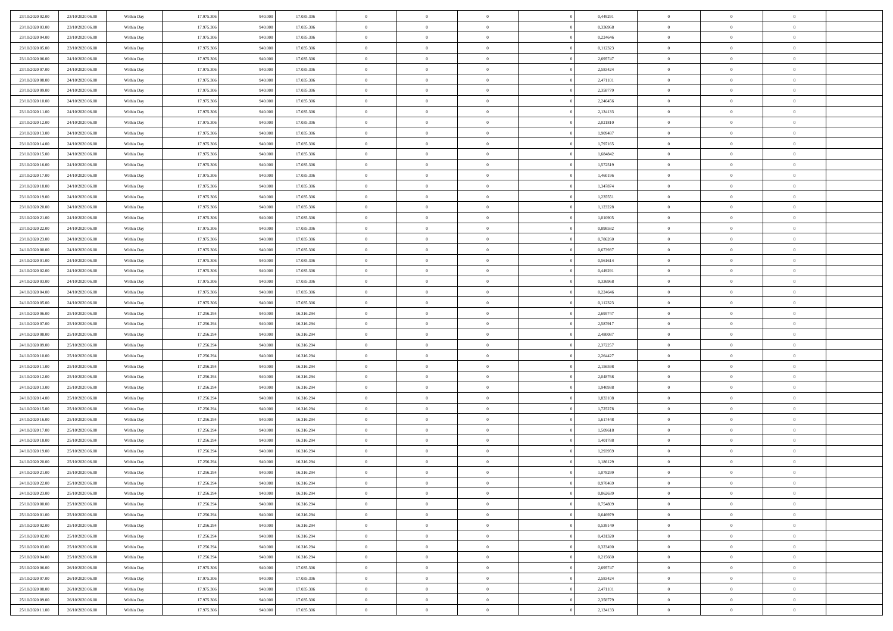| 23/10/2020 02:00                     | 23/10/2020 06.00                     | Within Day               | 17.975.306               | 940.000            | 17.035.306               | $\bf{0}$                       | $\overline{0}$                   | $\overline{0}$                   | 0,449291             | $\bf{0}$                     | $\overline{0}$                 | $\,0\,$                          |  |
|--------------------------------------|--------------------------------------|--------------------------|--------------------------|--------------------|--------------------------|--------------------------------|----------------------------------|----------------------------------|----------------------|------------------------------|--------------------------------|----------------------------------|--|
| 23/10/2020 03.00                     | 23/10/2020 06:00                     | Within Day               | 17.975.306               | 940,000            | 17.035.306               | $\overline{0}$                 | $\overline{0}$                   | $\mathbf{0}$                     | 0.336968             | $\theta$                     | $\overline{0}$                 | $\theta$                         |  |
| 23/10/2020 04:00                     | 23/10/2020 06:00                     | Within Day               | 17.975.306               | 940.000            | 17.035.306               | $\theta$                       | $\overline{0}$                   | $\overline{0}$                   | 0,224646             | $\mathbf{0}$                 | $\overline{0}$                 | $\overline{0}$                   |  |
| 23/10/2020 05:00                     | 23/10/2020 06.00                     | Within Day               | 17.975.306               | 940.000            | 17.035.306               | $\,$ 0 $\,$                    | $\overline{0}$                   | $\overline{0}$                   | 0,112323             | $\bf{0}$                     | $\overline{0}$                 | $\bf{0}$                         |  |
| 23/10/2020 06:00                     | 24/10/2020 06.00                     | Within Day               | 17.975.306               | 940,000            | 17.035.306               | $\bf{0}$                       | $\overline{0}$                   | $\mathbf{0}$                     | 2,695747             | $\bf{0}$                     | $\theta$                       | $\,0\,$                          |  |
| 23/10/2020 07:00                     | 24/10/2020 06:00                     | Within Day               | 17.975.306               | 940.000            | 17.035.306               | $\theta$                       | $\overline{0}$                   | $\mathbf{0}$                     | 2,583424             | $\mathbf{0}$                 | $\overline{0}$                 | $\overline{0}$                   |  |
| 23/10/2020 08:00                     | 24/10/2020 06.00                     | Within Day               | 17.975.306               | 940.000            | 17.035.306               | $\,$ 0 $\,$                    | $\overline{0}$                   | $\overline{0}$                   | 2,471101             | $\bf{0}$                     | $\overline{0}$                 | $\bf{0}$                         |  |
| 23/10/2020 09:00                     | 24/10/2020 06.00                     | Within Day               | 17.975.306               | 940,000            | 17.035.306               | $\overline{0}$                 | $\overline{0}$                   | $\mathbf{0}$                     | 2,358779             | $\,$ 0 $\,$                  | $\overline{0}$                 | $\theta$                         |  |
| 23/10/2020 10:00                     | 24/10/2020 06:00                     | Within Day               | 17.975.306               | 940.000            | 17.035.306               | $\theta$                       | $\overline{0}$                   | $\mathbf{0}$                     | 2,246456             | $\mathbf{0}$                 | $\overline{0}$                 | $\overline{0}$                   |  |
| 23/10/2020 11:00                     | 24/10/2020 06.00                     | Within Day               | 17.975.306               | 940.000            | 17.035.306               | $\,$ 0 $\,$                    | $\overline{0}$                   | $\Omega$                         | 2,134133             | $\bf{0}$                     | $\overline{0}$                 | $\,0\,$                          |  |
| 23/10/2020 12:00                     | 24/10/2020 06.00                     | Within Day               | 17.975.306               | 940,000            | 17.035.306               | $\bf{0}$                       | $\overline{0}$                   | $\mathbf{0}$                     | 2,021810             | $\bf{0}$                     | $\mathbf{0}$                   | $\theta$                         |  |
| 23/10/2020 13:00                     | 24/10/2020 06:00                     | Within Day               | 17.975.306               | 940.000            | 17.035.306               | $\theta$                       | $\overline{0}$                   | $\overline{0}$                   | 1,909487             | $\mathbf{0}$                 | $\overline{0}$                 | $\overline{0}$                   |  |
| 23/10/2020 14:00                     | 24/10/2020 06.00                     | Within Day               | 17.975.306               | 940.000            | 17.035.306               | $\,$ 0 $\,$                    | $\overline{0}$                   | $\overline{0}$                   | 1,797165             | $\bf{0}$                     | $\overline{0}$                 | $\bf{0}$                         |  |
| 23/10/2020 15:00                     | 24/10/2020 06.00                     | Within Day               | 17.975.306               | 940,000            | 17.035.306               | $\,$ 0                         | $\overline{0}$                   | $\mathbf{0}$                     | 1,684842             | $\bf{0}$                     | $\mathbf{0}$                   | $\,0\,$                          |  |
| 23/10/2020 16:00                     | 24/10/2020 06.00                     | Within Day               | 17.975.306               | 940.000            | 17.035.306               | $\theta$                       | $\overline{0}$                   | $\mathbf{0}$                     | 1,572519             | $\mathbf{0}$                 | $\overline{0}$                 | $\overline{0}$                   |  |
| 23/10/2020 17.00                     | 24/10/2020 06.00                     | Within Day               | 17.975.306               | 940.000            | 17.035.306               | $\,$ 0 $\,$                    | $\overline{0}$                   | $\overline{0}$                   | 1,460196             | $\bf{0}$                     | $\overline{0}$                 | $\bf{0}$                         |  |
| 23/10/2020 18:00                     | 24/10/2020 06.00                     | Within Day               | 17.975.306               | 940,000            | 17.035.306               | $\,$ 0                         | $\overline{0}$                   | $\mathbf{0}$                     | 1,347874             | $\bf{0}$                     | $\overline{0}$                 | $\theta$                         |  |
| 23/10/2020 19:00                     | 24/10/2020 06.00                     | Within Day               | 17.975.306               | 940.000            | 17.035.306               | $\theta$                       | $\overline{0}$                   | $\mathbf{0}$                     | 1,235551             | $\mathbf{0}$                 | $\overline{0}$                 | $\overline{0}$                   |  |
| 23/10/2020 20:00                     | 24/10/2020 06.00                     | Within Day               | 17.975.306               | 940.000            | 17.035.306               | $\,$ 0 $\,$                    | $\overline{0}$                   | $\Omega$                         | 1,123228             | $\bf{0}$                     | $\overline{0}$                 | $\,0\,$                          |  |
| 23/10/2020 21:00                     | 24/10/2020 06.00                     | Within Day               | 17.975.306               | 940,000            | 17.035.306               | $\bf{0}$                       | $\overline{0}$                   | $\mathbf{0}$                     | 1,010905             | $\bf{0}$                     | $\mathbf{0}$                   | $\theta$                         |  |
| 23/10/2020 22.00                     | 24/10/2020 06:00                     | Within Day               | 17.975.306               | 940.000            | 17.035.306               | $\theta$                       | $\overline{0}$                   | $\mathbf{0}$                     | 0,898582             | $\mathbf{0}$                 | $\overline{0}$                 | $\overline{0}$                   |  |
| 23/10/2020 23:00                     | 24/10/2020 06.00                     | Within Day               | 17.975.306               | 940.000            | 17.035.306               | $\,$ 0 $\,$                    | $\overline{0}$                   | $\overline{0}$                   | 0,786260             | $\bf{0}$                     | $\overline{0}$                 | $\bf{0}$                         |  |
| 24/10/2020 00:00                     | 24/10/2020 06:00                     | Within Day               | 17.975.306               | 940,000            | 17.035.306               | $\,$ 0                         | $\overline{0}$                   | $\mathbf{0}$                     | 0,673937             | $\bf{0}$                     | $\bf{0}$                       | $\,0\,$                          |  |
| 24/10/2020 01:00                     | 24/10/2020 06:00                     | Within Day               | 17.975.306               | 940.000            | 17.035.306               | $\theta$                       | $\overline{0}$                   | $\mathbf{0}$                     | 0,561614             | $\mathbf{0}$                 | $\overline{0}$                 | $\overline{0}$                   |  |
| 24/10/2020 02.00                     | 24/10/2020 06.00                     | Within Day               | 17.975.306               | 940.000            | 17.035.306               | $\,$ 0 $\,$                    | $\overline{0}$                   | $\overline{0}$                   | 0,449291             | $\bf{0}$                     | $\overline{0}$                 | $\bf{0}$                         |  |
| 24/10/2020 03:00                     | 24/10/2020 06.00                     | Within Day               | 17.975.306               | 940,000            | 17.035.306               | $\,$ 0                         | $\overline{0}$                   | $\mathbf{0}$                     | 0,336968             | $\bf{0}$                     | $\overline{0}$                 | $\theta$                         |  |
| 24/10/2020 04:00                     | 24/10/2020 06:00                     | Within Day               | 17.975.306               | 940.000            | 17.035.306               | $\theta$                       | $\overline{0}$                   | $\overline{0}$                   | 0,224646             | $\mathbf{0}$                 | $\overline{0}$                 | $\overline{0}$                   |  |
| 24/10/2020 05:00                     | 24/10/2020 06.00                     | Within Day               | 17.975.306               | 940.000            | 17.035.306               | $\,$ 0 $\,$                    | $\overline{0}$                   | $\Omega$                         | 0,112323             | $\bf{0}$                     | $\overline{0}$                 | $\bf{0}$                         |  |
| 24/10/2020 06.00                     | 25/10/2020 06.00                     | Within Day               | 17.256.294               | 940,000            | 16.316.294               | $\bf{0}$                       | $\overline{0}$                   | $\mathbf{0}$                     | 2,695747             | $\bf{0}$                     | $\mathbf{0}$                   | $\overline{0}$                   |  |
| 24/10/2020 07:00                     | 25/10/2020 06:00                     | Within Day               | 17.256.294               | 940.000            | 16.316.294               | $\theta$                       | $\overline{0}$                   | $\overline{0}$                   | 2,587917             | $\mathbf{0}$                 | $\overline{0}$                 | $\overline{0}$                   |  |
| 24/10/2020 08:00                     | 25/10/2020 06:00                     | Within Day               | 17.256.294               | 940.000            | 16.316.294               | $\theta$                       | $\overline{0}$                   | $\overline{0}$                   | 2,480087             | $\,$ 0                       | $\overline{0}$                 | $\,$ 0 $\,$                      |  |
| 24/10/2020 09:00                     | 25/10/2020 06:00                     | Within Day               | 17.256.294               | 940,000            | 16.316.294               | $\bf{0}$                       | $\overline{0}$                   | $\mathbf{0}$                     | 2,372257             | $\bf{0}$                     | $\mathbf{0}$                   | $\overline{0}$                   |  |
| 24/10/2020 10:00                     | 25/10/2020 06:00                     | Within Day               | 17.256.294               | 940.000            | 16.316.294               | $\theta$                       | $\overline{0}$                   | $\mathbf{0}$                     | 2,264427             | $\mathbf{0}$                 | $\overline{0}$                 | $\overline{0}$                   |  |
| 24/10/2020 11:00                     | 25/10/2020 06:00                     | Within Day               | 17.256.294               | 940.000            | 16.316.294               | $\theta$                       | $\overline{0}$                   | $\overline{0}$                   | 2,156598             | $\,$ 0                       | $\overline{0}$                 | $\theta$                         |  |
| 24/10/2020 12:00                     | 25/10/2020 06.00                     | Within Day               | 17.256.294               | 940,000            | 16.316.294               | $\bf{0}$                       | $\overline{0}$                   | $\mathbf{0}$                     | 2,048768             | $\mathbf{0}$                 | $\overline{0}$                 | $\overline{0}$                   |  |
| 24/10/2020 13:00                     | 25/10/2020 06:00                     | Within Day               | 17.256.294               | 940.000            | 16.316.294               | $\theta$                       | $\overline{0}$                   | $\mathbf{0}$                     | 1,940938             | $\mathbf{0}$                 | $\overline{0}$                 | $\overline{0}$                   |  |
| 24/10/2020 14:00                     | 25/10/2020 06:00                     | Within Day               | 17.256.294               | 940.000            | 16.316.294               | $\theta$                       | $\overline{0}$                   | $\overline{0}$                   | 1,833108             | $\,$ 0                       | $\overline{0}$                 | $\theta$                         |  |
| 24/10/2020 15:00                     | 25/10/2020 06.00                     | Within Day               | 17.256.294               | 940,000            | 16.316.294               | $\bf{0}$                       | $\overline{0}$                   | $\mathbf{0}$                     | 1,725278             | $\bf{0}$                     | $\mathbf{0}$                   | $\overline{0}$                   |  |
| 24/10/2020 16:00                     | 25/10/2020 06:00                     | Within Day               | 17.256.294               | 940.000            | 16.316.294               | $\theta$                       | $\overline{0}$                   | $\overline{0}$                   | 1,617448             | $\mathbf{0}$                 | $\overline{0}$                 | $\overline{0}$                   |  |
| 24/10/2020 17:00                     | 25/10/2020 06:00                     | Within Day               | 17.256.294               | 940.000            | 16.316.294               | $\,$ 0 $\,$                    | $\overline{0}$                   | $\overline{0}$                   | 1,509618             | $\,$ 0                       | $\overline{0}$                 | $\,$ 0 $\,$                      |  |
| 24/10/2020 18:00                     | 25/10/2020 06:00                     | Within Day               | 17.256.294               | 940.000            | 16.316.294               | $\,$ 0                         | $\,$ 0 $\,$                      | $\overline{0}$                   | 1,401788             | $\,$ 0 $\,$                  | $\bf{0}$                       | $\overline{0}$                   |  |
| 24/10/2020 19:00                     | 25/10/2020 06:00                     | Within Day               | 17.256.294               | 940.000            | 16.316.294               | $\theta$                       | $\overline{0}$                   | $\mathbf{0}$                     | 1,293959             | $\mathbf{0}$                 | $\overline{0}$                 | $\overline{0}$                   |  |
| 24/10/2020 20:00                     | 25/10/2020 06.00                     | Within Day               | 17.256.294               | 940.000            | 16.316.294               | $\overline{0}$                 | $\overline{0}$                   | $\overline{0}$                   | 1,186129             | $\,$ 0                       | $\overline{0}$                 | $\theta$                         |  |
| 24/10/2020 21:00                     | 25/10/2020 06.00                     | Within Day               | 17.256.294               | 940,000            | 16.316.294               | $\bf{0}$                       | $\,$ 0 $\,$                      | $\mathbf{0}$                     | 1,078299             | $\bf{0}$                     | $\overline{0}$                 | $\overline{0}$                   |  |
| 24/10/2020 22:00                     | 25/10/2020 06:00                     | Within Day               | 17.256.294               | 940.000            | 16.316.294               | $\overline{0}$                 | $\theta$                         |                                  | 0,970469             | $\overline{0}$               | $\theta$                       | $\theta$                         |  |
| 24/10/2020 23:00                     | 25/10/2020 06:00                     | Within Day               | 17.256.294               | 940.000            | 16.316.294               | $\,$ 0 $\,$                    | $\overline{0}$                   | $\overline{0}$                   | 0,862639             | $\,$ 0 $\,$                  | $\bf{0}$                       | $\theta$                         |  |
| 25/10/2020 00:00                     | 25/10/2020 06.00                     | Within Day               | 17.256.294               | 940,000            | 16.316.294               | $\overline{0}$                 | $\,$ 0 $\,$                      | $\overline{0}$                   | 0,754809             | $\,$ 0 $\,$                  | $\overline{0}$                 | $\overline{0}$                   |  |
| 25/10/2020 01:00                     | 25/10/2020 06:00                     | Within Day               | 17.256.294               | 940.000            | 16.316.294               | $\overline{0}$                 | $\overline{0}$                   | $\overline{0}$                   | 0,646979             | $\,$ 0 $\,$                  | $\bf{0}$                       | $\mathbf{0}$                     |  |
| 25/10/2020 02:00                     | 25/10/2020 06:00                     | Within Day               | 17.256.294               | 940.000            | 16.316.294               | $\,$ 0 $\,$                    | $\overline{0}$                   | $\overline{0}$                   | 0,539149             | $\,$ 0 $\,$                  | $\bf{0}$                       | $\,$ 0 $\,$                      |  |
| 25/10/2020 02:00                     | 25/10/2020 06.00                     | Within Day               | 17.256.294               | 940,000            | 16.316.294               | $\,$ 0 $\,$                    | $\,$ 0 $\,$                      | $\overline{0}$                   | 0,431320             | $\,$ 0 $\,$                  | $\overline{0}$                 | $\overline{0}$                   |  |
| 25/10/2020 03:00                     | 25/10/2020 06:00                     | Within Day               | 17.256.294               | 940.000            | 16.316.294               | $\overline{0}$                 | $\overline{0}$                   | $\overline{0}$                   | 0,323490             | $\mathbf{0}$                 | $\overline{0}$                 | $\overline{0}$                   |  |
| 25/10/2020 04:00                     | 25/10/2020 06:00                     | Within Day               | 17.256.294               | 940.000<br>940,000 | 16.316.294               | $\,$ 0 $\,$                    | $\overline{0}$                   | $\overline{0}$<br>$\overline{0}$ | 0,215660             | $\,$ 0 $\,$                  | $\mathbf{0}$<br>$\overline{0}$ | $\,$ 0 $\,$                      |  |
| 25/10/2020 06.00<br>25/10/2020 07:00 | 26/10/2020 06.00<br>26/10/2020 06:00 | Within Day<br>Within Day | 17.975.306<br>17.975.306 | 940.000            | 17.035.306<br>17.035.306 | $\overline{0}$<br>$\mathbf{0}$ | $\overline{0}$<br>$\overline{0}$ | $\overline{0}$                   | 2,695747<br>2,583424 | $\mathbf{0}$<br>$\mathbf{0}$ | $\bf{0}$                       | $\overline{0}$<br>$\overline{0}$ |  |
|                                      |                                      |                          |                          |                    |                          | $\,$ 0 $\,$                    |                                  | $\overline{0}$                   |                      |                              | $\mathbf{0}$                   | $\,$ 0 $\,$                      |  |
| 25/10/2020 08:00<br>25/10/2020 09:00 | 26/10/2020 06:00<br>26/10/2020 06.00 | Within Day               | 17.975.306<br>17.975.306 | 940.000<br>940,000 | 17.035.306<br>17.035.306 | $\,$ 0 $\,$                    | $\overline{0}$                   | $\overline{0}$                   | 2,471101<br>2,358779 | $\,$ 0 $\,$                  | $\overline{0}$                 | $\overline{0}$                   |  |
| 25/10/2020 11:00                     | 26/10/2020 06:00                     | Within Day               | 17.975.306               | 940.000            | 17.035.306               | $\theta$                       | $\overline{0}$<br>$\overline{0}$ | $\overline{0}$                   | 2,134133             | $\bf{0}$<br>$\mathbf{0}$     | $\overline{0}$                 | $\overline{0}$                   |  |
|                                      |                                      | Within Day               |                          |                    |                          |                                |                                  |                                  |                      |                              |                                |                                  |  |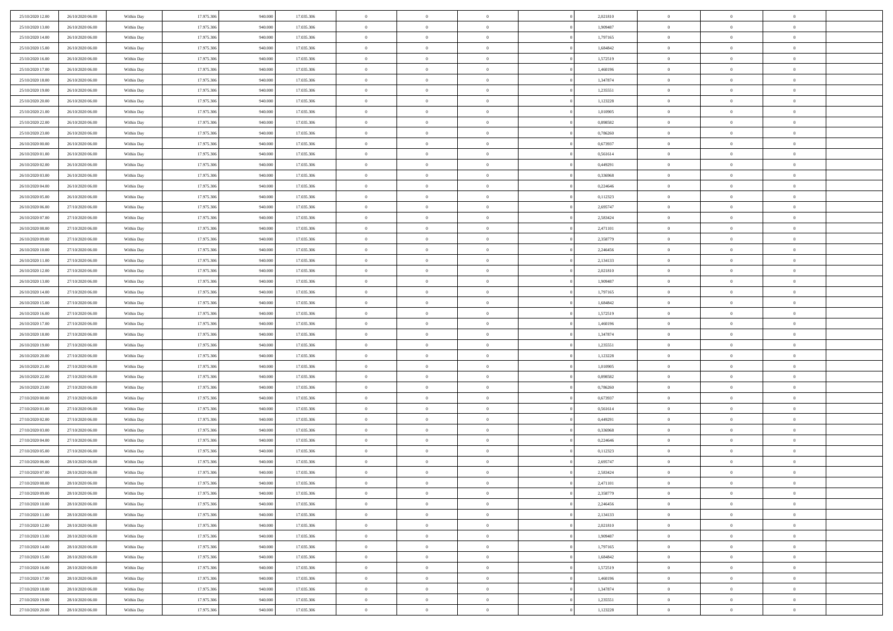| 25/10/2020 12:00                     | 26/10/2020 06:00                     | Within Day               | 17.975.306               | 940.000            | 17.035.306               | $\,$ 0 $\,$          | $\overline{0}$                   | $\overline{0}$               | 2,021810             | $\bf{0}$                     | $\overline{0}$                   | $\,0\,$                    |  |
|--------------------------------------|--------------------------------------|--------------------------|--------------------------|--------------------|--------------------------|----------------------|----------------------------------|------------------------------|----------------------|------------------------------|----------------------------------|----------------------------|--|
| 25/10/2020 13.00                     | 26/10/2020 06:00                     | Within Day               | 17.975.306               | 940,000            | 17.035.306               | $\overline{0}$       | $\overline{0}$                   | $\mathbf{0}$                 | 1,909487             | $\theta$                     | $\overline{0}$                   | $\theta$                   |  |
| 25/10/2020 14:00                     | 26/10/2020 06:00                     | Within Day               | 17.975.306               | 940.000            | 17.035.306               | $\theta$             | $\overline{0}$                   | $\overline{0}$               | 1,797165             | $\mathbf{0}$                 | $\overline{0}$                   | $\overline{0}$             |  |
| 25/10/2020 15:00                     | 26/10/2020 06.00                     | Within Day               | 17.975.306               | 940.000            | 17.035.306               | $\,$ 0 $\,$          | $\overline{0}$                   | $\overline{0}$               | 1,684842             | $\bf{0}$                     | $\overline{0}$                   | $\bf{0}$                   |  |
| 25/10/2020 16:00                     | 26/10/2020 06:00                     | Within Day               | 17.975.306               | 940,000            | 17.035.306               | $\bf{0}$             | $\overline{0}$                   | $\mathbf{0}$                 | 1,572519             | $\bf{0}$                     | $\theta$                         | $\,0\,$                    |  |
| 25/10/2020 17:00                     | 26/10/2020 06:00                     | Within Day               | 17.975.306               | 940.000            | 17.035.306               | $\theta$             | $\overline{0}$                   | $\mathbf{0}$                 | 1,460196             | $\mathbf{0}$                 | $\overline{0}$                   | $\overline{0}$             |  |
| 25/10/2020 18:00                     | 26/10/2020 06:00                     | Within Day               | 17.975.306               | 940.000            | 17.035.306               | $\,$ 0 $\,$          | $\overline{0}$                   | $\overline{0}$               | 1,347874             | $\bf{0}$                     | $\overline{0}$                   | $\bf{0}$                   |  |
| 25/10/2020 19:00                     | 26/10/2020 06:00                     | Within Day               | 17.975.306               | 940,000            | 17.035.306               | $\,$ 0               | $\overline{0}$                   | $\mathbf{0}$                 | 1,235551             | $\,$ 0 $\,$                  | $\overline{0}$                   | $\theta$                   |  |
| 25/10/2020 20:00                     | 26/10/2020 06:00                     | Within Day               | 17.975.306               | 940.000            | 17.035.306               | $\theta$             | $\overline{0}$                   | $\mathbf{0}$                 | 1,123228             | $\mathbf{0}$                 | $\overline{0}$                   | $\overline{0}$             |  |
| 25/10/2020 21:00                     | 26/10/2020 06:00                     | Within Day               | 17.975.306               | 940.000            | 17.035.306               | $\,$ 0 $\,$          | $\overline{0}$                   | $\Omega$                     | 1,010905             | $\bf{0}$                     | $\overline{0}$                   | $\,0\,$                    |  |
| 25/10/2020 22.00                     | 26/10/2020 06:00                     | Within Day               | 17.975.306               | 940,000            | 17.035.306               | $\bf{0}$             | $\overline{0}$                   | $\mathbf{0}$                 | 0.898582             | $\bf{0}$                     | $\mathbf{0}$                     | $\theta$                   |  |
| 25/10/2020 23:00                     | 26/10/2020 06:00                     | Within Day               | 17.975.306               | 940.000            | 17.035.306               | $\theta$             | $\overline{0}$                   | $\overline{0}$               | 0,786260             | $\mathbf{0}$                 | $\overline{0}$                   | $\overline{0}$             |  |
| 26/10/2020 00:00                     | 26/10/2020 06:00                     | Within Day               | 17.975.306               | 940.000            | 17.035.306               | $\,$ 0 $\,$          | $\overline{0}$                   | $\overline{0}$               | 0,673937             | $\bf{0}$                     | $\overline{0}$                   | $\bf{0}$                   |  |
| 26/10/2020 01:00                     | 26/10/2020 06:00                     | Within Day               | 17.975.306               | 940,000            | 17.035.306               | $\bf{0}$             | $\overline{0}$                   | $\mathbf{0}$                 | 0,561614             | $\bf{0}$                     | $\mathbf{0}$                     | $\,0\,$                    |  |
| 26/10/2020 02.00                     | 26/10/2020 06:00                     | Within Dav               | 17.975.306               | 940.000            | 17.035.306               | $\theta$             | $\overline{0}$                   | $\mathbf{0}$                 | 0,449291             | $\mathbf{0}$                 | $\overline{0}$                   | $\overline{0}$             |  |
| 26/10/2020 03:00                     | 26/10/2020 06.00                     | Within Day               | 17.975.306               | 940.000            | 17.035.306               | $\,$ 0 $\,$          | $\overline{0}$                   | $\Omega$                     | 0,336968             | $\bf{0}$                     | $\overline{0}$                   | $\bf{0}$                   |  |
| 26/10/2020 04:00                     | 26/10/2020 06.00                     | Within Day               | 17.975.306               | 940,000            | 17.035.306               | $\,$ 0               | $\overline{0}$                   | $\mathbf{0}$                 | 0,224646             | $\bf{0}$                     | $\overline{0}$                   | $\theta$                   |  |
| 26/10/2020 05:00                     | 26/10/2020 06:00                     | Within Day               | 17.975.306               | 940.000            | 17.035.306               | $\theta$             | $\overline{0}$                   | $\mathbf{0}$                 | 0,112323             | $\mathbf{0}$                 | $\overline{0}$                   | $\overline{0}$             |  |
| 26/10/2020 06:00                     | 27/10/2020 06.00                     | Within Day               | 17.975.306               | 940.000            | 17.035.306               | $\,$ 0 $\,$          | $\overline{0}$                   | $\Omega$                     | 2,695747             | $\bf{0}$                     | $\overline{0}$                   | $\,0\,$                    |  |
| 26/10/2020 07.00                     | 27/10/2020 06.00                     | Within Day               | 17.975.306               | 940,000            | 17.035.306               | $\bf{0}$             | $\overline{0}$                   | $\mathbf{0}$                 | 2,583424             | $\bf{0}$                     | $\mathbf{0}$                     | $\theta$                   |  |
| 26/10/2020 08:00                     | 27/10/2020 06:00                     | Within Dav               | 17.975.306               | 940.000            | 17.035.306               | $\theta$             | $\overline{0}$                   | $\mathbf{0}$                 | 2,471101             | $\mathbf{0}$                 | $\overline{0}$                   | $\overline{0}$             |  |
| 26/10/2020 09:00                     | 27/10/2020 06.00                     | Within Day               | 17.975.306               | 940.000            | 17.035.306               | $\,$ 0 $\,$          | $\overline{0}$                   | $\overline{0}$               | 2,358779             | $\bf{0}$                     | $\overline{0}$                   | $\bf{0}$                   |  |
| 26/10/2020 10:00                     | 27/10/2020 06:00                     | Within Day               | 17.975.306               | 940,000            | 17.035.306               | $\,$ 0               | $\overline{0}$                   | $\mathbf{0}$                 | 2,246456             | $\bf{0}$                     | $\mathbf{0}$                     | $\,0\,$                    |  |
| 26/10/2020 11:00                     | 27/10/2020 06:00                     | Within Dav               | 17.975.306               | 940.000            | 17.035.306               | $\theta$             | $\overline{0}$                   | $\mathbf{0}$                 | 2,134133             | $\mathbf{0}$                 | $\overline{0}$                   | $\overline{0}$             |  |
| 26/10/2020 12:00                     | 27/10/2020 06.00                     | Within Day               | 17.975.306               | 940.000            | 17.035.306               | $\,$ 0 $\,$          | $\overline{0}$                   | $\overline{0}$               | 2,021810             | $\bf{0}$                     | $\overline{0}$                   | $\bf{0}$                   |  |
| 26/10/2020 13:00                     | 27/10/2020 06.00                     | Within Day               | 17.975.306               | 940,000            | 17.035.306               | $\,$ 0               | $\overline{0}$                   | $\mathbf{0}$                 | 1,909487             | $\bf{0}$                     | $\overline{0}$                   | $\theta$                   |  |
| 26/10/2020 14:00                     | 27/10/2020 06:00                     | Within Day               | 17.975.306               | 940.000            | 17.035.306               | $\theta$             | $\overline{0}$                   | $\overline{0}$               | 1,797165             | $\mathbf{0}$                 | $\overline{0}$                   | $\overline{0}$             |  |
| 26/10/2020 15:00                     | 27/10/2020 06.00                     | Within Day               | 17.975.306               | 940.000            | 17.035.306               | $\,$ 0 $\,$          | $\overline{0}$                   | $\Omega$                     | 1,684842             | $\bf{0}$                     | $\overline{0}$                   | $\bf{0}$                   |  |
| 26/10/2020 16:00                     | 27/10/2020 06.00                     | Within Day               | 17.975.306               | 940,000            | 17.035.306               | $\bf{0}$             | $\overline{0}$                   | $\mathbf{0}$                 | 1,572519             | $\bf{0}$                     | $\mathbf{0}$                     | $\overline{0}$             |  |
| 26/10/2020 17:00                     | 27/10/2020 06:00                     | Within Dav               | 17.975.306               | 940.000            | 17.035.306               | $\theta$             | $\overline{0}$                   | $\overline{0}$               | 1,460196             | $\mathbf{0}$                 | $\overline{0}$                   | $\overline{0}$             |  |
| 26/10/2020 18:00                     | 27/10/2020 06:00                     | Within Day               | 17.975.306               | 940.000            | 17.035.306               | $\theta$             | $\overline{0}$                   | $\overline{0}$               | 1,347874             | $\,$ 0                       | $\overline{0}$                   | $\,$ 0 $\,$                |  |
| 26/10/2020 19:00                     | 27/10/2020 06:00                     | Within Day               | 17.975.306               | 940,000            | 17.035.306               | $\,$ 0               | $\overline{0}$                   | $\mathbf{0}$                 | 1,235551             | $\bf{0}$                     | $\mathbf{0}$                     | $\bf{0}$                   |  |
| 26/10/2020 20:00                     | 27/10/2020 06:00                     | Within Dav               | 17.975.306               | 940.000            | 17.035.306               | $\theta$             | $\overline{0}$                   | $\mathbf{0}$                 | 1,123228             | $\mathbf{0}$                 | $\overline{0}$                   | $\overline{0}$             |  |
| 26/10/2020 21:00                     | 27/10/2020 06:00                     | Within Day               | 17.975.306               | 940.000<br>940,000 | 17.035.306               | $\theta$             | $\overline{0}$                   | $\overline{0}$               | 1,010905             | $\,$ 0                       | $\overline{0}$<br>$\overline{0}$ | $\theta$<br>$\overline{0}$ |  |
| 26/10/2020 22:00<br>26/10/2020 23:00 | 27/10/2020 06.00<br>27/10/2020 06:00 | Within Day<br>Within Day | 17.975.306<br>17.975.306 | 940.000            | 17.035.306<br>17.035.306 | $\bf{0}$<br>$\theta$ | $\overline{0}$<br>$\overline{0}$ | $\mathbf{0}$<br>$\mathbf{0}$ | 0,898582<br>0,786260 | $\mathbf{0}$<br>$\mathbf{0}$ | $\overline{0}$                   | $\overline{0}$             |  |
| 27/10/2020 00:00                     | 27/10/2020 06:00                     | Within Day               | 17.975.306               | 940.000            | 17.035.306               | $\theta$             | $\overline{0}$                   | $\overline{0}$               | 0,673937             | $\,$ 0                       | $\overline{0}$                   | $\theta$                   |  |
| 27/10/2020 01:00                     | 27/10/2020 06.00                     | Within Day               | 17.975.306               | 940,000            | 17.035.306               | $\bf{0}$             | $\overline{0}$                   | $\mathbf{0}$                 | 0,561614             | $\bf{0}$                     | $\mathbf{0}$                     | $\bf{0}$                   |  |
| 27/10/2020 02.00                     | 27/10/2020 06:00                     | Within Dav               | 17.975.306               | 940.000            | 17.035.306               | $\theta$             | $\overline{0}$                   | $\overline{0}$               | 0,449291             | $\mathbf{0}$                 | $\overline{0}$                   | $\overline{0}$             |  |
| 27/10/2020 03:00                     | 27/10/2020 06:00                     | Within Day               | 17.975.306               | 940.000            | 17.035.306               | $\,$ 0 $\,$          | $\overline{0}$                   | $\overline{0}$               | 0,336968             | $\,$ 0                       | $\overline{0}$                   | $\,$ 0 $\,$                |  |
| 27/10/2020 04:00                     | 27/10/2020 06:00                     | Within Day               | 17.975.306               | 940.000            | 17.035.306               | $\,$ 0               | $\,$ 0 $\,$                      | $\overline{0}$               | 0,224646             | $\,$ 0 $\,$                  | $\bf{0}$                         | $\bf{0}$                   |  |
| 27/10/2020 05:00                     | 27/10/2020 06:00                     | Within Dav               | 17.975.306               | 940.000            | 17.035.306               | $\theta$             | $\overline{0}$                   | $\mathbf{0}$                 | 0,112323             | $\mathbf{0}$                 | $\overline{0}$                   | $\overline{0}$             |  |
| 27/10/2020 06:00                     | 28/10/2020 06:00                     | Within Day               | 17.975.306               | 940.000            | 17.035.306               | $\theta$             | $\overline{0}$                   | $\overline{0}$               | 2,695747             | $\,$ 0                       | $\overline{0}$                   | $\theta$                   |  |
| 27/10/2020 07:00                     | 28/10/2020 06:00                     | Within Day               | 17.975.306               | 940,000            | 17.035.306               | $\bf{0}$             | $\,$ 0 $\,$                      | $\mathbf{0}$                 | 2,583424             | $\bf{0}$                     | $\overline{0}$                   | $\bf{0}$                   |  |
| 27/10/2020 08:00                     | 28/10/2020 06:00                     | Within Day               | 17.975.306               | 940.000            | 17.035.306               | $\overline{0}$       | $\theta$                         |                              | 2,471101             | $\overline{0}$               | $\Omega$                         | $\theta$                   |  |
| 27/10/2020 09:00                     | 28/10/2020 06:00                     | Within Day               | 17.975.306               | 940.000            | 17.035.306               | $\,$ 0 $\,$          | $\overline{0}$                   | $\overline{0}$               | 2,358779             | $\,$ 0 $\,$                  | $\bf{0}$                         | $\theta$                   |  |
| 27/10/2020 10:00                     | 28/10/2020 06.00                     | Within Day               | 17.975.306               | 940,000            | 17.035.306               | $\overline{0}$       | $\,$ 0 $\,$                      | $\overline{0}$               | 2,246456             | $\,$ 0 $\,$                  | $\overline{0}$                   | $\overline{0}$             |  |
| 27/10/2020 11:00                     | 28/10/2020 06:00                     | Within Day               | 17.975.306               | 940.000            | 17.035.306               | $\mathbf{0}$         | $\overline{0}$                   | $\overline{0}$               | 2,134133             | $\,$ 0 $\,$                  | $\bf{0}$                         | $\mathbf{0}$               |  |
| 27/10/2020 12:00                     | 28/10/2020 06:00                     | Within Day               | 17.975.306               | 940.000            | 17.035.306               | $\,$ 0 $\,$          | $\overline{0}$                   | $\overline{0}$               | 2,021810             | $\,$ 0 $\,$                  | $\bf{0}$                         | $\,$ 0 $\,$                |  |
| 27/10/2020 13:00                     | 28/10/2020 06.00                     | Within Day               | 17.975.306               | 940,000            | 17.035.306               | $\,$ 0 $\,$          | $\,$ 0 $\,$                      | $\overline{0}$               | 1,909487             | $\,$ 0 $\,$                  | $\overline{0}$                   | $\overline{0}$             |  |
| 27/10/2020 14:00                     | 28/10/2020 06:00                     | Within Day               | 17.975.306               | 940.000            | 17.035.306               | $\mathbf{0}$         | $\overline{0}$                   | $\overline{0}$               | 1,797165             | $\mathbf{0}$                 | $\overline{0}$                   | $\overline{0}$             |  |
| 27/10/2020 15:00                     | 28/10/2020 06:00                     | Within Day               | 17.975.306               | 940.000            | 17.035.306               | $\,$ 0 $\,$          | $\overline{0}$                   | $\overline{0}$               | 1,684842             | $\,$ 0 $\,$                  | $\mathbf{0}$                     | $\,$ 0 $\,$                |  |
| 27/10/2020 16:00                     | 28/10/2020 06.00                     | Within Day               | 17.975.306               | 940,000            | 17.035.306               | $\bf{0}$             | $\overline{0}$                   | $\overline{0}$               | 1,572519             | $\,$ 0 $\,$                  | $\overline{0}$                   | $\overline{0}$             |  |
| 27/10/2020 17:00                     | 28/10/2020 06:00                     | Within Day               | 17.975.306               | 940.000            | 17.035.306               | $\mathbf{0}$         | $\overline{0}$                   | $\overline{0}$               | 1,460196             | $\mathbf{0}$                 | $\bf{0}$                         | $\overline{0}$             |  |
| 27/10/2020 18:00                     | 28/10/2020 06:00                     | Within Day               | 17.975.306               | 940.000            | 17.035.306               | $\,$ 0 $\,$          | $\overline{0}$                   | $\overline{0}$               | 1,347874             | $\,$ 0 $\,$                  | $\mathbf{0}$                     | $\,$ 0 $\,$                |  |
| 27/10/2020 19:00                     | 28/10/2020 06.00                     | Within Day               | 17.975.306               | 940,000            | 17.035.306               | $\,$ 0 $\,$          | $\,$ 0 $\,$                      | $\overline{0}$               | 1,235551             | $\,$ 0 $\,$                  | $\overline{0}$                   | $\overline{0}$             |  |
| 27/10/2020 20:00                     | 28/10/2020 06:00                     | Within Day               | 17.975.306               | 940.000            | 17.035.306               | $\theta$             | $\overline{0}$                   | $\overline{0}$               | 1,123228             | $\mathbf{0}$                 | $\overline{0}$                   | $\overline{0}$             |  |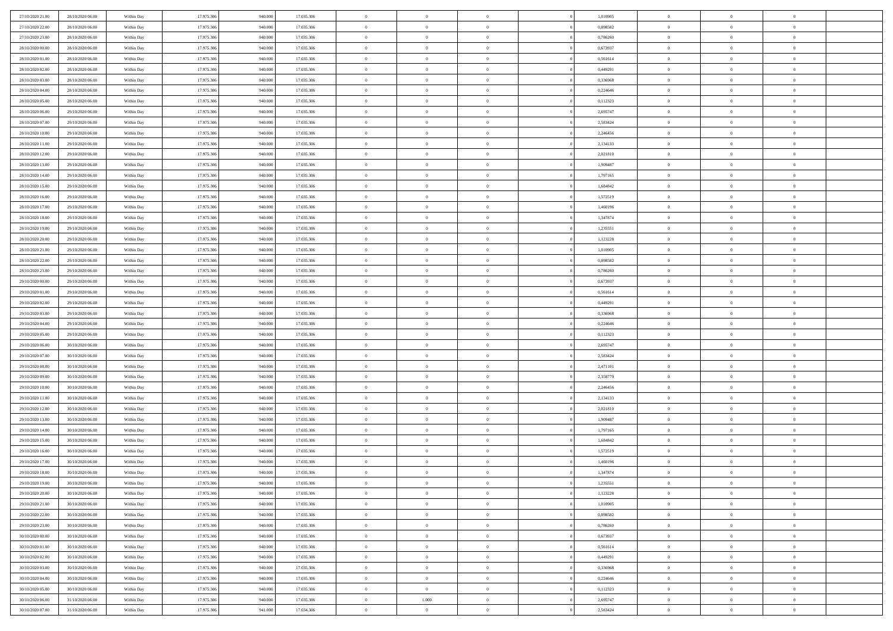| 27/10/2020 21:00 | 28/10/2020 06:00 | Within Day | 17.975.306 | 940.000 | 17.035.306 | $\,$ 0 $\,$    | $\overline{0}$ | $\overline{0}$ |          | 1,010905 | $\bf{0}$       | $\overline{0}$ | $\,0\,$        |  |
|------------------|------------------|------------|------------|---------|------------|----------------|----------------|----------------|----------|----------|----------------|----------------|----------------|--|
| 27/10/2020 22.00 | 28/10/2020 06:00 | Within Day | 17.975.306 | 940,000 | 17.035.306 | $\overline{0}$ | $\overline{0}$ | $\mathbf{0}$   |          | 0.898582 | $\theta$       | $\overline{0}$ | $\theta$       |  |
| 27/10/2020 23:00 | 28/10/2020 06:00 | Within Dav | 17.975.306 | 940.000 | 17.035.306 | $\theta$       | $\overline{0}$ | $\overline{0}$ |          | 0,786260 | $\mathbf{0}$   | $\overline{0}$ | $\overline{0}$ |  |
| 28/10/2020 00:00 | 28/10/2020 06:00 | Within Day | 17.975.306 | 940.000 | 17.035.306 | $\,$ 0 $\,$    | $\overline{0}$ | $\overline{0}$ |          | 0,673937 | $\bf{0}$       | $\overline{0}$ | $\bf{0}$       |  |
| 28/10/2020 01:00 | 28/10/2020 06:00 | Within Day | 17.975.306 | 940,000 | 17.035.306 | $\bf{0}$       | $\overline{0}$ | $\mathbf{0}$   |          | 0,561614 | $\bf{0}$       | $\theta$       | $\,0\,$        |  |
| 28/10/2020 02:00 | 28/10/2020 06:00 | Within Dav | 17.975.306 | 940.000 | 17.035.306 | $\theta$       | $\overline{0}$ | $\mathbf{0}$   |          | 0,449291 | $\mathbf{0}$   | $\overline{0}$ | $\overline{0}$ |  |
| 28/10/2020 03:00 | 28/10/2020 06:00 | Within Day | 17.975.306 | 940.000 | 17.035.306 | $\,$ 0 $\,$    | $\overline{0}$ | $\overline{0}$ |          | 0,336968 | $\bf{0}$       | $\overline{0}$ | $\bf{0}$       |  |
| 28/10/2020 04:00 | 28/10/2020 06:00 | Within Day | 17.975.306 | 940,000 | 17.035.306 | $\overline{0}$ | $\overline{0}$ | $\mathbf{0}$   |          | 0,224646 | $\,$ 0 $\,$    | $\overline{0}$ | $\theta$       |  |
| 28/10/2020 05:00 | 28/10/2020 06:00 | Within Day | 17.975.306 | 940.000 | 17.035.306 | $\theta$       | $\overline{0}$ | $\mathbf{0}$   |          | 0,112323 | $\mathbf{0}$   | $\overline{0}$ | $\overline{0}$ |  |
| 28/10/2020 06:00 | 29/10/2020 06.00 | Within Day | 17.975.306 | 940.000 | 17.035.306 | $\,$ 0 $\,$    | $\overline{0}$ | $\Omega$       |          | 2,695747 | $\bf{0}$       | $\overline{0}$ | $\,0\,$        |  |
| 28/10/2020 07:00 | 29/10/2020 06.00 | Within Day | 17.975.306 | 940,000 | 17.035.306 | $\bf{0}$       | $\overline{0}$ | $\mathbf{0}$   |          | 2,583424 | $\bf{0}$       | $\mathbf{0}$   | $\theta$       |  |
| 28/10/2020 10:00 | 29/10/2020 06:00 | Within Dav | 17.975.306 | 940.000 | 17.035.306 | $\theta$       | $\overline{0}$ | $\overline{0}$ |          | 2,246456 | $\mathbf{0}$   | $\overline{0}$ | $\overline{0}$ |  |
| 28/10/2020 11:00 | 29/10/2020 06.00 | Within Day | 17.975.306 | 940.000 | 17.035.306 | $\,$ 0 $\,$    | $\overline{0}$ | $\overline{0}$ |          | 2,134133 | $\bf{0}$       | $\overline{0}$ | $\bf{0}$       |  |
| 28/10/2020 12:00 | 29/10/2020 06:00 | Within Day | 17.975.306 | 940,000 | 17.035.306 | $\bf{0}$       | $\overline{0}$ | $\mathbf{0}$   |          | 2,021810 | $\bf{0}$       | $\mathbf{0}$   | $\,0\,$        |  |
| 28/10/2020 13:00 | 29/10/2020 06:00 | Within Dav | 17.975.306 | 940.000 | 17.035.306 | $\theta$       | $\overline{0}$ | $\mathbf{0}$   |          | 1,909487 | $\mathbf{0}$   | $\overline{0}$ | $\overline{0}$ |  |
| 28/10/2020 14:00 | 29/10/2020 06.00 | Within Day | 17.975.306 | 940.000 | 17.035.306 | $\,$ 0 $\,$    | $\overline{0}$ | $\overline{0}$ |          | 1,797165 | $\bf{0}$       | $\overline{0}$ | $\bf{0}$       |  |
| 28/10/2020 15:00 | 29/10/2020 06.00 | Within Day | 17.975.306 | 940,000 | 17.035.306 | $\,$ 0         | $\overline{0}$ | $\mathbf{0}$   |          | 1,684842 | $\bf{0}$       | $\overline{0}$ | $\theta$       |  |
| 28/10/2020 16:00 | 29/10/2020 06:00 | Within Day | 17.975.306 | 940.000 | 17.035.306 | $\theta$       | $\overline{0}$ | $\mathbf{0}$   |          | 1,572519 | $\mathbf{0}$   | $\overline{0}$ | $\overline{0}$ |  |
| 28/10/2020 17:00 | 29/10/2020 06.00 | Within Day | 17.975.306 | 940.000 | 17.035.306 | $\,$ 0 $\,$    | $\overline{0}$ | $\Omega$       |          | 1,460196 | $\bf{0}$       | $\overline{0}$ | $\,0\,$        |  |
| 28/10/2020 18:00 | 29/10/2020 06.00 | Within Day | 17.975.306 | 940,000 | 17.035.306 | $\bf{0}$       | $\overline{0}$ | $\mathbf{0}$   |          | 1,347874 | $\bf{0}$       | $\mathbf{0}$   | $\theta$       |  |
| 28/10/2020 19:00 | 29/10/2020 06:00 | Within Dav | 17.975.306 | 940.000 | 17.035.306 | $\theta$       | $\overline{0}$ | $\mathbf{0}$   |          | 1,235551 | $\mathbf{0}$   | $\overline{0}$ | $\overline{0}$ |  |
| 28/10/2020 20:00 | 29/10/2020 06.00 | Within Day | 17.975.306 | 940.000 | 17.035.306 | $\,$ 0 $\,$    | $\overline{0}$ | $\overline{0}$ |          | 1,123228 | $\bf{0}$       | $\overline{0}$ | $\bf{0}$       |  |
| 28/10/2020 21:00 | 29/10/2020 06:00 | Within Day | 17.975.306 | 940,000 | 17.035.306 | $\,$ 0         | $\overline{0}$ | $\mathbf{0}$   |          | 1,010905 | $\bf{0}$       | $\bf{0}$       | $\,0\,$        |  |
| 28/10/2020 22.00 | 29/10/2020 06:00 | Within Dav | 17.975.306 | 940.000 | 17.035.306 | $\theta$       | $\overline{0}$ | $\mathbf{0}$   |          | 0,898582 | $\mathbf{0}$   | $\overline{0}$ | $\overline{0}$ |  |
| 28/10/2020 23:00 | 29/10/2020 06:00 | Within Day | 17.975.306 | 940.000 | 17.035.306 | $\,$ 0 $\,$    | $\overline{0}$ | $\overline{0}$ |          | 0,786260 | $\bf{0}$       | $\overline{0}$ | $\bf{0}$       |  |
| 29/10/2020 00:00 | 29/10/2020 06.00 | Within Day | 17.975.306 | 940,000 | 17.035.306 | $\,$ 0         | $\overline{0}$ | $\mathbf{0}$   |          | 0,673937 | $\bf{0}$       | $\overline{0}$ | $\theta$       |  |
| 29/10/2020 01:00 | 29/10/2020 06:00 | Within Day | 17.975.306 | 940.000 | 17.035.306 | $\theta$       | $\overline{0}$ | $\overline{0}$ |          | 0,561614 | $\mathbf{0}$   | $\overline{0}$ | $\overline{0}$ |  |
| 29/10/2020 02.00 | 29/10/2020 06.00 | Within Day | 17.975.306 | 940.000 | 17.035.306 | $\,$ 0 $\,$    | $\overline{0}$ | $\Omega$       |          | 0,449291 | $\bf{0}$       | $\overline{0}$ | $\bf{0}$       |  |
| 29/10/2020 03:00 | 29/10/2020 06.00 | Within Day | 17.975.306 | 940,000 | 17.035.306 | $\bf{0}$       | $\overline{0}$ | $\mathbf{0}$   |          | 0,336968 | $\bf{0}$       | $\mathbf{0}$   | $\overline{0}$ |  |
| 29/10/2020 04:00 | 29/10/2020 06:00 | Within Dav | 17.975.306 | 940.000 | 17.035.306 | $\theta$       | $\overline{0}$ | $\overline{0}$ |          | 0,224646 | $\mathbf{0}$   | $\overline{0}$ | $\overline{0}$ |  |
| 29/10/2020 05:00 | 29/10/2020 06:00 | Within Day | 17.975.306 | 940.000 | 17.035.306 | $\theta$       | $\overline{0}$ | $\overline{0}$ |          | 0,112323 | $\,$ 0         | $\overline{0}$ | $\,$ 0 $\,$    |  |
| 29/10/2020 06:00 | 30/10/2020 06:00 | Within Day | 17.975.306 | 940,000 | 17.035.306 | $\bf{0}$       | $\overline{0}$ | $\mathbf{0}$   |          | 2,695747 | $\bf{0}$       | $\mathbf{0}$   | $\bf{0}$       |  |
| 29/10/2020 07:00 | 30/10/2020 06:00 | Within Dav | 17.975.306 | 940.000 | 17.035.306 | $\theta$       | $\overline{0}$ | $\mathbf{0}$   |          | 2,583424 | $\mathbf{0}$   | $\overline{0}$ | $\overline{0}$ |  |
| 29/10/2020 08:00 | 30/10/2020 06:00 | Within Day | 17.975.306 | 940.000 | 17.035.306 | $\theta$       | $\overline{0}$ | $\overline{0}$ |          | 2,471101 | $\,$ 0         | $\overline{0}$ | $\theta$       |  |
| 29/10/2020 09:00 | 30/10/2020 06:00 | Within Day | 17.975.306 | 940,000 | 17.035.306 | $\bf{0}$       | $\overline{0}$ | $\mathbf{0}$   |          | 2,358779 | $\mathbf{0}$   | $\overline{0}$ | $\overline{0}$ |  |
| 29/10/2020 10:00 | 30/10/2020 06:00 | Within Day | 17.975.306 | 940.000 | 17.035.306 | $\theta$       | $\overline{0}$ | $\mathbf{0}$   |          | 2,246456 | $\mathbf{0}$   | $\overline{0}$ | $\overline{0}$ |  |
| 29/10/2020 11:00 | 30/10/2020 06:00 | Within Day | 17.975.306 | 940.000 | 17.035.306 | $\theta$       | $\overline{0}$ | $\overline{0}$ |          | 2,134133 | $\,$ 0         | $\overline{0}$ | $\theta$       |  |
| 29/10/2020 12:00 | 30/10/2020 06:00 | Within Day | 17.975.306 | 940,000 | 17.035.306 | $\bf{0}$       | $\overline{0}$ | $\mathbf{0}$   |          | 2,021810 | $\bf{0}$       | $\mathbf{0}$   | $\bf{0}$       |  |
| 29/10/2020 13:00 | 30/10/2020 06:00 | Within Dav | 17.975.306 | 940.000 | 17.035.306 | $\theta$       | $\overline{0}$ | $\overline{0}$ |          | 1,909487 | $\mathbf{0}$   | $\overline{0}$ | $\overline{0}$ |  |
| 29/10/2020 14:00 | 30/10/2020 06:00 | Within Day | 17.975.306 | 940.000 | 17.035.306 | $\,$ 0 $\,$    | $\overline{0}$ | $\overline{0}$ |          | 1,797165 | $\,$ 0         | $\overline{0}$ | $\,$ 0 $\,$    |  |
| 29/10/2020 15:00 | 30/10/2020 06:00 | Within Day | 17.975.306 | 940.000 | 17.035.306 | $\,$ 0         | $\,$ 0 $\,$    | $\overline{0}$ |          | 1,684842 | $\,$ 0 $\,$    | $\bf{0}$       | $\bf{0}$       |  |
| 29/10/2020 16:00 | 30/10/2020 06:00 | Within Dav | 17.975.306 | 940.000 | 17.035.306 | $\theta$       | $\overline{0}$ | $\mathbf{0}$   |          | 1,572519 | $\mathbf{0}$   | $\overline{0}$ | $\overline{0}$ |  |
| 29/10/2020 17:00 | 30/10/2020 06:00 | Within Day | 17.975.306 | 940.000 | 17.035.306 | $\theta$       | $\overline{0}$ | $\overline{0}$ |          | 1,460196 | $\,$ 0         | $\overline{0}$ | $\theta$       |  |
| 29/10/2020 18:00 | 30/10/2020 06:00 | Within Day | 17.975.306 | 940,000 | 17.035.306 | $\bf{0}$       | $\,$ 0 $\,$    | $\mathbf{0}$   |          | 1,347874 | $\bf{0}$       | $\overline{0}$ | $\bf{0}$       |  |
| 29/10/2020 19:00 | 30/10/2020 06:00 | Within Day | 17.975.306 | 940.000 | 17.035.306 | $\overline{0}$ | $\theta$       |                |          | 1,235551 | $\overline{0}$ | $\theta$       | $\theta$       |  |
| 29/10/2020 20:00 | 30/10/2020 06:00 | Within Day | 17.975.306 | 940.000 | 17.035.306 | $\,$ 0 $\,$    | $\overline{0}$ | $\overline{0}$ |          | 1,123228 | $\,$ 0 $\,$    | $\bf{0}$       | $\theta$       |  |
| 29/10/2020 21:00 | 30/10/2020 06:00 | Within Day | 17.975.306 | 940,000 | 17.035.306 | $\bf{0}$       | $\,$ 0 $\,$    | $\overline{0}$ |          | 1,010905 | $\,$ 0 $\,$    | $\overline{0}$ | $\overline{0}$ |  |
| 29/10/2020 22.00 | 30/10/2020 06:00 | Within Day | 17.975.306 | 940.000 | 17.035.306 | $\mathbf{0}$   | $\overline{0}$ | $\overline{0}$ |          | 0,898582 | $\,$ 0 $\,$    | $\bf{0}$       | $\mathbf{0}$   |  |
| 29/10/2020 23:00 | 30/10/2020 06:00 | Within Day | 17.975.306 | 940.000 | 17.035.306 | $\,$ 0 $\,$    | $\overline{0}$ | $\overline{0}$ | $\theta$ | 0,786260 | $\,$ 0 $\,$    | $\bf{0}$       | $\,$ 0 $\,$    |  |
| 30/10/2020 00:00 | 30/10/2020 06:00 | Within Day | 17.975.306 | 940,000 | 17.035.306 | $\,$ 0 $\,$    | $\,$ 0 $\,$    | $\overline{0}$ |          | 0,673937 | $\,$ 0 $\,$    | $\overline{0}$ | $\overline{0}$ |  |
| 30/10/2020 01:00 | 30/10/2020 06:00 | Within Day | 17.975.306 | 940.000 | 17.035.306 | $\mathbf{0}$   | $\overline{0}$ | $\overline{0}$ |          | 0,561614 | $\mathbf{0}$   | $\overline{0}$ | $\overline{0}$ |  |
| 30/10/2020 02:00 | 30/10/2020 06:00 | Within Day | 17.975.306 | 940.000 | 17.035.306 | $\,$ 0 $\,$    | $\overline{0}$ | $\overline{0}$ |          | 0,449291 | $\,$ 0 $\,$    | $\mathbf{0}$   | $\,$ 0 $\,$    |  |
| 30/10/2020 03:00 | 30/10/2020 06:00 | Within Day | 17.975.306 | 940,000 | 17.035.306 | $\overline{0}$ | $\overline{0}$ | $\overline{0}$ |          | 0,336968 | $\mathbf{0}$   | $\overline{0}$ | $\overline{0}$ |  |
| 30/10/2020 04:00 | 30/10/2020 06:00 | Within Day | 17.975.306 | 940.000 | 17.035.306 | $\mathbf{0}$   | $\overline{0}$ | $\overline{0}$ |          | 0,224646 | $\mathbf{0}$   | $\bf{0}$       | $\overline{0}$ |  |
| 30/10/2020 05:00 | 30/10/2020 06:00 | Within Day | 17.975.306 | 940.000 | 17.035.306 | $\,$ 0 $\,$    | $\overline{0}$ | $\overline{0}$ |          | 0,112323 | $\,$ 0 $\,$    | $\mathbf{0}$   | $\,$ 0 $\,$    |  |
| 30/10/2020 06:00 | 31/10/2020 06.00 | Within Day | 17.975.306 | 940,000 | 17.035.306 | $\,$ 0 $\,$    | 1.000          | $\overline{0}$ |          | 2,695747 | $\bf{0}$       | $\overline{0}$ | $\overline{0}$ |  |
| 30/10/2020 07:00 | 31/10/2020 06:00 | Within Day | 17.975.306 | 941.000 | 17.034.306 | $\theta$       | $\overline{0}$ | $\overline{0}$ |          | 2,583424 | $\mathbf{0}$   | $\overline{0}$ | $\overline{0}$ |  |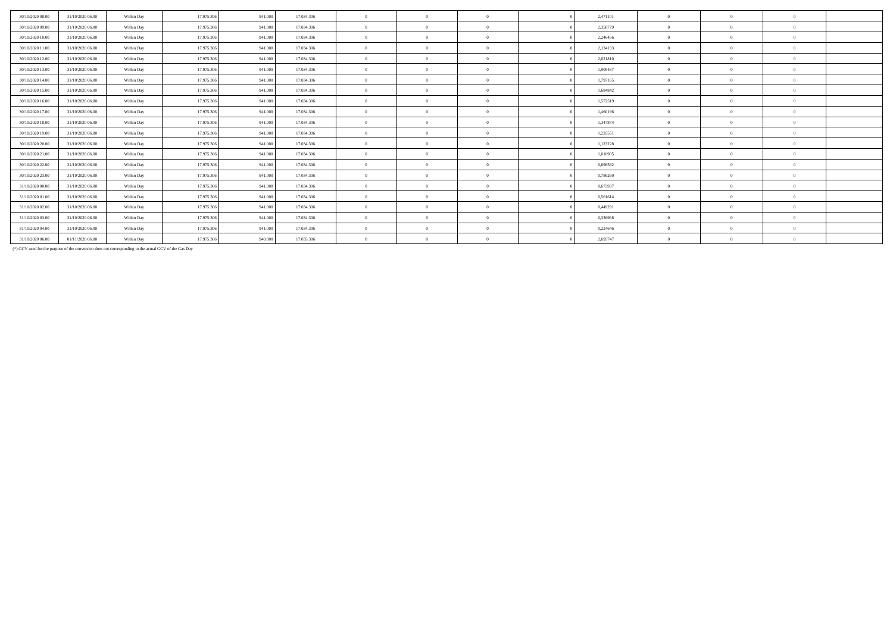| 30/10/2020 08:00 | 31/10/2020 06:00 |            | 17.975.306 | 941,000 | 17.034.306 | $\theta$       | $\theta$       | 2.471101 | $\theta$       | $\Omega$   | $\theta$       |  |
|------------------|------------------|------------|------------|---------|------------|----------------|----------------|----------|----------------|------------|----------------|--|
|                  |                  | Within Day |            |         |            |                |                |          |                |            |                |  |
| 30/10/2020 09:00 | 31/10/2020 06:00 | Within Day | 17.975.306 | 941,000 | 17.034.306 | $\overline{0}$ | $\overline{0}$ | 2.358779 | $\overline{0}$ | $\Omega$   | $\Omega$       |  |
| 30/10/2020 10:00 | 31/10/2020 06.00 | Within Day | 17.975.306 | 941.000 | 17.034.306 | $\overline{0}$ | $\Omega$       | 2,246456 | $\Omega$       | $\Omega$   | $\Omega$       |  |
| 30/10/2020 11:00 | 31/10/2020 06:00 | Within Day | 17.975.306 | 941.000 | 17.034.306 | $\theta$       | $\Omega$       | 2.134133 | $\theta$       | $\Omega$   | $\theta$       |  |
| 30/10/2020 12:00 | 31/10/2020 06.00 | Within Day | 17.975.306 | 941.000 | 17.034.306 | $\theta$       | $\Omega$       | 2,021810 | $\Omega$       |            | $\Omega$       |  |
| 30/10/2020 13.00 | 31/10/2020 06.00 | Within Day | 17.975.306 | 941.000 | 17.034.306 | $\overline{0}$ | $\Omega$       | 1,909487 | $\Omega$       | $\Omega$   | $\Omega$       |  |
| 30/10/2020 14:00 | 31/10/2020 06:00 | Within Day | 17.975.306 | 941.000 | 17.034.306 | $\overline{0}$ | $\Omega$       | 1,797165 | $\theta$       | $\Omega$   | $\theta$       |  |
| 30/10/2020 15.00 | 31/10/2020 06.00 | Within Day | 17.975.306 | 941.000 | 17.034.306 | $\overline{0}$ | $\overline{0}$ | 1,684842 | $\overline{0}$ | $\Omega$   | $\overline{0}$ |  |
| 30/10/2020 16.00 | 31/10/2020 06:00 | Within Day | 17.975.306 | 941.000 | 17.034.306 | $\overline{0}$ | $\Omega$       | 1,572519 | $\overline{0}$ | $\Omega$   | $\Omega$       |  |
| 30/10/2020 17.00 | 31/10/2020 06:00 | Within Day | 17.975.306 | 941.000 | 17.034.306 | $\overline{0}$ | $\overline{0}$ | 1,460196 | $\Omega$       | $\Omega$   | $\Omega$       |  |
| 30/10/2020 18:00 | 31/10/2020 06.00 | Within Day | 17.975.306 | 941.000 | 17.034.306 | $\overline{0}$ | $\overline{0}$ | 1,347874 | $\overline{0}$ |            | $\Omega$       |  |
| 30/10/2020 19:00 | 31/10/2020 06:00 | Within Day | 17.975.306 | 941.000 | 17.034.306 | $\mathbf{0}$   | $\Omega$       | 1,235551 | $\Omega$       | $\sqrt{2}$ | $\Omega$       |  |
| 30/10/2020 20:00 | 31/10/2020 06:00 | Within Day | 17.975.306 | 941,000 | 17.034.306 | $\theta$       | $\Omega$       | 1,123228 | $\Omega$       | $\Omega$   | $\theta$       |  |
| 30/10/2020 21:00 | 31/10/2020 06.00 | Within Day | 17.975.306 | 941.000 | 17.034.306 | $\overline{0}$ | $\Omega$       | 1,010905 | $\theta$       | $\Omega$   | $\Omega$       |  |
| 30/10/2020 22.00 | 31/10/2020 06:00 | Within Day | 17.975.306 | 941.000 | 17.034.306 | $\mathbf{0}$   | $\Omega$       | 0,898582 | $\Omega$       | $\sqrt{2}$ | $\Omega$       |  |
| 30/10/2020 23.00 | 31/10/2020 06:00 | Within Day | 17.975.306 | 941.000 | 17.034.306 | $\overline{0}$ | $\overline{0}$ | 0,786260 | $\Omega$       | $\Omega$   | $\theta$       |  |
| 31/10/2020 00:00 | 31/10/2020 06.00 | Within Day | 17.975.306 | 941.000 | 17.034.306 | $\overline{0}$ | $\Omega$       | 0,673937 | $\Omega$       |            | $\Omega$       |  |
| 31/10/2020 01:00 | 31/10/2020 06:00 | Within Day | 17.975.306 | 941.000 | 17.034.306 | $\mathbf{0}$   | $\Omega$       | 0,561614 | $\Omega$       |            | $\Omega$       |  |
| 31/10/2020 02.00 | 31/10/2020 06:00 | Within Day | 17.975.306 | 941.000 | 17.034.306 | $\overline{0}$ | $\Omega$       | 0,449291 | $\Omega$       | $\Omega$   | $\Omega$       |  |
| 31/10/2020 03:00 | 31/10/2020 06.00 | Within Day | 17.975.306 | 941.000 | 17.034.306 | $\overline{0}$ | $\Omega$       | 0.336968 | $\theta$       | $\Omega$   | $\Omega$       |  |
| 31/10/2020 04.00 | 31/10/2020 06.00 | Within Day | 17.975.306 | 941.000 | 17.034.306 | $\overline{0}$ | $\Omega$       | 0,224646 | $\overline{0}$ |            | $\overline{0}$ |  |
| 31/10/2020 06.00 | 01/11/2020 06.00 | Within Day | 17.975.306 | 940.000 | 17.035.306 | $\overline{0}$ | $\Omega$       | 2,695747 | $\overline{0}$ | $\Omega$   | $\overline{0}$ |  |

(\*) GCV used for the purpose of the conversion does not corresponding to the actual GCV of the Gas Day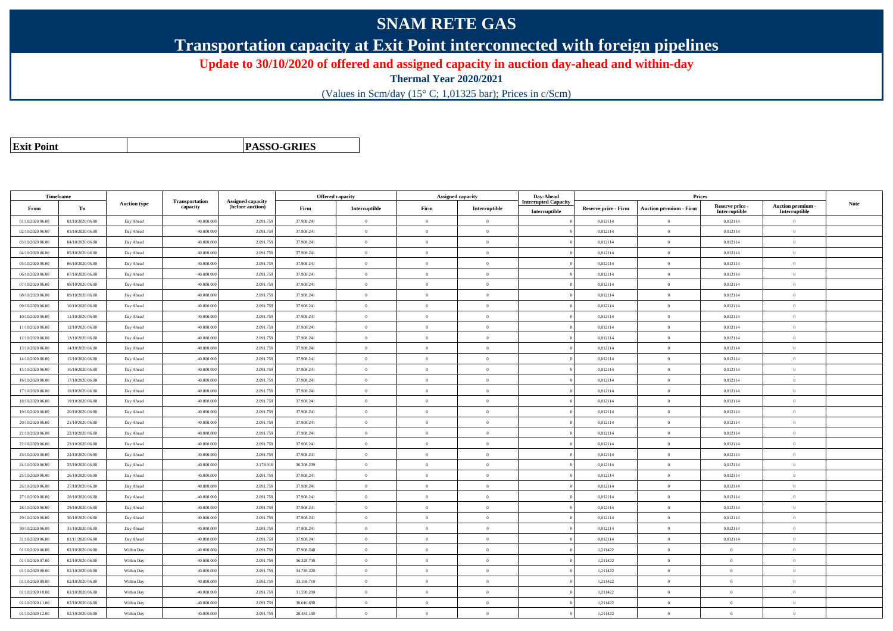## **SNAM RETE GAS**

**Transportation capacity at Exit Point interconnected with foreign pipelines**

**Update to 30/10/2020 of offered and assigned capacity in auction day-ahead and within-day**

**Thermal Year 2020/2021**

(Values in Scm/day (15° C; 1,01325 bar); Prices in c/Scm)

| <b>Exit Point</b> |
|-------------------|
|                   |

**PASSO-GRIES**

| Timeframe        |                  |                     |                            |                                              |            | <b>Offered capacity</b> |                | Assigned capacity | Day-Ahead                   |                             | Prices                        |                           |                           |      |
|------------------|------------------|---------------------|----------------------------|----------------------------------------------|------------|-------------------------|----------------|-------------------|-----------------------------|-----------------------------|-------------------------------|---------------------------|---------------------------|------|
| From             | To               | <b>Auction type</b> | Transportation<br>capacity | <b>Assigned capacity</b><br>(before auction) | Firm       | Interruptible           | Firm           | Interruptible     | <b>Interrupted Capacity</b> | <b>Reserve price - Firm</b> | <b>Auction premium - Firm</b> | Reserve price -           | <b>Auction premium</b>    | Note |
| 01/10/2020 06:00 | 02/10/2020 06:00 | Day Ahead           | 40.000.000                 | 2.091.75                                     | 37.908.241 | $\overline{0}$          | $\overline{0}$ | $\overline{0}$    | Interruptible               | 0,012114                    | $\overline{0}$                | Interruptible<br>0,012114 | Interruptible<br>$\theta$ |      |
| 02/10/2020 06:00 | 03/10/2020 06:00 | Day Ahead           | 40.000.000                 | 2.091.75                                     | 37.908.241 | $\Omega$                | $\Omega$       | $\Omega$          |                             | 0,012114                    | $\overline{0}$                | 0,012114                  | $\Omega$                  |      |
| 03/10/2020 06:00 | 04/10/2020 06:00 | Day Ahead           | 40,000,000                 | 2.091.759                                    | 37,908.241 | $\overline{0}$          | $\overline{0}$ | $\overline{0}$    |                             | 0.012114                    | $\overline{0}$                | 0,012114                  | $\mathbf{0}$              |      |
| 04/10/2020 06.00 | 05/10/2020 06.00 | Day Ahead           | 40.000.000                 | 2.091.759                                    | 37.908.241 | $\mathbf{0}$            | $\overline{0}$ | $\overline{0}$    |                             | 0,012114                    | $\,$ 0 $\,$                   | 0,012114                  | $\overline{0}$            |      |
| 05/10/2020 06:00 | 06/10/2020 06:00 | Day Ahead           | 40.000.000                 | 2.091.75                                     | 37.908.241 | $\theta$                | $\overline{0}$ | $\theta$          |                             | 0,012114                    | $\overline{0}$                | 0,012114                  | $\theta$                  |      |
| 06/10/2020 06:00 | 07/10/2020 06:00 | Day Ahead           | 40.000.000                 | 2.091.759                                    | 37.908.241 | $\theta$                | $\overline{0}$ | $\overline{0}$    |                             | 0,012114                    | $\overline{0}$                | 0,012114                  | $\mathbf{0}$              |      |
| 07/10/2020 06:00 | 08/10/2020 06:00 | Day Ahead           | 40,000,000                 | 2.091.759                                    | 37.908.241 | $\theta$                | $\Omega$       | $\overline{0}$    |                             | 0.012114                    | $\theta$                      | 0,012114                  | $\Omega$                  |      |
| 08/10/2020 06:00 | 09/10/2020 06:00 | Day Ahead           | 40.000.000                 | 2.091.75                                     | 37.908.241 | $\theta$                | $\overline{0}$ | $\overline{0}$    |                             | 0,012114                    | $\overline{0}$                | 0,012114                  | $\theta$                  |      |
| 09/10/2020 06:00 | 10/10/2020 06:00 | Day Ahead           | 40.000.000                 | 2.091.75                                     | 37.908.241 | $\theta$                | $\overline{0}$ | $\overline{0}$    |                             | 0,012114                    | $\overline{0}$                | 0,012114                  | $\mathbf{0}$              |      |
| 10/10/2020 06:00 | 11/10/2020 06:00 | Day Ahead           | 40,000,000                 | 2.091.759                                    | 37.908.241 | $\mathbf{0}$            | $\overline{0}$ | $\overline{0}$    |                             | 0,012114                    | $\mathbf{0}$                  | 0,012114                  | $\overline{0}$            |      |
| 11/10/2020 06:00 | 12/10/2020 06.00 | Day Ahead           | 40.000.000                 | 2.091.75                                     | 37.908.241 | $\theta$                | $\overline{0}$ | $\overline{0}$    |                             | 0,012114                    | $\overline{0}$                | 0,012114                  | $\theta$                  |      |
| 12/10/2020 06:00 | 13/10/2020 06:00 | Day Ahead           | 40.000.000                 | 2.091.759                                    | 37.908.241 | $\theta$                | $\overline{0}$ | $\overline{0}$    |                             | 0,012114                    | $\overline{0}$                | 0,012114                  | $\theta$                  |      |
| 13/10/2020 06:00 | 14/10/2020 06:00 | Day Ahead           | 40.000.000                 | 2.091.759                                    | 37.908.241 | $\theta$                | $\theta$       | $\overline{0}$    |                             | 0.012114                    | $\theta$                      | 0,012114                  | $\theta$                  |      |
| 14/10/2020 06.00 | 15/10/2020 06.00 | Day Ahead           | 40.000.000                 | 2.091.75                                     | 37.908.241 | $\theta$                | $\overline{0}$ | $\overline{0}$    |                             | 0,012114                    | $\bf{0}$                      | 0,012114                  | $\overline{0}$            |      |
| 15/10/2020 06:00 | 16/10/2020 06:00 | Day Ahead           | 40.000.000                 | 2.091.75                                     | 37.908.241 | $\theta$                | $\overline{0}$ | $\overline{0}$    |                             | 0,012114                    | $\overline{0}$                | 0,012114                  | $\theta$                  |      |
| 16/10/2020 06:00 | 17/10/2020 06:00 | Day Ahead           | 40.000.000                 | 2.091.759                                    | 37.908.241 | $\theta$                | $\overline{0}$ | $\overline{0}$    |                             | 0,012114                    | $\overline{0}$                | 0,012114                  | $\mathbf{0}$              |      |
| 17/10/2020 06:00 | 18/10/2020 06:00 | Day Ahead           | 40,000,000                 | 2.091.759                                    | 37.908.241 | $\theta$                | $\overline{0}$ | $\overline{0}$    |                             | 0,012114                    | $\overline{0}$                | 0,012114                  | $\mathbf{0}$              |      |
| 18/10/2020 06:00 | 19/10/2020 06:00 | Day Ahead           | 40.000.000                 | 2.091.759                                    | 37.908.241 | $\overline{0}$          | $\overline{0}$ | $\overline{0}$    |                             | 0,012114                    | $\overline{0}$                | 0,012114                  | $\mathbf{0}$              |      |
| 19/10/2020 06:00 | 20/10/2020 06:00 | Day Ahead           | 40.000.000                 | 2.091.75                                     | 37.908.241 | $\theta$                | $\overline{0}$ | $\Omega$          |                             | 0,012114                    | $\overline{0}$                | 0,012114                  | $\Omega$                  |      |
| 20/10/2020 06:00 | 21/10/2020 06:00 | Day Ahead           | 40,000,000                 | 2.091.759                                    | 37,908.241 | $\overline{0}$          | $\theta$       | $\overline{0}$    |                             | 0.012114                    | $\theta$                      | 0,012114                  | $\Omega$                  |      |
| 21/10/2020 06:00 | 22/10/2020 06.00 | Day Ahead           | 40.000.000                 | 2.091.75                                     | 37.908.241 | $\bf{0}$                | $\overline{0}$ | $\overline{0}$    |                             | 0,012114                    | $\bf{0}$                      | 0,012114                  | $\theta$                  |      |
| 22/10/2020 06:00 | 23/10/2020 06:00 | Day Ahead           | 40.000.000                 | 2.091.75                                     | 37.908.241 | $\theta$                | $\overline{0}$ | $\theta$          |                             | 0,012114                    | $\overline{0}$                | 0,012114                  | $\Omega$                  |      |
| 23/10/2020 06:00 | 24/10/2020 06:00 | Day Ahead           | 40,000,000                 | 2.091.759                                    | 37.908.241 | $\theta$                | $\theta$       | $\overline{0}$    |                             | 0,012114                    | $\theta$                      | 0,012114                  | $\mathbf{0}$              |      |
| 24/10/2020 06.00 | 25/10/2020 06.00 | Day Ahead           | 40.000.000                 | 2.178.916                                    | 36.308.239 | $\theta$                | $\Omega$       | $\Omega$          |                             | 0,012114                    | $\overline{0}$                | 0,012114                  | $\Omega$                  |      |
| 25/10/2020 06:00 | 26/10/2020 06.00 | Day Ahead           | 40.000.000                 | 2.091.75                                     | 37.908.241 | $\theta$                | $\overline{0}$ | $\overline{0}$    |                             | 0,012114                    | $\overline{0}$                | 0,012114                  | $\theta$                  |      |
| 26/10/2020 06:00 | 27/10/2020 06.00 | Day Ahead           | 40,000,000                 | 2.091.759                                    | 37.908.241 | $\theta$                | $\theta$       | $\overline{0}$    |                             | 0,012114                    | $\theta$                      | 0,012114                  | $\Omega$                  |      |
| 27/10/2020 06.00 | 28/10/2020 06.00 | Day Ahead           | 40.000.000                 | 2.091.759                                    | 37.908.241 | $\overline{0}$          | $\overline{0}$ | $\overline{0}$    |                             | 0,012114                    | $\,$ 0 $\,$                   | 0,012114                  | $\overline{0}$            |      |
| 28/10/2020 06:00 | 29/10/2020 06.00 | Day Ahead           | 40.000.000                 | 2.091.75                                     | 37.908.241 | $\theta$                | $\overline{0}$ | $\overline{0}$    |                             | 0,012114                    | $\overline{0}$                | 0,012114                  | $\overline{0}$            |      |
| 29/10/2020 06:00 | 30/10/2020 06.00 | Day Ahead           | 40.000.000                 | 2.091.759                                    | 37.908.241 | $\theta$                | $\overline{0}$ | $\overline{0}$    |                             | 0,012114                    | $\overline{0}$                | 0,012114                  | $\theta$                  |      |
| 30/10/2020 06:00 | 31/10/2020 06.00 | Day Ahead           | 40,000,000                 | 2.091.759                                    | 37.908.241 | $\mathbf{a}$            | $\theta$       | $\overline{0}$    |                             | 0,012114                    | $\theta$                      | 0,012114                  | $\Omega$                  |      |
| 31/10/2020 06:00 | 01/11/2020 06.00 | Day Ahead           | 40.000.000                 | 2.091.75                                     | 37.908.241 | $\theta$                | $\overline{0}$ | $\overline{0}$    |                             | 0,012114                    | $\overline{0}$                | 0,012114                  | $\theta$                  |      |
| 01/10/2020 06:00 | 02/10/2020 06:00 | Within Day          | 40.000.000                 | 2.091.75                                     | 37.908.240 | $\theta$                | $\overline{0}$ | $\overline{0}$    |                             | 1,211422                    | $\overline{0}$                | $\theta$                  | $\theta$                  |      |
| 01/10/2020 07:00 | 02/10/2020 06:00 | Within Dav          | 40,000,000                 | 2.091.759                                    | 36.328.730 | $\overline{0}$          | $\overline{0}$ | $\overline{0}$    |                             | 1,211422                    | $\theta$                      | $\overline{0}$            | $\mathbf{0}$              |      |
| 01/10/2020 08:00 | 02/10/2020 06.00 | Within Day          | 40,000,000                 | 2.091.759                                    | 34.749.220 | $\theta$                | $\theta$       | $\overline{0}$    |                             | 1,211422                    | $\theta$                      | $\theta$                  | $\Omega$                  |      |
| 01/10/2020 09:00 | 02/10/2020 06:00 | Within Day          | 40.000.000                 | 2.091.759                                    | 33.169.710 | $\overline{0}$          | $\overline{0}$ | $\overline{0}$    |                             | 1,211422                    | $\overline{0}$                | $\overline{0}$            | $\mathbf{0}$              |      |
| 01/10/2020 10:00 | 02/10/2020 06:00 | Within Day          | 40,000,000                 | 2.091.759                                    | 31.590.200 | $\theta$                | $\theta$       | $\Omega$          |                             | 1,211422                    | $\theta$                      | $\theta$                  | $\Omega$                  |      |
| 01/10/2020 11:00 | 02/10/2020 06:00 | Within Day          | 40,000,000                 | 2.091.75                                     | 30,010,690 | $\theta$                | $\overline{0}$ | $\overline{0}$    |                             | 1,211422                    | $\theta$                      | $\theta$                  | $\Omega$                  |      |
| 01/10/2020 12:00 | 02/10/2020 06.00 | Within Day          | 40.000.000                 | 2.091.75                                     | 28.431.180 | $\theta$                | $\overline{0}$ | $\overline{0}$    |                             | 1,211422                    | $\overline{0}$                | $\theta$                  | $\theta$                  |      |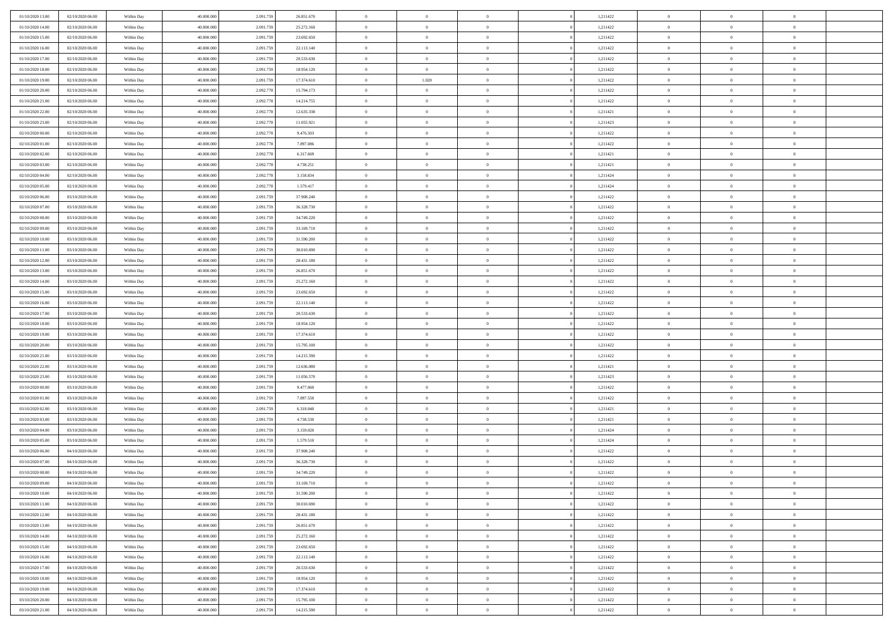| 01/10/2020 13.00                     | 02/10/2020 06:00                     | Within Day | 40.000.000 | 2.091.759 | 26.851.670 | $\,$ 0         | $\overline{0}$ | $\overline{0}$ |          | 1,211422 | $\bf{0}$                 | $\overline{0}$ | $\,0\,$        |  |
|--------------------------------------|--------------------------------------|------------|------------|-----------|------------|----------------|----------------|----------------|----------|----------|--------------------------|----------------|----------------|--|
| 01/10/2020 14:00                     | 02/10/2020 06:00                     | Within Day | 40,000,000 | 2.091.759 | 25.272.160 | $\theta$       | $\overline{0}$ | $\overline{0}$ |          | 1,211422 | $\overline{0}$           | $\overline{0}$ | $\theta$       |  |
| 01/10/2020 15:00                     | 02/10/2020 06:00                     | Within Dav | 40.000.000 | 2.091.759 | 23.692.650 | $\mathbf{0}$   | $\overline{0}$ | $\overline{0}$ |          | 1,211422 | $\mathbf{0}$             | $\overline{0}$ | $\overline{0}$ |  |
| 01/10/2020 16:00                     | 02/10/2020 06:00                     | Within Day | 40.000.000 | 2.091.759 | 22.113.140 | $\bf{0}$       | $\overline{0}$ | $\bf{0}$       |          | 1,211422 | $\bf{0}$                 | $\overline{0}$ | $\,0\,$        |  |
| 01/10/2020 17:00                     | 02/10/2020 06:00                     | Within Day | 40,000,000 | 2.091.759 | 20.533.630 | $\bf{0}$       | $\overline{0}$ | $\overline{0}$ |          | 1,211422 | $\bf{0}$                 | $\bf{0}$       | $\,0\,$        |  |
| 01/10/2020 18:00                     | 02/10/2020 06:00                     | Within Dav | 40.000.000 | 2.091.759 | 18.954.120 | $\mathbf{0}$   | $\overline{0}$ | $\overline{0}$ |          | 1,211422 | $\mathbf{0}$             | $\overline{0}$ | $\overline{0}$ |  |
| 01/10/2020 19:00                     | 02/10/2020 06:00                     | Within Day | 40.000.000 | 2.091.759 | 17.374.610 | $\bf{0}$       | 1.020          | $\overline{0}$ |          | 1,211422 | $\bf{0}$                 | $\overline{0}$ | $\,0\,$        |  |
| 01/10/2020 20:00                     | 02/10/2020 06:00                     | Within Day | 40,000,000 | 2.092.778 | 15.794.173 | $\theta$       | $\overline{0}$ | $\overline{0}$ |          | 1,211422 | $\,$ 0 $\,$              | $\overline{0}$ | $\theta$       |  |
| 01/10/2020 21:00                     | 02/10/2020 06:00                     | Within Dav | 40.000.000 | 2.092.778 | 14.214.755 | $\mathbf{0}$   | $\overline{0}$ | $\overline{0}$ |          | 1,211422 | $\mathbf{0}$             | $\overline{0}$ | $\overline{0}$ |  |
| 01/10/2020 22.00                     | 02/10/2020 06:00                     |            | 40.000.000 | 2.092.778 | 12.635.338 | $\bf{0}$       | $\bf{0}$       | $\overline{0}$ |          | 1,211421 | $\bf{0}$                 | $\overline{0}$ | $\,0\,$        |  |
|                                      |                                      | Within Day | 40,000,000 |           |            | $\overline{0}$ | $\overline{0}$ |                |          |          |                          | $\mathbf{0}$   | $\theta$       |  |
| 01/10/2020 23.00<br>02/10/2020 00:00 | 02/10/2020 06:00<br>02/10/2020 06:00 | Within Day |            | 2.092.778 | 11.055.921 | $\mathbf{0}$   |                | $\overline{0}$ |          | 1,211423 | $\bf{0}$<br>$\mathbf{0}$ |                | $\overline{0}$ |  |
|                                      |                                      | Within Dav | 40.000.000 | 2.092.778 | 9.476.503  |                | $\overline{0}$ | $\overline{0}$ |          | 1,211422 |                          | $\overline{0}$ |                |  |
| 02/10/2020 01:00                     | 02/10/2020 06:00                     | Within Day | 40.000.000 | 2.092.778 | 7.897.086  | $\bf{0}$       | $\overline{0}$ | $\bf{0}$       |          | 1,211422 | $\bf{0}$                 | $\overline{0}$ | $\bf{0}$       |  |
| 02/10/2020 02:00                     | 02/10/2020 06:00                     | Within Day | 40.000.000 | 2.092.778 | 6.317.669  | $\bf{0}$       | $\overline{0}$ | $\overline{0}$ |          | 1,211421 | $\bf{0}$                 | $\theta$       | $\,0\,$        |  |
| 02/10/2020 03:00                     | 02/10/2020 06:00                     | Within Dav | 40.000.000 | 2.092.778 | 4.738.251  | $\mathbf{0}$   | $\overline{0}$ | $\overline{0}$ |          | 1,211421 | $\mathbf{0}$             | $\overline{0}$ | $\overline{0}$ |  |
| 02/10/2020 04.00                     | 02/10/2020 06:00                     | Within Day | 40.000.000 | 2.092.778 | 3.158.834  | $\bf{0}$       | $\bf{0}$       | $\overline{0}$ |          | 1,211424 | $\bf{0}$                 | $\overline{0}$ | $\,0\,$        |  |
| 02/10/2020 05:00                     | 02/10/2020 06:00                     | Within Day | 40,000,000 | 2.092.778 | 1.579.417  | $\overline{0}$ | $\overline{0}$ | $\overline{0}$ |          | 1,211424 | $\bf{0}$                 | $\overline{0}$ | $\theta$       |  |
| 02/10/2020 06:00                     | 03/10/2020 06:00                     | Within Day | 40.000.000 | 2.091.759 | 37.908.240 | $\mathbf{0}$   | $\overline{0}$ | $\overline{0}$ |          | 1,211422 | $\mathbf{0}$             | $\overline{0}$ | $\overline{0}$ |  |
| 02/10/2020 07.00                     | 03/10/2020 06:00                     | Within Day | 40.000.000 | 2.091.759 | 36.328.730 | $\,$ 0         | $\bf{0}$       | $\overline{0}$ |          | 1,211422 | $\bf{0}$                 | $\overline{0}$ | $\,0\,$        |  |
| 02/10/2020 08:00                     | 03/10/2020 06:00                     | Within Day | 40,000,000 | 2.091.759 | 34.749.220 | $\overline{0}$ | $\overline{0}$ | $\overline{0}$ |          | 1,211422 | $\bf{0}$                 | $\mathbf{0}$   | $\overline{0}$ |  |
| 02/10/2020 09:00                     | 03/10/2020 06:00                     | Within Dav | 40.000.000 | 2.091.759 | 33.169.710 | $\mathbf{0}$   | $\overline{0}$ | $\overline{0}$ |          | 1,211422 | $\mathbf{0}$             | $\overline{0}$ | $\overline{0}$ |  |
| 02/10/2020 10:00                     | 03/10/2020 06:00                     | Within Day | 40.000.000 | 2.091.759 | 31.590.200 | $\bf{0}$       | $\overline{0}$ | $\bf{0}$       |          | 1,211422 | $\bf{0}$                 | $\overline{0}$ | $\bf{0}$       |  |
| 02/10/2020 11:00                     | 03/10/2020 06:00                     | Within Day | 40,000,000 | 2.091.759 | 30.010.690 | $\bf{0}$       | $\bf{0}$       | $\overline{0}$ |          | 1,211422 | $\bf{0}$                 | $\overline{0}$ | $\,0\,$        |  |
| 02/10/2020 12:00                     | 03/10/2020 06:00                     | Within Dav | 40.000.000 | 2.091.759 | 28.431.180 | $\mathbf{0}$   | $\overline{0}$ | $\overline{0}$ |          | 1,211422 | $\mathbf{0}$             | $\overline{0}$ | $\overline{0}$ |  |
| 02/10/2020 13.00                     | 03/10/2020 06:00                     | Within Day | 40.000.000 | 2.091.759 | 26.851.670 | $\bf{0}$       | $\bf{0}$       | $\overline{0}$ |          | 1,211422 | $\bf{0}$                 | $\overline{0}$ | $\,0\,$        |  |
| 02/10/2020 14:00                     | 03/10/2020 06:00                     | Within Day | 40,000,000 | 2.091.759 | 25.272.160 | $\overline{0}$ | $\overline{0}$ | $\overline{0}$ |          | 1,211422 | $\bf{0}$                 | $\overline{0}$ | $\theta$       |  |
| 02/10/2020 15:00                     | 03/10/2020 06:00                     | Within Dav | 40.000.000 | 2.091.759 | 23.692.650 | $\mathbf{0}$   | $\overline{0}$ | $\overline{0}$ |          | 1,211422 | $\mathbf{0}$             | $\overline{0}$ | $\overline{0}$ |  |
| 02/10/2020 16:00                     | 03/10/2020 06:00                     | Within Day | 40.000.000 | 2.091.759 | 22.113.140 | $\bf{0}$       | $\bf{0}$       | $\overline{0}$ |          | 1,211422 | $\bf{0}$                 | $\overline{0}$ | $\,0\,$        |  |
| 02/10/2020 17.00                     | 03/10/2020 06:00                     | Within Day | 40,000,000 | 2.091.759 | 20.533.630 | $\bf{0}$       | $\bf{0}$       | $\overline{0}$ |          | 1,211422 | $\bf{0}$                 | $\mathbf{0}$   | $\overline{0}$ |  |
| 02/10/2020 18:00                     | 03/10/2020 06:00                     | Within Dav | 40.000.000 | 2.091.759 | 18.954.120 | $\mathbf{0}$   | $\overline{0}$ | $\overline{0}$ |          | 1,211422 | $\mathbf{0}$             | $\overline{0}$ | $\overline{0}$ |  |
| 02/10/2020 19:00                     | 03/10/2020 06:00                     | Within Day | 40.000.000 | 2.091.759 | 17.374.610 | $\bf{0}$       | $\overline{0}$ | $\overline{0}$ |          | 1,211422 | $\,$ 0                   | $\overline{0}$ | $\theta$       |  |
| 02/10/2020 20:00                     | 03/10/2020 06:00                     | Within Day | 40.000.000 | 2.091.759 | 15.795.100 | $\bf{0}$       | $\bf{0}$       | $\overline{0}$ |          | 1,211422 | $\bf{0}$                 | $\mathbf{0}$   | $\overline{0}$ |  |
| 02/10/2020 21:00                     | 03/10/2020 06:00                     | Within Dav | 40.000.000 | 2.091.759 | 14.215.590 | $\mathbf{0}$   | $\overline{0}$ | $\overline{0}$ |          | 1,211422 | $\mathbf{0}$             | $\overline{0}$ | $\overline{0}$ |  |
| 02/10/2020 22.00                     | 03/10/2020 06:00                     | Within Day | 40.000.000 | 2.091.759 | 12.636.080 | $\bf{0}$       | $\overline{0}$ | $\overline{0}$ |          | 1,211421 | $\,$ 0                   | $\overline{0}$ | $\theta$       |  |
| 02/10/2020 23.00                     | 03/10/2020 06:00                     | Within Day | 40,000,000 | 2.091.759 | 11.056.570 | $\overline{0}$ | $\overline{0}$ | $\overline{0}$ |          | 1,211423 | $\bf{0}$                 | $\overline{0}$ | $\overline{0}$ |  |
| 03/10/2020 00:00                     | 03/10/2020 06:00                     | Within Day | 40.000.000 | 2.091.759 | 9.477.060  | $\mathbf{0}$   | $\overline{0}$ | $\overline{0}$ |          | 1,211422 | $\mathbf{0}$             | $\overline{0}$ | $\overline{0}$ |  |
| 03/10/2020 01:00                     | 03/10/2020 06:00                     | Within Day | 40.000.000 | 2.091.759 | 7.897.550  | $\bf{0}$       | $\overline{0}$ | $\overline{0}$ |          | 1,211422 | $\,$ 0                   | $\overline{0}$ | $\theta$       |  |
| 03/10/2020 02:00                     | 03/10/2020 06:00                     | Within Day | 40,000,000 | 2.091.759 | 6.318.040  | $\bf{0}$       | $\overline{0}$ | $\overline{0}$ |          | 1,211421 | $\bf{0}$                 | $\mathbf{0}$   | $\overline{0}$ |  |
| 03/10/2020 03:00                     | 03/10/2020 06:00                     | Within Dav | 40.000.000 | 2.091.759 | 4.738.530  | $\mathbf{0}$   | $\overline{0}$ | $\overline{0}$ |          | 1,211421 | $\mathbf{0}$             | $\overline{0}$ | $\overline{0}$ |  |
| 03/10/2020 04:00                     | 03/10/2020 06:00                     | Within Day | 40.000.000 | 2.091.759 | 3.159.020  | $\bf{0}$       | $\overline{0}$ | $\overline{0}$ |          | 1,211424 | $\,$ 0                   | $\overline{0}$ | $\theta$       |  |
| 03/10/2020 05:00                     | 03/10/2020 06:00                     | Within Day | 40,000,000 | 2.091.759 | 1.579.510  | $\bf{0}$       | $\overline{0}$ | $\overline{0}$ |          | 1,211424 | $\bf{0}$                 | $\overline{0}$ | $\overline{0}$ |  |
| 03/10/2020 06:00                     | 04/10/2020 06:00                     | Within Dav | 40.000.000 | 2.091.759 | 37.908.240 | $\mathbf{0}$   | $\overline{0}$ | $\overline{0}$ |          | 1,211422 | $\mathbf{0}$             | $\overline{0}$ | $\overline{0}$ |  |
| 03/10/2020 07:00                     | 04/10/2020 06:00                     | Within Day | 40.000.000 | 2.091.759 | 36.328.730 | $\bf{0}$       | $\overline{0}$ | $\overline{0}$ |          | 1,211422 | $\overline{0}$           | $\overline{0}$ | $\theta$       |  |
| 03/10/2020 08:00                     | 04/10/2020 06:00                     | Within Day | 40,000,000 | 2.091.759 | 34.749.220 | $\bf{0}$       | $\overline{0}$ | $\overline{0}$ |          | 1,211422 | $\bf{0}$                 | $\overline{0}$ | $\overline{0}$ |  |
| 03/10/2020 09:00                     | 04/10/2020 06:00                     | Within Day | 40.000.000 | 2.091.759 | 33.169.710 | $\bf{0}$       | $\overline{0}$ |                |          | 1,211422 | $\overline{0}$           | $\theta$       | $\theta$       |  |
| 03/10/2020 10:00                     | 04/10/2020 06:00                     | Within Day | 40.000.000 | 2.091.759 | 31.590.200 | $\,0\,$        | $\overline{0}$ | $\theta$       |          | 1,211422 | $\,$ 0 $\,$              | $\overline{0}$ | $\theta$       |  |
| 03/10/2020 11:00                     | 04/10/2020 06:00                     | Within Day | 40.000.000 | 2.091.759 | 30.010.690 | $\overline{0}$ | $\overline{0}$ | $\overline{0}$ |          | 1,211422 | $\overline{0}$           | $\overline{0}$ | $\overline{0}$ |  |
| 03/10/2020 12:00                     | 04/10/2020 06:00                     | Within Day | 40.000.000 | 2.091.759 | 28.431.180 | $\bf{0}$       | $\overline{0}$ | $\overline{0}$ |          | 1,211422 | $\overline{0}$           | $\bf{0}$       | $\mathbf{0}$   |  |
| 03/10/2020 13:00                     | 04/10/2020 06:00                     | Within Day | 40.000.000 | 2.091.759 | 26.851.670 | $\bf{0}$       | $\overline{0}$ | $\overline{0}$ | $\theta$ | 1,211422 | $\,$ 0 $\,$              | $\bf{0}$       | $\,$ 0 $\,$    |  |
| 03/10/2020 14:00                     | 04/10/2020 06.00                     | Within Day | 40.000.000 | 2.091.759 | 25.272.160 | $\bf{0}$       | $\overline{0}$ | $\overline{0}$ |          | 1,211422 | $\,$ 0 $\,$              | $\overline{0}$ | $\overline{0}$ |  |
| 03/10/2020 15:00                     | 04/10/2020 06.00                     | Within Day | 40.000.000 | 2.091.759 | 23.692.650 | $\bf{0}$       | $\overline{0}$ | $\overline{0}$ |          | 1,211422 | $\mathbf{0}$             | $\overline{0}$ | $\overline{0}$ |  |
| 03/10/2020 16:00                     | 04/10/2020 06:00                     | Within Day | 40.000.000 | 2.091.759 | 22.113.140 | $\,0\,$        | $\overline{0}$ | $\overline{0}$ | $\theta$ | 1,211422 | $\,$ 0 $\,$              | $\overline{0}$ | $\overline{0}$ |  |
| 03/10/2020 17:00                     | 04/10/2020 06:00                     | Within Day | 40.000.000 | 2.091.759 | 20.533.630 | $\bf{0}$       | $\overline{0}$ | $\overline{0}$ |          | 1,211422 | $\overline{0}$           | $\overline{0}$ | $\overline{0}$ |  |
| 03/10/2020 18:00                     | 04/10/2020 06:00                     | Within Day | 40.000.000 | 2.091.759 | 18.954.120 | $\bf{0}$       | $\overline{0}$ | $\overline{0}$ |          | 1,211422 | $\mathbf{0}$             | $\overline{0}$ | $\mathbf{0}$   |  |
| 03/10/2020 19:00                     | 04/10/2020 06:00                     | Within Day | 40.000.000 | 2.091.759 | 17.374.610 | $\,0\,$        | $\overline{0}$ | $\overline{0}$ |          | 1,211422 | $\,$ 0 $\,$              | $\mathbf{0}$   | $\theta$       |  |
| 03/10/2020 20:00                     | 04/10/2020 06:00                     | Within Day | 40,000,000 |           |            |                |                |                |          |          |                          | $\mathbf{0}$   |                |  |
|                                      |                                      |            |            | 2.091.759 | 15.795.100 | $\bf{0}$       | $\bf{0}$       | $\overline{0}$ |          | 1,211422 | $\mathbf{0}$             |                | $\overline{0}$ |  |
| 03/10/2020 21:00                     | 04/10/2020 06:00                     | Within Day | 40.000.000 | 2.091.759 | 14.215.590 | $\mathbf{0}$   | $\overline{0}$ | $\overline{0}$ |          | 1,211422 | $\mathbf{0}$             | $\overline{0}$ | $\overline{0}$ |  |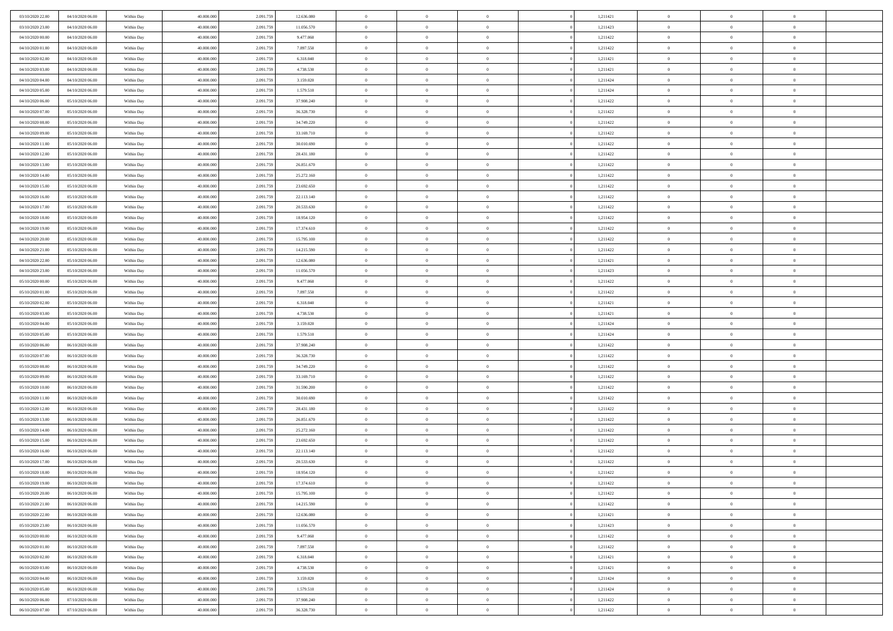| 03/10/2020 22.00 | 04/10/2020 06.00 | Within Day               | 40.000.000 | 2.091.75  | 12.636.080 | $\bf{0}$       | $\bf{0}$       | $\Omega$       | 1,211421 | $\bf{0}$       | $\overline{0}$ | $\bf{0}$       |  |
|------------------|------------------|--------------------------|------------|-----------|------------|----------------|----------------|----------------|----------|----------------|----------------|----------------|--|
| 03/10/2020 23.00 | 04/10/2020 06:00 | Within Day               | 40,000,000 | 2.091.75  | 11.056.570 | $\overline{0}$ | $\overline{0}$ | $\Omega$       | 1,211423 | $\overline{0}$ | $\theta$       | $\overline{0}$ |  |
| 04/10/2020 00:00 | 04/10/2020 06:00 | Within Day               | 40.000.000 | 2.091.759 | 9.477.060  | $\overline{0}$ | $\overline{0}$ | $\overline{0}$ | 1,211422 | $\mathbf{0}$   | $\overline{0}$ | $\theta$       |  |
| 04/10/2020 01:00 | 04/10/2020 06:00 | Within Day               | 40.000.000 | 2.091.75  | 7.897.550  | $\bf{0}$       | $\overline{0}$ | $\overline{0}$ | 1,211422 | $\mathbf{0}$   | $\overline{0}$ | $\bf{0}$       |  |
| 04/10/2020 02.00 | 04/10/2020 06.00 |                          | 40,000,000 | 2.091.75  | 6.318.040  | $\bf{0}$       | $\overline{0}$ | $\overline{0}$ | 1,211421 | $\bf{0}$       | $\theta$       | $\bf{0}$       |  |
| 04/10/2020 03:00 |                  | Within Day               |            |           |            | $\overline{0}$ |                |                |          |                |                | $\theta$       |  |
|                  | 04/10/2020 06:00 | Within Day               | 40.000.000 | 2.091.759 | 4.738.530  |                | $\overline{0}$ | $\overline{0}$ | 1,211421 | $\mathbf{0}$   | $\overline{0}$ |                |  |
| 04/10/2020 04:00 | 04/10/2020 06.00 | Within Day               | 40.000.000 | 2.091.75  | 3.159.020  | $\bf{0}$       | $\overline{0}$ | $\overline{0}$ | 1,211424 | $\bf{0}$       | $\overline{0}$ | $\bf{0}$       |  |
| 04/10/2020 05.00 | 04/10/2020 06:00 | Within Day               | 40,000,000 | 2.091.75  | 1.579.510  | $\overline{0}$ | $\overline{0}$ | $\overline{0}$ | 1,211424 | $\mathbf{0}$   | $\theta$       | $\theta$       |  |
| 04/10/2020 06:00 | 05/10/2020 06:00 | Within Day               | 40.000.000 | 2.091.759 | 37.908.240 | $\overline{0}$ | $\overline{0}$ | $\overline{0}$ | 1,211422 | $\mathbf{0}$   | $\overline{0}$ | $\theta$       |  |
| 04/10/2020 07:00 | 05/10/2020 06:00 | Within Day               | 40.000.000 | 2.091.75  | 36.328.730 | $\bf{0}$       | $\bf{0}$       | $\Omega$       | 1,211422 | $\bf{0}$       | $\overline{0}$ | $\bf{0}$       |  |
| 04/10/2020 08:00 | 05/10/2020 06:00 | Within Day               | 40,000,000 | 2.091.75  | 34.749.220 | $\bf{0}$       | $\overline{0}$ | $\overline{0}$ | 1,211422 | $\mathbf{0}$   | $\theta$       | $\theta$       |  |
| 04/10/2020 09:00 | 05/10/2020 06:00 | Within Day               | 40.000.000 | 2.091.759 | 33.169.710 | $\overline{0}$ | $\overline{0}$ | $\overline{0}$ | 1,211422 | $\mathbf{0}$   | $\overline{0}$ | $\theta$       |  |
| 04/10/2020 11:00 | 05/10/2020 06:00 | Within Day               | 40.000.000 | 2.091.75  | 30.010.690 | $\bf{0}$       | $\overline{0}$ | $\overline{0}$ | 1,211422 | $\bf{0}$       | $\overline{0}$ | $\bf{0}$       |  |
| 04/10/2020 12:00 | 05/10/2020 06:00 | Within Day               | 40,000,000 | 2.091.75  | 28.431.180 | $\bf{0}$       | $\overline{0}$ | $\overline{0}$ | 1,211422 | $\bf{0}$       | $\theta$       | $\bf{0}$       |  |
| 04/10/2020 13:00 | 05/10/2020 06:00 | Within Day               | 40.000.000 | 2.091.759 | 26.851.670 | $\overline{0}$ | $\overline{0}$ | $\overline{0}$ | 1,211422 | $\overline{0}$ | $\overline{0}$ | $\theta$       |  |
| 04/10/2020 14.00 | 05/10/2020 06:00 | Within Day               | 40.000.000 | 2.091.75  | 25.272.160 | $\bf{0}$       | $\overline{0}$ | $\Omega$       | 1,211422 | $\bf{0}$       | $\theta$       | $\bf{0}$       |  |
| 04/10/2020 15.00 | 05/10/2020 06:00 | Within Day               | 40,000,000 | 2.091.75  | 23.692.650 | $\mathbf{0}$   | $\overline{0}$ | $\overline{0}$ | 1,211422 | $\mathbf{0}$   | $\theta$       | $\theta$       |  |
| 04/10/2020 16.00 | 05/10/2020 06:00 | Within Day               | 40.000.000 | 2.091.759 | 22.113.140 | $\overline{0}$ | $\overline{0}$ | $\overline{0}$ | 1,211422 | $\mathbf{0}$   | $\overline{0}$ | $\theta$       |  |
| 04/10/2020 17.00 | 05/10/2020 06:00 | Within Day               | 40.000.000 | 2.091.75  | 20.533.630 | $\bf{0}$       | $\overline{0}$ | $\Omega$       | 1,211422 | $\bf{0}$       | $\overline{0}$ | $\bf{0}$       |  |
| 04/10/2020 18:00 | 05/10/2020 06:00 | Within Day               | 40,000,000 | 2.091.75  | 18.954.120 | $\bf{0}$       | $\overline{0}$ | $\overline{0}$ | 1,211422 | $\mathbf{0}$   | $\mathbf{0}$   | $\overline{0}$ |  |
| 04/10/2020 19:00 | 05/10/2020 06:00 | Within Day               | 40.000.000 | 2.091.759 | 17.374.610 | $\overline{0}$ | $\overline{0}$ | $\overline{0}$ | 1,211422 | $\mathbf{0}$   | $\overline{0}$ | $\theta$       |  |
| 04/10/2020 20.00 | 05/10/2020 06:00 | Within Day               | 40.000.000 | 2.091.75  | 15.795.100 | $\bf{0}$       | $\overline{0}$ | $\overline{0}$ | 1,211422 | $\mathbf{0}$   | $\overline{0}$ | $\bf{0}$       |  |
| 04/10/2020 21:00 | 05/10/2020 06:00 | Within Day               | 40,000,000 | 2.091.75  | 14.215.590 | $\bf{0}$       | $\overline{0}$ | $\overline{0}$ | 1,211422 | $\bf{0}$       | $\theta$       | $\bf{0}$       |  |
| 04/10/2020 22:00 | 05/10/2020 06:00 | Within Day               | 40.000.000 | 2.091.759 | 12.636.080 | $\overline{0}$ | $\overline{0}$ | $\overline{0}$ | 1,211421 | $\overline{0}$ | $\overline{0}$ | $\theta$       |  |
| 04/10/2020 23.00 | 05/10/2020 06:00 | Within Day               | 40.000.000 | 2.091.75  | 11.056.570 | $\bf{0}$       | $\overline{0}$ | $\Omega$       | 1,211423 | $\bf{0}$       | $\overline{0}$ | $\bf{0}$       |  |
| 05/10/2020 00:00 | 05/10/2020 06:00 |                          | 40,000,000 | 2.091.75  | 9.477.060  | $\theta$       | $\overline{0}$ | $\overline{0}$ | 1,211422 | $\mathbf{0}$   | $\overline{0}$ | $\theta$       |  |
| 05/10/2020 01:00 | 05/10/2020 06:00 | Within Day<br>Within Day | 40.000.000 | 2.091.759 | 7.897.550  | $\overline{0}$ | $\overline{0}$ | $\overline{0}$ | 1,211422 | $\mathbf{0}$   | $\overline{0}$ | $\theta$       |  |
| 05/10/2020 02:00 |                  |                          |            |           |            | $\bf{0}$       | $\overline{0}$ | $\Omega$       |          | $\bf{0}$       | $\overline{0}$ | $\bf{0}$       |  |
|                  | 05/10/2020 06:00 | Within Day               | 40.000.000 | 2.091.75  | 6.318.040  |                |                |                | 1,211421 |                |                |                |  |
| 05/10/2020 03:00 | 05/10/2020 06:00 | Within Day               | 40,000,000 | 2.091.75  | 4.738.530  | $\bf{0}$       | $\overline{0}$ | $\overline{0}$ | 1,211421 | $\mathbf{0}$   | $\theta$       | $\overline{0}$ |  |
| 05/10/2020 04:00 | 05/10/2020 06:00 | Within Day               | 40.000.000 | 2.091.759 | 3.159.020  | $\overline{0}$ | $\overline{0}$ | $\overline{0}$ | 1,211424 | $\mathbf{0}$   | $\overline{0}$ | $\theta$       |  |
| 05/10/2020 05:00 | 05/10/2020 06:00 | Within Day               | 40.000.000 | 2.091.75  | 1.579.510  | $\,$ 0         | $\overline{0}$ | $\overline{0}$ | 1,211424 | $\,$ 0         | $\overline{0}$ | $\,0\,$        |  |
| 05/10/2020 06:00 | 06/10/2020 06:00 | Within Day               | 40,000,000 | 2.091.75  | 37.908.240 | $\bf{0}$       | $\overline{0}$ | $\overline{0}$ | 1,211422 | $\bf{0}$       | $\theta$       | $\overline{0}$ |  |
| 05/10/2020 07:00 | 06/10/2020 06:00 | Within Day               | 40.000.000 | 2.091.759 | 36.328.730 | $\overline{0}$ | $\overline{0}$ | $\overline{0}$ | 1,211422 | $\overline{0}$ | $\overline{0}$ | $\theta$       |  |
| 05/10/2020 08:00 | 06/10/2020 06:00 | Within Day               | 40.000.000 | 2.091.759 | 34.749.220 | $\,$ 0         | $\overline{0}$ | $\theta$       | 1,211422 | $\,$ 0         | $\overline{0}$ | $\mathbf{0}$   |  |
| 05/10/2020 09:00 | 06/10/2020 06:00 | Within Day               | 40,000,000 | 2.091.75  | 33.169.710 | $\bf{0}$       | $\overline{0}$ | $\overline{0}$ | 1,211422 | $\mathbf{0}$   | $\overline{0}$ | $\overline{0}$ |  |
| 05/10/2020 10:00 | 06/10/2020 06:00 | Within Day               | 40.000.000 | 2.091.759 | 31.590.200 | $\overline{0}$ | $\overline{0}$ | $\overline{0}$ | 1,211422 | $\mathbf{0}$   | $\overline{0}$ | $\theta$       |  |
| 05/10/2020 11:00 | 06/10/2020 06:00 | Within Day               | 40.000.000 | 2.091.759 | 30.010.690 | $\overline{0}$ | $\overline{0}$ | $\overline{0}$ | 1,211422 | $\,$ 0 $\,$    | $\overline{0}$ | $\mathbf{0}$   |  |
| 05/10/2020 12:00 | 06/10/2020 06:00 | Within Day               | 40,000,000 | 2.091.75  | 28.431.180 | $\bf{0}$       | $\overline{0}$ | $\overline{0}$ | 1,211422 | $\mathbf{0}$   | $\theta$       | $\overline{0}$ |  |
| 05/10/2020 13:00 | 06/10/2020 06:00 | Within Day               | 40.000.000 | 2.091.759 | 26.851.670 | $\overline{0}$ | $\overline{0}$ | $\overline{0}$ | 1,211422 | $\mathbf{0}$   | $\overline{0}$ | $\theta$       |  |
| 05/10/2020 14:00 | 06/10/2020 06:00 | Within Day               | 40.000.000 | 2.091.759 | 25.272.160 | $\,$ 0         | $\overline{0}$ | $\overline{0}$ | 1,211422 | $\,$ 0         | $\overline{0}$ | $\,0\,$        |  |
| 05/10/2020 15:00 | 06/10/2020 06:00 | Within Day               | 40,000,000 | 2.091.75  | 23.692.650 | $\bf{0}$       | $\overline{0}$ | $\overline{0}$ | 1,211422 | $\,$ 0 $\,$    | $\overline{0}$ | $\overline{0}$ |  |
| 05/10/2020 16.00 | 06/10/2020 06:00 | Within Day               | 40.000.000 | 2.091.759 | 22.113.140 | $\overline{0}$ | $\overline{0}$ | $\overline{0}$ | 1,211422 | $\overline{0}$ | $\overline{0}$ | $\theta$       |  |
| 05/10/2020 17:00 | 06/10/2020 06:00 | Within Day               | 40.000.000 | 2.091.759 | 20.533.630 | $\overline{0}$ | $\overline{0}$ | $\overline{0}$ | 1,211422 | $\overline{0}$ | $\overline{0}$ | $\mathbf{0}$   |  |
| 05/10/2020 18:00 | 06/10/2020 06:00 | Within Day               | 40,000,000 | 2.091.75  | 18.954.120 | $\bf{0}$       | $\overline{0}$ | $\overline{0}$ | 1,211422 | $\mathbf{0}$   | $\overline{0}$ | $\overline{0}$ |  |
| 05/10/2020 19:00 | 06/10/2020 06:00 | Within Day               | 40.000.000 | 2.091.759 | 17.374.610 | $\overline{0}$ | $\theta$       |                | 1,211422 | $\overline{0}$ | $\Omega$       | $\overline{0}$ |  |
| 05/10/2020 20:00 | 06/10/2020 06:00 | Within Day               | 40.000.000 | 2.091.759 | 15.795.100 | $\,$ 0         | $\overline{0}$ | $\overline{0}$ | 1,211422 | $\,$ 0 $\,$    | $\bf{0}$       | $\mathbf{0}$   |  |
| 05/10/2020 21:00 | 06/10/2020 06:00 | Within Day               | 40,000,000 | 2.091.75  | 14.215.590 | $\mathbf{0}$   | $\overline{0}$ | $\overline{0}$ | 1,211422 | $\,$ 0 $\,$    | $\overline{0}$ | $\overline{0}$ |  |
| 05/10/2020 22.00 | 06/10/2020 06:00 | Within Day               | 40.000.000 | 2.091.759 | 12.636.080 | $\mathbf{0}$   | $\overline{0}$ | $\overline{0}$ | 1,211421 | $\mathbf{0}$   | $\bf{0}$       | $\overline{0}$ |  |
| 05/10/2020 23.00 | 06/10/2020 06:00 | Within Day               | 40.000.000 | 2.091.759 | 11.056.570 | $\,$ 0 $\,$    | $\overline{0}$ | $\overline{0}$ | 1,211423 | $\,$ 0 $\,$    | $\bf{0}$       | $\theta$       |  |
| 06/10/2020 00:00 | 06/10/2020 06:00 | Within Day               | 40,000,000 | 2.091.75  | 9.477.060  | $\,$ 0 $\,$    | $\,$ 0 $\,$    | $\overline{0}$ | 1,211422 | $\,$ 0 $\,$    | $\overline{0}$ | $\overline{0}$ |  |
| 06/10/2020 01:00 | 06/10/2020 06:00 | Within Day               | 40.000.000 | 2.091.759 | 7.897.550  | $\mathbf{0}$   | $\overline{0}$ | $\overline{0}$ | 1,211422 | $\mathbf{0}$   | $\bf{0}$       | $\overline{0}$ |  |
| 06/10/2020 02:00 | 06/10/2020 06:00 | Within Day               | 40.000.000 | 2.091.759 | 6.318.040  | $\,$ 0 $\,$    | $\overline{0}$ | $\overline{0}$ | 1,211421 | $\,$ 0 $\,$    | $\mathbf{0}$   | $\theta$       |  |
| 06/10/2020 03:00 | 06/10/2020 06:00 | Within Day               | 40,000,000 | 2.091.75  | 4.738.530  | $\mathbf{0}$   | $\overline{0}$ | $\overline{0}$ | 1,211421 | $\,$ 0 $\,$    | $\overline{0}$ | $\overline{0}$ |  |
| 06/10/2020 04.00 | 06/10/2020 06:00 | Within Day               | 40.000.000 | 2.091.759 | 3.159.020  | $\mathbf{0}$   | $\overline{0}$ | $\overline{0}$ | 1,211424 | $\mathbf{0}$   | $\bf{0}$       | $\overline{0}$ |  |
| 06/10/2020 05:00 | 06/10/2020 06:00 | Within Day               | 40.000.000 | 2.091.759 | 1.579.510  | $\,$ 0 $\,$    | $\overline{0}$ | $\overline{0}$ | 1,211424 | $\,$ 0 $\,$    | $\mathbf{0}$   | $\theta$       |  |
| 06/10/2020 06:00 | 07/10/2020 06:00 | Within Day               | 40,000,000 | 2.091.759 | 37.908.240 | $\mathbf{0}$   | $\overline{0}$ | $\overline{0}$ | 1,211422 | $\,$ 0 $\,$    | $\overline{0}$ | $\overline{0}$ |  |
| 06/10/2020 07:00 | 07/10/2020 06:00 | Within Day               | 40.000.000 | 2.091.759 | 36.328.730 | $\mathbf{0}$   | $\overline{0}$ | $\overline{0}$ | 1,211422 | $\mathbf{0}$   | $\overline{0}$ | $\overline{0}$ |  |
|                  |                  |                          |            |           |            |                |                |                |          |                |                |                |  |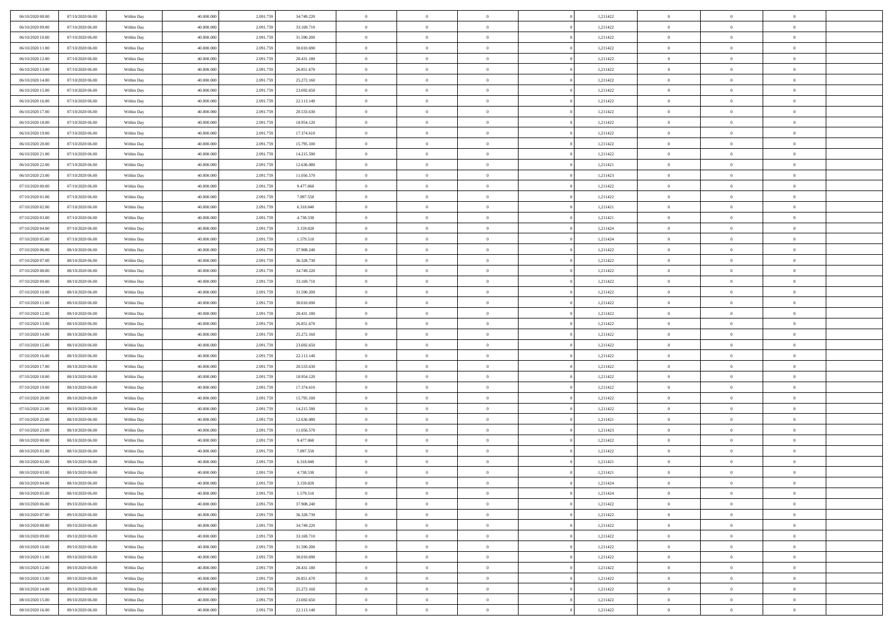| 06/10/2020 08:00 | 07/10/2020 06:00 | Within Day | 40,000,000 | 2.091.75  | 34.749.220 | $\bf{0}$       | $\overline{0}$ | $\overline{0}$ | 1,211422 | $\bf{0}$       | $\overline{0}$ | $\bf{0}$       |  |
|------------------|------------------|------------|------------|-----------|------------|----------------|----------------|----------------|----------|----------------|----------------|----------------|--|
| 06/10/2020 09:00 | 07/10/2020 06:00 | Within Day | 40.000.000 | 2.091.75  | 33.169.710 | $\overline{0}$ | $\overline{0}$ | $\Omega$       | 1,211422 | $\overline{0}$ | $\bf{0}$       | $\theta$       |  |
| 06/10/2020 10:00 | 07/10/2020 06:00 | Within Day | 40.000.000 | 2.091.75  | 31.590.200 | $\overline{0}$ | $\overline{0}$ | $\overline{0}$ | 1,211422 | $\,$ 0         | $\overline{0}$ | $\,0\,$        |  |
| 06/10/2020 11:00 | 07/10/2020 06:00 | Within Day | 40,000,000 | 2.091.75  | 30.010.690 | $\overline{0}$ | $\overline{0}$ | $\Omega$       | 1,211422 | $\overline{0}$ | $\theta$       | $\overline{0}$ |  |
| 06/10/2020 12:00 | 07/10/2020 06:00 | Within Day | 40.000.000 | 2.091.759 | 28.431.180 | $\mathbf{0}$   | $\overline{0}$ | $\overline{0}$ | 1,211422 | $\mathbf{0}$   | $\bf{0}$       | $\theta$       |  |
| 06/10/2020 13:00 | 07/10/2020 06:00 | Within Day | 40.000.000 | 2.091.75  | 26.851.670 | $\overline{0}$ | $\overline{0}$ | $\overline{0}$ | 1,211422 | $\,$ 0 $\,$    | $\overline{0}$ | $\,0\,$        |  |
| 06/10/2020 14:00 | 07/10/2020 06:00 | Within Day | 40,000,000 | 2.091.75  | 25.272.160 | $\bf{0}$       | $\overline{0}$ | $\Omega$       | 1,211422 | $\overline{0}$ | $\theta$       | $\overline{0}$ |  |
| 06/10/2020 15:00 | 07/10/2020 06:00 | Within Day | 40.000.000 | 2.091.75  | 23.692.650 | $\overline{0}$ | $\overline{0}$ | $\overline{0}$ | 1,211422 | $\overline{0}$ | $\bf{0}$       | $\theta$       |  |
| 06/10/2020 16:00 | 07/10/2020 06:00 | Within Day | 40.000.000 | 2.091.759 | 22.113.140 | $\overline{0}$ | $\overline{0}$ | $\overline{0}$ | 1,211422 | $\,$ 0 $\,$    | $\overline{0}$ | $\,$ 0 $\,$    |  |
| 06/10/2020 17.00 | 07/10/2020 06.00 | Within Day | 40,000,000 | 2.091.759 | 20.533.630 | $\overline{0}$ | $\overline{0}$ | $\Omega$       | 1,211422 | $\overline{0}$ | $\theta$       | $\overline{0}$ |  |
| 06/10/2020 18:00 | 07/10/2020 06:00 | Within Day | 40.000.000 | 2.091.759 | 18.954.120 | $\mathbf{0}$   | $\overline{0}$ | $\overline{0}$ | 1,211422 | $\overline{0}$ | $\bf{0}$       | $\theta$       |  |
| 06/10/2020 19:00 | 07/10/2020 06:00 | Within Day | 40.000.000 | 2.091.75  | 17.374.610 | $\overline{0}$ | $\overline{0}$ | $\overline{0}$ | 1,211422 | $\,$ 0 $\,$    | $\overline{0}$ | $\,$ 0 $\,$    |  |
| 06/10/2020 20:00 | 07/10/2020 06:00 | Within Day | 40,000,000 | 2.091.75  | 15.795.100 | $\overline{0}$ | $\overline{0}$ | $\Omega$       | 1,211422 | $\overline{0}$ | $\theta$       | $\overline{0}$ |  |
| 06/10/2020 21:00 | 07/10/2020 06:00 | Within Day | 40.000.000 | 2.091.759 | 14.215.590 | $\mathbf{0}$   | $\overline{0}$ | $\overline{0}$ | 1,211422 | $\mathbf{0}$   | $\bf{0}$       | $\theta$       |  |
| 06/10/2020 22:00 | 07/10/2020 06:00 | Within Day | 40.000.000 | 2.091.759 | 12.636.080 | $\overline{0}$ | $\,$ 0 $\,$    | $\overline{0}$ | 1,211421 | $\,$ 0 $\,$    | $\overline{0}$ | $\,$ 0 $\,$    |  |
| 06/10/2020 23.00 | 07/10/2020 06.00 | Within Day | 40,000,000 | 2.091.75  | 11.056.570 | $\bf{0}$       | $\overline{0}$ | $\Omega$       | 1,211423 | $\overline{0}$ | $\theta$       | $\overline{0}$ |  |
| 07/10/2020 00:00 | 07/10/2020 06:00 | Within Day | 40.000.000 | 2.091.759 | 9.477.060  | $\overline{0}$ | $\overline{0}$ | $\overline{0}$ | 1,211422 | $\overline{0}$ | $\bf{0}$       | $\theta$       |  |
| 07/10/2020 01:00 | 07/10/2020 06:00 | Within Day | 40.000.000 | 2.091.75  | 7.897.550  | $\overline{0}$ | $\overline{0}$ | $\overline{0}$ | 1,211422 | $\,$ 0 $\,$    | $\overline{0}$ | $\,$ 0 $\,$    |  |
| 07/10/2020 02.00 | 07/10/2020 06.00 | Within Day | 40,000,000 | 2.091.75  | 6.318.040  | $\overline{0}$ | $\overline{0}$ | $\Omega$       | 1,211421 | $\overline{0}$ | $\theta$       | $\overline{0}$ |  |
| 07/10/2020 03:00 | 07/10/2020 06:00 | Within Day | 40.000.000 | 2.091.75  | 4.738.530  | $\overline{0}$ | $\overline{0}$ | $\overline{0}$ | 1,211421 | $\overline{0}$ | $\bf{0}$       | $\theta$       |  |
| 07/10/2020 04:00 | 07/10/2020 06:00 | Within Day | 40.000.000 | 2.091.759 | 3.159.020  | $\overline{0}$ | $\overline{0}$ | $\overline{0}$ | 1,211424 | $\,$ 0 $\,$    | $\overline{0}$ | $\,0\,$        |  |
| 07/10/2020 05.00 | 07/10/202006.00  | Within Day | 40,000,000 | 2.091.75  | 1.579.510  | $\overline{0}$ | $\overline{0}$ | $\Omega$       | 1,211424 | $\overline{0}$ | $\theta$       | $\overline{0}$ |  |
| 07/10/2020 06:00 | 08/10/2020 06:00 | Within Day | 40.000.000 | 2.091.759 | 37.908.240 | $\mathbf{0}$   | $\overline{0}$ | $\overline{0}$ | 1,211422 | $\mathbf{0}$   | $\bf{0}$       | $\theta$       |  |
| 07/10/2020 07:00 | 08/10/2020 06:00 | Within Day | 40.000.000 | 2.091.759 | 36.328.730 | $\overline{0}$ | $\overline{0}$ | $\overline{0}$ | 1,211422 | $\,$ 0         | $\overline{0}$ | $\,0\,$        |  |
| 07/10/2020 08:00 | 08/10/2020 06:00 | Within Day | 40,000,000 | 2.091.75  | 34.749.220 | $\bf{0}$       | $\overline{0}$ | $\Omega$       | 1,211422 | $\bf{0}$       | $\theta$       | $\overline{0}$ |  |
| 07/10/2020 09:00 | 08/10/2020 06:00 | Within Day | 40.000.000 | 2.091.75  | 33.169.710 | $\overline{0}$ | $\overline{0}$ | $\overline{0}$ | 1,211422 | $\overline{0}$ | $\bf{0}$       | $\theta$       |  |
| 07/10/2020 10:00 | 08/10/2020 06:00 | Within Day | 40.000.000 | 2.091.759 | 31.590.200 | $\overline{0}$ | $\overline{0}$ | $\overline{0}$ | 1,211422 | $\,$ 0 $\,$    | $\overline{0}$ | $\,0\,$        |  |
| 07/10/2020 11:00 | 08/10/2020 06.00 | Within Day | 40,000,000 | 2.091.759 | 30.010.690 | $\overline{0}$ | $\overline{0}$ | $\Omega$       | 1,211422 | $\overline{0}$ | $\theta$       | $\overline{0}$ |  |
| 07/10/2020 12:00 | 08/10/2020 06:00 | Within Day | 40.000.000 | 2.091.759 | 28.431.180 | $\mathbf{0}$   | $\overline{0}$ | $\overline{0}$ | 1,211422 | $\mathbf{0}$   | $\bf{0}$       | $\theta$       |  |
| 07/10/2020 13:00 | 08/10/2020 06:00 | Within Day | 40.000.000 | 2.091.75  | 26.851.670 | $\overline{0}$ | $\overline{0}$ | $\overline{0}$ | 1,211422 | $\,$ 0 $\,$    | $\overline{0}$ | $\,0\,$        |  |
| 07/10/2020 14:00 | 08/10/2020 06:00 | Within Day | 40.000.000 | 2.091.75  | 25.272.160 | $\bf{0}$       | $\overline{0}$ | $\theta$       | 1,211422 | $\bf{0}$       | $\overline{0}$ | $\bf{0}$       |  |
| 07/10/2020 15:00 | 08/10/2020 06:00 | Within Day | 40.000.000 | 2.091.759 | 23.692.650 | $\overline{0}$ | $\overline{0}$ | $\overline{0}$ | 1,211422 | $\overline{0}$ | $\bf{0}$       | $\theta$       |  |
| 07/10/2020 16:00 | 08/10/2020 06:00 | Within Day | 40.000.000 | 2.091.759 | 22.113.140 | $\overline{0}$ | $\,$ 0 $\,$    | $\overline{0}$ | 1,211422 | $\,$ 0 $\,$    | $\overline{0}$ | $\,0\,$        |  |
| 07/10/2020 17.00 | 08/10/2020 06:00 | Within Day | 40.000.000 | 2.091.75  | 20.533.630 | $\bf{0}$       | $\overline{0}$ | $\overline{0}$ | 1,211422 | $\mathbf{0}$   | $\overline{0}$ | $\bf{0}$       |  |
| 07/10/2020 18:00 | 08/10/2020 06:00 | Within Day | 40.000.000 | 2.091.759 | 18.954.120 | $\overline{0}$ | $\overline{0}$ | $\overline{0}$ | 1,211422 | $\overline{0}$ | $\bf{0}$       | $\theta$       |  |
| 07/10/2020 19:00 | 08/10/2020 06:00 | Within Day | 40.000.000 | 2.091.759 | 17.374.610 | $\overline{0}$ | $\overline{0}$ | $\overline{0}$ | 1,211422 | $\,$ 0 $\,$    | $\overline{0}$ | $\,0\,$        |  |
| 07/10/2020 20:00 | 08/10/2020 06:00 | Within Day | 40.000.000 | 2.091.75  | 15.795.100 | $\bf{0}$       | $\overline{0}$ | $\Omega$       | 1,211422 | $\bf{0}$       | $\theta$       | $\bf{0}$       |  |
| 07/10/2020 21:00 | 08/10/2020 06:00 | Within Day | 40.000.000 | 2.091.759 | 14.215.590 | $\mathbf{0}$   | $\overline{0}$ | $\overline{0}$ | 1,211422 | $\mathbf{0}$   | $\bf{0}$       | $\overline{0}$ |  |
| 07/10/2020 22.00 | 08/10/2020 06:00 | Within Day | 40.000.000 | 2.091.759 | 12.636.080 | $\,$ 0         | $\overline{0}$ | $\overline{0}$ | 1,211421 | $\,$ 0 $\,$    | $\overline{0}$ | $\,0\,$        |  |
| 07/10/2020 23.00 | 08/10/2020 06:00 | Within Day | 40.000.000 | 2.091.75  | 11.056.570 | $\bf{0}$       | $\overline{0}$ | $\Omega$       | 1,211423 | $\bf{0}$       | $\overline{0}$ | $\bf{0}$       |  |
| 08/10/2020 00:00 | 08/10/2020 06:00 | Within Day | 40.000.000 | 2.091.759 | 9.477.060  | $\mathbf{0}$   | $\overline{0}$ | $\overline{0}$ | 1,211422 | $\overline{0}$ | $\overline{0}$ | $\theta$       |  |
| 08/10/2020 01:00 | 08/10/2020 06:00 | Within Day | 40.000.000 | 2.091.75  | 7.897.550  | $\overline{0}$ | $\overline{0}$ | $\overline{0}$ | 1,211422 | $\,$ 0 $\,$    | $\overline{0}$ | $\,0\,$        |  |
| 08/10/2020 02:00 | 08/10/2020 06:00 | Within Day | 40.000.000 | 2.091.75  | 6.318.040  | $\bf{0}$       | $\overline{0}$ | $\overline{0}$ | 1,211421 | $\bf{0}$       | $\overline{0}$ | $\bf{0}$       |  |
| 08/10/2020 03:00 | 08/10/2020 06:00 | Within Day | 40.000.000 | 2.091.759 | 4.738.530  | $\mathbf{0}$   | $\overline{0}$ | $\overline{0}$ | 1,211421 | $\overline{0}$ | $\bf{0}$       | $\theta$       |  |
| 08/10/2020 04:00 | 08/10/2020 06:00 | Within Day | 40.000.000 | 2.091.759 | 3.159.020  | $\theta$       | $\overline{0}$ | $\Omega$       | 1,211424 | $\overline{0}$ | $\overline{0}$ | $\overline{0}$ |  |
| 08/10/2020 05:00 | 08/10/2020 06:00 | Within Day | 40.000.000 | 2.091.75  | 1.579.510  | $\bf{0}$       | $\overline{0}$ | $\overline{0}$ | 1,211424 | $\mathbf{0}$   | $\overline{0}$ | $\bf{0}$       |  |
| 08/10/2020 06:00 | 09/10/2020 06:00 | Within Day | 40.000.000 | 2.091.75  | 37.908.240 | $\overline{0}$ | $\overline{0}$ | $\overline{0}$ | 1,211422 | $\,$ 0 $\,$    | $\overline{0}$ | $\overline{0}$ |  |
| 08/10/2020 07:00 | 09/10/2020 06:00 | Within Day | 40.000.000 | 2.091.759 | 36.328.730 | $\,$ 0 $\,$    | $\overline{0}$ | $\overline{0}$ | 1,211422 | $\,$ 0 $\,$    | $\,$ 0 $\,$    | $\theta$       |  |
| 08/10/2020 08:00 | 09/10/2020 06:00 | Within Day | 40.000.000 | 2.091.759 | 34.749.220 | $\bf{0}$       | $\overline{0}$ | $\overline{0}$ | 1,211422 | $\mathbf{0}$   | $\overline{0}$ | $\bf{0}$       |  |
| 08/10/2020 09:00 | 09/10/2020 06:00 | Within Day | 40.000.000 | 2.091.759 | 33.169.710 | $\mathbf{0}$   | $\overline{0}$ | $\overline{0}$ | 1,211422 | $\mathbf{0}$   | $\bf{0}$       | $\overline{0}$ |  |
| 08/10/2020 10:00 | 09/10/2020 06:00 | Within Day | 40.000.000 | 2.091.759 | 31.590.200 | $\,$ 0 $\,$    | $\overline{0}$ | $\overline{0}$ | 1,211422 | $\,$ 0 $\,$    | $\overline{0}$ | $\theta$       |  |
| 08/10/2020 11:00 | 09/10/2020 06:00 | Within Day | 40.000.000 | 2.091.75  | 30.010.690 | $\mathbf{0}$   | $\overline{0}$ | $\overline{0}$ | 1,211422 | $\mathbf{0}$   | $\overline{0}$ | $\overline{0}$ |  |
| 08/10/2020 12:00 | 09/10/2020 06:00 | Within Day | 40.000.000 | 2.091.759 | 28.431.180 | $\,$ 0 $\,$    | $\overline{0}$ | $\overline{0}$ | 1,211422 | $\,$ 0 $\,$    | $\bf{0}$       | $\overline{0}$ |  |
| 08/10/2020 13:00 | 09/10/2020 06:00 | Within Day | 40.000.000 | 2.091.759 | 26.851.670 | $\,$ 0         | $\overline{0}$ | $\overline{0}$ | 1,211422 | $\,$ 0 $\,$    | $\,$ 0         | $\theta$       |  |
| 08/10/2020 14:00 | 09/10/2020 06:00 | Within Day | 40.000.000 | 2.091.759 | 25.272.160 | $\bf{0}$       | $\overline{0}$ | $\overline{0}$ | 1,211422 | $\mathbf{0}$   | $\overline{0}$ | $\bf{0}$       |  |
| 08/10/2020 15:00 | 09/10/2020 06:00 | Within Day | 40.000.000 | 2.091.759 | 23.692.650 | $\mathbf{0}$   | $\overline{0}$ | $\overline{0}$ | 1,211422 | $\mathbf{0}$   | $\bf{0}$       | $\overline{0}$ |  |
| 08/10/2020 16:00 | 09/10/2020 06:00 | Within Day | 40.000.000 | 2.091.759 | 22.113.140 | $\,$ 0         | $\overline{0}$ | $\overline{0}$ | 1,211422 | $\,$ 0 $\,$    | $\overline{0}$ | $\theta$       |  |
|                  |                  |            |            |           |            |                |                |                |          |                |                |                |  |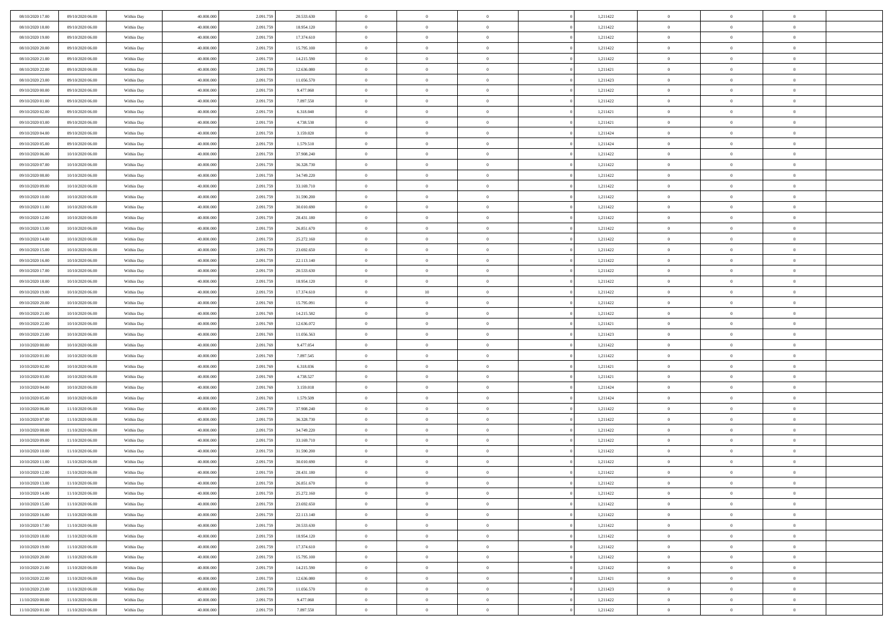| 08/10/2020 17:00 | 09/10/2020 06:00 | Within Day | 40,000,000 | 2.091.75  | 20.533.630 | $\bf{0}$       | $\overline{0}$ | $\overline{0}$ | 1,211422 | $\bf{0}$       | $\overline{0}$ | $\bf{0}$       |  |
|------------------|------------------|------------|------------|-----------|------------|----------------|----------------|----------------|----------|----------------|----------------|----------------|--|
| 08/10/2020 18:00 | 09/10/2020 06:00 | Within Day | 40.000.000 | 2.091.75  | 18.954.120 | $\overline{0}$ | $\overline{0}$ | $\Omega$       | 1,211422 | $\overline{0}$ | $\bf{0}$       | $\theta$       |  |
| 08/10/2020 19:00 | 09/10/2020 06:00 | Within Day | 40.000.000 | 2.091.75  | 17.374.610 | $\overline{0}$ | $\overline{0}$ | $\overline{0}$ | 1,211422 | $\,$ 0         | $\overline{0}$ | $\,0\,$        |  |
| 08/10/2020 20:00 | 09/10/2020 06:00 | Within Day | 40,000,000 | 2.091.75  | 15.795.100 | $\overline{0}$ | $\overline{0}$ | $\Omega$       | 1,211422 | $\overline{0}$ | $\theta$       | $\overline{0}$ |  |
| 08/10/2020 21:00 | 09/10/2020 06:00 | Within Day | 40.000.000 | 2.091.759 | 14.215.590 | $\mathbf{0}$   | $\overline{0}$ | $\overline{0}$ | 1,211422 | $\mathbf{0}$   | $\bf{0}$       | $\theta$       |  |
| 08/10/2020 22:00 | 09/10/2020 06:00 | Within Day | 40.000.000 | 2.091.759 | 12.636.080 | $\overline{0}$ | $\overline{0}$ | $\overline{0}$ | 1,211421 | $\,$ 0 $\,$    | $\overline{0}$ | $\,0\,$        |  |
| 08/10/2020 23.00 | 09/10/2020 06.00 | Within Day | 40,000,000 | 2.091.75  | 11.056.570 | $\bf{0}$       | $\overline{0}$ | $\Omega$       | 1,211423 | $\bf{0}$       | $\theta$       | $\overline{0}$ |  |
| 09/10/2020 00:00 | 09/10/2020 06:00 | Within Day | 40.000.000 | 2.091.75  | 9.477.060  | $\overline{0}$ | $\overline{0}$ | $\overline{0}$ | 1,211422 | $\mathbf{0}$   | $\bf{0}$       | $\theta$       |  |
| 09/10/2020 01:00 | 09/10/2020 06:00 | Within Day | 40.000.000 | 2.091.759 | 7.897.550  | $\overline{0}$ | $\overline{0}$ | $\overline{0}$ | 1,211422 | $\,$ 0 $\,$    | $\overline{0}$ | $\,0\,$        |  |
| 09/10/2020 02.00 | 09/10/2020 06.00 | Within Day | 40,000,000 | 2.091.75  | 6.318.040  | $\overline{0}$ | $\overline{0}$ | $\Omega$       | 1,211421 | $\overline{0}$ | $\theta$       | $\overline{0}$ |  |
| 09/10/2020 03:00 | 09/10/2020 06:00 | Within Day | 40.000.000 | 2.091.759 | 4.738.530  | $\mathbf{0}$   | $\overline{0}$ | $\overline{0}$ | 1,211421 | $\overline{0}$ | $\bf{0}$       | $\theta$       |  |
| 09/10/2020 04:00 | 09/10/2020 06:00 | Within Day | 40.000.000 | 2.091.75  | 3.159.020  | $\overline{0}$ | $\overline{0}$ | $\overline{0}$ | 1,211424 | $\,$ 0 $\,$    | $\overline{0}$ | $\,0\,$        |  |
| 09/10/2020 05:00 | 09/10/2020 06:00 | Within Day | 40,000,000 | 2.091.75  | 1.579.510  | $\overline{0}$ | $\overline{0}$ | $\Omega$       | 1,211424 | $\overline{0}$ | $\theta$       | $\overline{0}$ |  |
| 09/10/2020 06:00 | 10/10/2020 06:00 | Within Day | 40.000.000 | 2.091.759 | 37.908.240 | $\mathbf{0}$   | $\overline{0}$ | $\overline{0}$ | 1,211422 | $\mathbf{0}$   | $\bf{0}$       | $\theta$       |  |
| 09/10/2020 07:00 | 10/10/2020 06:00 | Within Day | 40.000.000 | 2.091.759 | 36.328.730 | $\,$ 0         | $\,$ 0 $\,$    | $\overline{0}$ | 1,211422 | $\,$ 0 $\,$    | $\overline{0}$ | $\,0\,$        |  |
| 09/10/2020 08:00 | 10/10/2020 06:00 | Within Day | 40,000,000 | 2.091.75  | 34.749.220 | $\bf{0}$       | $\overline{0}$ | $\Omega$       | 1,211422 | $\overline{0}$ | $\theta$       | $\bf{0}$       |  |
| 09/10/2020 09:00 | 10/10/2020 06:00 | Within Day | 40.000.000 | 2.091.759 | 33.169.710 | $\overline{0}$ | $\overline{0}$ | $\overline{0}$ | 1,211422 | $\overline{0}$ | $\bf{0}$       | $\theta$       |  |
| 09/10/2020 10:00 | 10/10/2020 06:00 | Within Day | 40.000.000 | 2.091.75  | 31.590.200 | $\overline{0}$ | $\overline{0}$ | $\overline{0}$ | 1,211422 | $\,$ 0 $\,$    | $\overline{0}$ | $\,0\,$        |  |
| 09/10/2020 11:00 | 10/10/2020 06:00 | Within Day | 40,000,000 | 2.091.75  | 30.010.690 | $\overline{0}$ | $\overline{0}$ | $\Omega$       | 1,211422 | $\overline{0}$ | $\theta$       | $\overline{0}$ |  |
| 09/10/2020 12:00 | 10/10/2020 06:00 | Within Day | 40.000.000 | 2.091.75  | 28.431.180 | $\overline{0}$ | $\overline{0}$ | $\overline{0}$ | 1,211422 | $\overline{0}$ | $\bf{0}$       | $\theta$       |  |
| 09/10/2020 13:00 | 10/10/2020 06:00 | Within Day | 40.000.000 | 2.091.759 | 26.851.670 | $\,$ 0         | $\overline{0}$ | $\overline{0}$ | 1,211422 | $\,$ 0 $\,$    | $\overline{0}$ | $\,0\,$        |  |
| 09/10/2020 14:00 | 10/10/2020 06:00 | Within Day | 40,000,000 | 2.091.75  | 25.272.160 | $\overline{0}$ | $\overline{0}$ | $\Omega$       | 1,211422 | $\overline{0}$ | $\theta$       | $\overline{0}$ |  |
| 09/10/2020 15:00 | 10/10/2020 06:00 | Within Day | 40.000.000 | 2.091.759 | 23.692.650 | $\mathbf{0}$   | $\overline{0}$ | $\overline{0}$ | 1,211422 | $\mathbf{0}$   | $\bf{0}$       | $\theta$       |  |
| 09/10/2020 16:00 | 10/10/2020 06:00 | Within Day | 40.000.000 | 2.091.759 | 22.113.140 | $\overline{0}$ | $\overline{0}$ | $\overline{0}$ | 1,211422 | $\,$ 0 $\,$    | $\overline{0}$ | $\,0\,$        |  |
| 09/10/2020 17:00 | 10/10/2020 06:00 | Within Day | 40,000,000 | 2.091.75  | 20.533.630 | $\bf{0}$       | $\overline{0}$ | $\Omega$       | 1,211422 | $\bf{0}$       | $\theta$       | $\overline{0}$ |  |
| 09/10/2020 18:00 | 10/10/2020 06:00 | Within Day | 40.000.000 | 2.091.75  | 18.954.120 | $\overline{0}$ | $\overline{0}$ | $\overline{0}$ | 1,211422 | $\overline{0}$ | $\bf{0}$       | $\theta$       |  |
| 09/10/2020 19:00 | 10/10/2020 06:00 | Within Day | 40.000.000 | 2.091.759 | 17.374.610 | $\overline{0}$ | $10\,$         | $\overline{0}$ | 1,211422 | $\,$ 0 $\,$    | $\overline{0}$ | $\,$ 0 $\,$    |  |
| 09/10/2020 20:00 | 10/10/2020 06:00 | Within Day | 40,000,000 | 2.091.769 | 15.795.091 | $\overline{0}$ | $\overline{0}$ | $\Omega$       | 1,211422 | $\overline{0}$ | $\theta$       | $\overline{0}$ |  |
| 09/10/2020 21:00 | 10/10/2020 06:00 | Within Day | 40.000.000 | 2.091.769 | 14.215.582 | $\mathbf{0}$   | $\overline{0}$ | $\overline{0}$ | 1,211422 | $\mathbf{0}$   | $\bf{0}$       | $\theta$       |  |
| 09/10/2020 22:00 | 10/10/2020 06:00 | Within Day | 40.000.000 | 2.091.769 | 12.636.072 | $\overline{0}$ | $\overline{0}$ | $\overline{0}$ | 1,211421 | $\,$ 0 $\,$    | $\overline{0}$ | $\,$ 0 $\,$    |  |
| 09/10/2020 23.00 | 10/10/2020 06:00 | Within Day | 40.000.000 | 2.091.76  | 11.056.563 | $\bf{0}$       | $\overline{0}$ | $\theta$       | 1,211423 | $\bf{0}$       | $\overline{0}$ | $\bf{0}$       |  |
| 10/10/2020 00:00 | 10/10/2020 06:00 | Within Day | 40.000.000 | 2.091.769 | 9.477.054  | $\overline{0}$ | $\overline{0}$ | $\overline{0}$ | 1,211422 | $\overline{0}$ | $\bf{0}$       | $\theta$       |  |
| 10/10/2020 01:00 | 10/10/2020 06:00 | Within Day | 40.000.000 | 2.091.769 | 7.897.545  | $\,$ 0         | $\overline{0}$ | $\overline{0}$ | 1,211422 | $\,$ 0 $\,$    | $\overline{0}$ | $\,$ 0 $\,$    |  |
| 10/10/2020 02.00 | 10/10/2020 06:00 | Within Day | 40.000.000 | 2.091.76  | 6.318.036  | $\bf{0}$       | $\overline{0}$ | $\overline{0}$ | 1,211421 | $\mathbf{0}$   | $\overline{0}$ | $\bf{0}$       |  |
| 10/10/2020 03:00 | 10/10/2020 06:00 | Within Day | 40.000.000 | 2.091.769 | 4.738.527  | $\overline{0}$ | $\overline{0}$ | $\overline{0}$ | 1,211421 | $\overline{0}$ | $\bf{0}$       | $\theta$       |  |
| 10/10/2020 04:00 | 10/10/2020 06:00 | Within Day | 40.000.000 | 2.091.769 | 3.159.018  | $\overline{0}$ | $\overline{0}$ | $\overline{0}$ | 1,211424 | $\,$ 0 $\,$    | $\overline{0}$ | $\,$ 0 $\,$    |  |
| 10/10/2020 05:00 | 10/10/2020 06:00 | Within Day | 40.000.000 | 2.091.76  | 1.579.509  | $\bf{0}$       | $\overline{0}$ | $\Omega$       | 1,211424 | $\bf{0}$       | $\theta$       | $\bf{0}$       |  |
| 10/10/2020 06:00 | 11/10/2020 06:00 | Within Day | 40.000.000 | 2.091.759 | 37.908.240 | $\mathbf{0}$   | $\overline{0}$ | $\overline{0}$ | 1,211422 | $\mathbf{0}$   | $\bf{0}$       | $\overline{0}$ |  |
| 10/10/2020 07:00 | 11/10/2020 06:00 | Within Day | 40.000.000 | 2.091.759 | 36.328.730 | $\,$ 0         | $\overline{0}$ | $\overline{0}$ | 1,211422 | $\,$ 0 $\,$    | $\overline{0}$ | $\,$ 0 $\,$    |  |
| 10/10/2020 08:00 | 11/10/2020 06:00 | Within Day | 40.000.000 | 2.091.75  | 34.749.220 | $\bf{0}$       | $\overline{0}$ | $\Omega$       | 1,211422 | $\bf{0}$       | $\overline{0}$ | $\bf{0}$       |  |
| 10/10/2020 09:00 | 11/10/2020 06:00 | Within Day | 40.000.000 | 2.091.759 | 33.169.710 | $\mathbf{0}$   | $\overline{0}$ | $\overline{0}$ | 1,211422 | $\overline{0}$ | $\overline{0}$ | $\theta$       |  |
| 10/10/2020 10:00 | 11/10/2020 06:00 | Within Day | 40.000.000 | 2.091.75  | 31.590.200 | $\overline{0}$ | $\overline{0}$ | $\overline{0}$ | 1,211422 | $\,$ 0 $\,$    | $\overline{0}$ | $\,$ 0 $\,$    |  |
| 10/10/2020 11:00 | 11/10/2020 06:00 | Within Day | 40.000.000 | 2.091.75  | 30.010.690 | $\bf{0}$       | $\overline{0}$ | $\overline{0}$ | 1,211422 | $\bf{0}$       | $\overline{0}$ | $\bf{0}$       |  |
| 10/10/2020 12:00 | 11/10/2020 06:00 | Within Day | 40.000.000 | 2.091.759 | 28.431.180 | $\mathbf{0}$   | $\overline{0}$ | $\overline{0}$ | 1,211422 | $\overline{0}$ | $\bf{0}$       | $\theta$       |  |
| 10/10/2020 13:00 | 11/10/2020 06:00 | Within Day | 40.000.000 | 2.091.759 | 26.851.670 | $\theta$       | $\overline{0}$ | $\Omega$       | 1,211422 | $\overline{0}$ | $\overline{0}$ | $\overline{0}$ |  |
| 10/10/2020 14:00 | 11/10/2020 06:00 | Within Day | 40.000.000 | 2.091.75  | 25.272.160 | $\bf{0}$       | $\overline{0}$ | $\overline{0}$ | 1,211422 | $\mathbf{0}$   | $\overline{0}$ | $\bf{0}$       |  |
| 10/10/2020 15:00 | 11/10/2020 06:00 | Within Day | 40.000.000 | 2.091.75  | 23.692.650 | $\overline{0}$ | $\overline{0}$ | $\overline{0}$ | 1,211422 | $\,$ 0 $\,$    | $\overline{0}$ | $\overline{0}$ |  |
| 10/10/2020 16:00 | 11/10/2020 06:00 | Within Day | 40.000.000 | 2.091.759 | 22.113.140 | $\,$ 0 $\,$    | $\overline{0}$ | $\overline{0}$ | 1,211422 | $\,$ 0 $\,$    | $\,$ 0 $\,$    | $\theta$       |  |
| 10/10/2020 17:00 |                  | Within Day | 40.000.000 | 2.091.759 | 20.533.630 | $\mathbf{0}$   | $\overline{0}$ | $\overline{0}$ | 1,211422 | $\mathbf{0}$   | $\overline{0}$ | $\overline{0}$ |  |
| 10/10/2020 18:00 | 11/10/2020 06:00 |            |            |           |            |                |                |                | 1,211422 | $\,$ 0 $\,$    |                |                |  |
| 10/10/2020 19:00 | 11/10/2020 06:00 | Within Day | 40.000.000 | 2.091.759 | 18.954.120 | $\mathbf{0}$   | $\overline{0}$ | $\overline{0}$ |          |                | $\bf{0}$       | $\overline{0}$ |  |
| 10/10/2020 20:00 | 11/10/2020 06:00 | Within Day | 40.000.000 | 2.091.759 | 17.374.610 | $\,$ 0 $\,$    | $\overline{0}$ | $\overline{0}$ | 1,211422 | $\,$ 0 $\,$    | $\overline{0}$ | $\theta$       |  |
|                  | 11/10/2020 06:00 | Within Day | 40.000.000 | 2.091.75  | 15.795.100 | $\mathbf{0}$   | $\overline{0}$ | $\overline{0}$ | 1,211422 | $\mathbf{0}$   | $\overline{0}$ | $\overline{0}$ |  |
| 10/10/2020 21:00 | 11/10/2020 06:00 | Within Day | 40.000.000 | 2.091.759 | 14.215.590 | $\,$ 0 $\,$    | $\overline{0}$ | $\overline{0}$ | 1,211422 | $\,$ 0 $\,$    | $\bf{0}$       | $\overline{0}$ |  |
| 10/10/2020 22.00 | 11/10/2020 06:00 | Within Day | 40.000.000 | 2.091.759 | 12.636.080 | $\,$ 0 $\,$    | $\overline{0}$ | $\overline{0}$ | 1,211421 | $\,$ 0 $\,$    | $\,$ 0         | $\theta$       |  |
| 10/10/2020 23.00 | 11/10/2020 06:00 | Within Day | 40.000.000 | 2.091.759 | 11.056.570 | $\bf{0}$       | $\overline{0}$ | $\overline{0}$ | 1,211423 | $\mathbf{0}$   | $\overline{0}$ | $\overline{0}$ |  |
| 11/10/2020 00:00 | 11/10/2020 06:00 | Within Day | 40.000.000 | 2.091.759 | 9.477.060  | $\mathbf{0}$   | $\overline{0}$ | $\overline{0}$ | 1,211422 | $\mathbf{0}$   | $\bf{0}$       | $\overline{0}$ |  |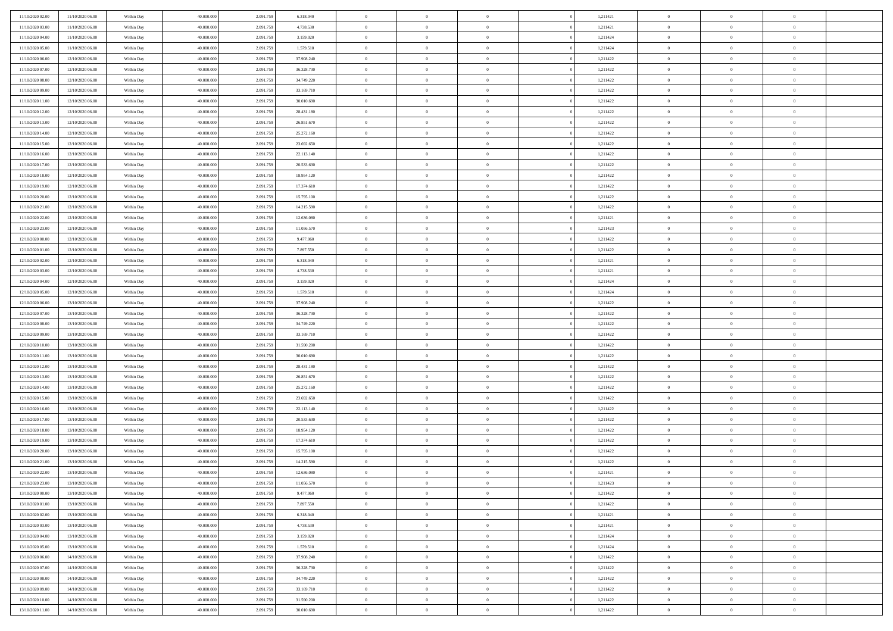| 11/10/2020 02.00                     | 11/10/2020 06:00                     | Within Day               | 40,000,000               | 2.091.75              | 6.318.040                | $\bf{0}$                 | $\overline{0}$                   | $\overline{0}$                   | 1,211421 | $\bf{0}$                     | $\overline{0}$             | $\bf{0}$                   |  |
|--------------------------------------|--------------------------------------|--------------------------|--------------------------|-----------------------|--------------------------|--------------------------|----------------------------------|----------------------------------|----------|------------------------------|----------------------------|----------------------------|--|
| 11/10/2020 03:00                     | 11/10/2020 06:00                     | Within Day               | 40.000.000               | 2.091.75              | 4.738.530                | $\overline{0}$           | $\overline{0}$                   | $\Omega$                         | 1,211421 | $\mathbf{0}$                 | $\bf{0}$                   | $\theta$                   |  |
| 11/10/2020 04:00                     | 11/10/2020 06:00                     | Within Day               | 40.000.000               | 2.091.75              | 3.159.020                | $\overline{0}$           | $\overline{0}$                   | $\overline{0}$                   | 1,211424 | $\,$ 0 $\,$                  | $\overline{0}$             | $\,0\,$                    |  |
| 11/10/2020 05.00                     | 11/10/2020 06.00                     | Within Day               | 40,000,000               | 2.091.75              | 1.579.510                | $\overline{0}$           | $\overline{0}$                   | $\Omega$                         | 1,211424 | $\overline{0}$               | $\theta$                   | $\overline{0}$             |  |
| 11/10/2020 06:00                     | 12/10/2020 06:00                     | Within Day               | 40.000.000               | 2.091.759             | 37.908.240               | $\mathbf{0}$             | $\overline{0}$                   | $\overline{0}$                   | 1,211422 | $\mathbf{0}$                 | $\bf{0}$                   | $\overline{0}$             |  |
| 11/10/2020 07:00                     | 12/10/2020 06:00                     | Within Day               | 40.000.000               | 2.091.759             | 36.328.730               | $\,$ 0                   | $\overline{0}$                   | $\overline{0}$                   | 1,211422 | $\,$ 0 $\,$                  | $\overline{0}$             | $\,0\,$                    |  |
| 11/10/2020 08:00                     | 12/10/2020 06:00                     | Within Day               | 40,000,000               | 2.091.75              | 34.749.220               | $\bf{0}$                 | $\overline{0}$                   | $\Omega$                         | 1,211422 | $\bf{0}$                     | $\overline{0}$             | $\overline{0}$             |  |
| 11/10/2020 09:00                     | 12/10/2020 06:00                     | Within Day               | 40.000.000               | 2.091.75              | 33.169.710               | $\overline{0}$           | $\overline{0}$                   | $\overline{0}$                   | 1,211422 | $\mathbf{0}$                 | $\bf{0}$                   | $\theta$                   |  |
| 11/10/2020 11:00                     | 12/10/2020 06:00                     | Within Day               | 40.000.000               | 2.091.759             | 30.010.690               | $\,$ 0                   | $\overline{0}$                   | $\overline{0}$                   | 1,211422 | $\,$ 0 $\,$                  | $\overline{0}$             | $\,0\,$                    |  |
| 11/10/2020 12:00                     | 12/10/2020 06:00                     | Within Day               | 40,000,000               | 2.091.759             | 28.431.180               | $\overline{0}$           | $\overline{0}$                   | $\Omega$                         | 1,211422 | $\overline{0}$               | $\theta$                   | $\overline{0}$             |  |
| 11/10/2020 13:00                     | 12/10/2020 06:00                     | Within Day               | 40.000.000               | 2.091.759             | 26.851.670               | $\mathbf{0}$             | $\overline{0}$                   | $\overline{0}$                   | 1,211422 | $\mathbf{0}$                 | $\bf{0}$                   | $\theta$                   |  |
| 11/10/2020 14:00                     | 12/10/2020 06:00                     | Within Day               | 40.000.000               | 2.091.75              | 25.272.160               | $\,$ 0                   | $\overline{0}$                   | $\overline{0}$                   | 1,211422 | $\,$ 0 $\,$                  | $\overline{0}$             | $\,0\,$                    |  |
| 11/10/2020 15.00                     | 12/10/2020 06:00                     | Within Day               | 40,000,000               | 2.091.75              | 23.692.650               | $\overline{0}$           | $\overline{0}$                   | $\Omega$                         | 1,211422 | $\overline{0}$               | $\theta$                   | $\overline{0}$             |  |
| 11/10/2020 16:00                     | 12/10/2020 06:00                     | Within Day               | 40.000.000               | 2.091.759             | 22.113.140               | $\mathbf{0}$             | $\overline{0}$                   | $\overline{0}$                   | 1,211422 | $\mathbf{0}$                 | $\bf{0}$                   | $\overline{0}$             |  |
| 11/10/2020 17:00                     | 12/10/2020 06:00                     | Within Day               | 40.000.000               | 2.091.759             | 20.533.630               | $\,$ 0                   | $\overline{0}$                   | $\overline{0}$                   | 1,211422 | $\,$ 0 $\,$                  | $\overline{0}$             | $\,$ 0 $\,$                |  |
| 11/10/2020 18.00                     | 12/10/2020 06:00                     | Within Day               | 40,000,000               | 2.091.75              | 18.954.120               | $\bf{0}$                 | $\overline{0}$                   | $\Omega$                         | 1,211422 | $\bf{0}$                     | $\theta$                   | $\overline{0}$             |  |
| 11/10/2020 19:00                     | 12/10/2020 06:00                     | Within Day               | 40.000.000               | 2.091.759             | 17.374.610               | $\mathbf{0}$             | $\overline{0}$                   | $\overline{0}$                   | 1,211422 | $\mathbf{0}$                 | $\bf{0}$                   | $\theta$                   |  |
| 11/10/2020 20:00                     | 12/10/2020 06:00                     | Within Day               | 40.000.000               | 2.091.759             | 15.795.100               | $\,$ 0                   | $\overline{0}$                   | $\overline{0}$                   | 1,211422 | $\,$ 0 $\,$                  | $\overline{0}$             | $\,$ 0 $\,$                |  |
| 11/10/2020 21.00                     | 12/10/2020 06:00                     | Within Day               | 40,000,000               | 2.091.75              | 14.215.590               | $\overline{0}$           | $\overline{0}$                   | $\Omega$                         | 1,211422 | $\overline{0}$               | $\theta$                   | $\overline{0}$             |  |
| 11/10/2020 22.00                     | 12/10/2020 06:00                     | Within Day               | 40.000.000               | 2.091.759             | 12.636.080               | $\mathbf{0}$             | $\overline{0}$                   | $\overline{0}$                   | 1,211421 | $\mathbf{0}$                 | $\bf{0}$                   | $\theta$                   |  |
| 11/10/2020 23:00                     | 12/10/2020 06:00                     | Within Day               | 40.000.000               | 2.091.759             | 11.056.570               | $\,$ 0                   | $\overline{0}$                   | $\overline{0}$                   | 1,211423 | $\,$ 0 $\,$                  | $\overline{0}$             | $\,$ 0 $\,$                |  |
| 12/10/2020 00:00                     | 12/10/2020 06:00                     | Within Day               | 40,000,000               | 2.091.75              | 9.477.060                | $\overline{0}$           | $\overline{0}$                   | $\Omega$                         | 1,211422 | $\overline{0}$               | $\theta$                   | $\overline{0}$             |  |
| 12/10/2020 01:00                     | 12/10/2020 06:00                     | Within Day               | 40.000.000               | 2.091.759             | 7.897.550                | $\mathbf{0}$             | $\overline{0}$                   | $\overline{0}$                   | 1,211422 | $\mathbf{0}$                 | $\bf{0}$                   | $\theta$                   |  |
| 12/10/2020 02:00                     | 12/10/2020 06:00                     | Within Day               | 40.000.000               | 2.091.759             | 6.318.040                | $\,$ 0                   | $\overline{0}$                   | $\overline{0}$                   | 1,211421 | $\,$ 0 $\,$                  | $\overline{0}$             | $\,$ 0 $\,$                |  |
| 12/10/2020 03.00                     | 12/10/2020 06:00                     | Within Day               | 40,000,000               | 2.091.75              | 4.738.530                | $\bf{0}$                 | $\overline{0}$                   | $\Omega$                         | 1,211421 | $\bf{0}$                     | $\overline{0}$             | $\bf{0}$                   |  |
| 12/10/2020 04:00                     | 12/10/2020 06:00                     | Within Day               | 40.000.000               | 2.091.759             | 3.159.020                | $\mathbf{0}$             | $\overline{0}$                   | $\overline{0}$                   | 1,211424 | $\mathbf{0}$                 | $\bf{0}$                   | $\theta$                   |  |
| 12/10/2020 05:00                     | 12/10/2020 06:00                     | Within Day               | 40.000.000               | 2.091.759             | 1.579.510                | $\,$ 0                   | $\overline{0}$                   | $\overline{0}$                   | 1,211424 | $\,$ 0 $\,$                  | $\overline{0}$             | $\,0\,$                    |  |
| 12/10/2020 06.00                     | 13/10/2020 06.00                     | Within Day               | 40,000,000               | 2.091.759             | 37,908,240               | $\overline{0}$           | $\overline{0}$                   | $\Omega$                         | 1,211422 | $\overline{0}$               | $\theta$                   | $\overline{0}$             |  |
| 12/10/2020 07:00                     | 13/10/2020 06:00                     | Within Day               | 40.000.000               | 2.091.759             | 36.328.730               | $\mathbf{0}$             | $\overline{0}$                   | $\overline{0}$                   | 1,211422 | $\mathbf{0}$                 | $\bf{0}$                   | $\theta$                   |  |
| 12/10/2020 08:00                     | 13/10/2020 06:00                     | Within Day               | 40.000.000               | 2.091.759             | 34.749.220               | $\,$ 0                   | $\overline{0}$                   | $\overline{0}$                   | 1,211422 | $\,$ 0 $\,$                  | $\overline{0}$             | $\,0\,$                    |  |
| 12/10/2020 09:00                     | 13/10/2020 06:00                     | Within Day               | 40.000.000               | 2.091.75              | 33.169.710               | $\bf{0}$                 | $\overline{0}$                   | $\Omega$                         | 1,211422 | $\bf{0}$                     | $\overline{0}$             | $\bf{0}$                   |  |
| 12/10/2020 10:00                     | 13/10/2020 06:00                     | Within Day               | 40.000.000               | 2.091.759             | 31.590.200               | $\mathbf{0}$             | $\overline{0}$                   | $\overline{0}$                   | 1,211422 | $\mathbf{0}$                 | $\bf{0}$                   | $\theta$                   |  |
| 12/10/2020 11:00                     | 13/10/2020 06:00                     | Within Day               | 40.000.000               | 2.091.759             | 30.010.690               | $\,$ 0                   | $\overline{0}$                   | $\overline{0}$                   | 1,211422 | $\,$ 0 $\,$                  | $\overline{0}$             | $\,0\,$                    |  |
| 12/10/2020 12:00                     | 13/10/2020 06:00                     | Within Day               | 40.000.000               | 2.091.75              | 28.431.180               | $\bf{0}$                 | $\overline{0}$                   | $\overline{0}$                   | 1,211422 | $\mathbf{0}$                 | $\overline{0}$             | $\bf{0}$                   |  |
| 12/10/2020 13:00                     | 13/10/2020 06:00                     | Within Day               | 40.000.000               | 2.091.75              | 26.851.670               | $\mathbf{0}$             | $\overline{0}$                   | $\overline{0}$                   | 1,211422 | $\overline{0}$               | $\bf{0}$                   | $\theta$                   |  |
| 12/10/2020 14:00                     | 13/10/2020 06:00                     | Within Day               | 40.000.000               | 2.091.759             | 25.272.160               | $\overline{0}$           | $\overline{0}$                   | $\overline{0}$                   | 1,211422 | $\,$ 0 $\,$                  | $\overline{0}$             | $\,0\,$                    |  |
| 12/10/2020 15:00                     | 13/10/2020 06:00                     | Within Day               | 40.000.000               | 2.091.75              | 23.692.650               | $\bf{0}$                 | $\overline{0}$                   | $\Omega$                         | 1,211422 | $\bf{0}$                     | $\overline{0}$             | $\bf{0}$                   |  |
| 12/10/2020 16:00                     | 13/10/2020 06:00                     | Within Day               | 40.000.000               | 2.091.759             | 22.113.140               | $\mathbf{0}$             | $\overline{0}$                   | $\overline{0}$                   | 1,211422 | $\mathbf{0}$                 | $\bf{0}$                   | $\overline{0}$             |  |
| 12/10/2020 17:00                     | 13/10/2020 06:00                     | Within Day               | 40.000.000               | 2.091.759             | 20.533.630               | $\,$ 0                   | $\overline{0}$                   | $\overline{0}$                   | 1,211422 | $\,$ 0 $\,$                  | $\overline{0}$             | $\,$ 0 $\,$                |  |
| 12/10/2020 18:00                     | 13/10/2020 06:00                     | Within Day               | 40.000.000               | 2.091.75              | 18.954.120               | $\bf{0}$                 | $\overline{0}$                   | $\Omega$                         | 1,211422 | $\bf{0}$                     | $\overline{0}$             | $\bf{0}$                   |  |
| 12/10/2020 19:00                     | 13/10/2020 06:00                     | Within Day               | 40.000.000               | 2.091.759             | 17.374.610               | $\mathbf{0}$             | $\overline{0}$                   | $\overline{0}$                   | 1,211422 | $\overline{0}$               | $\bf{0}$                   | $\theta$                   |  |
| 12/10/2020 20:00                     | 13/10/2020 06:00                     | Within Day               | 40.000.000               | 2.091.75              | 15.795.100               | $\,$ 0                   | $\overline{0}$                   | $\overline{0}$                   | 1,211422 | $\,$ 0 $\,$                  | $\overline{0}$             | $\,$ 0 $\,$                |  |
| 12/10/2020 21:00                     | 13/10/2020 06:00                     | Within Day               | 40.000.000               | 2.091.75              | 14.215.590               | $\bf{0}$                 | $\overline{0}$                   | $\overline{0}$                   | 1,211422 | $\mathbf{0}$                 | $\overline{0}$             | $\bf{0}$                   |  |
| 12/10/2020 22:00                     | 13/10/2020 06:00                     | Within Day               | 40.000.000               | 2.091.759             | 12.636.080               | $\mathbf{0}$             | $\overline{0}$                   | $\overline{0}$                   | 1,211421 | $\overline{0}$               | $\bf{0}$                   | $\theta$                   |  |
| 12/10/2020 23:00                     | 13/10/2020 06:00                     | Within Day               | 40.000.000               | 2.091.759             | 11.056.570               | $\theta$                 | $\overline{0}$                   | $\Omega$                         | 1,211423 | $\overline{0}$               | $\overline{0}$             | $\overline{0}$             |  |
| 13/10/2020 00:00                     | 13/10/2020 06:00                     | Within Day               | 40.000.000               | 2.091.75              | 9.477.060                | $\bf{0}$                 | $\overline{0}$                   | $\overline{0}$                   | 1,211422 | $\mathbf{0}$                 | $\overline{0}$             | $\bf{0}$                   |  |
| 13/10/2020 01:00                     | 13/10/2020 06:00                     | Within Day               | 40.000.000               | 2.091.75              | 7.897.550                | $\overline{0}$           | $\overline{0}$                   | $\overline{0}$                   | 1,211422 | $\,$ 0 $\,$                  | $\overline{0}$             | $\overline{0}$             |  |
| 13/10/2020 02:00                     | 13/10/2020 06:00                     | Within Day               | 40.000.000               | 2.091.759             | 6.318.040                | $\,$ 0 $\,$              | $\overline{0}$                   | $\overline{0}$                   | 1,211421 | $\,$ 0 $\,$                  | $\,$ 0 $\,$                | $\theta$                   |  |
| 13/10/2020 03:00                     | 13/10/2020 06:00                     | Within Day               | 40.000.000               | 2.091.759             | 4.738.530                | $\bf{0}$                 | $\overline{0}$                   | $\overline{0}$                   | 1,211421 | $\mathbf{0}$                 | $\overline{0}$             | $\bf{0}$                   |  |
| 13/10/2020 04:00                     | 13/10/2020 06:00                     | Within Day               | 40.000.000               | 2.091.759             | 3.159.020                | $\mathbf{0}$             | $\overline{0}$                   | $\overline{0}$                   | 1,211424 | $\mathbf{0}$                 | $\bf{0}$                   | $\overline{0}$             |  |
| 13/10/2020 05:00                     | 13/10/2020 06:00                     | Within Day               | 40.000.000               | 2.091.759             | 1.579.510                | $\,$ 0 $\,$              | $\overline{0}$                   | $\overline{0}$                   | 1,211424 | $\,$ 0 $\,$                  | $\overline{0}$             | $\theta$                   |  |
| 13/10/2020 06:00                     | 14/10/2020 06:00                     | Within Day               | 40.000.000               | 2.091.75              | 37.908.240               | $\mathbf{0}$             | $\overline{0}$                   | $\overline{0}$                   | 1,211422 | $\mathbf{0}$                 | $\overline{0}$             | $\overline{0}$             |  |
| 13/10/2020 07:00                     | 14/10/2020 06:00                     | Within Day               | 40.000.000               | 2.091.759             | 36.328.730               | $\,$ 0 $\,$              | $\overline{0}$                   | $\overline{0}$                   | 1,211422 | $\,$ 0 $\,$                  | $\bf{0}$                   | $\overline{0}$             |  |
| 13/10/2020 08:00                     | 14/10/2020 06:00                     | Within Day               | 40.000.000               | 2.091.759             | 34.749.220               | $\,$ 0                   | $\overline{0}$                   | $\overline{0}$                   | 1,211422 | $\,$ 0 $\,$                  | $\,$ 0                     | $\theta$                   |  |
| 13/10/2020 09:00<br>13/10/2020 10:00 | 14/10/2020 06:00<br>14/10/2020 06:00 | Within Day<br>Within Day | 40.000.000<br>40.000.000 | 2.091.75<br>2.091.759 | 33.169.710<br>31.590.200 | $\bf{0}$<br>$\mathbf{0}$ | $\overline{0}$<br>$\overline{0}$ | $\overline{0}$<br>$\overline{0}$ | 1,211422 | $\mathbf{0}$<br>$\mathbf{0}$ | $\overline{0}$<br>$\bf{0}$ | $\bf{0}$<br>$\overline{0}$ |  |
|                                      |                                      |                          |                          |                       |                          |                          |                                  |                                  | 1,211422 |                              |                            |                            |  |
| 13/10/2020 11:00                     | 14/10/2020 06:00                     | Within Day               | 40.000.000               | 2.091.759             | 30.010.690               | $\,$ 0                   | $\overline{0}$                   | $\overline{0}$                   | 1,211422 | $\,$ 0 $\,$                  | $\overline{0}$             | $\theta$                   |  |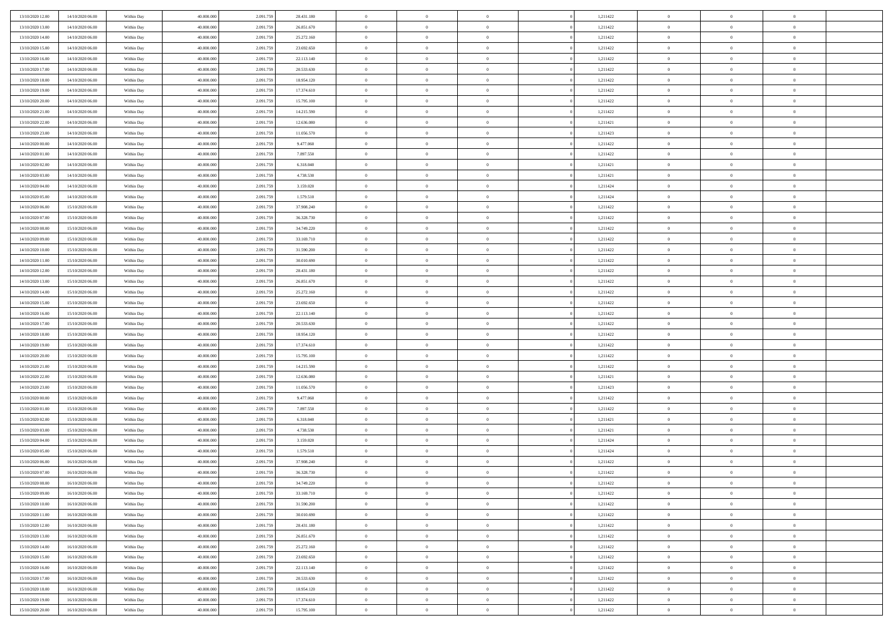| 13/10/2020 12:00 | 14/10/2020 06:00 | Within Day | 40,000,000 | 2.091.75  | 28.431.180 | $\bf{0}$       | $\overline{0}$ | $\overline{0}$ | 1,211422 | $\bf{0}$       | $\overline{0}$ | $\bf{0}$       |  |
|------------------|------------------|------------|------------|-----------|------------|----------------|----------------|----------------|----------|----------------|----------------|----------------|--|
| 13/10/2020 13:00 | 14/10/2020 06:00 | Within Day | 40.000.000 | 2.091.75  | 26.851.670 | $\overline{0}$ | $\overline{0}$ | $\Omega$       | 1,211422 | $\overline{0}$ | $\bf{0}$       | $\theta$       |  |
| 13/10/2020 14:00 | 14/10/2020 06:00 | Within Day | 40.000.000 | 2.091.75  | 25.272.160 | $\,$ 0         | $\overline{0}$ | $\overline{0}$ | 1,211422 | $\,$ 0 $\,$    | $\overline{0}$ | $\,$ 0 $\,$    |  |
| 13/10/2020 15:00 | 14/10/2020 06:00 | Within Day | 40,000,000 | 2.091.75  | 23.692.650 | $\overline{0}$ | $\overline{0}$ | $\Omega$       | 1,211422 | $\overline{0}$ | $\theta$       | $\overline{0}$ |  |
| 13/10/2020 16:00 | 14/10/2020 06:00 | Within Day | 40.000.000 | 2.091.759 | 22.113.140 | $\mathbf{0}$   | $\overline{0}$ | $\overline{0}$ | 1,211422 | $\mathbf{0}$   | $\bf{0}$       | $\theta$       |  |
| 13/10/2020 17:00 | 14/10/2020 06:00 | Within Day | 40.000.000 | 2.091.759 | 20.533.630 | $\,$ 0         | $\overline{0}$ | $\overline{0}$ | 1,211422 | $\,$ 0 $\,$    | $\overline{0}$ | $\,$ 0 $\,$    |  |
| 13/10/2020 18:00 | 14/10/2020 06.00 | Within Day | 40,000,000 | 2.091.75  | 18.954.120 | $\bf{0}$       | $\overline{0}$ | $\Omega$       | 1,211422 | $\bf{0}$       | $\overline{0}$ | $\overline{0}$ |  |
| 13/10/2020 19:00 | 14/10/2020 06:00 | Within Day | 40.000.000 | 2.091.75  | 17.374.610 | $\overline{0}$ | $\overline{0}$ | $\overline{0}$ | 1,211422 | $\mathbf{0}$   | $\bf{0}$       | $\theta$       |  |
| 13/10/2020 20:00 | 14/10/2020 06:00 | Within Day | 40.000.000 | 2.091.759 | 15.795.100 | $\,$ 0         | $\overline{0}$ | $\overline{0}$ | 1,211422 | $\,$ 0 $\,$    | $\overline{0}$ | $\,0\,$        |  |
| 13/10/2020 21.00 | 14/10/2020 06.00 | Within Day | 40,000,000 | 2.091.759 | 14.215.590 | $\overline{0}$ | $\overline{0}$ | $\Omega$       | 1,211422 | $\overline{0}$ | $\theta$       | $\overline{0}$ |  |
| 13/10/2020 22:00 | 14/10/2020 06:00 | Within Day | 40.000.000 | 2.091.759 | 12.636.080 | $\mathbf{0}$   | $\overline{0}$ | $\overline{0}$ | 1,211421 | $\mathbf{0}$   | $\bf{0}$       | $\theta$       |  |
| 13/10/2020 23:00 | 14/10/2020 06:00 | Within Day | 40.000.000 | 2.091.75  | 11.056.570 | $\,$ 0         | $\overline{0}$ | $\overline{0}$ | 1,211423 | $\,$ 0 $\,$    | $\overline{0}$ | $\,0\,$        |  |
| 14/10/2020 00:00 | 14/10/2020 06.00 | Within Day | 40,000,000 | 2.091.75  | 9.477.060  | $\overline{0}$ | $\overline{0}$ | $\Omega$       | 1,211422 | $\overline{0}$ | $\theta$       | $\overline{0}$ |  |
| 14/10/2020 01:00 | 14/10/2020 06:00 | Within Day | 40.000.000 | 2.091.759 | 7.897.550  | $\mathbf{0}$   | $\overline{0}$ | $\overline{0}$ | 1,211422 | $\mathbf{0}$   | $\bf{0}$       | $\theta$       |  |
| 14/10/2020 02:00 | 14/10/2020 06:00 | Within Day | 40.000.000 | 2.091.759 | 6.318.040  | $\,$ 0         | $\overline{0}$ | $\overline{0}$ | 1,211421 | $\,$ 0 $\,$    | $\overline{0}$ | $\,0\,$        |  |
| 14/10/2020 03.00 | 14/10/2020 06.00 | Within Day | 40,000,000 | 2.091.75  | 4.738.530  | $\bf{0}$       | $\overline{0}$ | $\Omega$       | 1,211421 | $\bf{0}$       | $\theta$       | $\bf{0}$       |  |
| 14/10/2020 04:00 | 14/10/2020 06:00 | Within Day | 40.000.000 | 2.091.759 | 3.159.020  | $\mathbf{0}$   | $\overline{0}$ | $\overline{0}$ | 1,211424 | $\mathbf{0}$   | $\bf{0}$       | $\theta$       |  |
| 14/10/2020 05:00 | 14/10/2020 06:00 | Within Day | 40.000.000 | 2.091.759 | 1.579.510  | $\overline{0}$ | $\overline{0}$ | $\overline{0}$ | 1,211424 | $\,$ 0 $\,$    | $\overline{0}$ | $\,0\,$        |  |
| 14/10/2020 06.00 | 15/10/2020 06.00 | Within Day | 40,000,000 | 2.091.75  | 37.908.240 | $\overline{0}$ | $\overline{0}$ | $\Omega$       | 1,211422 | $\overline{0}$ | $\theta$       | $\overline{0}$ |  |
| 14/10/2020 07:00 | 15/10/2020 06:00 | Within Day | 40.000.000 | 2.091.75  | 36.328.730 | $\overline{0}$ | $\overline{0}$ | $\overline{0}$ | 1,211422 | $\mathbf{0}$   | $\bf{0}$       | $\theta$       |  |
| 14/10/2020 08:00 | 15/10/2020 06:00 | Within Day | 40.000.000 | 2.091.759 | 34.749.220 | $\,$ 0         | $\overline{0}$ | $\overline{0}$ | 1,211422 | $\,$ 0 $\,$    | $\overline{0}$ | $\,0\,$        |  |
| 14/10/2020 09:00 | 15/10/2020 06:00 | Within Day | 40,000,000 | 2.091.75  | 33.169.710 | $\overline{0}$ | $\overline{0}$ | $\Omega$       | 1,211422 | $\overline{0}$ | $\theta$       | $\overline{0}$ |  |
| 14/10/2020 10:00 | 15/10/2020 06:00 | Within Day | 40.000.000 | 2.091.759 | 31.590.200 | $\mathbf{0}$   | $\overline{0}$ | $\overline{0}$ | 1,211422 | $\mathbf{0}$   | $\bf{0}$       | $\theta$       |  |
| 14/10/2020 11:00 | 15/10/2020 06:00 | Within Day | 40.000.000 | 2.091.759 | 30.010.690 | $\overline{0}$ | $\overline{0}$ | $\overline{0}$ | 1,211422 | $\,$ 0 $\,$    | $\overline{0}$ | $\,0\,$        |  |
| 14/10/2020 12:00 | 15/10/2020 06.00 | Within Day | 40,000,000 | 2.091.75  | 28.431.180 | $\bf{0}$       | $\overline{0}$ | $\Omega$       | 1,211422 | $\bf{0}$       | $\overline{0}$ | $\bf{0}$       |  |
| 14/10/2020 13:00 | 15/10/2020 06:00 | Within Day | 40.000.000 | 2.091.75  | 26.851.670 | $\overline{0}$ | $\overline{0}$ | $\overline{0}$ | 1,211422 | $\mathbf{0}$   | $\bf{0}$       | $\theta$       |  |
| 14/10/2020 14:00 | 15/10/2020 06:00 | Within Day | 40.000.000 | 2.091.759 | 25.272.160 | $\,$ 0         | $\overline{0}$ | $\overline{0}$ | 1,211422 | $\,$ 0 $\,$    | $\overline{0}$ | $\,0\,$        |  |
| 14/10/2020 15.00 | 15/10/2020 06.00 | Within Day | 40,000,000 | 2.091.759 | 23.692.650 | $\overline{0}$ | $\overline{0}$ | $\Omega$       | 1,211422 | $\overline{0}$ | $\theta$       | $\overline{0}$ |  |
| 14/10/2020 16:00 | 15/10/2020 06:00 | Within Day | 40.000.000 | 2.091.759 | 22.113.140 | $\mathbf{0}$   | $\overline{0}$ | $\overline{0}$ | 1,211422 | $\mathbf{0}$   | $\bf{0}$       | $\overline{0}$ |  |
| 14/10/2020 17:00 | 15/10/2020 06:00 | Within Day | 40.000.000 | 2.091.75  | 20.533.630 | $\,$ 0         | $\overline{0}$ | $\overline{0}$ | 1,211422 | $\,$ 0 $\,$    | $\overline{0}$ | $\,0\,$        |  |
| 14/10/2020 18:00 | 15/10/2020 06:00 | Within Day | 40.000.000 | 2.091.75  | 18.954.120 | $\bf{0}$       | $\overline{0}$ | $\Omega$       | 1,211422 | $\bf{0}$       | $\overline{0}$ | $\bf{0}$       |  |
| 14/10/2020 19:00 | 15/10/2020 06:00 | Within Day | 40.000.000 | 2.091.759 | 17.374.610 | $\overline{0}$ | $\overline{0}$ | $\overline{0}$ | 1,211422 | $\mathbf{0}$   | $\bf{0}$       | $\theta$       |  |
| 14/10/2020 20:00 | 15/10/2020 06:00 | Within Day | 40.000.000 | 2.091.759 | 15.795.100 | $\,$ 0         | $\overline{0}$ | $\overline{0}$ | 1,211422 | $\,$ 0 $\,$    | $\overline{0}$ | $\,0\,$        |  |
| 14/10/2020 21.00 | 15/10/2020 06:00 | Within Day | 40.000.000 | 2.091.75  | 14.215.590 | $\bf{0}$       | $\overline{0}$ | $\overline{0}$ | 1,211422 | $\mathbf{0}$   | $\overline{0}$ | $\bf{0}$       |  |
| 14/10/2020 22.00 | 15/10/2020 06:00 | Within Day | 40.000.000 | 2.091.759 | 12.636.080 | $\mathbf{0}$   | $\overline{0}$ | $\overline{0}$ | 1,211421 | $\overline{0}$ | $\bf{0}$       | $\theta$       |  |
| 14/10/2020 23:00 | 15/10/2020 06:00 | Within Day | 40.000.000 | 2.091.75  | 11.056.570 | $\overline{0}$ | $\overline{0}$ | $\overline{0}$ | 1,211423 | $\,$ 0 $\,$    | $\overline{0}$ | $\,0\,$        |  |
| 15/10/2020 00:00 | 15/10/2020 06:00 | Within Day | 40.000.000 | 2.091.75  | 9.477.060  | $\bf{0}$       | $\overline{0}$ | $\Omega$       | 1,211422 | $\bf{0}$       | $\overline{0}$ | $\bf{0}$       |  |
| 15/10/2020 01:00 | 15/10/2020 06:00 | Within Day | 40.000.000 | 2.091.759 | 7.897.550  | $\mathbf{0}$   | $\overline{0}$ | $\overline{0}$ | 1,211422 | $\mathbf{0}$   | $\bf{0}$       | $\overline{0}$ |  |
| 15/10/2020 02:00 | 15/10/2020 06:00 | Within Day | 40.000.000 | 2.091.759 | 6.318.040  | $\,$ 0         | $\overline{0}$ | $\overline{0}$ | 1,211421 | $\,$ 0 $\,$    | $\overline{0}$ | $\,0\,$        |  |
| 15/10/2020 03:00 | 15/10/2020 06:00 | Within Day | 40.000.000 | 2.091.75  | 4.738.530  | $\bf{0}$       | $\overline{0}$ | $\Omega$       | 1,211421 | $\bf{0}$       | $\overline{0}$ | $\bf{0}$       |  |
| 15/10/2020 04:00 | 15/10/2020 06:00 | Within Day | 40.000.000 | 2.091.759 | 3.159.020  | $\mathbf{0}$   | $\overline{0}$ | $\overline{0}$ | 1,211424 | $\overline{0}$ | $\overline{0}$ | $\theta$       |  |
| 15/10/2020 05:00 | 15/10/2020 06:00 | Within Day | 40.000.000 | 2.091.75  | 1.579.510  | $\,$ 0         | $\overline{0}$ | $\overline{0}$ | 1,211424 | $\,$ 0 $\,$    | $\overline{0}$ | $\,0\,$        |  |
| 15/10/2020 06:00 | 16/10/2020 06:00 | Within Day | 40.000.000 | 2.091.75  | 37.908.240 | $\bf{0}$       | $\overline{0}$ | $\overline{0}$ | 1,211422 | $\bf{0}$       | $\overline{0}$ | $\bf{0}$       |  |
| 15/10/2020 07:00 | 16/10/2020 06:00 | Within Day | 40.000.000 | 2.091.759 | 36.328.730 | $\mathbf{0}$   | $\overline{0}$ | $\overline{0}$ | 1,211422 | $\overline{0}$ | $\bf{0}$       | $\theta$       |  |
| 15/10/2020 08:00 | 16/10/2020 06:00 | Within Day | 40.000.000 | 2.091.759 | 34.749.220 | $\theta$       | $\overline{0}$ | $\Omega$       | 1,211422 | $\overline{0}$ | $\overline{0}$ | $\overline{0}$ |  |
| 15/10/2020 09:00 | 16/10/2020 06:00 | Within Day | 40.000.000 | 2.091.75  | 33.169.710 | $\bf{0}$       | $\overline{0}$ | $\overline{0}$ | 1,211422 | $\mathbf{0}$   | $\overline{0}$ | $\bf{0}$       |  |
| 15/10/2020 10:00 | 16/10/2020 06:00 | Within Day | 40.000.000 | 2.091.759 | 31.590.200 | $\overline{0}$ | $\overline{0}$ | $\overline{0}$ | 1,211422 | $\,$ 0 $\,$    | $\overline{0}$ | $\overline{0}$ |  |
| 15/10/2020 11:00 | 16/10/2020 06:00 | Within Day | 40.000.000 | 2.091.759 | 30.010.690 | $\,$ 0 $\,$    | $\overline{0}$ | $\overline{0}$ | 1,211422 | $\,$ 0 $\,$    | $\,$ 0 $\,$    | $\theta$       |  |
| 15/10/2020 12:00 | 16/10/2020 06:00 | Within Day | 40.000.000 | 2.091.759 | 28.431.180 | $\bf{0}$       | $\overline{0}$ | $\overline{0}$ | 1,211422 | $\mathbf{0}$   | $\overline{0}$ | $\bf{0}$       |  |
| 15/10/2020 13:00 | 16/10/2020 06:00 | Within Day | 40.000.000 | 2.091.759 | 26.851.670 | $\mathbf{0}$   | $\overline{0}$ | $\overline{0}$ | 1,211422 | $\mathbf{0}$   | $\bf{0}$       | $\overline{0}$ |  |
| 15/10/2020 14:00 | 16/10/2020 06:00 | Within Day | 40.000.000 | 2.091.759 | 25.272.160 | $\,$ 0 $\,$    | $\overline{0}$ | $\overline{0}$ | 1,211422 | $\,$ 0 $\,$    | $\overline{0}$ | $\theta$       |  |
| 15/10/2020 15:00 | 16/10/2020 06:00 | Within Day | 40.000.000 | 2.091.75  | 23.692.650 | $\mathbf{0}$   | $\overline{0}$ | $\overline{0}$ | 1,211422 | $\mathbf{0}$   | $\overline{0}$ | $\overline{0}$ |  |
| 15/10/2020 16.00 | 16/10/2020 06:00 | Within Day | 40.000.000 | 2.091.759 | 22.113.140 | $\,$ 0 $\,$    | $\overline{0}$ | $\overline{0}$ | 1,211422 | $\,$ 0 $\,$    | $\bf{0}$       | $\overline{0}$ |  |
| 15/10/2020 17.00 | 16/10/2020 06:00 | Within Day | 40.000.000 | 2.091.759 | 20.533.630 | $\,$ 0 $\,$    | $\overline{0}$ | $\overline{0}$ | 1,211422 | $\,$ 0 $\,$    | $\,$ 0         | $\theta$       |  |
| 15/10/2020 18:00 | 16/10/2020 06:00 | Within Day | 40.000.000 | 2.091.759 | 18.954.120 | $\bf{0}$       | $\overline{0}$ | $\overline{0}$ | 1,211422 | $\mathbf{0}$   | $\overline{0}$ | $\bf{0}$       |  |
| 15/10/2020 19:00 | 16/10/2020 06:00 | Within Day | 40.000.000 | 2.091.759 | 17.374.610 | $\mathbf{0}$   | $\overline{0}$ | $\overline{0}$ | 1,211422 | $\mathbf{0}$   | $\bf{0}$       | $\overline{0}$ |  |
| 15/10/2020 20:00 | 16/10/2020 06:00 | Within Day | 40.000.000 | 2.091.759 | 15.795.100 | $\,$ 0         | $\overline{0}$ | $\overline{0}$ | 1,211422 | $\,$ 0 $\,$    | $\overline{0}$ | $\theta$       |  |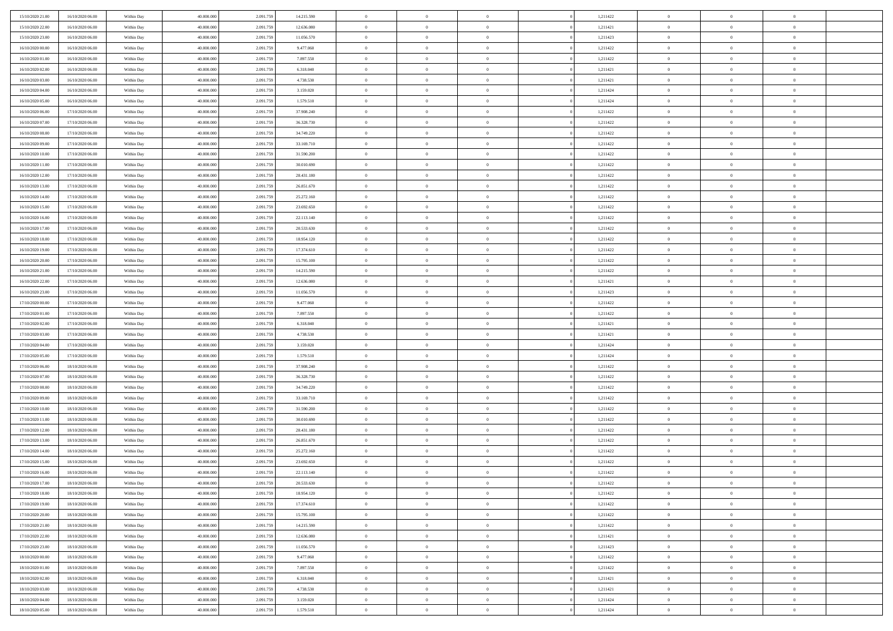| 15/10/2020 21:00                     | 16/10/2020 06:00 | Within Day               | 40.000.000 | 2.091.75  | 14.215.590 | $\bf{0}$                   | $\overline{0}$                   | $\Omega$       | 1,211422             | $\bf{0}$       | $\overline{0}$ | $\bf{0}$       |  |
|--------------------------------------|------------------|--------------------------|------------|-----------|------------|----------------------------|----------------------------------|----------------|----------------------|----------------|----------------|----------------|--|
| 15/10/2020 22.00                     | 16/10/2020 06:00 | Within Day               | 40,000,000 | 2.091.75  | 12.636.080 | $\overline{0}$             | $\overline{0}$                   | $\Omega$       | 1,211421             | $\overline{0}$ | $\theta$       | $\theta$       |  |
| 15/10/2020 23:00                     | 16/10/2020 06:00 | Within Day               | 40.000.000 | 2.091.759 | 11.056.570 | $\overline{0}$             | $\overline{0}$                   | $\overline{0}$ | 1,211423             | $\mathbf{0}$   | $\overline{0}$ | $\theta$       |  |
| 16/10/2020 00:00                     | 16/10/2020 06:00 | Within Day               | 40.000.000 | 2.091.75  | 9.477.060  | $\bf{0}$                   | $\overline{0}$                   | $\overline{0}$ | 1,211422             | $\mathbf{0}$   | $\overline{0}$ | $\bf{0}$       |  |
| 16/10/2020 01:00                     | 16/10/2020 06:00 | Within Day               | 40,000,000 | 2.091.75  | 7.897.550  | $\bf{0}$                   | $\overline{0}$                   | $\overline{0}$ | 1,211422             | $\bf{0}$       | $\overline{0}$ | $\bf{0}$       |  |
| 16/10/2020 02:00                     | 16/10/2020 06:00 | Within Day               | 40.000.000 | 2.091.759 | 6.318.040  | $\overline{0}$             | $\overline{0}$                   | $\overline{0}$ | 1,211421             | $\mathbf{0}$   | $\overline{0}$ | $\theta$       |  |
| 16/10/2020 03:00                     | 16/10/2020 06:00 | Within Day               | 40.000.000 | 2.091.75  | 4.738.530  | $\bf{0}$                   | $\overline{0}$                   | $\overline{0}$ | 1,211421             | $\bf{0}$       | $\overline{0}$ | $\bf{0}$       |  |
| 16/10/2020 04:00                     | 16/10/2020 06:00 | Within Day               | 40,000,000 | 2.091.75  | 3.159.020  | $\overline{0}$             | $\overline{0}$                   | $\overline{0}$ | 1,211424             | $\mathbf{0}$   | $\theta$       | $\theta$       |  |
| 16/10/2020 05:00                     | 16/10/2020 06:00 | Within Day               | 40.000.000 | 2.091.759 | 1.579.510  | $\overline{0}$             | $\overline{0}$                   | $\overline{0}$ | 1,211424             | $\mathbf{0}$   | $\overline{0}$ | $\theta$       |  |
| 16/10/2020 06:00                     | 17/10/2020 06:00 |                          | 40.000.000 | 2.091.75  | 37.908.240 | $\bf{0}$                   | $\overline{0}$                   | $\Omega$       | 1,211422             | $\mathbf{0}$   | $\overline{0}$ | $\bf{0}$       |  |
|                                      |                  | Within Day               | 40,000,000 |           |            |                            |                                  |                |                      |                | $\theta$       | $\theta$       |  |
| 16/10/2020 07:00                     | 17/10/2020 06:00 | Within Day               |            | 2.091.75  | 36.328.730 | $\bf{0}$<br>$\overline{0}$ | $\overline{0}$<br>$\overline{0}$ | $\overline{0}$ | 1,211422             | $\mathbf{0}$   |                | $\theta$       |  |
| 16/10/2020 08:00                     | 17/10/2020 06:00 | Within Day               | 40.000.000 | 2.091.759 | 34.749.220 |                            |                                  | $\overline{0}$ | 1,211422             | $\mathbf{0}$   | $\overline{0}$ |                |  |
| 16/10/2020 09:00                     | 17/10/2020 06:00 | Within Day               | 40.000.000 | 2.091.75  | 33.169.710 | $\bf{0}$                   | $\overline{0}$                   | $\overline{0}$ | 1,211422             | $\mathbf{0}$   | $\overline{0}$ | $\bf{0}$       |  |
| 16/10/2020 10:00                     | 17/10/2020 06:00 | Within Day               | 40,000,000 | 2.091.75  | 31.590.200 | $\bf{0}$                   | $\overline{0}$                   | $\overline{0}$ | 1,211422             | $\bf{0}$       | $\theta$       | $\bf{0}$       |  |
| 16/10/2020 11:00                     | 17/10/2020 06:00 | Within Day               | 40.000.000 | 2.091.759 | 30.010.690 | $\overline{0}$             | $\overline{0}$                   | $\overline{0}$ | 1,211422             | $\mathbf{0}$   | $\overline{0}$ | $\theta$       |  |
| 16/10/2020 12:00                     | 17/10/2020 06:00 | Within Day               | 40.000.000 | 2.091.75  | 28.431.180 | $\bf{0}$                   | $\overline{0}$                   | $\Omega$       | 1,211422             | $\bf{0}$       | $\overline{0}$ | $\bf{0}$       |  |
| 16/10/2020 13:00                     | 17/10/2020 06:00 | Within Day               | 40,000,000 | 2.091.75  | 26.851.670 | $\,$ 0 $\,$                | $\overline{0}$                   | $\overline{0}$ | 1,211422             | $\mathbf{0}$   | $\overline{0}$ | $\theta$       |  |
| 16/10/2020 14:00                     | 17/10/2020 06:00 | Within Day               | 40.000.000 | 2.091.759 | 25.272.160 | $\overline{0}$             | $\overline{0}$                   | $\overline{0}$ | 1,211422             | $\mathbf{0}$   | $\overline{0}$ | $\theta$       |  |
| 16/10/2020 15.00                     | 17/10/2020 06:00 | Within Day               | 40.000.000 | 2.091.75  | 23.692.650 | $\bf{0}$                   | $\overline{0}$                   | $\Omega$       | 1,211422             | $\bf{0}$       | $\overline{0}$ | $\bf{0}$       |  |
| 16/10/2020 16:00                     | 17/10/2020 06:00 | Within Day               | 40,000,000 | 2.091.75  | 22.113.140 | $\bf{0}$                   | $\overline{0}$                   | $\overline{0}$ | 1,211422             | $\mathbf{0}$   | $\mathbf{0}$   | $\overline{0}$ |  |
| 16/10/2020 17:00                     | 17/10/2020 06:00 | Within Day               | 40.000.000 | 2.091.759 | 20.533.630 | $\overline{0}$             | $\overline{0}$                   | $\overline{0}$ | 1,211422             | $\mathbf{0}$   | $\overline{0}$ | $\theta$       |  |
| 16/10/2020 18:00                     | 17/10/2020 06:00 | Within Day               | 40.000.000 | 2.091.75  | 18.954.120 | $\bf{0}$                   | $\overline{0}$                   | $\overline{0}$ | 1,211422             | $\mathbf{0}$   | $\overline{0}$ | $\bf{0}$       |  |
| 16/10/2020 19:00                     | 17/10/2020 06:00 | Within Day               | 40,000,000 | 2.091.75  | 17.374.610 | $\bf{0}$                   | $\overline{0}$                   | $\overline{0}$ | 1,211422             | $\mathbf{0}$   | $\overline{0}$ | $\bf{0}$       |  |
| 16/10/2020 20:00                     | 17/10/2020 06:00 | Within Day               | 40.000.000 | 2.091.759 | 15.795.100 | $\overline{0}$             | $\overline{0}$                   | $\overline{0}$ | 1,211422             | $\mathbf{0}$   | $\overline{0}$ | $\theta$       |  |
| 16/10/2020 21:00                     | 17/10/2020 06:00 | Within Day               | 40.000.000 | 2.091.75  | 14.215.590 | $\bf{0}$                   | $\overline{0}$                   | $\overline{0}$ | 1,211422             | $\bf{0}$       | $\overline{0}$ | $\bf{0}$       |  |
| 16/10/2020 22.00                     | 17/10/2020 06:00 | Within Day               | 40,000,000 | 2.091.75  | 12.636.080 | $\,$ 0 $\,$                | $\overline{0}$                   | $\overline{0}$ | 1,211421             | $\mathbf{0}$   | $\overline{0}$ | $\overline{0}$ |  |
| 16/10/2020 23:00                     | 17/10/2020 06:00 | Within Day               | 40.000.000 | 2.091.759 | 11.056.570 | $\overline{0}$             | $\overline{0}$                   | $\overline{0}$ | 1,211423             | $\mathbf{0}$   | $\overline{0}$ | $\theta$       |  |
| 17/10/2020 00:00                     | 17/10/2020 06:00 | Within Day               | 40.000.000 | 2.091.75  | 9.477.060  | $\bf{0}$                   | $\overline{0}$                   | $\Omega$       | 1,211422             | $\mathbf{0}$   | $\overline{0}$ | $\bf{0}$       |  |
| 17/10/2020 01:00                     | 17/10/2020 06:00 | Within Day               | 40,000,000 | 2.091.759 | 7.897.550  | $\bf{0}$                   | $\overline{0}$                   | $\overline{0}$ | 1,211422             | $\mathbf{0}$   | $\mathbf{0}$   | $\overline{0}$ |  |
| 17/10/2020 02:00                     | 17/10/2020 06:00 | Within Day               | 40.000.000 | 2.091.759 | 6.318.040  | $\overline{0}$             | $\overline{0}$                   | $\overline{0}$ | 1,211421             | $\mathbf{0}$   | $\overline{0}$ | $\theta$       |  |
| 17/10/2020 03:00                     | 17/10/2020 06:00 | Within Day               | 40.000.000 | 2.091.75  | 4.738.530  | $\,$ 0                     | $\overline{0}$                   | $\overline{0}$ | 1,211421             | $\,$ 0 $\,$    | $\overline{0}$ | $\,0\,$        |  |
| 17/10/2020 04:00                     | 17/10/2020 06:00 | Within Day               | 40,000,000 | 2.091.75  | 3.159.020  | $\bf{0}$                   | $\overline{0}$                   | $\overline{0}$ | 1,211424             | $\,$ 0 $\,$    | $\overline{0}$ | $\overline{0}$ |  |
| 17/10/2020 05:00                     | 17/10/2020 06:00 | Within Day               | 40.000.000 | 2.091.759 | 1.579.510  | $\overline{0}$             | $\overline{0}$                   | $\overline{0}$ | 1,211424             | $\mathbf{0}$   | $\overline{0}$ | $\theta$       |  |
| 17/10/2020 06:00                     | 18/10/2020 06:00 | Within Day               | 40.000.000 | 2.091.759 | 37.908.240 | $\,$ 0                     | $\overline{0}$                   | $\theta$       | 1,211422             | $\,$ 0         | $\overline{0}$ | $\mathbf{0}$   |  |
| 17/10/2020 07:00                     | 18/10/2020 06:00 | Within Day               | 40,000,000 | 2.091.75  | 36.328.730 | $\bf{0}$                   | $\overline{0}$                   | $\overline{0}$ | 1,211422             | $\mathbf{0}$   | $\overline{0}$ | $\overline{0}$ |  |
| 17/10/2020 08:00                     | 18/10/2020 06:00 | Within Day               | 40.000.000 | 2.091.759 | 34.749.220 | $\overline{0}$             | $\overline{0}$                   | $\overline{0}$ | 1,211422             | $\mathbf{0}$   | $\overline{0}$ | $\theta$       |  |
| 17/10/2020 09:00                     | 18/10/2020 06:00 | Within Day               | 40.000.000 | 2.091.759 | 33.169.710 | $\,$ 0                     | $\overline{0}$                   | $\overline{0}$ | 1,211422             | $\,$ 0 $\,$    | $\overline{0}$ | $\mathbf{0}$   |  |
| 17/10/2020 10:00                     | 18/10/2020 06:00 | Within Day               | 40,000,000 | 2.091.75  | 31.590.200 | $\bf{0}$                   | $\overline{0}$                   | $\overline{0}$ | 1,211422             | $\mathbf{0}$   | $\overline{0}$ | $\overline{0}$ |  |
| 17/10/2020 11:00                     | 18/10/2020 06:00 | Within Day               | 40.000.000 | 2.091.759 | 30.010.690 | $\overline{0}$             | $\overline{0}$                   | $\overline{0}$ | 1,211422             | $\mathbf{0}$   | $\overline{0}$ | $\theta$       |  |
| 17/10/2020 12:00                     | 18/10/2020 06:00 | Within Day               | 40.000.000 | 2.091.759 | 28.431.180 | $\,$ 0                     | $\overline{0}$                   | $\overline{0}$ | 1,211422             | $\,$ 0 $\,$    | $\overline{0}$ | $\,$ 0 $\,$    |  |
| 17/10/2020 13:00                     | 18/10/2020 06:00 | Within Day               | 40,000,000 | 2.091.75  | 26.851.670 | $\,$ 0 $\,$                | $\,$ 0 $\,$                      | $\overline{0}$ | 1,211422             | $\,$ 0 $\,$    | $\overline{0}$ | $\bf{0}$       |  |
| 17/10/2020 14.00                     | 18/10/2020 06:00 | Within Day               | 40.000.000 | 2.091.759 | 25.272.160 | $\overline{0}$             | $\overline{0}$                   | $\overline{0}$ | 1,211422             | $\mathbf{0}$   | $\overline{0}$ | $\theta$       |  |
| 17/10/2020 15:00                     | 18/10/2020 06:00 | Within Day               | 40.000.000 | 2.091.759 | 23.692.650 | $\overline{0}$             | $\overline{0}$                   | $\overline{0}$ | 1,211422             | $\overline{0}$ | $\overline{0}$ | $\mathbf{0}$   |  |
| 17/10/2020 16.00                     | 18/10/2020 06:00 | Within Day               | 40,000,000 | 2.091.75  | 22.113.140 | $\bf{0}$                   | $\overline{0}$                   | $\overline{0}$ | 1,211422             | $\mathbf{0}$   | $\overline{0}$ | $\bf{0}$       |  |
| 17/10/2020 17:00                     | 18/10/2020 06:00 | Within Day               | 40.000.000 | 2.091.759 | 20.533.630 | $\overline{0}$             | $\theta$                         |                | 1,211422             | $\overline{0}$ | $\Omega$       | $\overline{0}$ |  |
| 17/10/2020 18:00                     | 18/10/2020 06:00 | Within Day               | 40.000.000 | 2.091.759 | 18.954.120 | $\,$ 0                     | $\overline{0}$                   | $\overline{0}$ | 1,211422             | $\,$ 0 $\,$    | $\bf{0}$       | $\mathbf{0}$   |  |
| 17/10/2020 19:00                     | 18/10/2020 06:00 | Within Day               | 40,000,000 | 2.091.75  | 17.374.610 | $\mathbf{0}$               | $\overline{0}$                   | $\overline{0}$ | 1,211422             | $\,$ 0 $\,$    | $\overline{0}$ | $\overline{0}$ |  |
| 17/10/2020 20.00                     | 18/10/2020 06:00 | Within Day               | 40.000.000 | 2.091.759 | 15.795.100 | $\mathbf{0}$               | $\overline{0}$                   | $\overline{0}$ | 1,211422             | $\mathbf{0}$   | $\bf{0}$       | $\overline{0}$ |  |
| 17/10/2020 21.00                     | 18/10/2020 06:00 | Within Day               | 40.000.000 | 2.091.759 | 14.215.590 | $\,$ 0 $\,$                | $\overline{0}$                   | $\overline{0}$ | 1,211422             | $\,$ 0 $\,$    | $\bf{0}$       | $\theta$       |  |
|                                      | 18/10/2020 06:00 |                          | 40,000,000 | 2.091.759 | 12.636.080 | $\,$ 0 $\,$                | $\,$ 0 $\,$                      | $\overline{0}$ |                      | $\,$ 0 $\,$    | $\overline{0}$ | $\overline{0}$ |  |
| 17/10/2020 22.00<br>17/10/2020 23.00 | 18/10/2020 06:00 | Within Day<br>Within Day | 40.000.000 | 2.091.759 | 11.056.570 | $\mathbf{0}$               | $\overline{0}$                   | $\overline{0}$ | 1,211421<br>1,211423 | $\mathbf{0}$   | $\bf{0}$       | $\overline{0}$ |  |
|                                      |                  |                          |            |           |            |                            |                                  |                |                      |                |                |                |  |
| 18/10/2020 00:00                     | 18/10/2020 06:00 | Within Day               | 40.000.000 | 2.091.759 | 9.477.060  | $\,$ 0 $\,$                | $\overline{0}$                   | $\overline{0}$ | 1,211422             | $\,$ 0 $\,$    | $\mathbf{0}$   | $\theta$       |  |
| 18/10/2020 01:00                     | 18/10/2020 06:00 | Within Day               | 40,000,000 | 2.091.75  | 7.897.550  | $\mathbf{0}$               | $\overline{0}$                   | $\overline{0}$ | 1,211422             | $\,$ 0 $\,$    | $\overline{0}$ | $\overline{0}$ |  |
| 18/10/2020 02:00                     | 18/10/2020 06:00 | Within Day               | 40.000.000 | 2.091.759 | 6.318.040  | $\mathbf{0}$               | $\overline{0}$                   | $\overline{0}$ | 1,211421             | $\mathbf{0}$   | $\bf{0}$       | $\overline{0}$ |  |
| 18/10/2020 03:00                     | 18/10/2020 06:00 | Within Day               | 40.000.000 | 2.091.759 | 4.738.530  | $\,$ 0 $\,$                | $\overline{0}$                   | $\overline{0}$ | 1,211421             | $\,$ 0 $\,$    | $\mathbf{0}$   | $\theta$       |  |
| 18/10/2020 04:00                     | 18/10/2020 06:00 | Within Day               | 40,000,000 | 2.091.759 | 3.159.020  | $\mathbf{0}$               | $\overline{0}$                   | $\overline{0}$ | 1,211424             | $\,$ 0 $\,$    | $\overline{0}$ | $\overline{0}$ |  |
| 18/10/2020 05:00                     | 18/10/2020 06:00 | Within Day               | 40.000.000 | 2.091.759 | 1.579.510  | $\mathbf{0}$               | $\overline{0}$                   | $\overline{0}$ | 1,211424             | $\mathbf{0}$   | $\mathbf{0}$   | $\overline{0}$ |  |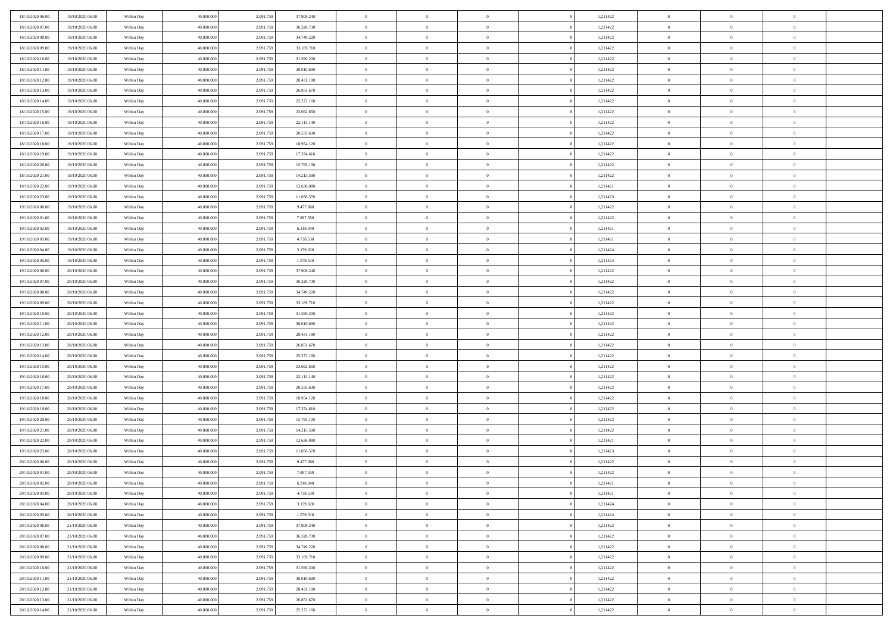| 18/10/2020 06:00 | 19/10/2020 06:00 | Within Day | 40,000,000 | 2.091.75  | 37.908.240 | $\bf{0}$       | $\overline{0}$ | $\overline{0}$ | 1,211422 | $\bf{0}$       | $\overline{0}$ | $\bf{0}$       |  |
|------------------|------------------|------------|------------|-----------|------------|----------------|----------------|----------------|----------|----------------|----------------|----------------|--|
| 18/10/2020 07:00 | 19/10/2020 06:00 | Within Day | 40.000.000 | 2.091.75  | 36.328.730 | $\overline{0}$ | $\overline{0}$ | $\Omega$       | 1,211422 | $\overline{0}$ | $\bf{0}$       | $\theta$       |  |
| 18/10/2020 08:00 | 19/10/2020 06:00 | Within Day | 40.000.000 | 2.091.75  | 34.749.220 | $\,$ 0         | $\overline{0}$ | $\overline{0}$ | 1,211422 | $\,$ 0 $\,$    | $\overline{0}$ | $\,$ 0 $\,$    |  |
| 18/10/2020 09:00 | 19/10/2020 06:00 | Within Day | 40,000,000 | 2.091.75  | 33.169.710 | $\overline{0}$ | $\overline{0}$ | $\Omega$       | 1,211422 | $\overline{0}$ | $\theta$       | $\overline{0}$ |  |
| 18/10/2020 10:00 | 19/10/2020 06:00 | Within Day | 40.000.000 | 2.091.759 | 31.590.200 | $\mathbf{0}$   | $\overline{0}$ | $\overline{0}$ | 1,211422 | $\mathbf{0}$   | $\bf{0}$       | $\theta$       |  |
| 18/10/2020 11:00 | 19/10/2020 06:00 | Within Day | 40.000.000 | 2.091.759 | 30.010.690 | $\overline{0}$ | $\overline{0}$ | $\overline{0}$ | 1,211422 | $\,$ 0 $\,$    | $\overline{0}$ | $\,$ 0 $\,$    |  |
| 18/10/2020 12:00 | 19/10/2020 06:00 | Within Day | 40,000,000 | 2.091.75  | 28.431.180 | $\bf{0}$       | $\overline{0}$ | $\Omega$       | 1,211422 | $\bf{0}$       | $\theta$       | $\overline{0}$ |  |
| 18/10/2020 13:00 | 19/10/2020 06:00 | Within Day | 40.000.000 | 2.091.75  | 26.851.670 | $\overline{0}$ | $\overline{0}$ | $\overline{0}$ | 1,211422 | $\mathbf{0}$   | $\bf{0}$       | $\theta$       |  |
| 18/10/2020 14:00 | 19/10/2020 06:00 | Within Day | 40.000.000 | 2.091.759 | 25.272.160 | $\,$ 0         | $\overline{0}$ | $\overline{0}$ | 1,211422 | $\,$ 0 $\,$    | $\overline{0}$ | $\,$ 0 $\,$    |  |
| 18/10/2020 15:00 | 19/10/2020 06:00 | Within Day | 40,000,000 | 2.091.759 | 23.692.650 | $\overline{0}$ | $\overline{0}$ | $\Omega$       | 1,211422 | $\overline{0}$ | $\theta$       | $\overline{0}$ |  |
| 18/10/2020 16:00 | 19/10/2020 06:00 | Within Day | 40.000.000 | 2.091.759 | 22.113.140 | $\mathbf{0}$   | $\overline{0}$ | $\overline{0}$ | 1,211422 | $\mathbf{0}$   | $\bf{0}$       | $\theta$       |  |
| 18/10/2020 17:00 | 19/10/2020 06:00 | Within Day | 40.000.000 | 2.091.75  | 20.533.630 | $\,$ 0         | $\overline{0}$ | $\overline{0}$ | 1,211422 | $\,$ 0 $\,$    | $\overline{0}$ | $\,$ 0 $\,$    |  |
| 18/10/2020 18:00 | 19/10/2020 06:00 | Within Day | 40,000,000 | 2.091.75  | 18.954.120 | $\overline{0}$ | $\overline{0}$ | $\Omega$       | 1,211422 | $\overline{0}$ | $\theta$       | $\overline{0}$ |  |
| 18/10/2020 19:00 | 19/10/2020 06:00 | Within Day | 40.000.000 | 2.091.759 | 17.374.610 | $\mathbf{0}$   | $\overline{0}$ | $\overline{0}$ | 1,211422 | $\mathbf{0}$   | $\bf{0}$       | $\theta$       |  |
| 18/10/2020 20:00 | 19/10/2020 06:00 | Within Day | 40.000.000 | 2.091.759 | 15.795.100 | $\,$ 0         | $\overline{0}$ | $\overline{0}$ | 1,211422 | $\,$ 0 $\,$    | $\overline{0}$ | $\,$ 0 $\,$    |  |
| 18/10/2020 21.00 | 19/10/2020 06:00 | Within Day | 40,000,000 | 2.091.75  | 14.215.590 | $\bf{0}$       | $\overline{0}$ | $\Omega$       | 1,211422 | $\overline{0}$ | $\theta$       | $\overline{0}$ |  |
| 18/10/2020 22:00 | 19/10/2020 06:00 | Within Day | 40.000.000 | 2.091.759 | 12.636.080 | $\mathbf{0}$   | $\overline{0}$ | $\overline{0}$ | 1,211421 | $\mathbf{0}$   | $\bf{0}$       | $\theta$       |  |
| 18/10/2020 23:00 | 19/10/2020 06:00 | Within Day | 40.000.000 | 2.091.75  | 11.056.570 | $\overline{0}$ | $\overline{0}$ | $\overline{0}$ | 1,211423 | $\,$ 0 $\,$    | $\overline{0}$ | $\,$ 0 $\,$    |  |
| 19/10/2020 00:00 | 19/10/2020 06:00 | Within Day | 40,000,000 | 2.091.75  | 9.477.060  | $\overline{0}$ | $\overline{0}$ | $\Omega$       | 1,211422 | $\overline{0}$ | $\theta$       | $\overline{0}$ |  |
| 19/10/2020 01:00 | 19/10/2020 06:00 | Within Day | 40.000.000 | 2.091.759 | 7.897.550  | $\mathbf{0}$   | $\overline{0}$ | $\overline{0}$ | 1,211422 | $\mathbf{0}$   | $\bf{0}$       | $\theta$       |  |
| 19/10/2020 02:00 | 19/10/2020 06:00 | Within Day | 40.000.000 | 2.091.759 | 6.318.040  | $\,$ 0         | $\overline{0}$ | $\overline{0}$ | 1,211421 | $\,$ 0 $\,$    | $\overline{0}$ | $\,$ 0 $\,$    |  |
| 19/10/2020 03:00 | 19/10/2020 06:00 | Within Day | 40,000,000 | 2.091.75  | 4.738.530  | $\overline{0}$ | $\overline{0}$ | $\Omega$       | 1,211421 | $\overline{0}$ | $\theta$       | $\overline{0}$ |  |
| 19/10/2020 04:00 | 19/10/2020 06:00 | Within Day | 40.000.000 | 2.091.759 | 3.159.020  | $\mathbf{0}$   | $\overline{0}$ | $\overline{0}$ | 1,211424 | $\mathbf{0}$   | $\bf{0}$       | $\theta$       |  |
| 19/10/2020 05:00 | 19/10/2020 06:00 | Within Day | 40.000.000 | 2.091.759 | 1.579.510  | $\overline{0}$ | $\overline{0}$ | $\overline{0}$ | 1,211424 | $\,$ 0 $\,$    | $\overline{0}$ | $\,$ 0 $\,$    |  |
| 19/10/2020 06.00 | 20/10/2020 06.00 | Within Day | 40,000,000 | 2.091.75  | 37.908.240 | $\bf{0}$       | $\overline{0}$ | $\Omega$       | 1,211422 | $\bf{0}$       | $\mathbf{0}$   | $\bf{0}$       |  |
| 19/10/2020 07:00 | 20/10/2020 06:00 | Within Day | 40.000.000 | 2.091.75  | 36.328.730 | $\overline{0}$ | $\overline{0}$ | $\overline{0}$ | 1,211422 | $\mathbf{0}$   | $\bf{0}$       | $\theta$       |  |
| 19/10/2020 08:00 | 20/10/2020 06:00 | Within Day | 40.000.000 | 2.091.759 | 34.749.220 | $\,$ 0         | $\overline{0}$ | $\overline{0}$ | 1,211422 | $\,$ 0 $\,$    | $\overline{0}$ | $\,$ 0 $\,$    |  |
| 19/10/2020 09:00 | 20/10/2020 06.00 | Within Day | 40,000,000 | 2.091.759 | 33.169.710 | $\overline{0}$ | $\overline{0}$ | $\Omega$       | 1,211422 | $\overline{0}$ | $\theta$       | $\overline{0}$ |  |
| 19/10/2020 10:00 | 20/10/2020 06:00 | Within Day | 40.000.000 | 2.091.759 | 31.590.200 | $\mathbf{0}$   | $\overline{0}$ | $\overline{0}$ | 1,211422 | $\mathbf{0}$   | $\bf{0}$       | $\overline{0}$ |  |
| 19/10/2020 11:00 | 20/10/2020 06:00 | Within Day | 40.000.000 | 2.091.75  | 30.010.690 | $\overline{0}$ | $\overline{0}$ | $\overline{0}$ | 1,211422 | $\,$ 0 $\,$    | $\overline{0}$ | $\,$ 0 $\,$    |  |
| 19/10/2020 12:00 | 20/10/2020 06:00 | Within Day | 40.000.000 | 2.091.75  | 28.431.180 | $\bf{0}$       | $\overline{0}$ | $\Omega$       | 1,211422 | $\bf{0}$       | $\overline{0}$ | $\bf{0}$       |  |
| 19/10/2020 13:00 | 20/10/2020 06:00 | Within Day | 40.000.000 | 2.091.759 | 26.851.670 | $\mathbf{0}$   | $\overline{0}$ | $\overline{0}$ | 1,211422 | $\mathbf{0}$   | $\bf{0}$       | $\theta$       |  |
| 19/10/2020 14:00 | 20/10/2020 06:00 | Within Day | 40.000.000 | 2.091.759 | 25.272.160 | $\,$ 0         | $\overline{0}$ | $\overline{0}$ | 1,211422 | $\,$ 0 $\,$    | $\overline{0}$ | $\,$ 0 $\,$    |  |
| 19/10/2020 15:00 | 20/10/2020 06:00 | Within Day | 40.000.000 | 2.091.75  | 23.692.650 | $\bf{0}$       | $\overline{0}$ | $\overline{0}$ | 1,211422 | $\mathbf{0}$   | $\overline{0}$ | $\bf{0}$       |  |
| 19/10/2020 16:00 | 20/10/2020 06:00 | Within Day | 40.000.000 | 2.091.75  | 22.113.140 | $\mathbf{0}$   | $\overline{0}$ | $\overline{0}$ | 1,211422 | $\overline{0}$ | $\bf{0}$       | $\theta$       |  |
| 19/10/2020 17:00 | 20/10/2020 06:00 | Within Day | 40.000.000 | 2.091.75  | 20.533.630 | $\overline{0}$ | $\overline{0}$ | $\overline{0}$ | 1,211422 | $\,$ 0 $\,$    | $\overline{0}$ | $\,$ 0 $\,$    |  |
| 19/10/2020 18:00 | 20/10/2020 06:00 | Within Day | 40.000.000 | 2.091.75  | 18.954.120 | $\bf{0}$       | $\overline{0}$ | $\Omega$       | 1,211422 | $\bf{0}$       | $\theta$       | $\bf{0}$       |  |
| 19/10/2020 19:00 | 20/10/2020 06:00 | Within Day | 40.000.000 | 2.091.759 | 17.374.610 | $\mathbf{0}$   | $\overline{0}$ | $\overline{0}$ | 1,211422 | $\mathbf{0}$   | $\bf{0}$       | $\overline{0}$ |  |
| 19/10/2020 20:00 | 20/10/2020 06:00 | Within Day | 40.000.000 | 2.091.759 | 15.795.100 | $\,$ 0         | $\overline{0}$ | $\overline{0}$ | 1,211422 | $\,$ 0 $\,$    | $\overline{0}$ | $\,$ 0 $\,$    |  |
| 19/10/2020 21:00 | 20/10/2020 06:00 | Within Day | 40.000.000 | 2.091.75  | 14.215.590 | $\bf{0}$       | $\overline{0}$ | $\Omega$       | 1,211422 | $\bf{0}$       | $\overline{0}$ | $\bf{0}$       |  |
| 19/10/2020 22:00 | 20/10/2020 06:00 | Within Day | 40.000.000 | 2.091.759 | 12.636.080 | $\mathbf{0}$   | $\overline{0}$ | $\overline{0}$ | 1,211421 | $\overline{0}$ | $\overline{0}$ | $\theta$       |  |
| 19/10/2020 23:00 | 20/10/2020 06:00 | Within Day | 40.000.000 | 2.091.75  | 11.056.570 | $\,$ 0         | $\overline{0}$ | $\overline{0}$ | 1,211423 | $\,$ 0 $\,$    | $\overline{0}$ | $\,$ 0 $\,$    |  |
| 20/10/2020 00:00 | 20/10/2020 06:00 | Within Day | 40.000.000 | 2.091.75  | 9.477.060  | $\bf{0}$       | $\overline{0}$ | $\overline{0}$ | 1,211422 | $\bf{0}$       | $\overline{0}$ | $\bf{0}$       |  |
| 20/10/2020 01:00 | 20/10/2020 06:00 | Within Day | 40.000.000 | 2.091.759 | 7.897.550  | $\mathbf{0}$   | $\overline{0}$ | $\overline{0}$ | 1,211422 | $\overline{0}$ | $\bf{0}$       | $\theta$       |  |
| 20/10/2020 02.00 | 20/10/2020 06:00 | Within Day | 40.000.000 | 2.091.759 | 6.318.040  | $\theta$       | $\overline{0}$ | $\Omega$       | 1,211421 | $\overline{0}$ | $\overline{0}$ | $\overline{0}$ |  |
| 20/10/2020 03:00 | 20/10/2020 06:00 | Within Day | 40.000.000 | 2.091.759 | 4.738.530  | $\bf{0}$       | $\overline{0}$ | $\overline{0}$ | 1,211421 | $\mathbf{0}$   | $\overline{0}$ | $\bf{0}$       |  |
| 20/10/2020 04:00 | 20/10/2020 06:00 | Within Day | 40.000.000 | 2.091.75  | 3.159.020  | $\overline{0}$ | $\overline{0}$ | $\overline{0}$ | 1,211424 | $\,$ 0 $\,$    | $\overline{0}$ | $\overline{0}$ |  |
| 20/10/2020 05:00 | 20/10/2020 06:00 | Within Day | 40.000.000 | 2.091.759 | 1.579.510  | $\,$ 0 $\,$    | $\overline{0}$ | $\overline{0}$ | 1,211424 | $\,$ 0 $\,$    | $\,$ 0 $\,$    | $\theta$       |  |
| 20/10/2020 06.00 | 21/10/2020 06:00 | Within Day | 40.000.000 | 2.091.759 | 37.908.240 | $\bf{0}$       | $\overline{0}$ | $\overline{0}$ | 1,211422 | $\mathbf{0}$   | $\overline{0}$ | $\bf{0}$       |  |
| 20/10/2020 07:00 | 21/10/2020 06:00 | Within Day | 40.000.000 | 2.091.759 | 36.328.730 | $\mathbf{0}$   | $\overline{0}$ | $\overline{0}$ | 1,211422 | $\mathbf{0}$   | $\bf{0}$       | $\overline{0}$ |  |
| 20/10/2020 08:00 |                  |            |            |           |            | $\,$ 0 $\,$    | $\overline{0}$ | $\overline{0}$ | 1,211422 | $\,$ 0 $\,$    | $\overline{0}$ | $\theta$       |  |
| 20/10/2020 09:00 | 21/10/2020 06:00 | Within Day | 40.000.000 | 2.091.759 | 34.749.220 |                |                |                |          |                |                |                |  |
|                  | 21/10/2020 06:00 | Within Day | 40.000.000 | 2.091.75  | 33.169.710 | $\mathbf{0}$   | $\overline{0}$ | $\overline{0}$ | 1,211422 | $\mathbf{0}$   | $\overline{0}$ | $\overline{0}$ |  |
| 20/10/2020 10:00 | 21/10/2020 06:00 | Within Day | 40.000.000 | 2.091.759 | 31.590.200 | $\,$ 0 $\,$    | $\overline{0}$ | $\overline{0}$ | 1,211422 | $\,$ 0 $\,$    | $\bf{0}$       | $\overline{0}$ |  |
| 20/10/2020 11:00 | 21/10/2020 06:00 | Within Day | 40.000.000 | 2.091.759 | 30.010.690 | $\,$ 0         | $\overline{0}$ | $\overline{0}$ | 1,211422 | $\,$ 0 $\,$    | $\,$ 0         | $\theta$       |  |
| 20/10/2020 12:00 | 21/10/2020 06:00 | Within Day | 40.000.000 | 2.091.759 | 28.431.180 | $\bf{0}$       | $\overline{0}$ | $\overline{0}$ | 1,211422 | $\mathbf{0}$   | $\overline{0}$ | $\bf{0}$       |  |
| 20/10/2020 13:00 | 21/10/2020 06:00 | Within Day | 40.000.000 | 2.091.759 | 26.851.670 | $\mathbf{0}$   | $\overline{0}$ | $\overline{0}$ | 1,211422 | $\mathbf{0}$   | $\bf{0}$       | $\overline{0}$ |  |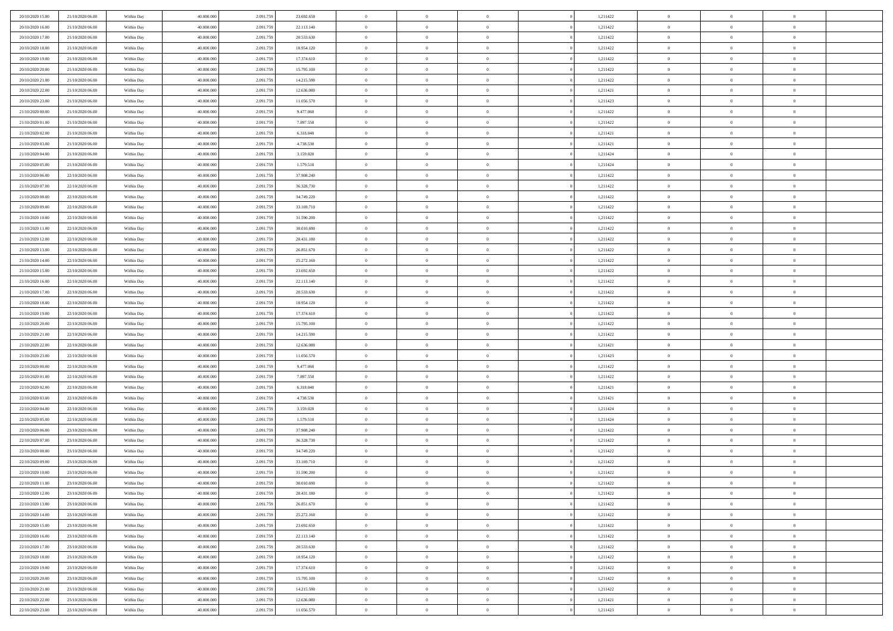| 20/10/2020 15:00 | 21/10/2020 06.00 | Within Day | 40.000.000 | 2.091.759 | 23.692.650 | $\,$ 0 $\,$    | $\overline{0}$ | $\Omega$       |          | 1,211422 | $\bf{0}$       | $\overline{0}$ | $\,0\,$        |  |
|------------------|------------------|------------|------------|-----------|------------|----------------|----------------|----------------|----------|----------|----------------|----------------|----------------|--|
| 20/10/2020 16:00 | 21/10/2020 06.00 | Within Day | 40,000,000 | 2.091.75  | 22.113.140 | $\theta$       | $\overline{0}$ | $\mathbf{0}$   |          | 1,211422 | $\theta$       | $\overline{0}$ | $\theta$       |  |
| 20/10/2020 17:00 | 21/10/2020 06:00 | Within Dav | 40.000.000 | 2.091.759 | 20.533.630 | $\theta$       | $\overline{0}$ | $\overline{0}$ |          | 1,211422 | $\mathbf{0}$   | $\overline{0}$ | $\overline{0}$ |  |
| 20/10/2020 18:00 | 21/10/2020 06.00 | Within Day | 40.000.000 | 2.091.759 | 18.954.120 | $\,$ 0 $\,$    | $\overline{0}$ | $\overline{0}$ |          | 1,211422 | $\bf{0}$       | $\overline{0}$ | $\bf{0}$       |  |
| 20/10/2020 19:00 | 21/10/2020 06:00 | Within Day | 40,000,000 | 2.091.759 | 17.374.610 | $\,$ 0         | $\overline{0}$ | $\mathbf{0}$   |          | 1,211422 | $\bf{0}$       | $\bf{0}$       | $\,0\,$        |  |
| 20/10/2020 20:00 | 21/10/2020 06:00 | Within Dav | 40.000.000 | 2.091.759 | 15.795.100 | $\theta$       | $\overline{0}$ | $\mathbf{0}$   |          | 1,211422 | $\mathbf{0}$   | $\overline{0}$ | $\overline{0}$ |  |
| 20/10/2020 21:00 | 21/10/2020 06:00 | Within Day | 40.000.000 | 2.091.759 | 14.215.590 | $\,$ 0 $\,$    | $\overline{0}$ | $\overline{0}$ |          | 1,211422 | $\bf{0}$       | $\overline{0}$ | $\bf{0}$       |  |
| 20/10/2020 22:00 |                  |            | 40,000,000 |           |            | $\,$ 0         | $\overline{0}$ | $\mathbf{0}$   |          |          | $\,$ 0 $\,$    | $\overline{0}$ | $\theta$       |  |
|                  | 21/10/2020 06.00 | Within Day |            | 2.091.759 | 12.636.080 | $\theta$       |                |                |          | 1,211421 | $\mathbf{0}$   |                | $\overline{0}$ |  |
| 20/10/2020 23:00 | 21/10/2020 06:00 | Within Day | 40.000.000 | 2.091.759 | 11.056.570 |                | $\overline{0}$ | $\overline{0}$ |          | 1,211423 |                | $\overline{0}$ |                |  |
| 21/10/2020 00:00 | 21/10/2020 06.00 | Within Day | 40.000.000 | 2.091.759 | 9.477.060  | $\,$ 0 $\,$    | $\overline{0}$ | $\Omega$       |          | 1,211422 | $\bf{0}$       | $\overline{0}$ | $\,0\,$        |  |
| 21/10/2020 01:00 | 21/10/2020 06.00 | Within Day | 40,000,000 | 2.091.759 | 7.897.550  | $\bf{0}$       | $\overline{0}$ | $\mathbf{0}$   |          | 1,211422 | $\bf{0}$       | $\mathbf{0}$   | $\theta$       |  |
| 21/10/2020 02.00 | 21/10/2020 06:00 | Within Dav | 40.000.000 | 2.091.759 | 6.318.040  | $\theta$       | $\overline{0}$ | $\overline{0}$ |          | 1,211421 | $\mathbf{0}$   | $\overline{0}$ | $\overline{0}$ |  |
| 21/10/2020 03:00 | 21/10/2020 06.00 | Within Day | 40.000.000 | 2.091.759 | 4.738.530  | $\,$ 0 $\,$    | $\overline{0}$ | $\overline{0}$ |          | 1,211421 | $\bf{0}$       | $\overline{0}$ | $\bf{0}$       |  |
| 21/10/2020 04:00 | 21/10/2020 06:00 | Within Day | 40,000,000 | 2.091.759 | 3.159.020  | $\,$ 0         | $\overline{0}$ | $\mathbf{0}$   |          | 1,211424 | $\bf{0}$       | $\theta$       | $\,0\,$        |  |
| 21/10/2020 05:00 | 21/10/2020 06:00 | Within Dav | 40.000.000 | 2.091.759 | 1.579.510  | $\theta$       | $\overline{0}$ | $\mathbf{0}$   |          | 1,211424 | $\mathbf{0}$   | $\overline{0}$ | $\overline{0}$ |  |
| 21/10/2020 06:00 | 22/10/2020 06.00 | Within Day | 40.000.000 | 2.091.759 | 37.908.240 | $\,$ 0 $\,$    | $\overline{0}$ | $\Omega$       |          | 1,211422 | $\bf{0}$       | $\overline{0}$ | $\bf{0}$       |  |
| 21/10/2020 07:00 | 22/10/2020 06.00 | Within Day | 40,000,000 | 2.091.759 | 36.328.730 | $\,$ 0 $\,$    | $\overline{0}$ | $\mathbf{0}$   |          | 1,211422 | $\bf{0}$       | $\overline{0}$ | $\theta$       |  |
| 21/10/2020 08:00 | 22/10/2020 06:00 | Within Day | 40.000.000 | 2.091.759 | 34.749.220 | $\theta$       | $\overline{0}$ | $\mathbf{0}$   |          | 1,211422 | $\mathbf{0}$   | $\overline{0}$ | $\overline{0}$ |  |
| 21/10/2020 09:00 | 22/10/2020 06:00 | Within Day | 40.000.000 | 2.091.759 | 33.169.710 | $\,$ 0 $\,$    | $\overline{0}$ | $\Omega$       |          | 1,211422 | $\bf{0}$       | $\overline{0}$ | $\,0\,$        |  |
| 21/10/2020 10:00 | 22/10/2020 06:00 | Within Day | 40,000,000 | 2.091.759 | 31.590.200 | $\bf{0}$       | $\overline{0}$ | $\mathbf{0}$   |          | 1,211422 | $\bf{0}$       | $\mathbf{0}$   | $\theta$       |  |
| 21/10/2020 11:00 | 22/10/2020 06:00 | Within Dav | 40.000.000 | 2.091.759 | 30.010.690 | $\theta$       | $\overline{0}$ | $\mathbf{0}$   |          | 1,211422 | $\mathbf{0}$   | $\overline{0}$ | $\overline{0}$ |  |
| 21/10/2020 12:00 | 22/10/2020 06:00 | Within Day | 40.000.000 | 2.091.759 | 28.431.180 | $\,$ 0 $\,$    | $\overline{0}$ | $\overline{0}$ |          | 1,211422 | $\bf{0}$       | $\overline{0}$ | $\bf{0}$       |  |
| 21/10/2020 13:00 | 22/10/2020 06:00 | Within Day | 40,000,000 | 2.091.759 | 26.851.670 | $\,$ 0         | $\overline{0}$ | $\mathbf{0}$   |          | 1,211422 | $\bf{0}$       | $\bf{0}$       | $\,0\,$        |  |
| 21/10/2020 14:00 | 22/10/2020 06:00 | Within Dav | 40.000.000 | 2.091.759 | 25.272.160 | $\theta$       | $\overline{0}$ | $\mathbf{0}$   |          | 1,211422 | $\mathbf{0}$   | $\overline{0}$ | $\overline{0}$ |  |
| 21/10/2020 15:00 | 22/10/2020 06:00 | Within Day | 40.000.000 | 2.091.759 | 23.692.650 | $\,$ 0 $\,$    | $\overline{0}$ | $\overline{0}$ |          | 1,211422 | $\bf{0}$       | $\overline{0}$ | $\bf{0}$       |  |
| 21/10/2020 16:00 | 22/10/2020 06:00 | Within Day | 40,000,000 | 2.091.759 | 22.113.140 | $\,$ 0         | $\overline{0}$ | $\mathbf{0}$   |          | 1,211422 | $\mathbf{0}$   | $\overline{0}$ | $\theta$       |  |
| 21/10/2020 17:00 | 22/10/2020 06:00 | Within Day | 40.000.000 | 2.091.759 | 20.533.630 | $\theta$       | $\overline{0}$ | $\overline{0}$ |          | 1,211422 | $\mathbf{0}$   | $\overline{0}$ | $\overline{0}$ |  |
| 21/10/2020 18:00 | 22/10/2020 06:00 | Within Day | 40.000.000 | 2.091.759 | 18.954.120 | $\,$ 0 $\,$    | $\overline{0}$ | $\Omega$       |          | 1,211422 | $\bf{0}$       | $\overline{0}$ | $\bf{0}$       |  |
| 21/10/2020 19:00 | 22/10/2020 06.00 | Within Day | 40,000,000 | 2.091.759 | 17.374.610 | $\bf{0}$       | $\overline{0}$ | $\mathbf{0}$   |          | 1,211422 | $\bf{0}$       | $\mathbf{0}$   | $\theta$       |  |
| 21/10/2020 20:00 | 22/10/2020 06:00 | Within Dav | 40.000.000 | 2.091.759 | 15.795.100 | $\theta$       | $\overline{0}$ | $\overline{0}$ |          | 1,211422 | $\mathbf{0}$   | $\overline{0}$ | $\overline{0}$ |  |
| 21/10/2020 21:00 | 22/10/2020 06:00 | Within Day | 40.000.000 | 2.091.759 | 14.215.590 | $\,$ 0 $\,$    | $\overline{0}$ | $\overline{0}$ |          | 1,211422 | $\,$ 0         | $\overline{0}$ | $\,$ 0 $\,$    |  |
| 21/10/2020 22.00 | 22/10/2020 06:00 | Within Day | 40,000,000 | 2.091.759 | 12.636.080 | $\,$ 0         | $\overline{0}$ | $\mathbf{0}$   |          | 1,211421 | $\bf{0}$       | $\mathbf{0}$   | $\bf{0}$       |  |
| 21/10/2020 23:00 | 22/10/2020 06:00 | Within Dav | 40.000.000 | 2.091.759 | 11.056.570 | $\theta$       | $\overline{0}$ | $\mathbf{0}$   |          | 1,211423 | $\mathbf{0}$   | $\overline{0}$ | $\overline{0}$ |  |
| 22/10/2020 00:00 | 22/10/2020 06:00 | Within Day | 40.000.000 | 2.091.759 | 9.477.060  | $\theta$       | $\overline{0}$ | $\overline{0}$ |          | 1,211422 | $\,$ 0         | $\overline{0}$ | $\theta$       |  |
| 22/10/2020 01:00 | 22/10/2020 06.00 | Within Day | 40,000,000 | 2.091.759 | 7.897.550  | $\bf{0}$       | $\overline{0}$ | $\mathbf{0}$   |          | 1,211422 | $\mathbf{0}$   | $\overline{0}$ | $\overline{0}$ |  |
| 22/10/2020 02.00 | 22/10/2020 06:00 | Within Day | 40.000.000 | 2.091.759 | 6.318.040  | $\theta$       | $\overline{0}$ | $\mathbf{0}$   |          | 1,211421 | $\mathbf{0}$   | $\overline{0}$ | $\overline{0}$ |  |
| 22/10/2020 03:00 | 22/10/2020 06:00 | Within Day | 40.000.000 | 2.091.759 | 4.738.530  | $\theta$       | $\overline{0}$ | $\overline{0}$ |          | 1,211421 | $\,$ 0         | $\overline{0}$ | $\theta$       |  |
| 22/10/2020 04:00 | 22/10/2020 06.00 | Within Day | 40,000,000 | 2.091.759 | 3.159.020  | $\bf{0}$       | $\overline{0}$ | $\mathbf{0}$   |          | 1,211424 | $\bf{0}$       | $\mathbf{0}$   | $\overline{0}$ |  |
| 22/10/2020 05:00 | 22/10/2020 06:00 | Within Dav | 40.000.000 | 2.091.759 | 1.579.510  | $\theta$       | $\overline{0}$ | $\overline{0}$ |          | 1,211424 | $\mathbf{0}$   | $\overline{0}$ | $\overline{0}$ |  |
| 22/10/2020 06:00 | 23/10/2020 06:00 | Within Day | 40.000.000 | 2.091.759 | 37.908.240 | $\,$ 0 $\,$    | $\overline{0}$ | $\overline{0}$ |          | 1,211422 | $\,$ 0         | $\overline{0}$ | $\,$ 0 $\,$    |  |
| 22/10/2020 07:00 | 23/10/2020 06:00 | Within Day | 40,000,000 | 2.091.759 | 36.328.730 | $\bf{0}$       | $\,$ 0 $\,$    | $\overline{0}$ |          | 1,211422 | $\,$ 0 $\,$    | $\bf{0}$       | $\overline{0}$ |  |
| 22/10/2020 08:00 | 23/10/2020 06:00 | Within Dav | 40.000.000 | 2.091.759 | 34.749.220 | $\theta$       | $\overline{0}$ | $\mathbf{0}$   |          | 1,211422 | $\mathbf{0}$   | $\overline{0}$ | $\overline{0}$ |  |
| 22/10/2020 09:00 | 23/10/2020 06.00 | Within Day | 40.000.000 | 2.091.759 | 33.169.710 | $\theta$       | $\overline{0}$ | $\overline{0}$ |          | 1,211422 | $\,$ 0         | $\overline{0}$ | $\theta$       |  |
| 22/10/2020 10:00 | 23/10/2020 06.00 | Within Day | 40,000,000 | 2.091.759 | 31.590.200 | $\bf{0}$       | $\,$ 0 $\,$    | $\mathbf{0}$   |          | 1,211422 | $\mathbf{0}$   | $\overline{0}$ | $\overline{0}$ |  |
| 22/10/2020 11:00 | 23/10/2020 06:00 | Within Day | 40.000.000 | 2.091.759 | 30.010.690 | $\overline{0}$ | $\theta$       |                |          | 1,211422 | $\overline{0}$ | $\theta$       | $\theta$       |  |
| 22/10/2020 12:00 | 23/10/2020 06:00 |            | 40.000.000 | 2.091.759 | 28.431.180 | $\,$ 0 $\,$    | $\overline{0}$ | $\overline{0}$ |          | 1,211422 | $\,$ 0 $\,$    | $\bf{0}$       | $\theta$       |  |
|                  |                  | Within Day |            |           |            |                |                |                |          |          |                |                |                |  |
| 22/10/2020 13.00 | 23/10/2020 06.00 | Within Day | 40,000,000 | 2.091.759 | 26.851.670 | $\bf{0}$       | $\,$ 0 $\,$    | $\overline{0}$ |          | 1,211422 | $\,$ 0 $\,$    | $\overline{0}$ | $\overline{0}$ |  |
| 22/10/2020 14:00 | 23/10/2020 06:00 | Within Day | 40.000.000 | 2.091.759 | 25.272.160 | $\mathbf{0}$   | $\overline{0}$ | $\overline{0}$ |          | 1,211422 | $\,$ 0 $\,$    | $\bf{0}$       | $\mathbf{0}$   |  |
| 22/10/2020 15:00 | 23/10/2020 06:00 | Within Day | 40.000.000 | 2.091.759 | 23.692.650 | $\,$ 0 $\,$    | $\overline{0}$ | $\overline{0}$ | $\theta$ | 1,211422 | $\,$ 0 $\,$    | $\bf{0}$       | $\,$ 0 $\,$    |  |
| 22/10/2020 16:00 | 23/10/2020 06.00 | Within Day | 40,000,000 | 2.091.759 | 22.113.140 | $\,$ 0 $\,$    | $\,$ 0 $\,$    | $\overline{0}$ |          | 1,211422 | $\,$ 0 $\,$    | $\overline{0}$ | $\overline{0}$ |  |
| 22/10/2020 17:00 | 23/10/2020 06:00 | Within Day | 40.000.000 | 2.091.759 | 20.533.630 | $\mathbf{0}$   | $\overline{0}$ | $\overline{0}$ |          | 1,211422 | $\mathbf{0}$   | $\overline{0}$ | $\overline{0}$ |  |
| 22/10/2020 18:00 | 23/10/2020 06:00 | Within Day | 40.000.000 | 2.091.759 | 18.954.120 | $\,$ 0 $\,$    | $\overline{0}$ | $\overline{0}$ |          | 1,211422 | $\,$ 0 $\,$    | $\mathbf{0}$   | $\,$ 0 $\,$    |  |
| 22/10/2020 19:00 | 23/10/2020 06.00 | Within Day | 40,000,000 | 2.091.759 | 17.374.610 | $\overline{0}$ | $\overline{0}$ | $\overline{0}$ |          | 1,211422 | $\,$ 0 $\,$    | $\overline{0}$ | $\overline{0}$ |  |
| 22/10/2020 20:00 | 23/10/2020 06:00 | Within Day | 40.000.000 | 2.091.759 | 15.795.100 | $\mathbf{0}$   | $\overline{0}$ | $\overline{0}$ |          | 1,211422 | $\mathbf{0}$   | $\bf{0}$       | $\overline{0}$ |  |
| 22/10/2020 21:00 | 23/10/2020 06:00 | Within Day | 40.000.000 | 2.091.759 | 14.215.590 | $\,$ 0 $\,$    | $\overline{0}$ | $\overline{0}$ |          | 1,211422 | $\,$ 0 $\,$    | $\mathbf{0}$   | $\,$ 0 $\,$    |  |
| 22/10/2020 22.00 | 23/10/2020 06.00 | Within Day | 40,000,000 | 2.091.759 | 12.636.080 | $\,$ 0 $\,$    | $\,$ 0 $\,$    | $\overline{0}$ |          | 1,211421 | $\bf{0}$       | $\overline{0}$ | $\overline{0}$ |  |
| 22/10/2020 23:00 | 23/10/2020 06:00 | Within Day | 40.000.000 | 2.091.759 | 11.056.570 | $\theta$       | $\overline{0}$ | $\overline{0}$ |          | 1,211423 | $\mathbf{0}$   | $\overline{0}$ | $\overline{0}$ |  |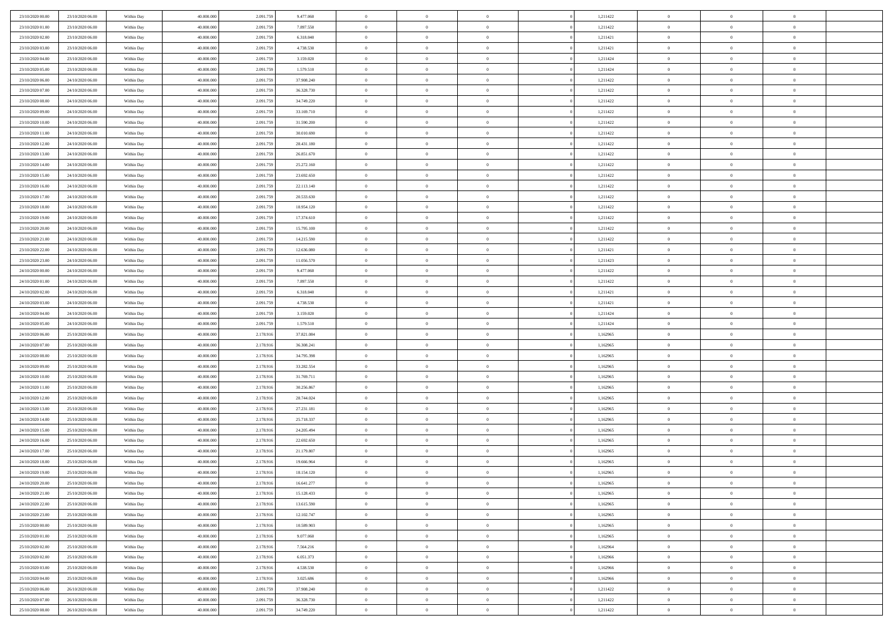| 23/10/2020 00:00 | 23/10/2020 06.00 | Within Day | 40.000.000 | 2.091.759 | 9.477.060  | $\,$ 0 $\,$                   | $\overline{0}$             | $\overline{0}$             | 1,211422             | $\bf{0}$                      | $\overline{0}$       | $\,0\,$              |  |
|------------------|------------------|------------|------------|-----------|------------|-------------------------------|----------------------------|----------------------------|----------------------|-------------------------------|----------------------|----------------------|--|
| 23/10/2020 01:00 | 23/10/2020 06:00 | Within Day | 40,000,000 | 2.091.75  | 7.897.550  | $\theta$                      | $\overline{0}$             | $\mathbf{0}$               | 1,211422             | $\theta$                      | $\overline{0}$       | $\theta$             |  |
| 23/10/2020 02.00 | 23/10/2020 06:00 | Within Dav | 40.000.000 | 2.091.759 | 6.318.040  | $\theta$                      | $\overline{0}$             | $\overline{0}$             | 1,211421             | $\mathbf{0}$                  | $\overline{0}$       | $\overline{0}$       |  |
| 23/10/2020 03:00 | 23/10/2020 06:00 | Within Day | 40.000.000 | 2.091.759 | 4.738.530  | $\,$ 0 $\,$                   | $\overline{0}$             | $\overline{0}$             | 1,211421             | $\bf{0}$                      | $\overline{0}$       | $\bf{0}$             |  |
| 23/10/2020 04:00 | 23/10/2020 06.00 | Within Day | 40,000,000 | 2.091.759 | 3.159.020  | $\bf{0}$                      | $\overline{0}$             | $\mathbf{0}$               | 1,211424             | $\bf{0}$                      | $\theta$             | $\,0\,$              |  |
| 23/10/2020 05:00 | 23/10/2020 06:00 | Within Dav | 40.000.000 | 2.091.759 | 1.579.510  | $\theta$                      | $\overline{0}$             | $\mathbf{0}$               | 1,211424             | $\mathbf{0}$                  | $\overline{0}$       | $\overline{0}$       |  |
| 23/10/2020 06:00 | 24/10/2020 06.00 | Within Day | 40.000.000 | 2.091.759 | 37.908.240 | $\,$ 0 $\,$                   | $\overline{0}$             | $\overline{0}$             | 1,211422             | $\bf{0}$                      | $\overline{0}$       | $\bf{0}$             |  |
|                  |                  |            | 40,000,000 |           |            | $\,$ 0                        | $\overline{0}$             | $\mathbf{0}$               |                      | $\,$ 0 $\,$                   | $\overline{0}$       | $\theta$             |  |
| 23/10/2020 07.00 | 24/10/2020 06.00 | Within Day |            | 2.091.759 | 36.328.730 |                               |                            |                            | 1,211422             |                               |                      |                      |  |
| 23/10/2020 08:00 | 24/10/2020 06:00 | Within Day | 40.000.000 | 2.091.759 | 34.749.220 | $\theta$                      | $\overline{0}$             | $\overline{0}$<br>$\Omega$ | 1,211422             | $\mathbf{0}$                  | $\overline{0}$       | $\overline{0}$       |  |
| 23/10/2020 09:00 | 24/10/2020 06.00 | Within Day | 40.000.000 | 2.091.759 | 33.169.710 | $\,$ 0 $\,$                   | $\overline{0}$             |                            | 1,211422             | $\bf{0}$                      | $\overline{0}$       | $\,0\,$              |  |
| 23/10/2020 10:00 | 24/10/2020 06.00 | Within Day | 40,000,000 | 2.091.759 | 31.590.200 | $\bf{0}$                      | $\overline{0}$             | $\mathbf{0}$               | 1,211422             | $\bf{0}$                      | $\mathbf{0}$         | $\theta$             |  |
| 23/10/2020 11:00 | 24/10/2020 06:00 | Within Dav | 40.000.000 | 2.091.759 | 30.010.690 | $\theta$                      | $\overline{0}$             | $\overline{0}$             | 1,211422             | $\mathbf{0}$                  | $\overline{0}$       | $\overline{0}$       |  |
| 23/10/2020 12:00 | 24/10/2020 06.00 | Within Day | 40.000.000 | 2.091.759 | 28.431.180 | $\,$ 0 $\,$                   | $\overline{0}$             | $\overline{0}$             | 1,211422             | $\bf{0}$                      | $\overline{0}$       | $\bf{0}$             |  |
| 23/10/2020 13:00 | 24/10/2020 06.00 | Within Day | 40,000,000 | 2.091.759 | 26.851.670 | $\bf{0}$                      | $\overline{0}$             | $\mathbf{0}$               | 1,211422             | $\bf{0}$                      | $\theta$             | $\,0\,$              |  |
| 23/10/2020 14:00 | 24/10/2020 06.00 | Within Dav | 40.000.000 | 2.091.759 | 25.272.160 | $\theta$                      | $\overline{0}$             | $\mathbf{0}$               | 1,211422             | $\mathbf{0}$                  | $\overline{0}$       | $\overline{0}$       |  |
| 23/10/2020 15:00 | 24/10/2020 06.00 | Within Day | 40.000.000 | 2.091.759 | 23.692.650 | $\,$ 0 $\,$                   | $\overline{0}$             | $\Omega$                   | 1,211422             | $\bf{0}$                      | $\overline{0}$       | $\bf{0}$             |  |
| 23/10/2020 16:00 | 24/10/2020 06.00 | Within Day | 40,000,000 | 2.091.759 | 22.113.140 | $\,$ 0                        | $\overline{0}$             | $\mathbf{0}$               | 1,211422             | $\bf{0}$                      | $\overline{0}$       | $\theta$             |  |
| 23/10/2020 17:00 | 24/10/2020 06:00 | Within Day | 40.000.000 | 2.091.759 | 20.533.630 | $\theta$                      | $\overline{0}$             | $\mathbf{0}$               | 1,211422             | $\mathbf{0}$                  | $\overline{0}$       | $\overline{0}$       |  |
| 23/10/2020 18:00 | 24/10/2020 06.00 | Within Day | 40.000.000 | 2.091.759 | 18.954.120 | $\,$ 0 $\,$                   | $\overline{0}$             | $\Omega$                   | 1,211422             | $\bf{0}$                      | $\overline{0}$       | $\,0\,$              |  |
| 23/10/2020 19:00 | 24/10/2020 06.00 | Within Day | 40,000,000 | 2.091.759 | 17.374.610 | $\bf{0}$                      | $\overline{0}$             | $\mathbf{0}$               | 1,211422             | $\bf{0}$                      | $\mathbf{0}$         | $\theta$             |  |
| 23/10/2020 20:00 | 24/10/2020 06:00 | Within Dav | 40.000.000 | 2.091.759 | 15.795.100 | $\theta$                      | $\overline{0}$             | $\mathbf{0}$               | 1,211422             | $\mathbf{0}$                  | $\overline{0}$       | $\overline{0}$       |  |
| 23/10/2020 21:00 | 24/10/2020 06.00 | Within Day | 40.000.000 | 2.091.759 | 14.215.590 | $\,$ 0 $\,$                   | $\overline{0}$             | $\overline{0}$             | 1,211422             | $\bf{0}$                      | $\overline{0}$       | $\bf{0}$             |  |
| 23/10/2020 22.00 | 24/10/2020 06.00 | Within Day | 40,000,000 | 2.091.759 | 12.636.080 | $\,$ 0                        | $\overline{0}$             | $\mathbf{0}$               | 1,211421             | $\bf{0}$                      | $\overline{0}$       | $\,0\,$              |  |
| 23/10/2020 23:00 | 24/10/2020 06:00 | Within Dav | 40.000.000 | 2.091.759 | 11.056.570 | $\theta$                      | $\overline{0}$             | $\mathbf{0}$               | 1,211423             | $\mathbf{0}$                  | $\overline{0}$       | $\overline{0}$       |  |
| 24/10/2020 00:00 | 24/10/2020 06.00 | Within Day | 40.000.000 | 2.091.759 | 9.477.060  | $\,$ 0 $\,$                   | $\overline{0}$             | $\overline{0}$             | 1,211422             | $\bf{0}$                      | $\overline{0}$       | $\bf{0}$             |  |
| 24/10/2020 01:00 | 24/10/2020 06.00 | Within Day | 40,000,000 | 2.091.759 | 7.897.550  | $\,$ 0                        | $\overline{0}$             | $\mathbf{0}$               | 1,211422             | $\bf{0}$                      | $\overline{0}$       | $\theta$             |  |
| 24/10/2020 02.00 | 24/10/2020 06:00 | Within Day | 40.000.000 | 2.091.759 | 6.318.040  | $\theta$                      | $\overline{0}$             | $\overline{0}$             | 1,211421             | $\mathbf{0}$                  | $\overline{0}$       | $\overline{0}$       |  |
| 24/10/2020 03:00 | 24/10/2020 06.00 | Within Day | 40.000.000 | 2.091.759 | 4.738.530  | $\,$ 0 $\,$                   | $\overline{0}$             | $\Omega$                   | 1,211421             | $\bf{0}$                      | $\overline{0}$       | $\bf{0}$             |  |
| 24/10/2020 04:00 | 24/10/2020 06.00 | Within Day | 40,000,000 | 2.091.759 | 3.159.020  | $\bf{0}$                      | $\overline{0}$             | $\mathbf{0}$               | 1,211424             | $\bf{0}$                      | $\mathbf{0}$         | $\overline{0}$       |  |
| 24/10/2020 05:00 | 24/10/2020 06.00 | Within Dav | 40.000.000 | 2.091.759 | 1.579.510  | $\theta$                      | $\overline{0}$             | $\overline{0}$             | 1,211424             | $\mathbf{0}$                  | $\overline{0}$       | $\overline{0}$       |  |
| 24/10/2020 06:00 | 25/10/2020 06:00 | Within Day | 40.000.000 | 2.178.916 | 37.821.084 | $\,$ 0 $\,$                   | $\overline{0}$             | $\overline{0}$             | 1,162965             | $\,$ 0                        | $\overline{0}$       | $\,$ 0 $\,$          |  |
| 24/10/2020 07:00 | 25/10/2020 06:00 | Within Day | 40,000,000 | 2.178.916 | 36.308.241 | $\,$ 0                        | $\overline{0}$             | $\mathbf{0}$               | 1,162965             | $\bf{0}$                      | $\mathbf{0}$         | $\bf{0}$             |  |
| 24/10/2020 08:00 | 25/10/2020 06:00 | Within Dav | 40.000.000 | 2.178.916 | 34.795.398 | $\theta$                      | $\overline{0}$             | $\mathbf{0}$               | 1,162965             | $\mathbf{0}$                  | $\overline{0}$       | $\overline{0}$       |  |
| 24/10/2020 09:00 | 25/10/2020 06.00 | Within Day | 40.000.000 | 2.178.916 | 33.282.554 | $\theta$                      | $\overline{0}$             | $\overline{0}$             | 1,162965             | $\,$ 0                        | $\overline{0}$       | $\theta$             |  |
| 24/10/2020 10:00 | 25/10/2020 06.00 | Within Day | 40,000,000 | 2.178.916 | 31.769.711 | $\bf{0}$                      | $\overline{0}$             | $\mathbf{0}$               | 1,162965             | $\mathbf{0}$                  | $\overline{0}$       | $\overline{0}$       |  |
| 24/10/2020 11:00 | 25/10/2020 06:00 | Within Day | 40.000.000 | 2.178.916 | 30.256.867 | $\theta$                      | $\overline{0}$             | $\mathbf{0}$               | 1,162965             | $\mathbf{0}$                  | $\overline{0}$       | $\overline{0}$       |  |
| 24/10/2020 12:00 | 25/10/2020 06:00 | Within Day | 40.000.000 | 2.178.916 | 28.744.024 | $\theta$                      | $\overline{0}$             | $\overline{0}$             | 1,162965             | $\,$ 0                        | $\overline{0}$       | $\theta$             |  |
| 24/10/2020 13:00 | 25/10/2020 06.00 | Within Day | 40,000,000 | 2.178.916 | 27.231.181 | $\bf{0}$                      | $\overline{0}$             | $\mathbf{0}$               | 1,162965             | $\bf{0}$                      | $\mathbf{0}$         | $\bf{0}$             |  |
| 24/10/2020 14:00 | 25/10/2020 06:00 | Within Dav | 40.000.000 | 2.178.916 | 25.718.337 | $\theta$                      | $\overline{0}$             | $\mathbf{0}$               | 1,162965             | $\mathbf{0}$                  | $\overline{0}$       | $\overline{0}$       |  |
| 24/10/2020 15:00 | 25/10/2020 06:00 | Within Day | 40.000.000 | 2.178.916 | 24.205.494 | $\,$ 0 $\,$                   | $\overline{0}$             | $\overline{0}$             | 1,162965             | $\,$ 0                        | $\overline{0}$       | $\,$ 0 $\,$          |  |
| 24/10/2020 16.00 | 25/10/2020 06:00 | Within Day | 40,000,000 | 2.178.916 | 22.692.650 | $\,$ 0                        | $\,$ 0 $\,$                | $\overline{0}$             | 1,162965             | $\,$ 0 $\,$                   | $\overline{0}$       | $\bf{0}$             |  |
| 24/10/2020 17:00 | 25/10/2020 06:00 | Within Dav | 40.000.000 | 2.178.916 | 21.179.807 | $\theta$                      | $\overline{0}$             | $\mathbf{0}$               | 1,162965             | $\mathbf{0}$                  | $\overline{0}$       | $\theta$             |  |
| 24/10/2020 18:00 | 25/10/2020 06.00 | Within Day | 40.000.000 | 2.178.916 | 19.666.964 | $\overline{0}$                | $\overline{0}$             | $\overline{0}$             | 1,162965             | $\,$ 0                        | $\overline{0}$       | $\theta$             |  |
| 24/10/2020 19:00 | 25/10/2020 06.00 | Within Day | 40,000,000 | 2.178.916 | 18.154.120 | $\bf{0}$                      | $\overline{0}$             | $\mathbf{0}$               | 1,162965             | $\mathbf{0}$                  | $\overline{0}$       | $\bf{0}$             |  |
| 24/10/2020 20:00 | 25/10/2020 06:00 |            | 40.000.000 | 2.178.916 | 16.641.277 |                               |                            |                            |                      |                               |                      |                      |  |
| 24/10/2020 21:00 | 25/10/2020 06:00 | Within Day | 40.000.000 | 2.178.916 | 15.128.433 | $\overline{0}$<br>$\,$ 0 $\,$ | $\theta$<br>$\overline{0}$ | $\overline{0}$             | 1,162965<br>1,162965 | $\overline{0}$<br>$\,$ 0 $\,$ | $\theta$<br>$\bf{0}$ | $\theta$<br>$\theta$ |  |
|                  |                  | Within Day |            |           |            |                               |                            |                            |                      |                               |                      |                      |  |
| 24/10/2020 22.00 | 25/10/2020 06.00 | Within Day | 40,000,000 | 2.178.916 | 13.615.590 | $\overline{0}$                | $\,$ 0 $\,$                | $\overline{0}$             | 1,162965             | $\,$ 0 $\,$                   | $\overline{0}$       | $\overline{0}$       |  |
| 24/10/2020 23.00 | 25/10/2020 06:00 | Within Day | 40.000.000 | 2.178.916 | 12.102.747 | $\mathbf{0}$                  | $\overline{0}$             | $\overline{0}$             | 1,162965             | $\,$ 0 $\,$                   | $\bf{0}$             | $\mathbf{0}$         |  |
| 25/10/2020 00:00 | 25/10/2020 06:00 | Within Day | 40.000.000 | 2.178.916 | 10.589.903 | $\,$ 0 $\,$                   | $\overline{0}$             | $\overline{0}$             | 1,162965             | $\,$ 0 $\,$                   | $\bf{0}$             | $\,$ 0 $\,$          |  |
| 25/10/2020 01:00 | 25/10/2020 06.00 | Within Day | 40,000,000 | 2.178.916 | 9.077.060  | $\,$ 0 $\,$                   | $\,$ 0 $\,$                | $\overline{0}$             | 1,162965             | $\,$ 0 $\,$                   | $\overline{0}$       | $\overline{0}$       |  |
| 25/10/2020 02.00 | 25/10/2020 06:00 | Within Day | 40.000.000 | 2.178.916 | 7.564.216  | $\mathbf{0}$                  | $\overline{0}$             | $\overline{0}$             | 1,162964             | $\mathbf{0}$                  | $\overline{0}$       | $\overline{0}$       |  |
| 25/10/2020 02:00 | 25/10/2020 06:00 | Within Day | 40.000.000 | 2.178.916 | 6.051.373  | $\,$ 0 $\,$                   | $\overline{0}$             | $\overline{0}$             | 1,162966             | $\,$ 0 $\,$                   | $\overline{0}$       | $\,$ 0 $\,$          |  |
| 25/10/2020 03.00 | 25/10/2020 06.00 | Within Day | 40,000,000 | 2.178.916 | 4.538.530  | $\overline{0}$                | $\overline{0}$             | $\overline{0}$             | 1,162966             | $\,$ 0 $\,$                   | $\overline{0}$       | $\overline{0}$       |  |
| 25/10/2020 04:00 | 25/10/2020 06:00 | Within Day | 40.000.000 | 2.178.916 | 3.025.686  | $\mathbf{0}$                  | $\overline{0}$             | $\overline{0}$             | 1,162966             | $\mathbf{0}$                  | $\bf{0}$             | $\overline{0}$       |  |
| 25/10/2020 06:00 | 26/10/2020 06:00 | Within Day | 40.000.000 | 2.091.759 | 37.908.240 | $\,$ 0 $\,$                   | $\overline{0}$             | $\overline{0}$             | 1,211422             | $\,$ 0 $\,$                   | $\mathbf{0}$         | $\,$ 0 $\,$          |  |
| 25/10/2020 07.00 | 26/10/2020 06.00 | Within Day | 40,000,000 | 2.091.759 | 36.328.730 | $\,$ 0 $\,$                   | $\,$ 0 $\,$                | $\overline{0}$             | 1,211422             | $\bf{0}$                      | $\overline{0}$       | $\overline{0}$       |  |
| 25/10/2020 08:00 | 26/10/2020 06:00 | Within Day | 40.000.000 | 2.091.759 | 34.749.220 | $\theta$                      | $\overline{0}$             | $\overline{0}$             | 1,211422             | $\mathbf{0}$                  | $\overline{0}$       | $\overline{0}$       |  |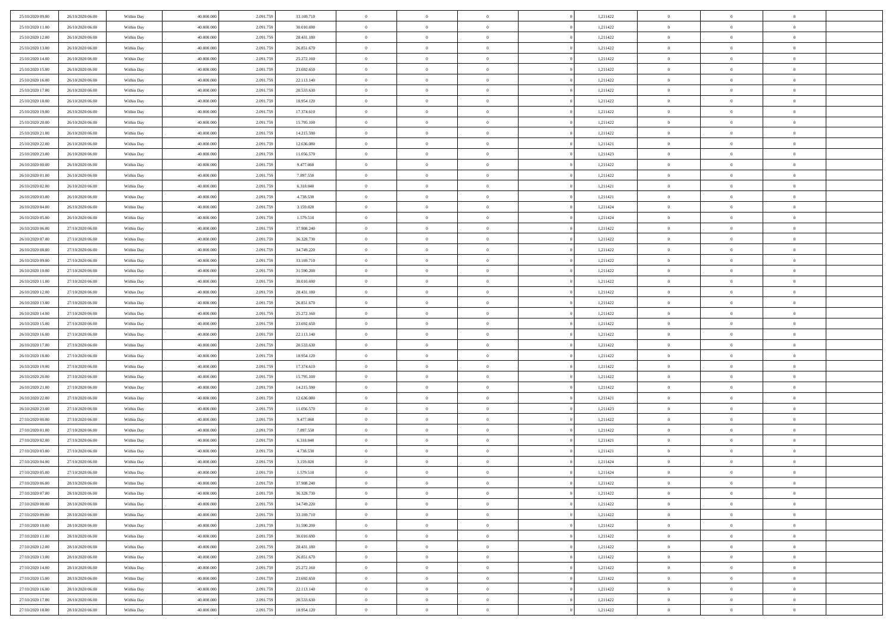| 25/10/2020 09:00 | 26/10/2020 06:00 | Within Day | 40.000.000 | 2.091.75  | 33.169.710 | $\bf{0}$       | $\bf{0}$       | $\Omega$       | 1,211422 | $\bf{0}$       | $\overline{0}$ | $\bf{0}$       |  |
|------------------|------------------|------------|------------|-----------|------------|----------------|----------------|----------------|----------|----------------|----------------|----------------|--|
| 25/10/2020 11:00 | 26/10/2020 06:00 | Within Day | 40,000,000 | 2.091.75  | 30.010.690 | $\overline{0}$ | $\overline{0}$ | $\Omega$       | 1,211422 | $\overline{0}$ | $\theta$       | $\theta$       |  |
| 25/10/2020 12:00 | 26/10/2020 06:00 | Within Day | 40.000.000 | 2.091.759 | 28.431.180 | $\overline{0}$ | $\overline{0}$ | $\overline{0}$ | 1,211422 | $\mathbf{0}$   | $\overline{0}$ | $\theta$       |  |
| 25/10/2020 13.00 | 26/10/2020 06:00 | Within Day | 40.000.000 | 2.091.75  | 26.851.670 | $\bf{0}$       | $\overline{0}$ | $\overline{0}$ | 1,211422 | $\mathbf{0}$   | $\overline{0}$ | $\bf{0}$       |  |
| 25/10/2020 14:00 | 26/10/2020 06:00 | Within Day | 40,000,000 | 2.091.75  | 25.272.160 | $\bf{0}$       | $\overline{0}$ | $\overline{0}$ | 1,211422 | $\bf{0}$       | $\overline{0}$ | $\bf{0}$       |  |
| 25/10/2020 15:00 | 26/10/2020 06:00 | Within Day | 40.000.000 | 2.091.759 | 23.692.650 | $\overline{0}$ | $\overline{0}$ | $\overline{0}$ | 1,211422 | $\mathbf{0}$   | $\overline{0}$ | $\theta$       |  |
| 25/10/2020 16.00 | 26/10/2020 06:00 | Within Day | 40.000.000 | 2.091.75  | 22.113.140 | $\bf{0}$       | $\overline{0}$ | $\overline{0}$ | 1,211422 | $\bf{0}$       | $\overline{0}$ | $\bf{0}$       |  |
| 25/10/2020 17:00 | 26/10/2020 06:00 | Within Day | 40,000,000 | 2.091.75  | 20.533.630 | $\mathbf{0}$   | $\overline{0}$ | $\overline{0}$ | 1,211422 | $\mathbf{0}$   | $\theta$       | $\theta$       |  |
| 25/10/2020 18:00 | 26/10/2020 06:00 | Within Day | 40.000.000 | 2.091.759 | 18.954.120 | $\overline{0}$ | $\overline{0}$ | $\overline{0}$ | 1,211422 | $\mathbf{0}$   | $\overline{0}$ | $\theta$       |  |
| 25/10/2020 19:00 | 26/10/2020 06:00 | Within Day | 40.000.000 | 2.091.75  | 17.374.610 | $\bf{0}$       | $\overline{0}$ | $\Omega$       | 1,211422 | $\bf{0}$       | $\overline{0}$ | $\bf{0}$       |  |
| 25/10/2020 20:00 | 26/10/2020 06:00 | Within Day | 40,000,000 | 2.091.759 | 15.795.100 | $\bf{0}$       | $\overline{0}$ | $\overline{0}$ | 1,211422 | $\mathbf{0}$   | $\theta$       | $\theta$       |  |
| 25/10/2020 21.00 | 26/10/2020 06:00 | Within Day | 40.000.000 | 2.091.759 | 14.215.590 | $\overline{0}$ | $\overline{0}$ | $\overline{0}$ | 1,211422 | $\mathbf{0}$   | $\overline{0}$ | $\theta$       |  |
| 25/10/2020 22.00 | 26/10/2020 06:00 | Within Day | 40.000.000 | 2.091.75  | 12.636.080 | $\bf{0}$       | $\overline{0}$ | $\overline{0}$ | 1,211421 | $\mathbf{0}$   | $\overline{0}$ | $\bf{0}$       |  |
| 25/10/2020 23.00 | 26/10/2020 06:00 | Within Day | 40,000,000 | 2.091.75  | 11.056.570 | $\bf{0}$       | $\overline{0}$ | $\overline{0}$ | 1,211423 | $\bf{0}$       | $\overline{0}$ | $\bf{0}$       |  |
| 26/10/2020 00:00 | 26/10/2020 06:00 | Within Day | 40.000.000 | 2.091.759 | 9.477.060  | $\overline{0}$ | $\overline{0}$ | $\overline{0}$ | 1,211422 | $\mathbf{0}$   | $\overline{0}$ | $\theta$       |  |
| 26/10/2020 01:00 | 26/10/2020 06:00 | Within Day | 40.000.000 | 2.091.75  | 7.897.550  | $\bf{0}$       | $\overline{0}$ | $\Omega$       | 1,211422 | $\bf{0}$       | $\overline{0}$ | $\bf{0}$       |  |
| 26/10/2020 02:00 | 26/10/2020 06:00 | Within Day | 40,000,000 | 2.091.75  | 6.318.040  | $\,$ 0 $\,$    | $\overline{0}$ | $\overline{0}$ | 1,211421 | $\mathbf{0}$   | $\overline{0}$ | $\theta$       |  |
| 26/10/2020 03:00 | 26/10/2020 06:00 | Within Day | 40.000.000 | 2.091.759 | 4.738.530  | $\overline{0}$ | $\overline{0}$ | $\overline{0}$ | 1,211421 | $\mathbf{0}$   | $\overline{0}$ | $\theta$       |  |
| 26/10/2020 04:00 | 26/10/2020 06:00 | Within Day | 40.000.000 | 2.091.75  | 3.159.020  | $\bf{0}$       | $\overline{0}$ | $\Omega$       | 1,211424 | $\bf{0}$       | $\overline{0}$ | $\bf{0}$       |  |
| 26/10/2020 05:00 | 26/10/2020 06:00 | Within Day | 40,000,000 | 2.091.75  | 1.579.510  | $\bf{0}$       | $\overline{0}$ | $\overline{0}$ | 1,211424 | $\mathbf{0}$   | $\mathbf{0}$   | $\overline{0}$ |  |
| 26/10/2020 06:00 | 27/10/2020 06:00 | Within Day | 40.000.000 | 2.091.759 | 37.908.240 | $\overline{0}$ | $\overline{0}$ | $\overline{0}$ | 1,211422 | $\mathbf{0}$   | $\overline{0}$ | $\theta$       |  |
| 26/10/2020 07:00 | 27/10/2020 06:00 | Within Day | 40.000.000 | 2.091.75  | 36.328.730 | $\bf{0}$       | $\overline{0}$ | $\overline{0}$ | 1,211422 | $\mathbf{0}$   | $\overline{0}$ | $\bf{0}$       |  |
| 26/10/2020 08:00 | 27/10/2020 06:00 | Within Day | 40,000,000 | 2.091.75  | 34.749.220 | $\,$ 0 $\,$    | $\overline{0}$ | $\overline{0}$ | 1,211422 | $\,$ 0 $\,$    | $\overline{0}$ | $\bf{0}$       |  |
| 26/10/2020 09:00 | 27/10/2020 06:00 | Within Day | 40.000.000 | 2.091.759 | 33.169.710 | $\overline{0}$ | $\overline{0}$ | $\overline{0}$ | 1,211422 | $\mathbf{0}$   | $\overline{0}$ | $\theta$       |  |
| 26/10/2020 10:00 | 27/10/2020 06:00 | Within Day | 40.000.000 | 2.091.75  | 31.590.200 | $\bf{0}$       | $\overline{0}$ | $\overline{0}$ | 1,211422 | $\bf{0}$       | $\overline{0}$ | $\bf{0}$       |  |
| 26/10/2020 11:00 | 27/10/2020 06:00 | Within Day | 40,000,000 | 2.091.75  | 30.010.690 | $\,$ 0 $\,$    | $\overline{0}$ | $\overline{0}$ | 1,211422 | $\mathbf{0}$   | $\overline{0}$ | $\overline{0}$ |  |
| 26/10/2020 12:00 | 27/10/2020 06:00 | Within Day | 40.000.000 | 2.091.759 | 28.431.180 | $\overline{0}$ | $\overline{0}$ | $\overline{0}$ | 1,211422 | $\mathbf{0}$   | $\overline{0}$ | $\theta$       |  |
| 26/10/2020 13:00 | 27/10/2020 06:00 | Within Day | 40.000.000 | 2.091.75  | 26.851.670 | $\bf{0}$       | $\overline{0}$ | $\Omega$       | 1,211422 | $\mathbf{0}$   | $\overline{0}$ | $\bf{0}$       |  |
| 26/10/2020 14.00 | 27/10/2020 06:00 | Within Day | 40,000,000 | 2.091.759 | 25.272.160 | $\bf{0}$       | $\overline{0}$ | $\overline{0}$ | 1,211422 | $\mathbf{0}$   | $\mathbf{0}$   | $\overline{0}$ |  |
| 26/10/2020 15:00 | 27/10/2020 06:00 | Within Day | 40.000.000 | 2.091.759 | 23.692.650 | $\overline{0}$ | $\overline{0}$ | $\overline{0}$ | 1,211422 | $\mathbf{0}$   | $\overline{0}$ | $\theta$       |  |
| 26/10/2020 16:00 | 27/10/2020 06:00 | Within Day | 40.000.000 | 2.091.75  | 22.113.140 | $\,$ 0         | $\overline{0}$ | $\overline{0}$ | 1,211422 | $\,$ 0 $\,$    | $\overline{0}$ | $\,$ 0 $\,$    |  |
| 26/10/2020 17:00 | 27/10/2020 06:00 | Within Day | 40,000,000 | 2.091.75  | 20.533.630 | $\bf{0}$       | $\overline{0}$ | $\overline{0}$ | 1,211422 | $\,$ 0 $\,$    | $\overline{0}$ | $\overline{0}$ |  |
| 26/10/2020 18.00 | 27/10/2020 06:00 | Within Day | 40.000.000 | 2.091.759 | 18.954.120 | $\overline{0}$ | $\overline{0}$ | $\overline{0}$ | 1,211422 | $\mathbf{0}$   | $\overline{0}$ | $\theta$       |  |
| 26/10/2020 19:00 | 27/10/2020 06:00 | Within Day | 40.000.000 | 2.091.759 | 17.374.610 | $\,$ 0         | $\overline{0}$ | $\theta$       | 1,211422 | $\,$ 0         | $\overline{0}$ | $\mathbf{0}$   |  |
| 26/10/2020 20:00 | 27/10/2020 06:00 | Within Day | 40,000,000 | 2.091.75  | 15.795.100 | $\bf{0}$       | $\overline{0}$ | $\overline{0}$ | 1,211422 | $\mathbf{0}$   | $\overline{0}$ | $\overline{0}$ |  |
| 26/10/2020 21.00 | 27/10/2020 06:00 | Within Day | 40.000.000 | 2.091.759 | 14.215.590 | $\overline{0}$ | $\overline{0}$ | $\overline{0}$ | 1,211422 | $\mathbf{0}$   | $\overline{0}$ | $\theta$       |  |
| 26/10/2020 22:00 | 27/10/2020 06:00 | Within Day | 40.000.000 | 2.091.759 | 12.636.080 | $\,$ 0         | $\overline{0}$ | $\overline{0}$ | 1,211421 | $\,$ 0 $\,$    | $\overline{0}$ | $\mathbf{0}$   |  |
| 26/10/2020 23.00 | 27/10/2020 06:00 | Within Day | 40,000,000 | 2.091.75  | 11.056.570 | $\bf{0}$       | $\overline{0}$ | $\overline{0}$ | 1,211423 | $\mathbf{0}$   | $\overline{0}$ | $\overline{0}$ |  |
| 27/10/2020 00:00 | 27/10/2020 06:00 | Within Day | 40.000.000 | 2.091.759 | 9.477.060  | $\overline{0}$ | $\overline{0}$ | $\overline{0}$ | 1,211422 | $\mathbf{0}$   | $\overline{0}$ | $\theta$       |  |
| 27/10/2020 01:00 | 27/10/2020 06:00 | Within Day | 40.000.000 | 2.091.759 | 7.897.550  | $\,$ 0         | $\overline{0}$ | $\overline{0}$ | 1,211422 | $\,$ 0 $\,$    | $\overline{0}$ | $\,$ 0 $\,$    |  |
| 27/10/2020 02.00 | 27/10/2020 06:00 | Within Day | 40,000,000 | 2.091.75  | 6.318.040  | $\,$ 0 $\,$    | $\,$ 0 $\,$    | $\overline{0}$ | 1,211421 | $\,$ 0 $\,$    | $\overline{0}$ | $\overline{0}$ |  |
| 27/10/2020 03:00 | 27/10/2020 06:00 | Within Day | 40.000.000 | 2.091.759 | 4.738.530  | $\overline{0}$ | $\overline{0}$ | $\overline{0}$ | 1,211421 | $\mathbf{0}$   | $\overline{0}$ | $\theta$       |  |
| 27/10/2020 04:00 | 27/10/2020 06:00 | Within Day | 40.000.000 | 2.091.759 | 3.159.020  | $\overline{0}$ | $\overline{0}$ | $\overline{0}$ | 1,211424 | $\overline{0}$ | $\overline{0}$ | $\mathbf{0}$   |  |
| 27/10/2020 05:00 | 27/10/2020 06:00 | Within Day | 40,000,000 | 2.091.75  | 1.579.510  | $\bf{0}$       | $\overline{0}$ | $\overline{0}$ | 1,211424 | $\mathbf{0}$   | $\overline{0}$ | $\overline{0}$ |  |
| 27/10/2020 06:00 | 28/10/2020 06:00 | Within Day | 40.000.000 | 2.091.759 | 37.908.240 | $\overline{0}$ | $\theta$       |                | 1,211422 | $\overline{0}$ | $\Omega$       | $\overline{0}$ |  |
| 27/10/2020 07.00 | 28/10/2020 06:00 | Within Day | 40.000.000 | 2.091.759 | 36.328.730 | $\,$ 0 $\,$    | $\overline{0}$ | $\overline{0}$ | 1,211422 | $\,$ 0 $\,$    | $\bf{0}$       | $\mathbf{0}$   |  |
| 27/10/2020 08:00 | 28/10/2020 06:00 | Within Day | 40,000,000 | 2.091.75  | 34.749.220 | $\mathbf{0}$   | $\overline{0}$ | $\overline{0}$ | 1,211422 | $\,$ 0 $\,$    | $\overline{0}$ | $\overline{0}$ |  |
| 27/10/2020 09:00 | 28/10/2020 06:00 | Within Day | 40.000.000 | 2.091.759 | 33.169.710 | $\mathbf{0}$   | $\overline{0}$ | $\overline{0}$ | 1,211422 | $\mathbf{0}$   | $\bf{0}$       | $\overline{0}$ |  |
| 27/10/2020 10:00 | 28/10/2020 06:00 | Within Day | 40.000.000 | 2.091.759 | 31.590.200 | $\,$ 0 $\,$    | $\overline{0}$ | $\overline{0}$ | 1,211422 | $\,$ 0 $\,$    | $\bf{0}$       | $\theta$       |  |
| 27/10/2020 11:00 | 28/10/2020 06:00 | Within Day | 40,000,000 | 2.091.759 | 30.010.690 | $\,$ 0 $\,$    | $\,$ 0 $\,$    | $\overline{0}$ | 1,211422 | $\,$ 0 $\,$    | $\overline{0}$ | $\overline{0}$ |  |
| 27/10/2020 12:00 | 28/10/2020 06:00 | Within Day | 40.000.000 | 2.091.759 | 28.431.180 | $\mathbf{0}$   | $\overline{0}$ | $\overline{0}$ | 1,211422 | $\mathbf{0}$   | $\bf{0}$       | $\overline{0}$ |  |
| 27/10/2020 13:00 | 28/10/2020 06:00 | Within Day | 40.000.000 | 2.091.759 | 26.851.670 | $\,$ 0 $\,$    | $\overline{0}$ | $\overline{0}$ | 1,211422 | $\,$ 0 $\,$    | $\mathbf{0}$   | $\theta$       |  |
| 27/10/2020 14.00 | 28/10/2020 06:00 | Within Day | 40,000,000 | 2.091.75  | 25.272.160 | $\mathbf{0}$   | $\overline{0}$ | $\overline{0}$ | 1,211422 | $\,$ 0 $\,$    | $\overline{0}$ | $\overline{0}$ |  |
| 27/10/2020 15:00 | 28/10/2020 06:00 | Within Day | 40.000.000 | 2.091.759 | 23.692.650 | $\mathbf{0}$   | $\overline{0}$ | $\overline{0}$ | 1,211422 | $\mathbf{0}$   | $\bf{0}$       | $\overline{0}$ |  |
| 27/10/2020 16:00 | 28/10/2020 06:00 | Within Day | 40.000.000 | 2.091.759 | 22.113.140 | $\,$ 0 $\,$    | $\overline{0}$ | $\overline{0}$ | 1,211422 | $\,$ 0 $\,$    | $\mathbf{0}$   | $\theta$       |  |
| 27/10/2020 17.00 | 28/10/2020 06:00 | Within Day | 40,000,000 | 2.091.759 | 20.533.630 | $\,$ 0 $\,$    | $\overline{0}$ | $\overline{0}$ | 1,211422 | $\,$ 0 $\,$    | $\overline{0}$ | $\overline{0}$ |  |
| 27/10/2020 18.00 | 28/10/2020 06:00 | Within Day | 40.000.000 | 2.091.759 | 18.954.120 | $\overline{0}$ | $\overline{0}$ | $\overline{0}$ | 1,211422 | $\mathbf{0}$   | $\mathbf{0}$   | $\overline{0}$ |  |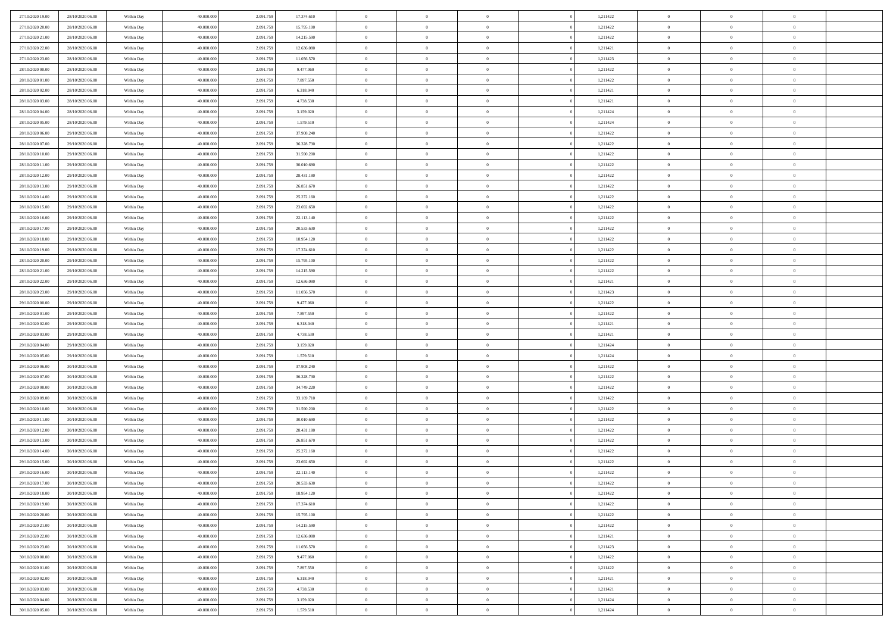| 27/10/2020 19:00 | 28/10/2020 06:00 | Within Day | 40,000,000 | 2.091.75  | 17.374.610 | $\bf{0}$       | $\overline{0}$ | $\overline{0}$ | 1,211422 | $\mathbf{0}$   | $\overline{0}$ | $\bf{0}$       |  |
|------------------|------------------|------------|------------|-----------|------------|----------------|----------------|----------------|----------|----------------|----------------|----------------|--|
| 27/10/2020 20:00 | 28/10/2020 06:00 | Within Day | 40.000.000 | 2.091.75  | 15.795.100 | $\overline{0}$ | $\overline{0}$ | $\Omega$       | 1,211422 | $\overline{0}$ | $\bf{0}$       | $\theta$       |  |
| 27/10/2020 21:00 | 28/10/2020 06:00 | Within Day | 40.000.000 | 2.091.75  | 14.215.590 | $\,$ 0         | $\overline{0}$ | $\overline{0}$ | 1,211422 | $\,$ 0 $\,$    | $\overline{0}$ | $\,$ 0 $\,$    |  |
| 27/10/2020 22.00 | 28/10/2020 06.00 | Within Day | 40,000,000 | 2.091.75  | 12.636.080 | $\overline{0}$ | $\overline{0}$ | $\Omega$       | 1,211421 | $\overline{0}$ | $\theta$       | $\overline{0}$ |  |
| 27/10/2020 23.00 | 28/10/2020 06:00 | Within Day | 40.000.000 | 2.091.759 | 11.056.570 | $\mathbf{0}$   | $\overline{0}$ | $\overline{0}$ | 1,211423 | $\mathbf{0}$   | $\bf{0}$       | $\overline{0}$ |  |
| 28/10/2020 00:00 | 28/10/2020 06:00 | Within Day | 40.000.000 | 2.091.759 | 9.477.060  | $\,$ 0         | $\overline{0}$ | $\overline{0}$ | 1,211422 | $\,$ 0 $\,$    | $\overline{0}$ | $\,$ 0 $\,$    |  |
| 28/10/2020 01:00 | 28/10/2020 06.00 | Within Day | 40,000,000 | 2.091.75  | 7.897.550  | $\bf{0}$       | $\overline{0}$ | $\Omega$       | 1,211422 | $\bf{0}$       | $\overline{0}$ | $\overline{0}$ |  |
| 28/10/2020 02:00 | 28/10/2020 06:00 | Within Day | 40.000.000 | 2.091.75  | 6.318.040  | $\overline{0}$ | $\overline{0}$ | $\overline{0}$ | 1,211421 | $\mathbf{0}$   | $\bf{0}$       | $\theta$       |  |
| 28/10/2020 03:00 | 28/10/2020 06:00 | Within Day | 40.000.000 | 2.091.759 | 4.738.530  | $\,$ 0         | $\overline{0}$ | $\overline{0}$ | 1,211421 | $\,$ 0 $\,$    | $\overline{0}$ | $\,$ 0 $\,$    |  |
| 28/10/2020 04.00 | 28/10/2020 06.00 | Within Day | 40,000,000 | 2.091.759 | 3.159.020  | $\overline{0}$ | $\overline{0}$ | $\Omega$       | 1,211424 | $\overline{0}$ | $\theta$       | $\overline{0}$ |  |
| 28/10/2020 05:00 | 28/10/2020 06:00 | Within Day | 40.000.000 | 2.091.759 | 1.579.510  | $\mathbf{0}$   | $\overline{0}$ | $\overline{0}$ | 1,211424 | $\mathbf{0}$   | $\bf{0}$       | $\theta$       |  |
| 28/10/2020 06:00 | 29/10/2020 06:00 | Within Day | 40.000.000 | 2.091.759 | 37.908.240 | $\,$ 0         | $\overline{0}$ | $\overline{0}$ | 1,211422 | $\,$ 0 $\,$    | $\overline{0}$ | $\,$ 0 $\,$    |  |
| 28/10/2020 07:00 | 29/10/2020 06.00 | Within Day | 40,000,000 | 2.091.75  | 36.328.730 | $\overline{0}$ | $\overline{0}$ | $\Omega$       | 1,211422 | $\overline{0}$ | $\theta$       | $\overline{0}$ |  |
| 28/10/2020 10:00 | 29/10/2020 06:00 | Within Day | 40.000.000 | 2.091.759 | 31.590.200 | $\mathbf{0}$   | $\overline{0}$ | $\overline{0}$ | 1,211422 | $\mathbf{0}$   | $\bf{0}$       | $\theta$       |  |
| 28/10/2020 11:00 | 29/10/2020 06:00 | Within Day | 40.000.000 | 2.091.759 | 30.010.690 | $\,$ 0         | $\overline{0}$ | $\overline{0}$ | 1,211422 | $\,$ 0 $\,$    | $\overline{0}$ | $\,$ 0 $\,$    |  |
| 28/10/2020 12:00 | 29/10/2020 06.00 | Within Day | 40,000,000 | 2.091.75  | 28.431.180 | $\bf{0}$       | $\overline{0}$ | $\Omega$       | 1,211422 | $\bf{0}$       | $\theta$       | $\overline{0}$ |  |
| 28/10/2020 13:00 | 29/10/2020 06:00 | Within Day | 40.000.000 | 2.091.759 | 26.851.670 | $\mathbf{0}$   | $\overline{0}$ | $\overline{0}$ | 1,211422 | $\mathbf{0}$   | $\bf{0}$       | $\theta$       |  |
| 28/10/2020 14:00 | 29/10/2020 06:00 | Within Day | 40.000.000 | 2.091.759 | 25.272.160 | $\overline{0}$ | $\overline{0}$ | $\overline{0}$ | 1,211422 | $\,$ 0 $\,$    | $\overline{0}$ | $\,$ 0 $\,$    |  |
| 28/10/2020 15.00 | 29/10/2020 06.00 | Within Day | 40,000,000 | 2.091.75  | 23.692.650 | $\overline{0}$ | $\overline{0}$ | $\Omega$       | 1,211422 | $\overline{0}$ | $\theta$       | $\overline{0}$ |  |
| 28/10/2020 16:00 | 29/10/2020 06:00 | Within Day | 40.000.000 | 2.091.759 | 22.113.140 | $\overline{0}$ | $\overline{0}$ | $\overline{0}$ | 1,211422 | $\mathbf{0}$   | $\bf{0}$       | $\theta$       |  |
| 28/10/2020 17:00 | 29/10/2020 06:00 | Within Day | 40.000.000 | 2.091.759 | 20.533.630 | $\,$ 0         | $\overline{0}$ | $\overline{0}$ | 1,211422 | $\,$ 0 $\,$    | $\overline{0}$ | $\,0\,$        |  |
| 28/10/2020 18:00 | 29/10/2020 06.00 | Within Day | 40,000,000 | 2.091.75  | 18.954.120 | $\overline{0}$ | $\overline{0}$ | $\Omega$       | 1,211422 | $\overline{0}$ | $\theta$       | $\overline{0}$ |  |
| 28/10/2020 19:00 | 29/10/2020 06:00 | Within Day | 40.000.000 | 2.091.759 | 17.374.610 | $\mathbf{0}$   | $\overline{0}$ | $\overline{0}$ | 1,211422 | $\mathbf{0}$   | $\bf{0}$       | $\theta$       |  |
| 28/10/2020 20:00 | 29/10/2020 06:00 | Within Day | 40.000.000 | 2.091.759 | 15.795.100 | $\,$ 0         | $\overline{0}$ | $\overline{0}$ | 1,211422 | $\,$ 0 $\,$    | $\overline{0}$ | $\,0\,$        |  |
| 28/10/2020 21:00 | 29/10/2020 06.00 | Within Day | 40,000,000 | 2.091.75  | 14.215.590 | $\bf{0}$       | $\overline{0}$ | $\Omega$       | 1,211422 | $\bf{0}$       | $\overline{0}$ | $\bf{0}$       |  |
| 28/10/2020 22:00 | 29/10/2020 06:00 | Within Day | 40.000.000 | 2.091.759 | 12.636.080 | $\overline{0}$ | $\overline{0}$ | $\overline{0}$ | 1,211421 | $\mathbf{0}$   | $\bf{0}$       | $\theta$       |  |
| 28/10/2020 23:00 | 29/10/2020 06:00 | Within Day | 40.000.000 | 2.091.759 | 11.056.570 | $\,$ 0         | $\overline{0}$ | $\overline{0}$ | 1,211423 | $\,$ 0 $\,$    | $\overline{0}$ | $\,0\,$        |  |
| 29/10/2020 00:00 | 29/10/2020 06.00 | Within Day | 40,000,000 | 2.091.759 | 9.477.060  | $\overline{0}$ | $\overline{0}$ | $\Omega$       | 1,211422 | $\overline{0}$ | $\theta$       | $\overline{0}$ |  |
| 29/10/2020 01:00 | 29/10/2020 06:00 | Within Day | 40.000.000 | 2.091.759 | 7.897.550  | $\mathbf{0}$   | $\overline{0}$ | $\overline{0}$ | 1,211422 | $\mathbf{0}$   | $\bf{0}$       | $\theta$       |  |
| 29/10/2020 02:00 | 29/10/2020 06:00 | Within Day | 40.000.000 | 2.091.759 | 6.318.040  | $\,$ 0         | $\overline{0}$ | $\overline{0}$ | 1,211421 | $\,$ 0 $\,$    | $\overline{0}$ | $\,0\,$        |  |
| 29/10/2020 03:00 | 29/10/2020 06:00 | Within Day | 40.000.000 | 2.091.75  | 4.738.530  | $\bf{0}$       | $\overline{0}$ | $\Omega$       | 1,211421 | $\bf{0}$       | $\overline{0}$ | $\bf{0}$       |  |
| 29/10/2020 04:00 | 29/10/2020 06:00 | Within Day | 40.000.000 | 2.091.759 | 3.159.020  | $\mathbf{0}$   | $\overline{0}$ | $\overline{0}$ | 1,211424 | $\mathbf{0}$   | $\bf{0}$       | $\theta$       |  |
| 29/10/2020 05:00 | 29/10/2020 06:00 | Within Day | 40.000.000 | 2.091.759 | 1.579.510  | $\,$ 0         | $\overline{0}$ | $\overline{0}$ | 1,211424 | $\,$ 0 $\,$    | $\overline{0}$ | $\,$ 0 $\,$    |  |
| 29/10/2020 06.00 | 30/10/2020 06:00 | Within Day | 40.000.000 | 2.091.75  | 37.908.240 | $\bf{0}$       | $\overline{0}$ | $\overline{0}$ | 1,211422 | $\mathbf{0}$   | $\overline{0}$ | $\bf{0}$       |  |
| 29/10/2020 07:00 | 30/10/2020 06:00 | Within Day | 40.000.000 | 2.091.759 | 36.328.730 | $\mathbf{0}$   | $\overline{0}$ | $\overline{0}$ | 1,211422 | $\overline{0}$ | $\bf{0}$       | $\theta$       |  |
| 29/10/2020 08:00 | 30/10/2020 06:00 | Within Day | 40.000.000 | 2.091.759 | 34.749.220 | $\overline{0}$ | $\overline{0}$ | $\overline{0}$ | 1,211422 | $\,$ 0 $\,$    | $\overline{0}$ | $\,$ 0 $\,$    |  |
| 29/10/2020 09:00 | 30/10/2020 06:00 | Within Day | 40.000.000 | 2.091.75  | 33.169.710 | $\bf{0}$       | $\overline{0}$ | $\Omega$       | 1,211422 | $\bf{0}$       | $\overline{0}$ | $\bf{0}$       |  |
| 29/10/2020 10:00 | 30/10/2020 06:00 | Within Day | 40.000.000 | 2.091.759 | 31.590.200 | $\mathbf{0}$   | $\overline{0}$ | $\overline{0}$ | 1,211422 | $\mathbf{0}$   | $\bf{0}$       | $\overline{0}$ |  |
| 29/10/2020 11:00 | 30/10/2020 06:00 | Within Day | 40.000.000 | 2.091.759 | 30.010.690 | $\,$ 0         | $\overline{0}$ | $\overline{0}$ | 1,211422 | $\,$ 0 $\,$    | $\overline{0}$ | $\,$ 0 $\,$    |  |
| 29/10/2020 12:00 | 30/10/2020 06:00 | Within Day | 40.000.000 | 2.091.75  | 28.431.180 | $\bf{0}$       | $\overline{0}$ | $\Omega$       | 1,211422 | $\bf{0}$       | $\overline{0}$ | $\bf{0}$       |  |
| 29/10/2020 13:00 | 30/10/2020 06:00 | Within Day | 40.000.000 | 2.091.759 | 26.851.670 | $\mathbf{0}$   | $\overline{0}$ | $\overline{0}$ | 1,211422 | $\overline{0}$ | $\bf{0}$       | $\theta$       |  |
| 29/10/2020 14:00 | 30/10/2020 06:00 | Within Day | 40.000.000 | 2.091.75  | 25.272.160 | $\,$ 0         | $\overline{0}$ | $\overline{0}$ | 1,211422 | $\,$ 0 $\,$    | $\overline{0}$ | $\,$ 0 $\,$    |  |
| 29/10/2020 15.00 | 30/10/2020 06:00 | Within Day | 40.000.000 | 2.091.75  | 23.692.650 | $\bf{0}$       | $\overline{0}$ | $\overline{0}$ | 1,211422 | $\bf{0}$       | $\overline{0}$ | $\bf{0}$       |  |
| 29/10/2020 16.00 | 30/10/2020 06:00 | Within Day | 40.000.000 | 2.091.759 | 22.113.140 | $\mathbf{0}$   | $\overline{0}$ | $\overline{0}$ | 1,211422 | $\mathbf{0}$   | $\bf{0}$       | $\theta$       |  |
| 29/10/2020 17:00 | 30/10/2020 06:00 | Within Day | 40.000.000 | 2.091.759 | 20.533.630 | $\theta$       | $\overline{0}$ | $\Omega$       | 1,211422 | $\overline{0}$ | $\overline{0}$ | $\overline{0}$ |  |
| 29/10/2020 18:00 | 30/10/2020 06:00 | Within Day | 40.000.000 | 2.091.75  | 18.954.120 | $\bf{0}$       | $\overline{0}$ | $\overline{0}$ | 1,211422 | $\mathbf{0}$   | $\overline{0}$ | $\bf{0}$       |  |
| 29/10/2020 19:00 | 30/10/2020 06:00 | Within Day | 40.000.000 | 2.091.759 | 17.374.610 | $\overline{0}$ | $\overline{0}$ | $\overline{0}$ | 1,211422 | $\,$ 0 $\,$    | $\bf{0}$       | $\overline{0}$ |  |
| 29/10/2020 20:00 | 30/10/2020 06:00 | Within Day | 40.000.000 | 2.091.759 | 15.795.100 | $\,$ 0 $\,$    | $\overline{0}$ | $\overline{0}$ | 1,211422 | $\,$ 0 $\,$    | $\,$ 0 $\,$    | $\theta$       |  |
| 29/10/2020 21.00 | 30/10/2020 06:00 | Within Day | 40.000.000 | 2.091.759 | 14.215.590 | $\bf{0}$       | $\overline{0}$ | $\overline{0}$ | 1,211422 | $\mathbf{0}$   | $\overline{0}$ | $\bf{0}$       |  |
| 29/10/2020 22.00 | 30/10/2020 06:00 | Within Day | 40.000.000 | 2.091.759 | 12.636.080 | $\mathbf{0}$   | $\overline{0}$ | $\overline{0}$ | 1,211421 | $\mathbf{0}$   | $\bf{0}$       | $\overline{0}$ |  |
| 29/10/2020 23:00 | 30/10/2020 06:00 | Within Day | 40.000.000 | 2.091.759 | 11.056.570 | $\,$ 0 $\,$    | $\overline{0}$ | $\overline{0}$ | 1,211423 | $\,$ 0 $\,$    | $\overline{0}$ | $\theta$       |  |
| 30/10/2020 00:00 | 30/10/2020 06:00 | Within Day | 40.000.000 | 2.091.75  | 9.477.060  | $\mathbf{0}$   | $\overline{0}$ | $\overline{0}$ | 1,211422 | $\mathbf{0}$   | $\overline{0}$ | $\overline{0}$ |  |
| 30/10/2020 01:00 | 30/10/2020 06:00 | Within Day | 40.000.000 | 2.091.759 | 7.897.550  | $\,$ 0 $\,$    | $\overline{0}$ | $\overline{0}$ | 1,211422 | $\,$ 0 $\,$    | $\bf{0}$       | $\overline{0}$ |  |
| 30/10/2020 02:00 | 30/10/2020 06:00 | Within Day | 40.000.000 | 2.091.759 | 6.318.040  | $\,$ 0 $\,$    | $\overline{0}$ | $\overline{0}$ | 1,211421 | $\,$ 0 $\,$    | $\,$ 0         | $\theta$       |  |
| 30/10/2020 03.00 | 30/10/2020 06:00 | Within Day | 40.000.000 | 2.091.759 | 4.738.530  | $\bf{0}$       | $\overline{0}$ | $\overline{0}$ | 1,211421 | $\mathbf{0}$   | $\overline{0}$ | $\bf{0}$       |  |
| 30/10/2020 04:00 | 30/10/2020 06:00 | Within Day | 40.000.000 | 2.091.759 | 3.159.020  | $\mathbf{0}$   | $\overline{0}$ | $\overline{0}$ | 1,211424 | $\mathbf{0}$   | $\bf{0}$       | $\overline{0}$ |  |
| 30/10/2020 05:00 | 30/10/2020 06:00 | Within Day | 40.000.000 | 2.091.759 | 1.579.510  | $\,$ 0         | $\overline{0}$ | $\overline{0}$ | 1,211424 | $\,$ 0 $\,$    | $\overline{0}$ | $\theta$       |  |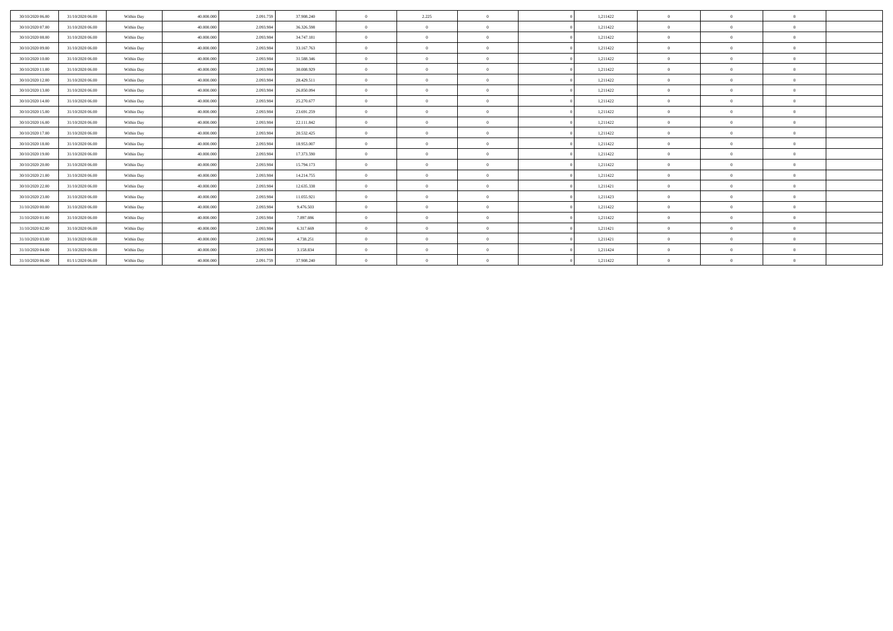| 30/10/2020 06:00 | 31/10/2020 06:00 | Within Day | 40,000,000 | 2.091.759 | 37.908.240 | $\overline{0}$ | 2.225          | $\Omega$       | 1,211422 | $\Omega$ | $\theta$       | $\theta$       |  |
|------------------|------------------|------------|------------|-----------|------------|----------------|----------------|----------------|----------|----------|----------------|----------------|--|
| 30/10/2020 07:00 | 31/10/2020 06:00 | Within Day | 40,000,000 | 2.093.984 | 36.326.598 | $\mathbf{0}$   | $\Omega$       | $\Omega$       | 1,211422 | $\Omega$ | $\theta$       | $\Omega$       |  |
| 30/10/2020 08:00 | 31/10/2020 06:00 | Within Day | 40,000,000 | 2.093.984 | 34.747.181 | $\mathbf{a}$   | $\Omega$       | $\Omega$       | 1,211422 | $\Omega$ | $\theta$       | $\overline{0}$ |  |
| 30/10/2020 09:00 | 31/10/2020 06:00 | Within Day | 40.000.000 | 2.093.984 | 33.167.763 | $\Omega$       | $\overline{0}$ | $\Omega$       | 1,211422 | $\Omega$ | $\overline{0}$ | $\overline{0}$ |  |
| 30/10/2020 10:00 | 31/10/2020 06:00 | Within Day | 40.000.000 | 2.093.984 | 31.588.346 | $\theta$       | $\Omega$       | $\Omega$       | 1,211422 | $\theta$ | $\bf{0}$       | $\overline{0}$ |  |
| 30/10/2020 11:00 | 31/10/2020 06.00 | Within Day | 40,000,000 | 2.093.984 | 30,008.929 | $\mathbf{a}$   | $\Omega$       | $\Omega$       | 1,211422 | $\Omega$ | $\theta$       | $\Omega$       |  |
| 30/10/2020 12:00 | 31/10/2020 06:00 | Within Day | 40.000.000 | 2.093.984 | 28.429.511 | $\theta$       | $\sqrt{2}$     | $\Omega$       | 1,211422 | $\Omega$ | $\theta$       | $\theta$       |  |
| 30/10/2020 13:00 | 31/10/2020 06:00 | Within Day | 40,000,000 | 2.093.984 | 26,850,094 | $\Omega$       | $\Omega$       | $\Omega$       | 1.211422 | $\Omega$ | $\theta$       | $\theta$       |  |
| 30/10/2020 14:00 | 31/10/2020 06:00 | Within Day | 40,000,000 | 2.093.984 | 25.270.677 | $\theta$       | $\sqrt{2}$     | $\Omega$       | 1,211422 | $\Omega$ | $\theta$       | $\theta$       |  |
| 30/10/2020 15:00 | 31/10/2020 06.00 | Within Day | 40,000,000 | 2.093.984 | 23.691.259 | $\mathbf{a}$   | $\Omega$       | $\Omega$       | 1,211422 | $\Omega$ | $\theta$       | $\theta$       |  |
| 30/10/2020 16:00 | 31/10/2020 06.00 | Within Day | 40.000.000 | 2.093.984 | 22.111.842 | $\theta$       | $\Omega$       | $\Omega$       | 1,211422 | $\Omega$ | $\Omega$       | $\theta$       |  |
| 30/10/2020 17:00 | 31/10/2020 06.00 | Within Day | 40.000,000 | 2.093.984 | 20.532.425 | $\Omega$       | $\Omega$       | $\Omega$       | 1.211422 | $\Omega$ | $\theta$       | $\Omega$       |  |
| 30/10/2020 18:00 | 31/10/2020 06:00 | Within Day | 40.000.000 | 2.093.984 | 18.953.007 | $\theta$       | $\Omega$       | $\Omega$       | 1,211422 | $\Omega$ | $\theta$       | $\Omega$       |  |
| 30/10/2020 19:00 | 31/10/2020 06:00 | Within Day | 40,000,000 | 2.093.984 | 17.373.590 | $\theta$       | $^{\circ}$     | $\overline{0}$ | 1,211422 | $\Omega$ | $\theta$       | $\theta$       |  |
| 30/10/2020 20:00 | 31/10/2020 06.00 | Within Day | 40.000.000 | 2.093.984 | 15.794.173 | $\theta$       | $\Omega$       | $\Omega$       | 1,211422 | $\theta$ | $\theta$       | $\Omega$       |  |
| 30/10/2020 21:00 | 31/10/2020 06.00 | Within Day | 40,000,000 | 2.093.984 | 14.214.755 | $\theta$       | $^{\circ}$     | $\overline{0}$ | 1,211422 | $\Omega$ | $\Omega$       | $\theta$       |  |
| 30/10/2020 22.00 | 31/10/2020 06.00 | Within Day | 40.000.000 | 2.093.984 | 12.635.338 | $\overline{0}$ | $\Omega$       | $\Omega$       | 1,211421 | $\Omega$ | $\theta$       | $\theta$       |  |
| 30/10/2020 23:00 | 31/10/2020 06:00 | Within Day | 40.000.000 | 2.093.984 | 11.055.921 | $\overline{0}$ | $\Omega$       | $\Omega$       | 1,211423 | $\Omega$ | $\theta$       | $\Omega$       |  |
| 31/10/2020 00:00 | 31/10/2020 06:00 | Within Day | 40,000,000 | 2.093.984 | 9.476.503  | $\overline{0}$ | $\Omega$       | $\Omega$       | 1,211422 | $\theta$ | $\theta$       | $\theta$       |  |
| 31/10/2020 01:00 | 31/10/2020 06:00 | Within Day | 40,000,000 | 2.093.984 | 7.897.086  | $\mathbf{0}$   | $\Omega$       | $\Omega$       | 1,211422 | $\Omega$ | $\theta$       | $\theta$       |  |
| 31/10/2020 02.00 | 31/10/2020 06:00 | Within Day | 40.000.000 | 2.093.984 | 6.317.669  | $\mathbf{a}$   | $\Omega$       | $\Omega$       | 1,211421 | $\Omega$ | $\theta$       | $\Omega$       |  |
| 31/10/2020 03.00 | 31/10/2020 06:00 | Within Day | 40.000.000 | 2.093.984 | 4.738.251  | $\theta$       | $\Omega$       | $\Omega$       | 1,211421 | $\Omega$ | $\theta$       | $\overline{0}$ |  |
| 31/10/2020 04.00 | 31/10/2020 06:00 | Within Day | 40,000,000 | 2.093.984 | 3.158.834  | $\mathbf{a}$   | $\Omega$       | $\Omega$       | 1,211424 | $\Omega$ | $\theta$       | $\theta$       |  |
| 31/10/2020 06:00 | 01/11/2020 06.00 | Within Day | 40.000.000 | 2.091.759 | 37.908.240 | $\theta$       | $\Omega$       | $\Omega$       | 1,211422 | $\Omega$ | $\theta$       | $\theta$       |  |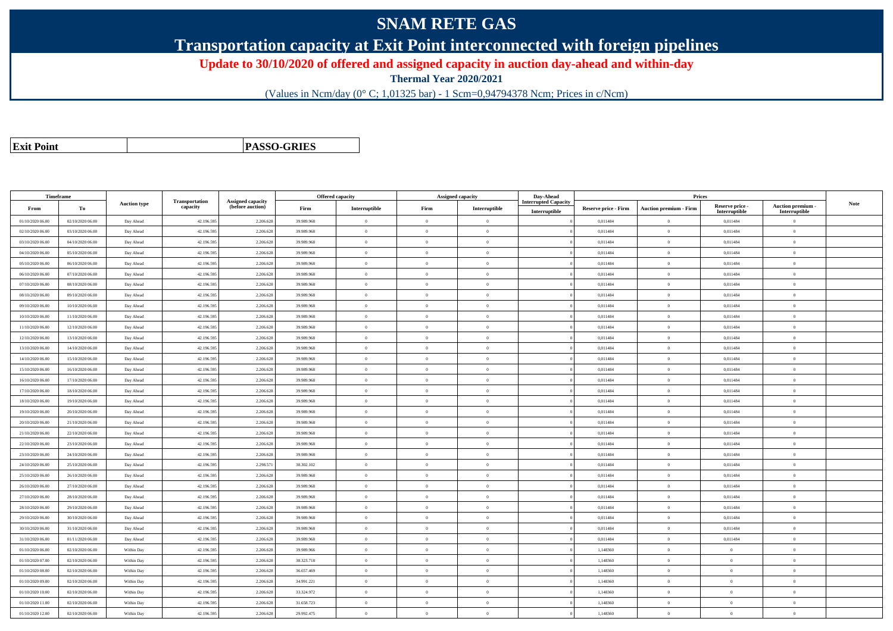## **SNAM RETE GAS**

**Transportation capacity at Exit Point interconnected with foreign pipelines**

**Update to 30/10/2020 of offered and assigned capacity in auction day-ahead and within-day**

**Thermal Year 2020/2021**

(Values in Ncm/day (0° C; 1,01325 bar) - 1 Scm=0,94794378 Ncm; Prices in c/Ncm)

**Exit Point**

**PASSO-GRIES**

| Timeframe        |                  |                     |                            |                                              | Offered capacity |                |                | <b>Assigned capacity</b> | Day-Ahead                                    |                             | Prices                        |                                  |                                    |             |
|------------------|------------------|---------------------|----------------------------|----------------------------------------------|------------------|----------------|----------------|--------------------------|----------------------------------------------|-----------------------------|-------------------------------|----------------------------------|------------------------------------|-------------|
| From             | To               | <b>Auction type</b> | Transportation<br>capacity | <b>Assigned capacity</b><br>(before auction) | Firm             | Interruptible  | Firm           | Interruptible            | <b>Interrupted Capacity</b><br>Interruptible | <b>Reserve price - Firm</b> | <b>Auction premium - Firm</b> | Reserve price -<br>Interruptible | Auction premium -<br>Interruptible | <b>Note</b> |
| 01/10/2020 06:00 | 02/10/2020 06:00 | Day Ahead           | 42.196.595                 | 2.206.628                                    | 39.989.968       | $\bf{0}$       | $\theta$       | $\overline{0}$           |                                              | 0,011484                    | $\overline{0}$                | 0,011484                         | $\overline{0}$                     |             |
| 02/10/2020 06.00 | 03/10/2020 06:00 | Day Ahead           | 42.196.595                 | 2.206.62                                     | 39.989.968       | $\Omega$       | $\theta$       | $\Omega$                 |                                              | 0,011484                    | $\overline{0}$                | 0,011484                         | $\overline{0}$                     |             |
| 03/10/2020 06:00 | 04/10/2020 06:00 | Day Ahead           | 42.196.595                 | 2.206.628                                    | 39,989,968       | $\overline{0}$ | $\overline{0}$ | $\overline{0}$           |                                              | 0.011484                    | $\overline{0}$                | 0.011484                         | $\theta$                           |             |
| 04/10/2020 06.00 | 05/10/2020 06:00 | Day Ahead           | 42.196.595                 | 2.206.628                                    | 39.989.968       | $\bf{0}$       | $\overline{0}$ | $\overline{0}$           |                                              | 0,011484                    | $\mathbf{0}$                  | 0,011484                         | $\theta$                           |             |
| 05/10/2020 06:00 | 06/10/2020 06:00 | Day Ahead           | 42.196.595                 | 2.206.62                                     | 39.989.968       | $\theta$       | $\overline{0}$ | $\Omega$                 |                                              | 0,011484                    | $\mathbf{0}$                  | 0,011484                         | $\overline{0}$                     |             |
| 06/10/2020 06:00 | 07/10/2020 06.00 | Day Ahead           | 42.196.595                 | 2.206.628                                    | 39.989.968       | $\theta$       | $\overline{0}$ | $\overline{0}$           |                                              | 0,011484                    | $\mathbf{0}$                  | 0,011484                         | $\mathbf{0}$                       |             |
| 07/10/2020 06.00 | 08/10/2020 06:00 | Day Ahead           | 42.196.595                 | 2.206.628                                    | 39,989,968       | $\theta$       | $\Omega$       | $\sim$                   |                                              | 0.011484                    | $\theta$                      | 0.011484                         | $\Omega$                           |             |
| 08/10/2020 06.00 | 09/10/2020 06:00 | Day Ahead           | 42.196.595                 | 2.206.628                                    | 39.989.968       | $\theta$       | $\theta$       | $\overline{0}$           |                                              | 0,011484                    | $\overline{0}$                | 0,011484                         | $\overline{0}$                     |             |
| 09/10/2020 06:00 | 10/10/2020 06:00 | Day Ahead           | 42.196.595                 | 2.206.628                                    | 39.989.968       | $\theta$       | $\overline{0}$ | $\theta$                 |                                              | 0,011484                    | $\mathbf{0}$                  | 0,011484                         | $\theta$                           |             |
| 10/10/2020 06:00 | 11/10/2020 06:00 | Day Ahead           | 42.196.595                 | 2.206.628                                    | 39,989,968       | $\mathbf{0}$   | $\overline{0}$ | $\overline{0}$           |                                              | 0,011484                    | $\overline{0}$                | 0,011484                         | $\theta$                           |             |
| 11/10/2020 06:00 | 12/10/2020 06:00 | Day Ahead           | 42.196.595                 | 2.206.628                                    | 39.989.968       | $\theta$       | $\theta$       | $\overline{0}$           |                                              | 0,011484                    | $\overline{0}$                | 0,011484                         | $\overline{0}$                     |             |
| 12/10/2020 06:00 | 13/10/2020 06:00 | Day Ahead           | 42.196.595                 | 2.206.628                                    | 39.989.968       | $\theta$       | $\theta$       | $\overline{0}$           |                                              | 0,011484                    | $\overline{0}$                | 0,011484                         | $\overline{0}$                     |             |
| 13/10/2020 06:00 | 14/10/2020 06:00 | Day Ahead           | 42.196.595                 | 2.206.628                                    | 39,989,968       | $\theta$       | $\theta$       | $\overline{0}$           |                                              | 0.011484                    | $\overline{0}$                | 0.011484                         | $\Omega$                           |             |
| 14/10/2020 06:00 | 15/10/2020 06:00 | Day Ahead           | 42.196.595                 | 2.206.628                                    | 39.989.968       | $\theta$       | $\overline{0}$ | $\overline{0}$           |                                              | 0,011484                    | $\overline{0}$                | 0,011484                         | $\bf{0}$                           |             |
| 15/10/2020 06:00 | 16/10/2020 06:00 | Day Ahead           | 42.196.595                 | 2.206.628                                    | 39.989.968       | $\theta$       | $\overline{0}$ | $\overline{0}$           |                                              | 0,011484                    | $\mathbf{0}$                  | 0,011484                         | $\theta$                           |             |
| 16/10/2020 06:00 | 17/10/2020 06:00 | Day Ahead           | 42.196.595                 | 2.206.628                                    | 39.989.968       | $\overline{0}$ | $\overline{0}$ | $\overline{0}$           |                                              | 0,011484                    | $\mathbf{0}$                  | 0,011484                         | $\mathbf{0}$                       |             |
| 17/10/2020 06:00 | 18/10/2020 06:00 | Day Ahead           | 42.196.595                 | 2.206.628                                    | 39.989.968       | $\theta$       | $\overline{0}$ | $\overline{0}$           |                                              | 0,011484                    | $\overline{0}$                | 0,011484                         | $\mathbf{0}$                       |             |
| 18/10/2020 06:00 | 19/10/2020 06:00 | Day Ahead           | 42.196.595                 | 2.206.628                                    | 39.989.968       | $\theta$       | $\overline{0}$ | $\overline{0}$           |                                              | 0,011484                    | $\overline{0}$                | 0,011484                         | $\mathbf{0}$                       |             |
| 19/10/2020 06:00 | 20/10/2020 06:00 | Day Ahead           | 42.196.595                 | 2.206.62                                     | 39.989.968       | $\theta$       | $\overline{0}$ | $\Omega$                 |                                              | 0,011484                    | $\overline{0}$                | 0,011484                         | $\overline{0}$                     |             |
| 20/10/2020 06:00 | 21/10/2020 06:00 | Day Ahead           | 42.196.595                 | 2.206.628                                    | 39,989,968       | $\theta$       | $\theta$       | $\overline{0}$           |                                              | 0.011484                    | $\overline{0}$                | 0.011484                         | $\Omega$                           |             |
| 21/10/2020 06.00 | 22/10/2020 06.00 | Day Ahead           | 42.196.595                 | 2.206.628                                    | 39.989.968       | $\bf{0}$       | $\theta$       | $\overline{0}$           |                                              | 0,011484                    | $\mathbf{0}$                  | 0,011484                         | $\theta$                           |             |
| 22/10/2020 06:00 | 23/10/2020 06:00 | Day Ahead           | 42.196.595                 | 2.206.62                                     | 39.989.968       | $\theta$       | $\overline{0}$ | $\Omega$                 |                                              | 0,011484                    | $\mathbf{0}$                  | 0,011484                         | $\mathbf{0}$                       |             |
| 23/10/2020 06:00 | 24/10/2020 06.00 | Day Ahead           | 42.196.595                 | 2.206.628                                    | 39.989.968       | $\Omega$       | $\overline{0}$ | $\overline{0}$           |                                              | 0,011484                    | $\overline{0}$                | 0,011484                         | $\mathbf{0}$                       |             |
| 24/10/2020 06.00 | 25/10/2020 06.00 | Day Ahead           | 42.196.595                 | 2.298.57                                     | 38.302.102       | $\theta$       | $\theta$       | $\overline{0}$           |                                              | 0,011484                    | $\overline{0}$                | 0,011484                         | $\theta$                           |             |
| 25/10/2020 06.00 | 26/10/2020 06.00 | Day Ahead           | 42.196.595                 | 2.206.628                                    | 39.989.968       | $\theta$       | $\overline{0}$ | $\overline{0}$           |                                              | 0,011484                    | $\bf{0}$                      | 0,011484                         | $\overline{0}$                     |             |
| 26/10/2020 06:00 | 27/10/2020 06:00 | Day Ahead           | 42.196.595                 | 2.206.628                                    | 39,989,968       | $\theta$       | $\theta$       | $\overline{0}$           |                                              | 0.011484                    | $\overline{0}$                | 0.011484                         | $\Omega$                           |             |
| 27/10/2020 06.00 | 28/10/2020 06:00 | Day Ahead           | 42.196.595                 | 2.206.628                                    | 39.989.968       | $\overline{0}$ | $\overline{0}$ | $\overline{0}$           |                                              | 0,011484                    | $\mathbf{0}$                  | 0,011484                         | $\bf{0}$                           |             |
| 28/10/2020 06:00 | 29/10/2020 06.00 | Day Ahead           | 42.196.595                 | 2.206.628                                    | 39.989.968       | $\Omega$       | $\overline{0}$ | $\overline{0}$           |                                              | 0,011484                    | $\overline{0}$                | 0,011484                         | $\overline{0}$                     |             |
| 29/10/2020 06:00 | 30/10/2020 06:00 | Day Ahead           | 42.196.595                 | 2.206.628                                    | 39.989.968       | $\theta$       | $\overline{0}$ | $\overline{0}$           |                                              | 0,011484                    | $\overline{0}$                | 0,011484                         | $\theta$                           |             |
| 30/10/2020 06.00 | 31/10/2020 06.00 | Day Ahead           | 42.196.595                 | 2.206.628                                    | 39.989.968       | $\Omega$       | $\theta$       | $\overline{0}$           |                                              | 0,011484                    | $\theta$                      | 0,011484                         | $\Omega$                           |             |
| 31/10/2020 06:00 | 01/11/2020 06.00 | Day Ahead           | 42.196.595                 | 2.206.628                                    | 39.989.968       | $\Omega$       | $\overline{0}$ | $\overline{0}$           |                                              | 0,011484                    | $\overline{0}$                | 0,011484                         | $\overline{0}$                     |             |
| 01/10/2020 06:00 | 02/10/2020 06:00 | Within Day          | 42.196.595                 | 2.206.628                                    | 39.989.966       | $\Omega$       | $\overline{0}$ | $\overline{0}$           |                                              | 1,148360                    | $\mathbf{0}$                  | $\theta$                         | $\theta$                           |             |
| 01/10/2020 07:00 | 02/10/2020 06:00 | Within Day          | 42.196.595                 | 2.206.628                                    | 38.323.718       | $\overline{0}$ | $\overline{0}$ | $\overline{0}$           |                                              | 1.148360                    | $\overline{0}$                | $\theta$                         | $\theta$                           |             |
| 01/10/2020 08:00 | 02/10/2020 06.00 | Within Day          | 42.196.595                 | 2.206.628                                    | 36.657.469       | $\Omega$       | $\theta$       | $\overline{0}$           |                                              | 1,148360                    | $\overline{0}$                | $\sqrt{2}$                       | $\mathbf{0}$                       |             |
| 01/10/2020 09:00 | 02/10/2020 06:00 | Within Day          | 42.196.595                 | 2.206.628                                    | 34.991.221       | $\theta$       | $\overline{0}$ | $\overline{0}$           |                                              | 1,148360                    | $\overline{0}$                | $\theta$                         | $\mathbf{0}$                       |             |
| 01/10/2020 10:00 | 02/10/2020 06:00 | Within Day          | 42.196.595                 | 2.206.628                                    | 33.324.972       | $\theta$       | $\theta$       | $\overline{0}$           |                                              | 1.148360                    | $\theta$                      | $\theta$                         | $\Omega$                           |             |
| 01/10/2020 11:00 | 02/10/2020 06:00 | Within Day          | 42.196.595                 | 2.206.628                                    | 31.658.723       | $\Omega$       | $\theta$       | $\overline{0}$           |                                              | 1.148360                    | $\overline{0}$                | $\theta$                         | $\theta$                           |             |
| 01/10/2020 12.00 | 02/10/2020 06.00 | Within Day          | 42.196.595                 | 2.206.628                                    | 29.992.475       | $\theta$       | $\theta$       | $\overline{0}$           |                                              | 1,148360                    | $\overline{0}$                | $\overline{0}$                   | $\overline{0}$                     |             |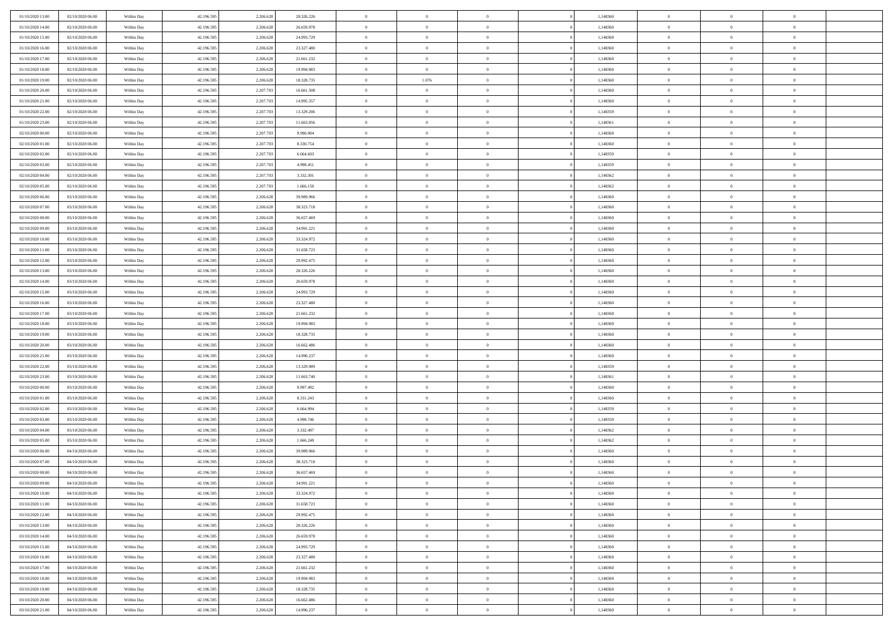| 01/10/2020 13:00 | 02/10/2020 06:00                     | Within Day | 42.196.595 | 2.206.628 | 28.326.226 | $\bf{0}$       | $\overline{0}$ | $\overline{0}$           | 1,148360 | $\bf{0}$       | $\overline{0}$ | $\,0\,$        |  |
|------------------|--------------------------------------|------------|------------|-----------|------------|----------------|----------------|--------------------------|----------|----------------|----------------|----------------|--|
| 01/10/2020 14:00 | 02/10/2020 06:00                     | Within Day | 42.196.595 | 2.206.628 | 26.659.978 | $\theta$       | $\overline{0}$ | $\mathbf{0}$             | 1,148360 | $\theta$       | $\mathbf{0}$   | $\theta$       |  |
| 01/10/2020 15:00 | 02/10/2020 06:00                     | Within Day | 42.196.595 | 2.206.628 | 24.993.729 | $\theta$       | $\overline{0}$ | $\overline{0}$           | 1,148360 | $\mathbf{0}$   | $\overline{0}$ | $\overline{0}$ |  |
| 01/10/2020 16:00 | 02/10/2020 06.00                     | Within Day | 42.196.595 | 2.206.628 | 23.327.480 | $\,$ 0 $\,$    | $\overline{0}$ | $\overline{0}$           | 1,148360 | $\bf{0}$       | $\overline{0}$ | $\bf{0}$       |  |
| 01/10/2020 17.00 | 02/10/2020 06.00                     | Within Day | 42.196.595 | 2.206.628 | 21.661.232 | $\bf{0}$       | $\overline{0}$ | $\mathbf{0}$             | 1,148360 | $\bf{0}$       | $\theta$       | $\,0\,$        |  |
| 01/10/2020 18:00 | 02/10/2020 06:00                     | Within Day | 42.196.595 | 2.206.628 | 19.994.983 | $\theta$       | $\overline{0}$ | $\mathbf{0}$             | 1,148360 | $\mathbf{0}$   | $\overline{0}$ | $\overline{0}$ |  |
| 01/10/2020 19:00 | 02/10/2020 06:00                     | Within Day | 42.196.595 | 2.206.628 | 18.328.735 | $\,$ 0 $\,$    | 1.076          | $\overline{0}$           | 1,148360 | $\bf{0}$       | $\overline{0}$ | $\,0\,$        |  |
|                  |                                      |            |            | 2.207.703 |            | $\overline{0}$ | $\overline{0}$ | $\mathbf{0}$             |          | $\,$ 0 $\,$    | $\overline{0}$ | $\theta$       |  |
| 01/10/2020 20:00 | 02/10/2020 06:00                     | Within Day | 42.196.595 |           | 16.661.508 | $\theta$       |                |                          | 1,148360 | $\mathbf{0}$   |                | $\overline{0}$ |  |
| 01/10/2020 21:00 | 02/10/2020 06:00                     | Within Day | 42.196.595 | 2.207.703 | 14.995.357 |                | $\overline{0}$ | $\mathbf{0}$<br>$\Omega$ | 1,148360 |                | $\bf{0}$       |                |  |
| 01/10/2020 22.00 | 02/10/2020 06:00                     | Within Day | 42.196.595 | 2.207.703 | 13.329.206 | $\,$ 0 $\,$    | $\overline{0}$ |                          | 1,148359 | $\bf{0}$       | $\overline{0}$ | $\,0\,$        |  |
| 01/10/2020 23.00 | 02/10/2020 06.00                     | Within Day | 42.196.595 | 2.207.703 | 11.663.056 | $\bf{0}$       | $\overline{0}$ | $\mathbf{0}$             | 1,148361 | $\bf{0}$       | $\mathbf{0}$   | $\theta$       |  |
| 02/10/2020 00:00 | 02/10/2020 06:00                     | Within Day | 42.196.595 | 2.207.703 | 9.996.904  | $\theta$       | $\overline{0}$ | $\overline{0}$           | 1,148360 | $\mathbf{0}$   | $\overline{0}$ | $\overline{0}$ |  |
| 02/10/2020 01:00 | 02/10/2020 06:00                     | Within Day | 42.196.595 | 2.207.703 | 8.330.754  | $\,$ 0 $\,$    | $\overline{0}$ | $\overline{0}$           | 1,148360 | $\bf{0}$       | $\overline{0}$ | $\bf{0}$       |  |
| 02/10/2020 02.00 | 02/10/2020 06:00                     | Within Day | 42.196.595 | 2.207.703 | 6.664.603  | $\bf{0}$       | $\overline{0}$ | $\mathbf{0}$             | 1,148359 | $\bf{0}$       | $\theta$       | $\,0\,$        |  |
| 02/10/2020 03:00 | 02/10/2020 06:00                     | Within Day | 42.196.595 | 2.207.703 | 4.998.451  | $\theta$       | $\overline{0}$ | $\mathbf{0}$             | 1,148359 | $\mathbf{0}$   | $\overline{0}$ | $\overline{0}$ |  |
| 02/10/2020 04:00 | 02/10/2020 06.00                     | Within Day | 42.196.595 | 2.207.703 | 3.332.301  | $\,$ 0 $\,$    | $\overline{0}$ | $\overline{0}$           | 1,148362 | $\bf{0}$       | $\overline{0}$ | $\bf{0}$       |  |
| 02/10/2020 05:00 | 02/10/2020 06.00                     | Within Day | 42.196.595 | 2.207.703 | 1.666.150  | $\,$ 0         | $\overline{0}$ | $\mathbf{0}$             | 1,148362 | $\bf{0}$       | $\overline{0}$ | $\theta$       |  |
| 02/10/2020 06:00 | 03/10/2020 06:00                     | Within Day | 42.196.595 | 2.206.628 | 39.989.966 | $\theta$       | $\overline{0}$ | $\mathbf{0}$             | 1,148360 | $\mathbf{0}$   | $\overline{0}$ | $\overline{0}$ |  |
| 02/10/2020 07.00 | 03/10/2020 06:00                     | Within Day | 42.196.595 | 2.206.628 | 38.323.718 | $\,$ 0 $\,$    | $\overline{0}$ | $\Omega$                 | 1,148360 | $\bf{0}$       | $\overline{0}$ | $\,0\,$        |  |
| 02/10/2020 08:00 | 03/10/2020 06.00                     | Within Day | 42.196.595 | 2.206.628 | 36.657.469 | $\bf{0}$       | $\overline{0}$ | $\mathbf{0}$             | 1,148360 | $\bf{0}$       | $\mathbf{0}$   | $\theta$       |  |
| 02/10/2020 09:00 | 03/10/2020 06:00                     | Within Day | 42.196.595 | 2.206.628 | 34.991.221 | $\theta$       | $\overline{0}$ | $\mathbf{0}$             | 1,148360 | $\mathbf{0}$   | $\overline{0}$ | $\overline{0}$ |  |
| 02/10/2020 10:00 | 03/10/2020 06.00                     | Within Day | 42.196.595 | 2.206.628 | 33.324.972 | $\,$ 0 $\,$    | $\overline{0}$ | $\overline{0}$           | 1,148360 | $\bf{0}$       | $\overline{0}$ | $\bf{0}$       |  |
| 02/10/2020 11:00 | 03/10/2020 06.00                     | Within Day | 42.196.595 | 2.206.628 | 31.658.723 | $\bf{0}$       | $\overline{0}$ | $\mathbf{0}$             | 1,148360 | $\bf{0}$       | $\theta$       | $\,0\,$        |  |
| 02/10/2020 12:00 | 03/10/2020 06:00                     | Within Day | 42.196.595 | 2.206.628 | 29.992.475 | $\theta$       | $\overline{0}$ | $\mathbf{0}$             | 1,148360 | $\mathbf{0}$   | $\overline{0}$ | $\overline{0}$ |  |
| 02/10/2020 13:00 | 03/10/2020 06.00                     | Within Day | 42.196.595 | 2.206.628 | 28.326.226 | $\,$ 0 $\,$    | $\overline{0}$ | $\overline{0}$           | 1,148360 | $\bf{0}$       | $\overline{0}$ | $\,0\,$        |  |
| 02/10/2020 14:00 | 03/10/2020 06.00                     | Within Day | 42.196.595 | 2.206.628 | 26.659.978 | $\,$ 0         | $\overline{0}$ | $\mathbf{0}$             | 1,148360 | $\bf{0}$       | $\overline{0}$ | $\theta$       |  |
| 02/10/2020 15:00 | 03/10/2020 06:00                     | Within Day | 42.196.595 | 2.206.628 | 24.993.729 | $\theta$       | $\overline{0}$ | $\overline{0}$           | 1,148360 | $\mathbf{0}$   | $\bf{0}$       | $\overline{0}$ |  |
| 02/10/2020 16:00 | 03/10/2020 06.00                     | Within Day | 42.196.595 | 2.206.628 | 23.327.480 | $\,$ 0 $\,$    | $\overline{0}$ | $\Omega$                 | 1,148360 | $\bf{0}$       | $\overline{0}$ | $\,0\,$        |  |
| 02/10/2020 17.00 | 03/10/2020 06.00                     | Within Day | 42.196.595 | 2.206.628 | 21.661.232 | $\bf{0}$       | $\overline{0}$ | $\mathbf{0}$             | 1,148360 | $\bf{0}$       | $\mathbf{0}$   | $\overline{0}$ |  |
| 02/10/2020 18:00 | 03/10/2020 06:00                     | Within Day | 42.196.595 | 2.206.628 | 19.994.983 | $\theta$       | $\overline{0}$ | $\overline{0}$           | 1,148360 | $\mathbf{0}$   | $\overline{0}$ | $\overline{0}$ |  |
| 02/10/2020 19:00 | 03/10/2020 06:00                     | Within Day | 42.196.595 | 2.206.628 | 18.328.735 | $\theta$       | $\overline{0}$ | $\overline{0}$           | 1,148360 | $\,$ 0         | $\overline{0}$ | $\,$ 0 $\,$    |  |
| 02/10/2020 20:00 | 03/10/2020 06.00                     | Within Day | 42.196.595 | 2.206.628 | 16.662.486 | $\bf{0}$       | $\overline{0}$ | $\mathbf{0}$             | 1,148360 | $\bf{0}$       | $\mathbf{0}$   | $\overline{0}$ |  |
| 02/10/2020 21:00 | 03/10/2020 06:00                     | Within Day | 42.196.595 | 2.206.628 | 14.996.237 | $\theta$       | $\overline{0}$ | $\mathbf{0}$             | 1,148360 | $\mathbf{0}$   | $\overline{0}$ | $\overline{0}$ |  |
| 02/10/2020 22.00 | 03/10/2020 06:00                     | Within Day | 42.196.595 | 2.206.628 | 13.329.989 | $\theta$       | $\overline{0}$ | $\overline{0}$           | 1,148359 | $\,$ 0         | $\overline{0}$ | $\theta$       |  |
| 02/10/2020 23.00 | 03/10/2020 06.00                     | Within Day | 42.196.595 | 2.206.628 | 11.663.740 | $\bf{0}$       | $\overline{0}$ | $\mathbf{0}$             | 1,148361 | $\mathbf{0}$   | $\overline{0}$ | $\overline{0}$ |  |
| 03/10/2020 00:00 | 03/10/2020 06:00                     | Within Day | 42.196.595 | 2.206.628 | 9.997.492  | $\theta$       | $\overline{0}$ | $\mathbf{0}$             | 1,148360 | $\mathbf{0}$   | $\overline{0}$ | $\overline{0}$ |  |
| 03/10/2020 01:00 | 03/10/2020 06:00                     | Within Day | 42.196.595 | 2.206.628 | 8.331.243  | $\theta$       | $\overline{0}$ | $\overline{0}$           | 1,148360 | $\,$ 0         | $\overline{0}$ | $\theta$       |  |
| 03/10/2020 02.00 | 03/10/2020 06.00                     | Within Day | 42.196.595 | 2.206.628 | 6.664.994  | $\bf{0}$       | $\overline{0}$ | $\mathbf{0}$             | 1,148359 | $\bf{0}$       | $\mathbf{0}$   | $\overline{0}$ |  |
| 03/10/2020 03:00 | 03/10/2020 06:00                     | Within Day | 42.196.595 | 2.206.628 | 4.998.746  | $\theta$       | $\overline{0}$ | $\mathbf{0}$             | 1,148359 | $\mathbf{0}$   | $\overline{0}$ | $\overline{0}$ |  |
|                  |                                      |            |            |           |            |                |                |                          |          |                |                |                |  |
| 03/10/2020 04:00 | 03/10/2020 06:00                     | Within Day | 42.196.595 | 2.206.628 | 3.332.497  | $\,$ 0 $\,$    | $\overline{0}$ | $\overline{0}$           | 1,148362 | $\,$ 0         | $\overline{0}$ | $\,$ 0 $\,$    |  |
| 03/10/2020 05:00 | 03/10/2020 06.00<br>04/10/2020 06:00 | Within Day | 42.196.595 | 2.206.628 | 1.666.249  | $\,$ 0         | $\,$ 0 $\,$    | $\overline{0}$           | 1,148362 | $\,$ 0 $\,$    | $\overline{0}$ | $\overline{0}$ |  |
| 03/10/2020 06:00 |                                      | Within Day | 42.196.595 | 2.206.628 | 39.989.966 | $\theta$       | $\overline{0}$ | $\mathbf{0}$             | 1,148360 | $\mathbf{0}$   | $\overline{0}$ | $\overline{0}$ |  |
| 03/10/2020 07:00 | 04/10/2020 06.00                     | Within Day | 42.196.595 | 2.206.628 | 38.323.718 | $\overline{0}$ | $\overline{0}$ | $\overline{0}$           | 1,148360 | $\overline{0}$ | $\overline{0}$ | $\theta$       |  |
| 03/10/2020 08:00 | 04/10/2020 06:00                     | Within Day | 42.196.595 | 2.206.628 | 36.657.469 | $\bf{0}$       | $\overline{0}$ | $\mathbf{0}$             | 1,148360 | $\bf{0}$       | $\overline{0}$ | $\overline{0}$ |  |
| 03/10/2020 09:00 | 04/10/2020 06:00                     | Within Day | 42.196.595 | 2.206.628 | 34.991.221 | $\overline{0}$ | $\theta$       |                          | 1,148360 | $\overline{0}$ | $\theta$       | $\theta$       |  |
| 03/10/2020 10:00 | 04/10/2020 06:00                     | Within Day | 42.196.595 | 2.206.628 | 33.324.972 | $\,$ 0 $\,$    | $\overline{0}$ | $\overline{0}$           | 1,148360 | $\,$ 0 $\,$    | $\bf{0}$       | $\theta$       |  |
| 03/10/2020 11:00 | 04/10/2020 06:00                     | Within Day | 42.196.595 | 2.206.628 | 31.658.723 | $\overline{0}$ | $\,$ 0 $\,$    | $\mathbf{0}$             | 1,148360 | $\,$ 0 $\,$    | $\overline{0}$ | $\overline{0}$ |  |
| 03/10/2020 12:00 | 04/10/2020 06:00                     | Within Day | 42.196.595 | 2.206.628 | 29.992.475 | $\mathbf{0}$   | $\overline{0}$ | $\overline{0}$           | 1,148360 | $\,$ 0 $\,$    | $\bf{0}$       | $\mathbf{0}$   |  |
| 03/10/2020 13:00 | 04/10/2020 06:00                     | Within Day | 42.196.595 | 2.206.628 | 28.326.226 | $\,$ 0 $\,$    | $\overline{0}$ | $\overline{0}$           | 1,148360 | $\,$ 0 $\,$    | $\bf{0}$       | $\,$ 0 $\,$    |  |
| 03/10/2020 14:00 | 04/10/2020 06.00                     | Within Day | 42.196.595 | 2.206.628 | 26.659.978 | $\,$ 0 $\,$    | $\,$ 0 $\,$    | $\overline{0}$           | 1,148360 | $\,$ 0 $\,$    | $\overline{0}$ | $\overline{0}$ |  |
| 03/10/2020 15:00 | 04/10/2020 06:00                     | Within Day | 42.196.595 | 2.206.628 | 24.993.729 | $\mathbf{0}$   | $\overline{0}$ | $\overline{0}$           | 1,148360 | $\mathbf{0}$   | $\overline{0}$ | $\overline{0}$ |  |
| 03/10/2020 16:00 | 04/10/2020 06:00                     | Within Day | 42.196.595 | 2.206.628 | 23.327.480 | $\,$ 0 $\,$    | $\overline{0}$ | $\overline{0}$           | 1,148360 | $\,$ 0 $\,$    | $\mathbf{0}$   | $\,$ 0 $\,$    |  |
| 03/10/2020 17.00 | 04/10/2020 06.00                     | Within Day | 42.196.595 | 2.206.628 | 21.661.232 | $\bf{0}$       | $\overline{0}$ | $\overline{0}$           | 1,148360 | $\,$ 0 $\,$    | $\overline{0}$ | $\overline{0}$ |  |
| 03/10/2020 18:00 | 04/10/2020 06:00                     | Within Day | 42.196.595 | 2.206.628 | 19.994.983 | $\mathbf{0}$   | $\overline{0}$ | $\overline{0}$           | 1,148360 | $\mathbf{0}$   | $\bf{0}$       | $\overline{0}$ |  |
| 03/10/2020 19:00 | 04/10/2020 06:00                     | Within Day | 42.196.595 | 2.206.628 | 18.328.735 | $\,$ 0 $\,$    | $\overline{0}$ | $\overline{0}$           | 1,148360 | $\,$ 0 $\,$    | $\mathbf{0}$   | $\,$ 0 $\,$    |  |
| 03/10/2020 20:00 | 04/10/2020 06.00                     | Within Day | 42.196.595 | 2.206.628 | 16.662.486 | $\,$ 0 $\,$    | $\,$ 0 $\,$    | $\overline{0}$           | 1,148360 | $\,$ 0 $\,$    | $\overline{0}$ | $\overline{0}$ |  |
| 03/10/2020 21:00 | 04/10/2020 06:00                     | Within Day | 42.196.595 | 2.206.628 | 14.996.237 | $\theta$       | $\overline{0}$ | $\overline{0}$           | 1,148360 | $\mathbf{0}$   | $\overline{0}$ | $\overline{0}$ |  |
|                  |                                      |            |            |           |            |                |                |                          |          |                |                |                |  |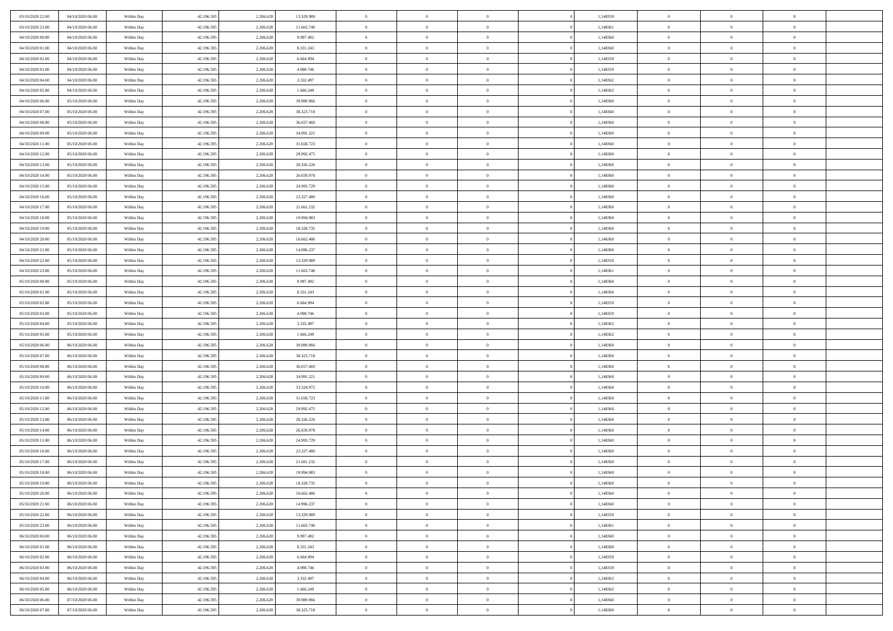| 03/10/2020 22.00 | 04/10/2020 06.00 | Within Day | 42.196.595 | 2.206.628 | 13.329.989 | $\bf{0}$       | $\bf{0}$       | $\Omega$       | 1,148359 | $\bf{0}$       | $\overline{0}$ | $\bf{0}$       |  |
|------------------|------------------|------------|------------|-----------|------------|----------------|----------------|----------------|----------|----------------|----------------|----------------|--|
| 03/10/2020 23.00 | 04/10/2020 06:00 | Within Day | 42.196.595 | 2.206.628 | 11.663.740 | $\overline{0}$ | $\overline{0}$ | $\Omega$       | 1,148361 | $\overline{0}$ | $\theta$       | $\theta$       |  |
| 04/10/2020 00:00 | 04/10/2020 06:00 | Within Day | 42.196.595 | 2.206.628 | 9.997.492  | $\overline{0}$ | $\overline{0}$ | $\overline{0}$ | 1,148360 | $\mathbf{0}$   | $\overline{0}$ | $\theta$       |  |
| 04/10/2020 01:00 | 04/10/2020 06:00 | Within Day | 42.196.595 | 2.206.628 | 8.331.243  | $\bf{0}$       | $\overline{0}$ | $\overline{0}$ | 1,148360 | $\mathbf{0}$   | $\overline{0}$ | $\bf{0}$       |  |
|                  |                  |            |            |           |            |                |                |                |          |                |                |                |  |
| 04/10/2020 02.00 | 04/10/2020 06.00 | Within Day | 42.196.595 | 2.206.628 | 6.664.994  | $\bf{0}$       | $\overline{0}$ | $\overline{0}$ | 1,148359 | $\bf{0}$       | $\overline{0}$ | $\bf{0}$       |  |
| 04/10/2020 03:00 | 04/10/2020 06:00 | Within Day | 42.196.595 | 2.206.628 | 4.998.746  | $\overline{0}$ | $\overline{0}$ | $\overline{0}$ | 1,148359 | $\mathbf{0}$   | $\overline{0}$ | $\theta$       |  |
| 04/10/2020 04:00 | 04/10/2020 06.00 | Within Day | 42.196.595 | 2.206.628 | 3.332.497  | $\bf{0}$       | $\overline{0}$ | $\overline{0}$ | 1,148362 | $\bf{0}$       | $\overline{0}$ | $\bf{0}$       |  |
| 04/10/2020 05.00 | 04/10/2020 06:00 | Within Day | 42.196.595 | 2.206.628 | 1.666.249  | $\overline{0}$ | $\overline{0}$ | $\overline{0}$ | 1,148362 | $\mathbf{0}$   | $\theta$       | $\theta$       |  |
| 04/10/2020 06:00 | 05/10/2020 06:00 | Within Day | 42.196.595 | 2.206.628 | 39.989.966 | $\overline{0}$ | $\overline{0}$ | $\overline{0}$ | 1,148360 | $\mathbf{0}$   | $\overline{0}$ | $\theta$       |  |
| 04/10/2020 07:00 | 05/10/2020 06:00 | Within Day | 42.196.595 | 2.206.628 | 38.323.718 | $\bf{0}$       | $\bf{0}$       | $\Omega$       | 1,148360 | $\bf{0}$       | $\overline{0}$ | $\bf{0}$       |  |
| 04/10/2020 08:00 | 05/10/2020 06:00 | Within Day | 42.196.595 | 2.206.628 | 36.657.469 | $\bf{0}$       | $\overline{0}$ | $\overline{0}$ | 1,148360 | $\mathbf{0}$   | $\theta$       | $\theta$       |  |
| 04/10/2020 09:00 | 05/10/2020 06:00 | Within Day | 42.196.595 | 2.206.628 | 34.991.221 | $\overline{0}$ | $\overline{0}$ | $\overline{0}$ | 1,148360 | $\mathbf{0}$   | $\overline{0}$ | $\theta$       |  |
| 04/10/2020 11:00 | 05/10/2020 06:00 | Within Day | 42.196.595 | 2.206.628 | 31.658.723 | $\bf{0}$       | $\overline{0}$ | $\overline{0}$ | 1,148360 | $\bf{0}$       | $\overline{0}$ | $\bf{0}$       |  |
| 04/10/2020 12:00 | 05/10/2020 06:00 | Within Day | 42.196.595 | 2.206.628 | 29.992.475 | $\bf{0}$       | $\overline{0}$ | $\overline{0}$ | 1,148360 | $\bf{0}$       | $\theta$       | $\bf{0}$       |  |
| 04/10/2020 13:00 | 05/10/2020 06:00 | Within Day | 42.196.595 | 2.206.628 | 28.326.226 | $\overline{0}$ | $\overline{0}$ | $\overline{0}$ | 1,148360 | $\overline{0}$ | $\overline{0}$ | $\theta$       |  |
| 04/10/2020 14.00 | 05/10/2020 06:00 | Within Day | 42.196.595 | 2.206.628 | 26.659.978 | $\bf{0}$       | $\overline{0}$ | $\Omega$       | 1,148360 | $\bf{0}$       | $\theta$       | $\bf{0}$       |  |
| 04/10/2020 15.00 | 05/10/2020 06:00 |            | 42.196.595 | 2.206.628 |            | $\mathbf{0}$   | $\overline{0}$ | $\overline{0}$ | 1,148360 | $\mathbf{0}$   | $\theta$       | $\theta$       |  |
|                  |                  | Within Day |            |           | 24.993.729 |                |                |                |          |                |                |                |  |
| 04/10/2020 16.00 | 05/10/2020 06:00 | Within Day | 42.196.595 | 2.206.628 | 23.327.480 | $\overline{0}$ | $\overline{0}$ | $\overline{0}$ | 1,148360 | $\mathbf{0}$   | $\overline{0}$ | $\theta$       |  |
| 04/10/2020 17.00 | 05/10/2020 06:00 | Within Day | 42.196.595 | 2.206.628 | 21.661.232 | $\bf{0}$       | $\overline{0}$ | $\Omega$       | 1,148360 | $\bf{0}$       | $\overline{0}$ | $\bf{0}$       |  |
| 04/10/2020 18:00 | 05/10/2020 06:00 | Within Day | 42.196.595 | 2.206.628 | 19.994.983 | $\bf{0}$       | $\overline{0}$ | $\overline{0}$ | 1,148360 | $\mathbf{0}$   | $\theta$       | $\overline{0}$ |  |
| 04/10/2020 19:00 | 05/10/2020 06:00 | Within Day | 42.196.595 | 2.206.628 | 18.328.735 | $\overline{0}$ | $\overline{0}$ | $\overline{0}$ | 1,148360 | $\mathbf{0}$   | $\overline{0}$ | $\theta$       |  |
| 04/10/2020 20.00 | 05/10/2020 06:00 | Within Day | 42.196.595 | 2.206.628 | 16.662.486 | $\bf{0}$       | $\overline{0}$ | $\overline{0}$ | 1,148360 | $\mathbf{0}$   | $\overline{0}$ | $\bf{0}$       |  |
| 04/10/2020 21:00 | 05/10/2020 06:00 | Within Day | 42.196.595 | 2.206.628 | 14.996.237 | $\bf{0}$       | $\overline{0}$ | $\overline{0}$ | 1,148360 | $\bf{0}$       | $\overline{0}$ | $\bf{0}$       |  |
| 04/10/2020 22:00 | 05/10/2020 06:00 | Within Day | 42.196.595 | 2.206.628 | 13.329.989 | $\overline{0}$ | $\overline{0}$ | $\overline{0}$ | 1,148359 | $\mathbf{0}$   | $\overline{0}$ | $\theta$       |  |
| 04/10/2020 23.00 | 05/10/2020 06:00 | Within Day | 42.196.595 | 2.206.628 | 11.663.740 | $\bf{0}$       | $\overline{0}$ | $\overline{0}$ | 1,148361 | $\bf{0}$       | $\overline{0}$ | $\bf{0}$       |  |
| 05/10/2020 00:00 | 05/10/2020 06:00 | Within Day | 42.196.595 | 2.206.628 | 9.997.492  | $\theta$       | $\overline{0}$ | $\overline{0}$ | 1,148360 | $\mathbf{0}$   | $\overline{0}$ | $\theta$       |  |
| 05/10/2020 01:00 | 05/10/2020 06:00 | Within Day | 42.196.595 | 2.206.628 | 8.331.243  | $\overline{0}$ | $\overline{0}$ | $\overline{0}$ | 1,148360 | $\mathbf{0}$   | $\overline{0}$ | $\theta$       |  |
| 05/10/2020 02:00 | 05/10/2020 06:00 | Within Day | 42.196.595 | 2.206.628 | 6.664.994  | $\bf{0}$       | $\overline{0}$ | $\Omega$       | 1,148359 | $\mathbf{0}$   | $\overline{0}$ | $\bf{0}$       |  |
| 05/10/2020 03:00 | 05/10/2020 06:00 | Within Day | 42.196.595 | 2.206.628 | 4.998.746  | $\bf{0}$       | $\overline{0}$ | $\overline{0}$ | 1,148359 | $\mathbf{0}$   | $\theta$       | $\overline{0}$ |  |
| 05/10/2020 04:00 | 05/10/2020 06:00 | Within Day | 42.196.595 | 2.206.628 | 3.332.497  | $\overline{0}$ | $\overline{0}$ | $\overline{0}$ | 1,148362 | $\mathbf{0}$   | $\overline{0}$ | $\theta$       |  |
| 05/10/2020 05:00 | 05/10/2020 06:00 | Within Day | 42.196.595 | 2.206.628 | 1.666.249  | $\,$ 0         | $\overline{0}$ | $\overline{0}$ | 1,148362 | $\,$ 0         | $\overline{0}$ | $\,$ 0 $\,$    |  |
|                  | 06/10/2020 06:00 |            |            | 2.206.628 | 39.989.966 | $\bf{0}$       | $\overline{0}$ | $\overline{0}$ | 1,148360 | $\bf{0}$       | $\theta$       | $\bf{0}$       |  |
| 05/10/2020 06:00 |                  | Within Day | 42.196.595 |           |            | $\overline{0}$ | $\overline{0}$ |                |          | $\overline{0}$ |                | $\theta$       |  |
| 05/10/2020 07:00 | 06/10/2020 06:00 | Within Day | 42.196.595 | 2.206.628 | 38.323.718 |                |                | $\overline{0}$ | 1,148360 |                | $\overline{0}$ |                |  |
| 05/10/2020 08:00 | 06/10/2020 06:00 | Within Day | 42.196.595 | 2.206.628 | 36.657.469 | $\,$ 0         | $\overline{0}$ | $\theta$       | 1,148360 | $\,$ 0         | $\overline{0}$ | $\mathbf{0}$   |  |
| 05/10/2020 09:00 | 06/10/2020 06:00 | Within Day | 42.196.595 | 2.206.628 | 34.991.221 | $\bf{0}$       | $\overline{0}$ | $\overline{0}$ | 1,148360 | $\mathbf{0}$   | $\overline{0}$ | $\overline{0}$ |  |
| 05/10/2020 10:00 | 06/10/2020 06:00 | Within Day | 42.196.595 | 2.206.628 | 33.324.972 | $\overline{0}$ | $\overline{0}$ | $\overline{0}$ | 1,148360 | $\mathbf{0}$   | $\overline{0}$ | $\theta$       |  |
| 05/10/2020 11:00 | 06/10/2020 06:00 | Within Day | 42.196.595 | 2.206.628 | 31.658.723 | $\overline{0}$ | $\overline{0}$ | $\overline{0}$ | 1,148360 | $\,$ 0 $\,$    | $\overline{0}$ | $\mathbf{0}$   |  |
| 05/10/2020 12:00 | 06/10/2020 06:00 | Within Day | 42.196.595 | 2.206.628 | 29.992.475 | $\bf{0}$       | $\overline{0}$ | $\overline{0}$ | 1,148360 | $\mathbf{0}$   | $\theta$       | $\overline{0}$ |  |
| 05/10/2020 13:00 | 06/10/2020 06:00 | Within Day | 42.196.595 | 2.206.628 | 28.326.226 | $\overline{0}$ | $\overline{0}$ | $\overline{0}$ | 1,148360 | $\mathbf{0}$   | $\overline{0}$ | $\theta$       |  |
| 05/10/2020 14:00 | 06/10/2020 06:00 | Within Day | 42.196.595 | 2.206.628 | 26.659.978 | $\,$ 0         | $\overline{0}$ | $\overline{0}$ | 1,148360 | $\,$ 0 $\,$    | $\overline{0}$ | $\,$ 0 $\,$    |  |
| 05/10/2020 15:00 | 06/10/2020 06:00 | Within Day | 42.196.595 | 2.206.628 | 24.993.729 | $\bf{0}$       | $\,$ 0 $\,$    | $\overline{0}$ | 1,148360 | $\,$ 0 $\,$    | $\overline{0}$ | $\overline{0}$ |  |
| 05/10/2020 16.00 | 06/10/2020 06:00 | Within Day | 42.196.595 | 2.206.628 | 23.327.480 | $\overline{0}$ | $\overline{0}$ | $\overline{0}$ | 1,148360 | $\overline{0}$ | $\overline{0}$ | $\theta$       |  |
| 05/10/2020 17:00 | 06/10/2020 06:00 | Within Day | 42.196.595 | 2.206.628 | 21.661.232 | $\overline{0}$ | $\overline{0}$ | $\overline{0}$ | 1,148360 | $\overline{0}$ | $\overline{0}$ | $\mathbf{0}$   |  |
| 05/10/2020 18:00 | 06/10/2020 06:00 | Within Day | 42.196.595 | 2.206.628 | 19.994.983 | $\bf{0}$       | $\overline{0}$ | $\overline{0}$ | 1,148360 | $\mathbf{0}$   | $\overline{0}$ | $\overline{0}$ |  |
| 05/10/2020 19:00 | 06/10/2020 06:00 | Within Day | 42.196.595 | 2.206.628 | 18.328.735 | $\overline{0}$ | $\theta$       |                | 1,148360 | $\overline{0}$ | $\Omega$       | $\overline{0}$ |  |
| 05/10/2020 20:00 | 06/10/2020 06:00 | Within Day | 42.196.595 | 2.206.628 | 16.662.486 | $\,$ 0         | $\overline{0}$ | $\overline{0}$ | 1,148360 | $\,$ 0 $\,$    | $\bf{0}$       | $\mathbf{0}$   |  |
| 05/10/2020 21:00 | 06/10/2020 06:00 | Within Day | 42.196.595 | 2.206.628 | 14.996.237 | $\mathbf{0}$   | $\overline{0}$ | $\overline{0}$ | 1,148360 | $\,$ 0 $\,$    | $\overline{0}$ | $\overline{0}$ |  |
| 05/10/2020 22.00 | 06/10/2020 06:00 | Within Day | 42.196.595 | 2.206.628 | 13.329.989 | $\mathbf{0}$   | $\overline{0}$ | $\overline{0}$ | 1,148359 | $\mathbf{0}$   | $\bf{0}$       | $\overline{0}$ |  |
| 05/10/2020 23.00 | 06/10/2020 06:00 | Within Day | 42.196.595 | 2.206.628 | 11.663.740 | $\,$ 0 $\,$    | $\overline{0}$ | $\overline{0}$ | 1,148361 | $\,$ 0 $\,$    | $\bf{0}$       | $\theta$       |  |
| 06/10/2020 00:00 | 06/10/2020 06:00 |            | 42.196.595 | 2.206.628 | 9.997.492  | $\,$ 0 $\,$    | $\,$ 0 $\,$    | $\overline{0}$ | 1,148360 | $\,$ 0 $\,$    | $\overline{0}$ | $\overline{0}$ |  |
|                  |                  | Within Day |            |           |            |                |                |                |          |                |                |                |  |
| 06/10/2020 01:00 | 06/10/2020 06:00 | Within Day | 42.196.595 | 2.206.628 | 8.331.243  | $\mathbf{0}$   | $\overline{0}$ | $\overline{0}$ | 1,148360 | $\mathbf{0}$   | $\overline{0}$ | $\overline{0}$ |  |
| 06/10/2020 02:00 | 06/10/2020 06:00 | Within Day | 42.196.595 | 2.206.628 | 6.664.994  | $\,$ 0 $\,$    | $\overline{0}$ | $\overline{0}$ | 1,148359 | $\,$ 0 $\,$    | $\mathbf{0}$   | $\theta$       |  |
| 06/10/2020 03:00 | 06/10/2020 06:00 | Within Day | 42.196.595 | 2.206.628 | 4.998.746  | $\mathbf{0}$   | $\overline{0}$ | $\overline{0}$ | 1,148359 | $\,$ 0 $\,$    | $\overline{0}$ | $\overline{0}$ |  |
| 06/10/2020 04.00 | 06/10/2020 06:00 | Within Day | 42.196.595 | 2.206.628 | 3.332.497  | $\mathbf{0}$   | $\overline{0}$ | $\overline{0}$ | 1,148362 | $\mathbf{0}$   | $\bf{0}$       | $\overline{0}$ |  |
| 06/10/2020 05:00 | 06/10/2020 06:00 | Within Day | 42.196.595 | 2.206.628 | 1.666.249  | $\,$ 0 $\,$    | $\overline{0}$ | $\overline{0}$ | 1,148362 | $\,$ 0 $\,$    | $\mathbf{0}$   | $\theta$       |  |
| 06/10/2020 06:00 | 07/10/2020 06:00 | Within Day | 42.196.595 | 2.206.628 | 39.989.966 | $\mathbf{0}$   | $\overline{0}$ | $\overline{0}$ | 1,148360 | $\,$ 0 $\,$    | $\overline{0}$ | $\overline{0}$ |  |
| 06/10/2020 07:00 | 07/10/2020 06:00 | Within Day | 42.196.595 | 2.206.628 | 38.323.718 | $\mathbf{0}$   | $\overline{0}$ | $\overline{0}$ | 1,148360 | $\mathbf{0}$   | $\mathbf{0}$   | $\overline{0}$ |  |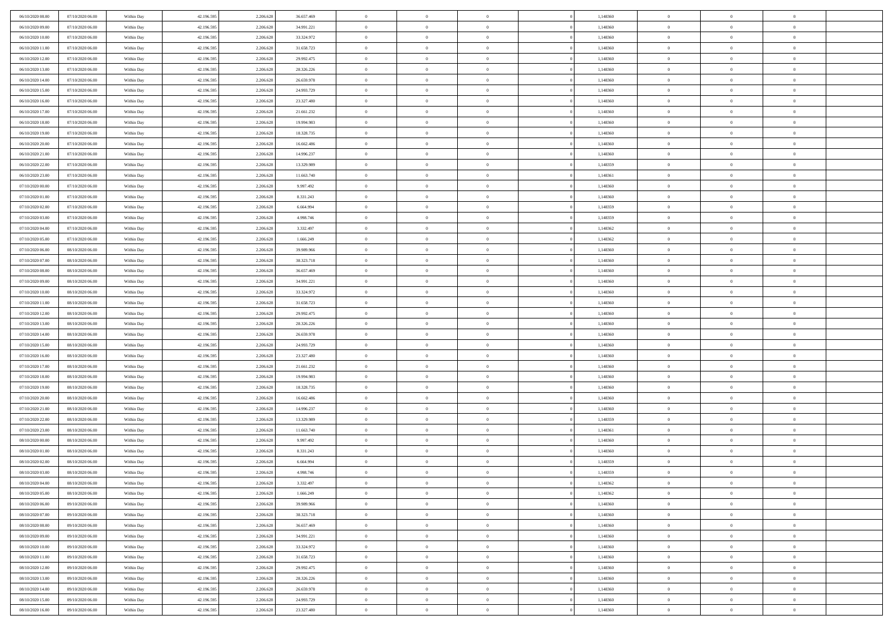| 06/10/2020 08:00 | 07/10/2020 06:00                     | Within Day               | 42.196.595 | 2.206.628 | 36.657.469 | $\,$ 0 $\,$    | $\overline{0}$ | $\overline{0}$                 | 1,148360 | $\bf{0}$       | $\overline{0}$ | $\,0\,$        |  |
|------------------|--------------------------------------|--------------------------|------------|-----------|------------|----------------|----------------|--------------------------------|----------|----------------|----------------|----------------|--|
| 06/10/2020 09:00 | 07/10/2020 06.00                     | Within Day               | 42.196.595 | 2.206.628 | 34.991.221 | $\theta$       | $\overline{0}$ | $\mathbf{0}$                   | 1,148360 | $\theta$       | $\mathbf{0}$   | $\theta$       |  |
| 06/10/2020 10:00 | 07/10/2020 06:00                     | Within Day               | 42.196.595 | 2.206.628 | 33.324.972 | $\theta$       | $\overline{0}$ | $\overline{0}$                 | 1,148360 | $\mathbf{0}$   | $\overline{0}$ | $\overline{0}$ |  |
| 06/10/2020 11:00 | 07/10/2020 06.00                     | Within Day               | 42.196.595 | 2.206.628 | 31.658.723 | $\,$ 0 $\,$    | $\overline{0}$ | $\overline{0}$                 | 1,148360 | $\bf{0}$       | $\overline{0}$ | $\bf{0}$       |  |
| 06/10/2020 12:00 | 07/10/2020 06.00                     | Within Day               | 42.196.595 | 2.206.628 | 29.992.475 | $\bf{0}$       | $\overline{0}$ | $\mathbf{0}$                   | 1,148360 | $\bf{0}$       | $\theta$       | $\,0\,$        |  |
| 06/10/2020 13:00 | 07/10/2020 06:00                     | Within Day               | 42.196.595 | 2.206.628 | 28.326.226 | $\theta$       | $\overline{0}$ | $\mathbf{0}$                   | 1,148360 | $\mathbf{0}$   | $\overline{0}$ | $\overline{0}$ |  |
| 06/10/2020 14:00 | 07/10/2020 06.00                     | Within Day               | 42.196.595 | 2.206.628 | 26.659.978 | $\,$ 0 $\,$    | $\overline{0}$ | $\overline{0}$                 | 1,148360 | $\bf{0}$       | $\overline{0}$ | $\,0\,$        |  |
| 06/10/2020 15:00 | 07/10/2020 06:00                     | Within Day               | 42.196.595 | 2.206.628 | 24.993.729 | $\overline{0}$ | $\overline{0}$ | $\mathbf{0}$                   | 1,148360 | $\bf{0}$       | $\overline{0}$ | $\theta$       |  |
| 06/10/2020 16:00 | 07/10/2020 06:00                     | Within Day               | 42.196.595 | 2.206.628 | 23.327.480 | $\theta$       | $\overline{0}$ | $\mathbf{0}$                   | 1,148360 | $\mathbf{0}$   | $\bf{0}$       | $\overline{0}$ |  |
| 06/10/2020 17.00 | 07/10/2020 06.00                     | Within Day               | 42.196.595 | 2.206.628 | 21.661.232 | $\,$ 0 $\,$    | $\overline{0}$ | $\Omega$                       | 1,148360 | $\bf{0}$       | $\overline{0}$ | $\,0\,$        |  |
| 06/10/2020 18:00 | 07/10/2020 06.00                     | Within Day               | 42.196.595 | 2.206.628 | 19.994.983 | $\bf{0}$       | $\overline{0}$ | $\mathbf{0}$                   | 1,148360 | $\bf{0}$       | $\mathbf{0}$   | $\theta$       |  |
| 06/10/2020 19:00 | 07/10/2020 06:00                     | Within Day               | 42.196.595 | 2.206.628 | 18.328.735 | $\theta$       | $\overline{0}$ | $\overline{0}$                 | 1,148360 | $\mathbf{0}$   | $\overline{0}$ | $\overline{0}$ |  |
| 06/10/2020 20:00 | 07/10/2020 06.00                     | Within Day               | 42.196.595 | 2.206.628 | 16.662.486 | $\,$ 0 $\,$    | $\overline{0}$ | $\overline{0}$                 | 1,148360 | $\bf{0}$       | $\overline{0}$ | $\bf{0}$       |  |
| 06/10/2020 21:00 | 07/10/2020 06.00                     | Within Day               | 42.196.595 | 2.206.628 | 14.996.237 | $\bf{0}$       | $\overline{0}$ | $\mathbf{0}$                   | 1,148360 | $\bf{0}$       | $\theta$       | $\,0\,$        |  |
| 06/10/2020 22.00 | 07/10/2020 06:00                     | Within Day               | 42.196.595 | 2.206.628 | 13.329.989 | $\theta$       | $\overline{0}$ | $\mathbf{0}$                   | 1,148359 | $\mathbf{0}$   | $\overline{0}$ | $\overline{0}$ |  |
| 06/10/2020 23.00 | 07/10/2020 06.00                     | Within Day               | 42.196.595 | 2.206.628 | 11.663.740 | $\,$ 0 $\,$    | $\overline{0}$ | $\overline{0}$                 | 1,148361 | $\bf{0}$       | $\overline{0}$ | $\bf{0}$       |  |
| 07/10/2020 00:00 | 07/10/2020 06.00                     |                          | 42.196.595 | 2.206.628 | 9.997.492  | $\,$ 0         | $\overline{0}$ | $\mathbf{0}$                   | 1,148360 | $\bf{0}$       | $\overline{0}$ | $\theta$       |  |
| 07/10/2020 01:00 | 07/10/2020 06:00                     | Within Day<br>Within Day | 42.196.595 | 2.206.628 | 8.331.243  | $\theta$       | $\overline{0}$ | $\mathbf{0}$                   | 1,148360 | $\mathbf{0}$   | $\overline{0}$ | $\overline{0}$ |  |
| 07/10/2020 02.00 | 07/10/2020 06:00                     | Within Day               | 42.196.595 | 2.206.628 | 6.664.994  | $\,$ 0 $\,$    | $\overline{0}$ | $\Omega$                       | 1,148359 | $\bf{0}$       | $\overline{0}$ | $\,0\,$        |  |
| 07/10/2020 03:00 | 07/10/2020 06.00                     |                          | 42.196.595 | 2.206.628 | 4.998.746  | $\bf{0}$       | $\overline{0}$ | $\mathbf{0}$                   | 1,148359 | $\bf{0}$       | $\mathbf{0}$   | $\theta$       |  |
| 07/10/2020 04:00 | 07/10/2020 06:00                     | Within Day<br>Within Day | 42.196.595 | 2.206.628 | 3.332.497  | $\theta$       | $\overline{0}$ |                                | 1,148362 | $\mathbf{0}$   | $\overline{0}$ | $\overline{0}$ |  |
|                  |                                      |                          |            |           |            | $\,$ 0 $\,$    |                | $\mathbf{0}$<br>$\overline{0}$ |          | $\bf{0}$       | $\overline{0}$ | $\bf{0}$       |  |
| 07/10/2020 05:00 | 07/10/2020 06.00                     | Within Day               | 42.196.595 | 2.206.628 | 1.666.249  |                | $\overline{0}$ |                                | 1,148362 |                | $\mathbf{0}$   |                |  |
| 07/10/2020 06:00 | 08/10/2020 06:00<br>08/10/2020 06:00 | Within Day               | 42.196.595 | 2.206.628 | 39.989.966 | $\bf{0}$       | $\overline{0}$ | $\mathbf{0}$                   | 1,148360 | $\bf{0}$       |                | $\,0\,$        |  |
| 07/10/2020 07:00 |                                      | Within Day               | 42.196.595 | 2.206.628 | 38.323.718 | $\theta$       | $\overline{0}$ | $\mathbf{0}$                   | 1,148360 | $\mathbf{0}$   | $\overline{0}$ | $\overline{0}$ |  |
| 07/10/2020 08:00 | 08/10/2020 06:00                     | Within Day               | 42.196.595 | 2.206.628 | 36.657.469 | $\,$ 0 $\,$    | $\overline{0}$ | $\overline{0}$                 | 1,148360 | $\bf{0}$       | $\overline{0}$ | $\,0\,$        |  |
| 07/10/2020 09:00 | 08/10/2020 06:00                     | Within Day               | 42.196.595 | 2.206.628 | 34.991.221 | $\,$ 0         | $\overline{0}$ | $\mathbf{0}$                   | 1,148360 | $\bf{0}$       | $\overline{0}$ | $\theta$       |  |
| 07/10/2020 10:00 | 08/10/2020 06:00                     | Within Day               | 42.196.595 | 2.206.628 | 33.324.972 | $\theta$       | $\overline{0}$ | $\overline{0}$                 | 1,148360 | $\mathbf{0}$   | $\bf{0}$       | $\overline{0}$ |  |
| 07/10/2020 11:00 | 08/10/2020 06:00                     | Within Day               | 42.196.595 | 2.206.628 | 31.658.723 | $\,$ 0 $\,$    | $\overline{0}$ | $\Omega$                       | 1,148360 | $\bf{0}$       | $\overline{0}$ | $\,0\,$        |  |
| 07/10/2020 12:00 | 08/10/2020 06:00                     | Within Day               | 42.196.595 | 2.206.628 | 29.992.475 | $\bf{0}$       | $\overline{0}$ | $\mathbf{0}$                   | 1,148360 | $\bf{0}$       | $\mathbf{0}$   | $\overline{0}$ |  |
| 07/10/2020 13:00 | 08/10/2020 06:00                     | Within Day               | 42.196.595 | 2.206.628 | 28.326.226 | $\theta$       | $\overline{0}$ | $\overline{0}$                 | 1,148360 | $\mathbf{0}$   | $\overline{0}$ | $\overline{0}$ |  |
| 07/10/2020 14:00 | 08/10/2020 06:00                     | Within Day               | 42.196.595 | 2.206.628 | 26.659.978 | $\theta$       | $\overline{0}$ | $\overline{0}$                 | 1,148360 | $\,$ 0         | $\overline{0}$ | $\,$ 0 $\,$    |  |
| 07/10/2020 15:00 | 08/10/2020 06:00                     | Within Day               | 42.196.595 | 2.206.628 | 24.993.729 | $\bf{0}$       | $\overline{0}$ | $\mathbf{0}$                   | 1,148360 | $\bf{0}$       | $\mathbf{0}$   | $\bf{0}$       |  |
| 07/10/2020 16:00 | 08/10/2020 06:00                     | Within Day               | 42.196.595 | 2.206.628 | 23.327.480 | $\theta$       | $\overline{0}$ | $\mathbf{0}$                   | 1,148360 | $\mathbf{0}$   | $\overline{0}$ | $\overline{0}$ |  |
| 07/10/2020 17:00 | 08/10/2020 06:00                     | Within Day               | 42.196.595 | 2.206.628 | 21.661.232 | $\theta$       | $\overline{0}$ | $\overline{0}$                 | 1,148360 | $\,$ 0         | $\overline{0}$ | $\theta$       |  |
| 07/10/2020 18:00 | 08/10/2020 06:00                     | Within Day               | 42.196.595 | 2.206.628 | 19.994.983 | $\bf{0}$       | $\overline{0}$ | $\mathbf{0}$                   | 1,148360 | $\mathbf{0}$   | $\overline{0}$ | $\overline{0}$ |  |
| 07/10/2020 19:00 | 08/10/2020 06:00                     | Within Day               | 42.196.595 | 2.206.628 | 18.328.735 | $\theta$       | $\overline{0}$ | $\mathbf{0}$                   | 1,148360 | $\mathbf{0}$   | $\overline{0}$ | $\overline{0}$ |  |
| 07/10/2020 20:00 | 08/10/2020 06:00                     | Within Day               | 42.196.595 | 2.206.628 | 16.662.486 | $\theta$       | $\overline{0}$ | $\overline{0}$                 | 1,148360 | $\,$ 0         | $\overline{0}$ | $\theta$       |  |
| 07/10/2020 21:00 | 08/10/2020 06:00                     | Within Day               | 42.196.595 | 2.206.628 | 14.996.237 | $\bf{0}$       | $\overline{0}$ | $\mathbf{0}$                   | 1,148360 | $\bf{0}$       | $\mathbf{0}$   | $\overline{0}$ |  |
| 07/10/2020 22.00 | 08/10/2020 06:00                     | Within Day               | 42.196.595 | 2.206.628 | 13.329.989 | $\theta$       | $\overline{0}$ | $\mathbf{0}$                   | 1,148359 | $\mathbf{0}$   | $\overline{0}$ | $\overline{0}$ |  |
| 07/10/2020 23:00 | 08/10/2020 06:00                     | Within Day               | 42.196.595 | 2.206.628 | 11.663.740 | $\,$ 0 $\,$    | $\overline{0}$ | $\overline{0}$                 | 1,148361 | $\,$ 0         | $\overline{0}$ | $\,$ 0 $\,$    |  |
| 08/10/2020 00:00 | 08/10/2020 06:00                     | Within Day               | 42.196.595 | 2.206.628 | 9.997.492  | $\,$ 0         | $\,$ 0 $\,$    | $\overline{0}$                 | 1,148360 | $\,$ 0 $\,$    | $\overline{0}$ | $\overline{0}$ |  |
| 08/10/2020 01:00 | 08/10/2020 06:00                     | Within Day               | 42.196.595 | 2.206.628 | 8.331.243  | $\theta$       | $\overline{0}$ | $\mathbf{0}$                   | 1,148360 | $\mathbf{0}$   | $\overline{0}$ | $\overline{0}$ |  |
| 08/10/2020 02:00 | 08/10/2020 06:00                     | Within Day               | 42.196.595 | 2.206.628 | 6.664.994  | $\overline{0}$ | $\overline{0}$ | $\overline{0}$                 | 1,148359 | $\overline{0}$ | $\overline{0}$ | $\theta$       |  |
| 08/10/2020 03:00 | 08/10/2020 06:00<br>08/10/2020 06:00 | Within Day               | 42.196.595 | 2.206.628 | 4.998.746  | $\bf{0}$       | $\overline{0}$ | $\mathbf{0}$                   | 1,148359 | $\bf{0}$       | $\overline{0}$ | $\overline{0}$ |  |
| 08/10/2020 04:00 |                                      | Within Day               | 42.196.595 | 2.206.628 | 3.332.497  | $\overline{0}$ | $\theta$       |                                | 1,148362 | $\overline{0}$ | $\theta$       | $\theta$       |  |
| 08/10/2020 05:00 | 08/10/2020 06:00                     | Within Day               | 42.196.595 | 2.206.628 | 1.666.249  | $\,$ 0 $\,$    | $\overline{0}$ | $\overline{0}$                 | 1,148362 | $\,$ 0 $\,$    | $\bf{0}$       | $\theta$       |  |
| 08/10/2020 06:00 | 09/10/2020 06:00                     | Within Day               | 42.196.595 | 2.206.628 | 39.989.966 | $\overline{0}$ | $\,$ 0 $\,$    | $\mathbf{0}$                   | 1,148360 | $\,$ 0 $\,$    | $\overline{0}$ | $\overline{0}$ |  |
| 08/10/2020 07:00 | 09/10/2020 06:00                     | Within Day               | 42.196.595 | 2.206.628 | 38.323.718 | $\mathbf{0}$   | $\overline{0}$ | $\overline{0}$                 | 1,148360 | $\,$ 0 $\,$    | $\bf{0}$       | $\mathbf{0}$   |  |
| 08/10/2020 08:00 | 09/10/2020 06:00                     | Within Day               | 42.196.595 | 2.206.628 | 36.657.469 | $\,$ 0 $\,$    | $\overline{0}$ | $\overline{0}$                 | 1,148360 | $\,$ 0 $\,$    | $\bf{0}$       | $\,$ 0 $\,$    |  |
| 08/10/2020 09:00 | 09/10/2020 06.00                     | Within Day               | 42.196.595 | 2.206.628 | 34.991.221 | $\,$ 0 $\,$    | $\,$ 0 $\,$    | $\overline{0}$                 | 1,148360 | $\,$ 0 $\,$    | $\overline{0}$ | $\overline{0}$ |  |
| 08/10/2020 10:00 | 09/10/2020 06:00                     | Within Day               | 42.196.595 | 2.206.628 | 33.324.972 | $\mathbf{0}$   | $\overline{0}$ | $\overline{0}$                 | 1,148360 | $\mathbf{0}$   | $\overline{0}$ | $\overline{0}$ |  |
| 08/10/2020 11:00 | 09/10/2020 06:00                     | Within Day               | 42.196.595 | 2.206.628 | 31.658.723 | $\,$ 0 $\,$    | $\overline{0}$ | $\overline{0}$                 | 1,148360 | $\,$ 0 $\,$    | $\overline{0}$ | $\,$ 0 $\,$    |  |
| 08/10/2020 12:00 | 09/10/2020 06.00                     | Within Day               | 42.196.595 | 2.206.628 | 29.992.475 | $\overline{0}$ | $\overline{0}$ | $\overline{0}$                 | 1,148360 | $\,$ 0 $\,$    | $\overline{0}$ | $\overline{0}$ |  |
| 08/10/2020 13:00 | 09/10/2020 06:00                     | Within Day               | 42.196.595 | 2.206.628 | 28.326.226 | $\mathbf{0}$   | $\overline{0}$ | $\overline{0}$                 | 1,148360 | $\mathbf{0}$   | $\bf{0}$       | $\overline{0}$ |  |
| 08/10/2020 14:00 | 09/10/2020 06:00                     | Within Day               | 42.196.595 | 2.206.628 | 26.659.978 | $\,$ 0 $\,$    | $\overline{0}$ | $\overline{0}$                 | 1,148360 | $\,$ 0 $\,$    | $\overline{0}$ | $\,$ 0 $\,$    |  |
| 08/10/2020 15:00 | 09/10/2020 06.00                     | Within Day               | 42.196.595 | 2.206.628 | 24.993.729 | $\,$ 0 $\,$    | $\overline{0}$ | $\overline{0}$                 | 1,148360 | $\bf{0}$       | $\overline{0}$ | $\overline{0}$ |  |
| 08/10/2020 16:00 | 09/10/2020 06:00                     | Within Day               | 42.196.595 | 2.206.628 | 23.327.480 | $\theta$       | $\overline{0}$ | $\overline{0}$                 | 1,148360 | $\mathbf{0}$   | $\overline{0}$ | $\overline{0}$ |  |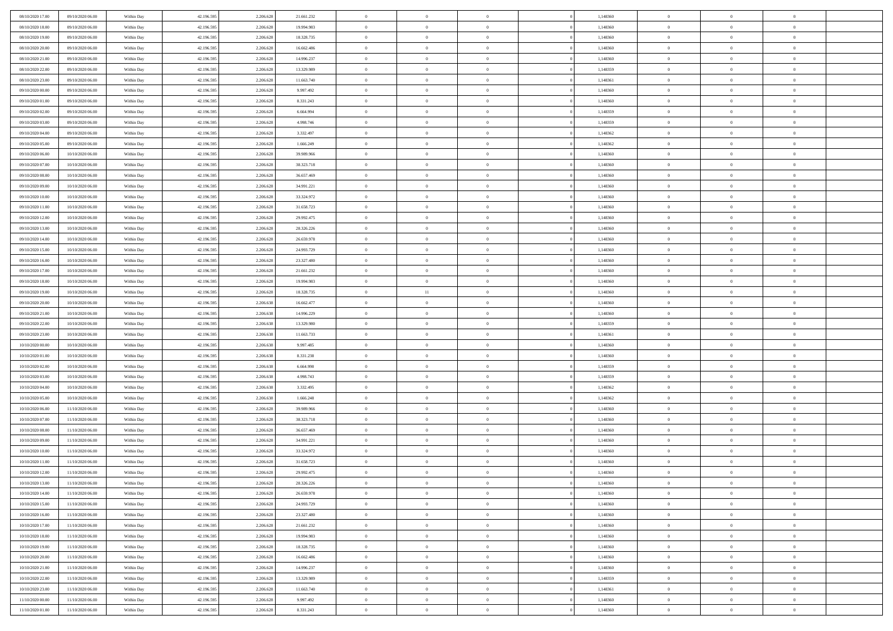| 08/10/2020 17:00 | 09/10/2020 06:00 | Within Day | 42.196.595 | 2.206.628 | 21.661.232 | $\,$ 0 $\,$    | $\overline{0}$ | $\overline{0}$ | 1,148360 | $\bf{0}$       | $\overline{0}$ | $\,0\,$        |  |
|------------------|------------------|------------|------------|-----------|------------|----------------|----------------|----------------|----------|----------------|----------------|----------------|--|
| 08/10/2020 18:00 | 09/10/2020 06:00 | Within Day | 42.196.595 | 2.206.628 | 19.994.983 | $\theta$       | $\overline{0}$ | $\mathbf{0}$   | 1,148360 | $\theta$       | $\overline{0}$ | $\theta$       |  |
| 08/10/2020 19:00 | 09/10/2020 06:00 | Within Day | 42.196.595 | 2.206.628 | 18.328.735 | $\theta$       | $\overline{0}$ | $\overline{0}$ | 1,148360 | $\mathbf{0}$   | $\overline{0}$ | $\overline{0}$ |  |
| 08/10/2020 20:00 | 09/10/2020 06.00 | Within Day | 42.196.595 | 2.206.628 | 16.662.486 | $\,$ 0 $\,$    | $\overline{0}$ | $\overline{0}$ | 1,148360 | $\bf{0}$       | $\overline{0}$ | $\bf{0}$       |  |
| 08/10/2020 21:00 | 09/10/2020 06:00 | Within Day | 42.196.595 | 2.206.628 | 14.996.237 | $\bf{0}$       | $\overline{0}$ | $\mathbf{0}$   | 1,148360 | $\bf{0}$       | $\theta$       | $\,0\,$        |  |
| 08/10/2020 22.00 | 09/10/2020 06:00 | Within Day | 42.196.595 | 2.206.628 | 13.329.989 | $\theta$       | $\overline{0}$ | $\mathbf{0}$   | 1,148359 | $\mathbf{0}$   | $\overline{0}$ | $\overline{0}$ |  |
| 08/10/2020 23:00 | 09/10/2020 06:00 | Within Day | 42.196.595 | 2.206.628 | 11.663.740 | $\,$ 0 $\,$    | $\overline{0}$ | $\overline{0}$ | 1,148361 | $\bf{0}$       | $\overline{0}$ | $\,0\,$        |  |
| 09/10/2020 00:00 | 09/10/2020 06:00 | Within Day | 42.196.595 | 2.206.628 | 9.997.492  | $\overline{0}$ | $\overline{0}$ | $\mathbf{0}$   | 1,148360 | $\,$ 0 $\,$    | $\overline{0}$ | $\theta$       |  |
| 09/10/2020 01:00 | 09/10/2020 06:00 | Within Day | 42.196.595 | 2.206.628 | 8.331.243  | $\theta$       | $\overline{0}$ | $\mathbf{0}$   | 1,148360 | $\mathbf{0}$   | $\bf{0}$       | $\overline{0}$ |  |
| 09/10/2020 02.00 | 09/10/2020 06:00 | Within Day | 42.196.595 | 2.206.628 | 6.664.994  | $\,$ 0 $\,$    | $\overline{0}$ | $\Omega$       | 1,148359 | $\bf{0}$       | $\overline{0}$ | $\,0\,$        |  |
| 09/10/2020 03:00 | 09/10/2020 06.00 | Within Day | 42.196.595 | 2.206.628 | 4.998.746  | $\bf{0}$       | $\overline{0}$ | $\mathbf{0}$   | 1,148359 | $\bf{0}$       | $\mathbf{0}$   | $\theta$       |  |
| 09/10/2020 04:00 | 09/10/2020 06:00 | Within Day | 42.196.595 | 2.206.628 | 3.332.497  | $\theta$       | $\overline{0}$ | $\overline{0}$ | 1,148362 | $\mathbf{0}$   | $\overline{0}$ | $\overline{0}$ |  |
|                  |                  |            |            |           |            | $\,$ 0 $\,$    |                |                |          | $\bf{0}$       |                | $\bf{0}$       |  |
| 09/10/2020 05:00 | 09/10/2020 06:00 | Within Day | 42.196.595 | 2.206.628 | 1.666.249  |                | $\overline{0}$ | $\overline{0}$ | 1,148362 |                | $\overline{0}$ |                |  |
| 09/10/2020 06:00 | 10/10/2020 06:00 | Within Day | 42.196.595 | 2.206.628 | 39.989.966 | $\bf{0}$       | $\overline{0}$ | $\mathbf{0}$   | 1,148360 | $\bf{0}$       | $\theta$       | $\,0\,$        |  |
| 09/10/2020 07:00 | 10/10/2020 06:00 | Within Day | 42.196.595 | 2.206.628 | 38.323.718 | $\theta$       | $\overline{0}$ | $\mathbf{0}$   | 1,148360 | $\mathbf{0}$   | $\overline{0}$ | $\overline{0}$ |  |
| 09/10/2020 08:00 | 10/10/2020 06:00 | Within Day | 42.196.595 | 2.206.628 | 36.657.469 | $\,$ 0 $\,$    | $\overline{0}$ | $\Omega$       | 1,148360 | $\bf{0}$       | $\overline{0}$ | $\bf{0}$       |  |
| 09/10/2020 09:00 | 10/10/2020 06:00 | Within Day | 42.196.595 | 2.206.628 | 34.991.221 | $\,$ 0         | $\overline{0}$ | $\mathbf{0}$   | 1,148360 | $\bf{0}$       | $\overline{0}$ | $\theta$       |  |
| 09/10/2020 10:00 | 10/10/2020 06:00 | Within Day | 42.196.595 | 2.206.628 | 33.324.972 | $\theta$       | $\overline{0}$ | $\mathbf{0}$   | 1,148360 | $\mathbf{0}$   | $\overline{0}$ | $\overline{0}$ |  |
| 09/10/2020 11:00 | 10/10/2020 06:00 | Within Day | 42.196.595 | 2.206.628 | 31.658.723 | $\,$ 0 $\,$    | $\overline{0}$ | $\Omega$       | 1,148360 | $\bf{0}$       | $\overline{0}$ | $\,0\,$        |  |
| 09/10/2020 12:00 | 10/10/2020 06:00 | Within Day | 42.196.595 | 2.206.628 | 29.992.475 | $\bf{0}$       | $\overline{0}$ | $\mathbf{0}$   | 1,148360 | $\bf{0}$       | $\mathbf{0}$   | $\theta$       |  |
| 09/10/2020 13:00 | 10/10/2020 06:00 | Within Day | 42.196.595 | 2.206.628 | 28.326.226 | $\theta$       | $\overline{0}$ | $\mathbf{0}$   | 1,148360 | $\mathbf{0}$   | $\overline{0}$ | $\overline{0}$ |  |
| 09/10/2020 14:00 | 10/10/2020 06:00 | Within Day | 42.196.595 | 2.206.628 | 26.659.978 | $\,$ 0 $\,$    | $\overline{0}$ | $\overline{0}$ | 1,148360 | $\bf{0}$       | $\overline{0}$ | $\bf{0}$       |  |
| 09/10/2020 15:00 | 10/10/2020 06:00 | Within Day | 42.196.595 | 2.206.628 | 24.993.729 | $\bf{0}$       | $\overline{0}$ | $\mathbf{0}$   | 1,148360 | $\bf{0}$       | $\mathbf{0}$   | $\,0\,$        |  |
| 09/10/2020 16:00 | 10/10/2020 06:00 | Within Day | 42.196.595 | 2.206.628 | 23.327.480 | $\theta$       | $\overline{0}$ | $\mathbf{0}$   | 1,148360 | $\mathbf{0}$   | $\overline{0}$ | $\overline{0}$ |  |
| 09/10/2020 17.00 | 10/10/2020 06:00 | Within Day | 42.196.595 | 2.206.628 | 21.661.232 | $\,$ 0 $\,$    | $\overline{0}$ | $\overline{0}$ | 1,148360 | $\bf{0}$       | $\overline{0}$ | $\,0\,$        |  |
| 09/10/2020 18:00 | 10/10/2020 06:00 | Within Day | 42.196.595 | 2.206.628 | 19.994.983 | $\,$ 0         | $\overline{0}$ | $\mathbf{0}$   | 1,148360 | $\bf{0}$       | $\overline{0}$ | $\theta$       |  |
| 09/10/2020 19:00 | 10/10/2020 06:00 | Within Day | 42.196.595 | 2.206.628 | 18.328.735 | $\theta$       | 11             | $\overline{0}$ | 1,148360 | $\mathbf{0}$   | $\bf{0}$       | $\overline{0}$ |  |
| 09/10/2020 20:00 | 10/10/2020 06:00 | Within Day | 42.196.595 | 2.206.638 | 16.662.477 | $\,$ 0 $\,$    | $\overline{0}$ | $\Omega$       | 1,148360 | $\bf{0}$       | $\overline{0}$ | $\,0\,$        |  |
| 09/10/2020 21:00 | 10/10/2020 06:00 | Within Day | 42.196.595 | 2.206.638 | 14.996.229 | $\bf{0}$       | $\overline{0}$ | $\mathbf{0}$   | 1,148360 | $\bf{0}$       | $\mathbf{0}$   | $\theta$       |  |
| 09/10/2020 22.00 | 10/10/2020 06:00 | Within Day | 42.196.595 | 2.206.638 | 13.329.980 | $\theta$       | $\overline{0}$ | $\overline{0}$ | 1,148359 | $\mathbf{0}$   | $\overline{0}$ | $\overline{0}$ |  |
| 09/10/2020 23:00 | 10/10/2020 06:00 | Within Day | 42.196.595 | 2.206.638 | 11.663.733 | $\,$ 0 $\,$    | $\overline{0}$ | $\overline{0}$ | 1,148361 | $\,$ 0         | $\overline{0}$ | $\,$ 0 $\,$    |  |
| 10/10/2020 00:00 | 10/10/2020 06:00 | Within Day | 42.196.595 | 2.206.638 | 9.997.485  | $\bf{0}$       | $\overline{0}$ | $\mathbf{0}$   | 1,148360 | $\bf{0}$       | $\mathbf{0}$   | $\overline{0}$ |  |
| 10/10/2020 01:00 | 10/10/2020 06:00 | Within Day | 42.196.595 | 2.206.638 | 8.331.238  | $\theta$       | $\overline{0}$ | $\mathbf{0}$   | 1,148360 | $\mathbf{0}$   | $\overline{0}$ | $\overline{0}$ |  |
| 10/10/2020 02:00 | 10/10/2020 06:00 | Within Day | 42.196.595 | 2.206.638 | 6.664.990  | $\theta$       | $\overline{0}$ | $\overline{0}$ | 1,148359 | $\,$ 0         | $\overline{0}$ | $\theta$       |  |
| 10/10/2020 03:00 | 10/10/2020 06:00 | Within Day | 42.196.595 | 2.206.638 | 4.998.743  | $\bf{0}$       | $\overline{0}$ | $\mathbf{0}$   | 1,148359 | $\mathbf{0}$   | $\overline{0}$ | $\overline{0}$ |  |
| 10/10/2020 04:00 | 10/10/2020 06:00 | Within Day | 42.196.595 | 2.206.638 | 3.332.495  | $\theta$       | $\overline{0}$ | $\mathbf{0}$   | 1,148362 | $\mathbf{0}$   | $\overline{0}$ | $\overline{0}$ |  |
| 10/10/2020 05:00 | 10/10/2020 06:00 | Within Day | 42.196.595 | 2.206.638 | 1.666.248  | $\theta$       | $\overline{0}$ | $\overline{0}$ | 1,148362 | $\,$ 0         | $\overline{0}$ | $\theta$       |  |
| 10/10/2020 06:00 | 11/10/2020 06.00 | Within Day | 42.196.595 | 2.206.628 | 39.989.966 | $\bf{0}$       | $\overline{0}$ | $\mathbf{0}$   | 1,148360 | $\bf{0}$       | $\mathbf{0}$   | $\overline{0}$ |  |
| 10/10/2020 07:00 | 11/10/2020 06:00 | Within Dav | 42.196.595 | 2.206.628 | 38.323.718 | $\theta$       | $\overline{0}$ | $\mathbf{0}$   | 1,148360 | $\mathbf{0}$   | $\overline{0}$ | $\overline{0}$ |  |
| 10/10/2020 08:00 | 11/10/2020 06:00 | Within Day | 42.196.595 | 2.206.628 | 36.657.469 | $\,$ 0 $\,$    | $\overline{0}$ | $\overline{0}$ | 1,148360 | $\,$ 0         | $\overline{0}$ | $\,$ 0 $\,$    |  |
| 10/10/2020 09:00 | 11/10/2020 06:00 | Within Day | 42.196.595 | 2.206.628 | 34.991.221 | $\,$ 0         | $\,$ 0 $\,$    | $\overline{0}$ | 1,148360 | $\,$ 0 $\,$    | $\overline{0}$ | $\overline{0}$ |  |
| 10/10/2020 10:00 | 11/10/2020 06:00 | Within Dav | 42.196.595 | 2.206.628 | 33.324.972 | $\theta$       | $\overline{0}$ | $\mathbf{0}$   | 1,148360 | $\mathbf{0}$   | $\overline{0}$ | $\overline{0}$ |  |
| 10/10/2020 11:00 | 11/10/2020 06.00 | Within Day | 42.196.595 | 2.206.628 | 31.658.723 | $\overline{0}$ | $\overline{0}$ | $\overline{0}$ | 1,148360 | $\,$ 0         | $\overline{0}$ | $\theta$       |  |
| 10/10/2020 12:00 | 11/10/2020 06.00 | Within Day | 42.196.595 | 2.206.628 | 29.992.475 | $\bf{0}$       | $\overline{0}$ | $\mathbf{0}$   | 1,148360 | $\bf{0}$       | $\overline{0}$ | $\overline{0}$ |  |
| 10/10/2020 13:00 | 11/10/2020 06:00 | Within Day | 42.196.595 | 2.206.628 | 28.326.226 | $\overline{0}$ | $\theta$       |                | 1,148360 | $\overline{0}$ | $\theta$       | $\theta$       |  |
| 10/10/2020 14:00 | 11/10/2020 06:00 | Within Day | 42.196.595 | 2.206.628 | 26.659.978 | $\,$ 0 $\,$    | $\overline{0}$ | $\overline{0}$ | 1,148360 | $\,$ 0 $\,$    | $\bf{0}$       | $\theta$       |  |
| 10/10/2020 15:00 | 11/10/2020 06.00 | Within Day | 42.196.595 | 2.206.628 | 24.993.729 | $\overline{0}$ | $\,$ 0 $\,$    | $\overline{0}$ | 1,148360 | $\,$ 0 $\,$    | $\overline{0}$ | $\overline{0}$ |  |
| 10/10/2020 16:00 | 11/10/2020 06:00 | Within Day | 42.196.595 | 2.206.628 | 23.327.480 | $\overline{0}$ | $\overline{0}$ | $\overline{0}$ | 1,148360 | $\,$ 0 $\,$    | $\bf{0}$       | $\mathbf{0}$   |  |
| 10/10/2020 17:00 | 11/10/2020 06:00 | Within Day | 42.196.595 | 2.206.628 | 21.661.232 | $\,$ 0 $\,$    | $\overline{0}$ | $\overline{0}$ | 1,148360 | $\,$ 0 $\,$    | $\bf{0}$       | $\,$ 0 $\,$    |  |
| 10/10/2020 18:00 | 11/10/2020 06.00 | Within Day | 42.196.595 | 2.206.628 | 19.994.983 | $\,$ 0 $\,$    | $\,$ 0 $\,$    | $\overline{0}$ | 1,148360 | $\,$ 0 $\,$    | $\overline{0}$ | $\overline{0}$ |  |
| 10/10/2020 19:00 | 11/10/2020 06:00 | Within Day | 42.196.595 | 2.206.628 | 18.328.735 | $\overline{0}$ |                | $\overline{0}$ | 1,148360 | $\mathbf{0}$   | $\overline{0}$ | $\overline{0}$ |  |
|                  |                  |            |            |           |            |                | $\overline{0}$ |                |          |                |                |                |  |
| 10/10/2020 20:00 | 11/10/2020 06:00 | Within Day | 42.196.595 | 2.206.628 | 16.662.486 | $\,$ 0 $\,$    | $\overline{0}$ | $\overline{0}$ | 1,148360 | $\,$ 0 $\,$    | $\overline{0}$ | $\,$ 0 $\,$    |  |
| 10/10/2020 21:00 | 11/10/2020 06.00 | Within Day | 42.196.595 | 2.206.628 | 14.996.237 | $\bf{0}$       | $\overline{0}$ | $\overline{0}$ | 1,148360 | $\,$ 0 $\,$    | $\overline{0}$ | $\overline{0}$ |  |
| 10/10/2020 22:00 | 11/10/2020 06:00 | Within Day | 42.196.595 | 2.206.628 | 13.329.989 | $\overline{0}$ | $\overline{0}$ | $\overline{0}$ | 1,148359 | $\mathbf{0}$   | $\bf{0}$       | $\overline{0}$ |  |
| 10/10/2020 23:00 | 11/10/2020 06:00 | Within Day | 42.196.595 | 2.206.628 | 11.663.740 | $\,$ 0 $\,$    | $\overline{0}$ | $\overline{0}$ | 1,148361 | $\,$ 0 $\,$    | $\mathbf{0}$   | $\,$ 0 $\,$    |  |
| 11/10/2020 00:00 | 11/10/2020 06.00 | Within Day | 42.196.595 | 2.206.628 | 9.997.492  | $\,$ 0 $\,$    | $\,$ 0 $\,$    | $\overline{0}$ | 1,148360 | $\bf{0}$       | $\overline{0}$ | $\overline{0}$ |  |
| 11/10/2020 01:00 | 11/10/2020 06:00 | Within Day | 42.196.595 | 2.206.628 | 8.331.243  | $\theta$       | $\overline{0}$ | $\overline{0}$ | 1,148360 | $\mathbf{0}$   | $\overline{0}$ | $\overline{0}$ |  |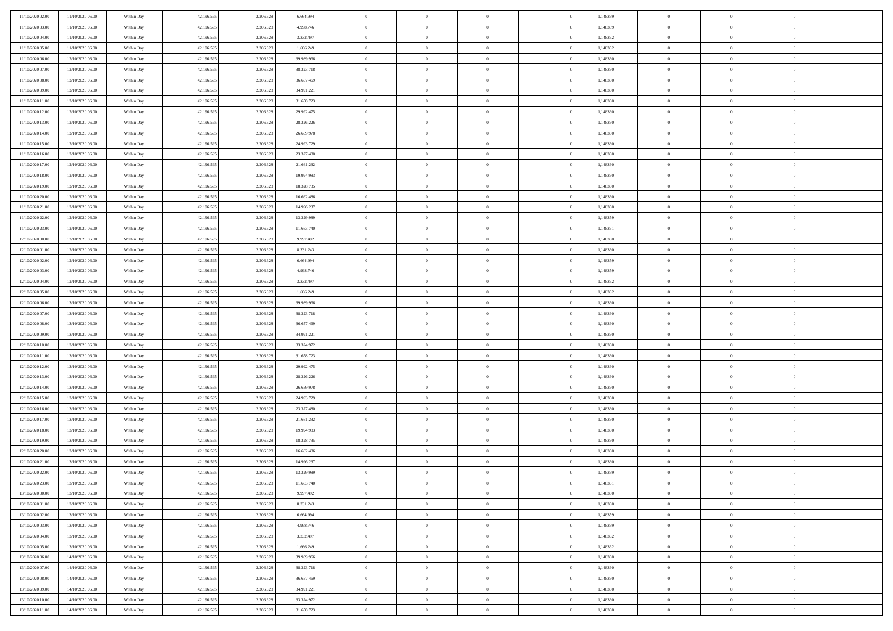| 11/10/2020 02:00                     | 11/10/2020 06:00                     | Within Day               | 42.196.595               | 2.206.628 | 6.664.994                | $\,$ 0 $\,$    | $\overline{0}$ | $\overline{0}$ |          | 1,148359             | $\bf{0}$                    | $\overline{0}$ | $\,0\,$                          |  |
|--------------------------------------|--------------------------------------|--------------------------|--------------------------|-----------|--------------------------|----------------|----------------|----------------|----------|----------------------|-----------------------------|----------------|----------------------------------|--|
| 11/10/2020 03.00                     | 11/10/2020 06:00                     | Within Day               | 42.196.595               | 2.206.628 | 4.998.746                | $\theta$       | $\overline{0}$ | $\mathbf{0}$   |          | 1,148359             | $\theta$                    | $\overline{0}$ | $\theta$                         |  |
| 11/10/2020 04:00                     | 11/10/2020 06:00                     | Within Dav               | 42.196.595               | 2.206.628 | 3.332.497                | $\theta$       | $\overline{0}$ | $\overline{0}$ |          | 1,148362             | $\mathbf{0}$                | $\overline{0}$ | $\overline{0}$                   |  |
| 11/10/2020 05:00                     | 11/10/2020 06:00                     | Within Day               | 42.196.595               | 2.206.628 | 1.666.249                | $\,$ 0 $\,$    | $\overline{0}$ | $\overline{0}$ |          | 1,148362             | $\bf{0}$                    | $\overline{0}$ | $\bf{0}$                         |  |
| 11/10/2020 06:00                     | 12/10/2020 06:00                     | Within Day               | 42.196.595               | 2.206.628 | 39.989.966               | $\bf{0}$       | $\overline{0}$ | $\mathbf{0}$   |          | 1,148360             | $\bf{0}$                    | $\theta$       | $\,0\,$                          |  |
| 11/10/2020 07:00                     | 12/10/2020 06:00                     | Within Dav               | 42.196.595               | 2.206.628 | 38.323.718               | $\theta$       | $\overline{0}$ | $\mathbf{0}$   |          | 1,148360             | $\mathbf{0}$                | $\overline{0}$ | $\overline{0}$                   |  |
| 11/10/2020 08:00                     | 12/10/2020 06:00                     | Within Day               | 42.196.595               | 2.206.628 | 36.657.469               | $\,$ 0 $\,$    | $\overline{0}$ | $\overline{0}$ |          | 1,148360             | $\bf{0}$                    | $\overline{0}$ | $\bf{0}$                         |  |
|                                      |                                      |                          |                          |           |                          |                |                |                |          |                      |                             |                |                                  |  |
| 11/10/2020 09:00                     | 12/10/2020 06:00                     | Within Day               | 42.196.595               | 2.206.628 | 34.991.221               | $\,$ 0         | $\overline{0}$ | $\mathbf{0}$   |          | 1,148360             | $\,$ 0 $\,$                 | $\overline{0}$ | $\theta$                         |  |
| 11/10/2020 11:00                     | 12/10/2020 06:00                     | Within Day               | 42.196.595               | 2.206.628 | 31.658.723               | $\theta$       | $\overline{0}$ | $\overline{0}$ |          | 1,148360             | $\mathbf{0}$                | $\overline{0}$ | $\overline{0}$                   |  |
| 11/10/2020 12:00                     | 12/10/2020 06:00                     | Within Day               | 42.196.595               | 2.206.628 | 29.992.475               | $\,$ 0 $\,$    | $\overline{0}$ | $\Omega$       |          | 1,148360             | $\bf{0}$                    | $\overline{0}$ | $\bf{0}$                         |  |
| 11/10/2020 13:00                     | 12/10/2020 06:00                     | Within Day               | 42.196.595               | 2.206.628 | 28.326.226               | $\bf{0}$       | $\overline{0}$ | $\mathbf{0}$   |          | 1,148360             | $\bf{0}$                    | $\mathbf{0}$   | $\theta$                         |  |
| 11/10/2020 14:00                     | 12/10/2020 06:00                     | Within Dav               | 42.196.595               | 2.206.628 | 26.659.978               | $\theta$       | $\overline{0}$ | $\overline{0}$ |          | 1,148360             | $\mathbf{0}$                | $\overline{0}$ | $\overline{0}$                   |  |
| 11/10/2020 15:00                     | 12/10/2020 06:00                     | Within Day               | 42.196.595               | 2.206.628 | 24.993.729               | $\,$ 0 $\,$    | $\overline{0}$ | $\overline{0}$ |          | 1,148360             | $\bf{0}$                    | $\overline{0}$ | $\bf{0}$                         |  |
| 11/10/2020 16:00                     | 12/10/2020 06:00                     | Within Day               | 42.196.595               | 2.206.628 | 23.327.480               | $\bf{0}$       | $\overline{0}$ | $\mathbf{0}$   |          | 1,148360             | $\bf{0}$                    | $\theta$       | $\,0\,$                          |  |
| 11/10/2020 17:00                     | 12/10/2020 06:00                     | Within Dav               | 42.196.595               | 2.206.628 | 21.661.232               | $\theta$       | $\overline{0}$ | $\mathbf{0}$   |          | 1,148360             | $\mathbf{0}$                | $\overline{0}$ | $\overline{0}$                   |  |
| 11/10/2020 18:00                     | 12/10/2020 06:00                     | Within Day               | 42.196.595               | 2.206.628 | 19.994.983               | $\,$ 0 $\,$    | $\overline{0}$ | $\overline{0}$ |          | 1,148360             | $\bf{0}$                    | $\overline{0}$ | $\bf{0}$                         |  |
| 11/10/2020 19:00                     | 12/10/2020 06.00                     | Within Day               | 42.196.595               | 2.206.628 | 18.328.735               | $\,$ 0 $\,$    | $\overline{0}$ | $\mathbf{0}$   |          | 1,148360             | $\bf{0}$                    | $\overline{0}$ | $\theta$                         |  |
| 11/10/2020 20:00                     | 12/10/2020 06:00                     | Within Day               | 42.196.595               | 2.206.628 | 16.662.486               | $\theta$       | $\overline{0}$ | $\mathbf{0}$   |          | 1,148360             | $\mathbf{0}$                | $\overline{0}$ | $\overline{0}$                   |  |
| 11/10/2020 21:00                     | 12/10/2020 06:00                     | Within Day               | 42.196.595               | 2.206.628 | 14.996.237               | $\,$ 0 $\,$    | $\overline{0}$ | $\Omega$       |          | 1,148360             | $\bf{0}$                    | $\overline{0}$ | $\,0\,$                          |  |
| 11/10/2020 22.00                     | 12/10/2020 06:00                     | Within Day               | 42.196.595               | 2.206.628 | 13.329.989               | $\bf{0}$       | $\overline{0}$ | $\mathbf{0}$   |          | 1,148359             | $\bf{0}$                    | $\mathbf{0}$   | $\theta$                         |  |
| 11/10/2020 23:00                     | 12/10/2020 06:00                     | Within Dav               | 42.196.595               | 2.206.628 | 11.663.740               | $\theta$       | $\overline{0}$ | $\mathbf{0}$   |          | 1,148361             | $\mathbf{0}$                | $\overline{0}$ | $\overline{0}$                   |  |
| 12/10/2020 00:00                     | 12/10/2020 06:00                     | Within Day               | 42.196.595               | 2.206.628 | 9.997.492                | $\,$ 0 $\,$    | $\overline{0}$ | $\overline{0}$ |          | 1,148360             | $\bf{0}$                    | $\overline{0}$ | $\bf{0}$                         |  |
| 12/10/2020 01:00                     | 12/10/2020 06:00                     | Within Day               | 42.196.595               | 2.206.628 | 8.331.243                | $\,$ 0         | $\overline{0}$ | $\mathbf{0}$   |          | 1,148360             | $\bf{0}$                    | $\overline{0}$ | $\,0\,$                          |  |
| 12/10/2020 02:00                     | 12/10/2020 06:00                     | Within Dav               | 42.196.595               | 2.206.628 | 6.664.994                | $\theta$       | $\overline{0}$ | $\mathbf{0}$   |          | 1,148359             | $\mathbf{0}$                | $\overline{0}$ | $\overline{0}$                   |  |
| 12/10/2020 03:00                     | 12/10/2020 06:00                     | Within Day               | 42.196.595               | 2.206.628 | 4.998.746                | $\,$ 0 $\,$    | $\overline{0}$ | $\overline{0}$ |          | 1,148359             | $\bf{0}$                    | $\overline{0}$ | $\bf{0}$                         |  |
| 12/10/2020 04:00                     | 12/10/2020 06:00                     | Within Day               | 42.196.595               | 2.206.628 | 3.332.497                | $\,$ 0         | $\overline{0}$ | $\mathbf{0}$   |          | 1,148362             | $\bf{0}$                    | $\overline{0}$ | $\theta$                         |  |
| 12/10/2020 05:00                     | 12/10/2020 06:00                     | Within Day               | 42.196.595               | 2.206.628 | 1.666.249                | $\theta$       | $\overline{0}$ | $\overline{0}$ |          | 1,148362             | $\mathbf{0}$                | $\overline{0}$ | $\overline{0}$                   |  |
| 12/10/2020 06:00                     | 13/10/2020 06.00                     | Within Day               | 42.196.595               | 2.206.628 | 39.989.966               | $\,$ 0 $\,$    | $\overline{0}$ | $\Omega$       |          | 1,148360             | $\bf{0}$                    | $\overline{0}$ | $\bf{0}$                         |  |
| 12/10/2020 07.00                     | 13/10/2020 06.00                     | Within Day               | 42.196.595               | 2.206.628 | 38.323.718               | $\bf{0}$       | $\overline{0}$ | $\mathbf{0}$   |          | 1,148360             | $\bf{0}$                    | $\mathbf{0}$   | $\overline{0}$                   |  |
| 12/10/2020 08:00                     | 13/10/2020 06:00                     | Within Dav               | 42.196.595               | 2.206.628 | 36.657.469               | $\theta$       | $\overline{0}$ | $\overline{0}$ |          | 1,148360             | $\mathbf{0}$                | $\overline{0}$ | $\overline{0}$                   |  |
| 12/10/2020 09:00                     | 13/10/2020 06:00                     | Within Day               | 42.196.595               | 2.206.628 | 34.991.221               | $\,$ 0 $\,$    | $\overline{0}$ | $\overline{0}$ |          | 1,148360             | $\,$ 0                      | $\overline{0}$ | $\,$ 0 $\,$                      |  |
| 12/10/2020 10:00                     | 13/10/2020 06:00                     | Within Day               | 42.196.595               | 2.206.628 | 33.324.972               | $\,$ 0         | $\overline{0}$ | $\mathbf{0}$   |          | 1,148360             | $\bf{0}$                    | $\mathbf{0}$   | $\bf{0}$                         |  |
| 12/10/2020 11:00                     | 13/10/2020 06:00                     | Within Dav               | 42.196.595               | 2.206.628 | 31.658.723               | $\theta$       | $\overline{0}$ | $\mathbf{0}$   |          | 1,148360             | $\mathbf{0}$                | $\overline{0}$ | $\overline{0}$                   |  |
| 12/10/2020 12:00                     | 13/10/2020 06:00                     | Within Day               | 42.196.595               | 2.206.628 | 29.992.475               | $\theta$       | $\overline{0}$ | $\overline{0}$ |          | 1,148360             | $\,$ 0                      | $\overline{0}$ | $\theta$                         |  |
| 12/10/2020 13:00                     | 13/10/2020 06.00                     | Within Day               | 42.196.595               | 2.206.628 | 28.326.226               | $\bf{0}$       | $\overline{0}$ | $\mathbf{0}$   |          | 1,148360             | $\mathbf{0}$                | $\overline{0}$ | $\overline{0}$                   |  |
| 12/10/2020 14:00                     | 13/10/2020 06:00                     | Within Day               | 42.196.595               | 2.206.628 | 26.659.978               | $\theta$       | $\overline{0}$ | $\mathbf{0}$   |          | 1,148360             | $\mathbf{0}$                | $\overline{0}$ | $\overline{0}$                   |  |
| 12/10/2020 15:00                     | 13/10/2020 06:00                     | Within Day               | 42.196.595               | 2.206.628 | 24.993.729               | $\theta$       | $\overline{0}$ | $\overline{0}$ |          | 1,148360             | $\,$ 0                      | $\overline{0}$ | $\theta$                         |  |
| 12/10/2020 16:00                     | 13/10/2020 06.00                     | Within Day               | 42.196.595               | 2.206.628 | 23.327.480               | $\bf{0}$       | $\overline{0}$ | $\mathbf{0}$   |          | 1,148360             | $\bf{0}$                    | $\mathbf{0}$   | $\bf{0}$                         |  |
| 12/10/2020 17:00                     | 13/10/2020 06:00                     | Within Dav               | 42.196.595               | 2.206.628 | 21.661.232               | $\theta$       | $\overline{0}$ | $\overline{0}$ |          | 1,148360             | $\mathbf{0}$                | $\overline{0}$ | $\overline{0}$                   |  |
| 12/10/2020 18:00                     | 13/10/2020 06:00                     | Within Day               | 42.196.595               | 2.206.628 | 19.994.983               | $\,$ 0 $\,$    | $\overline{0}$ | $\overline{0}$ |          | 1,148360             | $\,$ 0                      | $\overline{0}$ | $\,$ 0 $\,$                      |  |
| 12/10/2020 19:00                     | 13/10/2020 06:00                     | Within Day               | 42.196.595               | 2.206.628 | 18.328.735               | $\bf{0}$       | $\,$ 0 $\,$    | $\overline{0}$ |          | 1,148360             | $\,$ 0 $\,$                 | $\overline{0}$ | $\bf{0}$                         |  |
| 12/10/2020 20:00                     | 13/10/2020 06:00                     | Within Dav               | 42.196.595               | 2.206.628 | 16.662.486               | $\theta$       | $\overline{0}$ | $\mathbf{0}$   |          | 1,148360             | $\mathbf{0}$                | $\overline{0}$ | $\overline{0}$                   |  |
| 12/10/2020 21:00                     | 13/10/2020 06:00                     | Within Day               | 42.196.595               | 2.206.628 | 14.996.237               | $\overline{0}$ | $\overline{0}$ | $\overline{0}$ |          | 1,148360             | $\,$ 0                      | $\overline{0}$ | $\theta$                         |  |
| 12/10/2020 22.00                     | 13/10/2020 06:00                     | Within Day               | 42.196.595               | 2.206.628 | 13.329.989               | $\bf{0}$       | $\,$ 0 $\,$    | $\mathbf{0}$   |          | 1,148359             | $\bf{0}$                    | $\overline{0}$ | $\overline{0}$                   |  |
| 12/10/2020 23:00                     | 13/10/2020 06:00                     | Within Day               | 42.196.595               | 2.206.628 | 11.663.740               | $\overline{0}$ | $\theta$       |                |          | 1,148361             | $\overline{0}$              | $\theta$       | $\theta$                         |  |
| 13/10/2020 00:00                     | 13/10/2020 06:00                     | Within Day               | 42.196.595               | 2.206.628 | 9.997.492                | $\,$ 0 $\,$    | $\overline{0}$ | $\overline{0}$ |          | 1,148360             | $\,$ 0 $\,$                 | $\bf{0}$       | $\theta$                         |  |
| 13/10/2020 01:00                     | 13/10/2020 06.00                     | Within Day               | 42.196.595               | 2.206.628 | 8.331.243                | $\bf{0}$       | $\,$ 0 $\,$    | $\mathbf{0}$   |          | 1,148360             | $\,$ 0 $\,$                 | $\overline{0}$ | $\overline{0}$                   |  |
| 13/10/2020 02:00                     | 13/10/2020 06:00                     | Within Day               | 42.196.595               | 2.206.628 | 6.664.994                | $\mathbf{0}$   | $\overline{0}$ | $\overline{0}$ |          | 1,148359             | $\,$ 0 $\,$                 | $\bf{0}$       | $\mathbf{0}$                     |  |
| 13/10/2020 03:00                     | 13/10/2020 06:00                     | Within Day               | 42.196.595               | 2.206.628 | 4.998.746                | $\,$ 0 $\,$    | $\overline{0}$ | $\overline{0}$ | $\theta$ | 1,148359             | $\,$ 0 $\,$                 | $\bf{0}$       | $\,$ 0 $\,$                      |  |
| 13/10/2020 04.00                     | 13/10/2020 06.00                     | Within Day               | 42.196.595               | 2.206.628 | 3.332.497                | $\,$ 0 $\,$    | $\,$ 0 $\,$    | $\overline{0}$ |          | 1,148362             | $\,$ 0 $\,$                 | $\overline{0}$ | $\overline{0}$                   |  |
| 13/10/2020 05:00                     | 13/10/2020 06:00                     | Within Day               | 42.196.595               | 2.206.628 | 1.666.249                | $\mathbf{0}$   | $\overline{0}$ | $\overline{0}$ |          | 1,148362             | $\mathbf{0}$                | $\overline{0}$ | $\overline{0}$                   |  |
| 13/10/2020 06:00                     | 14/10/2020 06:00                     | Within Day               | 42.196.595               | 2.206.628 | 39.989.966               | $\,$ 0 $\,$    | $\overline{0}$ | $\overline{0}$ |          | 1,148360             | $\,$ 0 $\,$                 | $\overline{0}$ | $\,$ 0 $\,$                      |  |
|                                      |                                      |                          |                          | 2.206.628 |                          | $\overline{0}$ | $\overline{0}$ | $\overline{0}$ |          |                      |                             | $\overline{0}$ |                                  |  |
| 13/10/2020 07.00<br>13/10/2020 08:00 | 14/10/2020 06.00<br>14/10/2020 06:00 | Within Day<br>Within Day | 42.196.595<br>42.196.595 | 2.206.628 | 38.323.718<br>36.657.469 | $\mathbf{0}$   | $\overline{0}$ | $\overline{0}$ |          | 1,148360<br>1,148360 | $\,$ 0 $\,$<br>$\mathbf{0}$ | $\bf{0}$       | $\overline{0}$<br>$\overline{0}$ |  |
|                                      |                                      |                          |                          |           |                          |                |                |                |          |                      |                             |                |                                  |  |
| 13/10/2020 09:00                     | 14/10/2020 06:00                     | Within Day               | 42.196.595               | 2.206.628 | 34.991.221               | $\,$ 0 $\,$    | $\overline{0}$ | $\overline{0}$ |          | 1,148360             | $\,$ 0 $\,$                 | $\mathbf{0}$   | $\,$ 0 $\,$                      |  |
| 13/10/2020 10:00                     | 14/10/2020 06.00                     | Within Day               | 42.196.595               | 2.206.628 | 33.324.972               | $\,$ 0 $\,$    | $\,$ 0 $\,$    | $\overline{0}$ |          | 1,148360             | $\bf{0}$                    | $\overline{0}$ | $\overline{0}$                   |  |
| 13/10/2020 11:00                     | 14/10/2020 06:00                     | Within Day               | 42.196.595               | 2.206.628 | 31.658.723               | $\theta$       | $\overline{0}$ | $\overline{0}$ |          | 1,148360             | $\mathbf{0}$                | $\overline{0}$ | $\overline{0}$                   |  |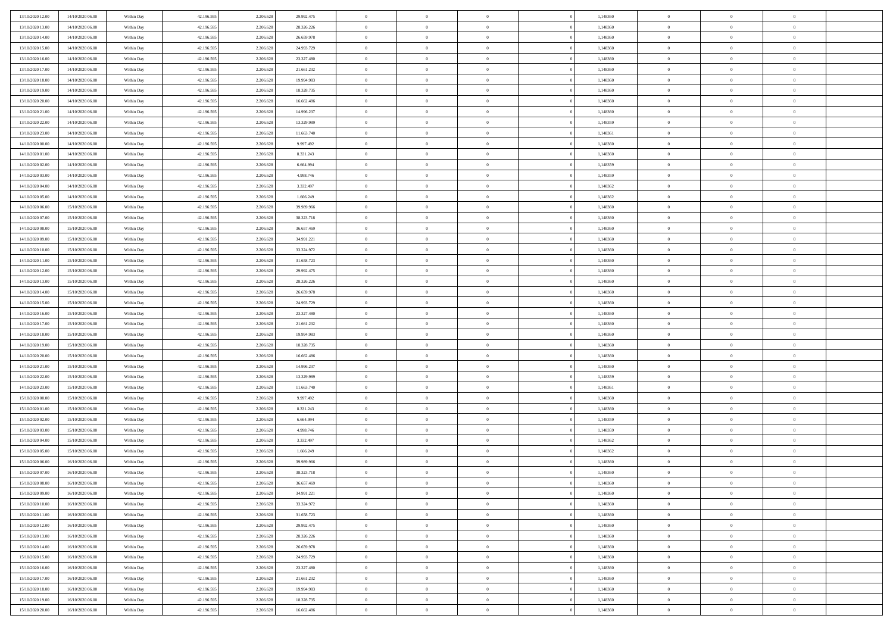| 13/10/2020 12:00 | 14/10/2020 06:00 | Within Day | 42.196.595 | 2.206.628 | 29.992.475               | $\bf{0}$                    | $\overline{0}$ | $\overline{0}$ | 1,148360 | $\bf{0}$       | $\overline{0}$ | $\bf{0}$       |  |
|------------------|------------------|------------|------------|-----------|--------------------------|-----------------------------|----------------|----------------|----------|----------------|----------------|----------------|--|
| 13/10/2020 13:00 | 14/10/2020 06:00 | Within Day | 42.196.595 | 2.206.628 | 28.326.226               | $\overline{0}$              | $\overline{0}$ | $\Omega$       | 1,148360 | $\overline{0}$ | $\theta$       | $\theta$       |  |
| 13/10/2020 14:00 | 14/10/2020 06:00 | Within Day | 42.196.595 | 2.206.628 | 26.659.978               | $\overline{0}$              | $\overline{0}$ | $\overline{0}$ | 1,148360 | $\mathbf{0}$   | $\overline{0}$ | $\theta$       |  |
| 13/10/2020 15:00 | 14/10/2020 06:00 | Within Day | 42.196.595 | 2.206.628 | 24.993.729               | $\bf{0}$                    | $\overline{0}$ | $\overline{0}$ | 1,148360 | $\mathbf{0}$   | $\overline{0}$ | $\bf{0}$       |  |
| 13/10/2020 16:00 | 14/10/2020 06:00 | Within Day | 42.196.595 | 2.206.628 | 23.327.480               | $\bf{0}$                    | $\overline{0}$ | $\overline{0}$ | 1,148360 | $\bf{0}$       | $\overline{0}$ | $\bf{0}$       |  |
| 13/10/2020 17:00 | 14/10/2020 06:00 | Within Day | 42.196.595 | 2.206.628 | 21.661.232               | $\overline{0}$              | $\overline{0}$ | $\overline{0}$ | 1,148360 | $\mathbf{0}$   | $\overline{0}$ | $\theta$       |  |
| 13/10/2020 18:00 | 14/10/2020 06:00 | Within Day | 42.196.595 | 2.206.628 | 19.994.983               | $\bf{0}$                    | $\overline{0}$ | $\overline{0}$ | 1,148360 | $\mathbf{0}$   | $\overline{0}$ | $\bf{0}$       |  |
| 13/10/2020 19:00 | 14/10/2020 06:00 |            | 42.196.595 | 2.206.628 |                          | $\overline{0}$              | $\overline{0}$ | $\overline{0}$ | 1,148360 | $\mathbf{0}$   | $\theta$       | $\theta$       |  |
|                  |                  | Within Day |            |           | 18.328.735               | $\overline{0}$              | $\overline{0}$ |                |          |                |                | $\theta$       |  |
| 13/10/2020 20:00 | 14/10/2020 06:00 | Within Day | 42.196.595 | 2.206.628 | 16.662.486               |                             |                | $\overline{0}$ | 1,148360 | $\mathbf{0}$   | $\overline{0}$ |                |  |
| 13/10/2020 21:00 | 14/10/2020 06:00 | Within Day | 42.196.595 | 2.206.628 | 14.996.237               | $\bf{0}$                    | $\overline{0}$ | $\Omega$       | 1,148360 | $\mathbf{0}$   | $\overline{0}$ | $\bf{0}$       |  |
| 13/10/2020 22.00 | 14/10/2020 06:00 | Within Day | 42.196.595 | 2.206.628 | 13.329.989               | $\bf{0}$                    | $\overline{0}$ | $\overline{0}$ | 1,148359 | $\mathbf{0}$   | $\theta$       | $\theta$       |  |
| 13/10/2020 23:00 | 14/10/2020 06:00 | Within Day | 42.196.595 | 2.206.628 | 11.663.740               | $\overline{0}$              | $\overline{0}$ | $\overline{0}$ | 1,148361 | $\mathbf{0}$   | $\overline{0}$ | $\theta$       |  |
| 14/10/2020 00:00 | 14/10/2020 06:00 | Within Day | 42.196.595 | 2.206.628 | 9.997.492                | $\bf{0}$                    | $\overline{0}$ | $\overline{0}$ | 1,148360 | $\mathbf{0}$   | $\overline{0}$ | $\bf{0}$       |  |
| 14/10/2020 01:00 | 14/10/2020 06:00 | Within Day | 42.196.595 | 2.206.628 | 8.331.243                | $\bf{0}$                    | $\overline{0}$ | $\overline{0}$ | 1,148360 | $\bf{0}$       | $\theta$       | $\bf{0}$       |  |
| 14/10/2020 02:00 | 14/10/2020 06:00 | Within Day | 42.196.595 | 2.206.628 | 6.664.994                | $\overline{0}$              | $\overline{0}$ | $\overline{0}$ | 1,148359 | $\mathbf{0}$   | $\overline{0}$ | $\theta$       |  |
| 14/10/2020 03.00 | 14/10/2020 06:00 | Within Day | 42.196.595 | 2.206.628 | 4.998.746                | $\bf{0}$                    | $\overline{0}$ | $\Omega$       | 1,148359 | $\bf{0}$       | $\overline{0}$ | $\bf{0}$       |  |
| 14/10/2020 04:00 | 14/10/2020 06:00 | Within Day | 42.196.595 | 2.206.628 | 3.332.497                | $\,$ 0 $\,$                 | $\overline{0}$ | $\overline{0}$ | 1,148362 | $\mathbf{0}$   | $\theta$       | $\theta$       |  |
| 14/10/2020 05:00 | 14/10/2020 06:00 | Within Day | 42.196.595 | 2.206.628 | 1.666.249                | $\overline{0}$              | $\overline{0}$ | $\overline{0}$ | 1,148362 | $\mathbf{0}$   | $\overline{0}$ | $\theta$       |  |
| 14/10/2020 06:00 | 15/10/2020 06:00 | Within Day | 42.196.595 | 2.206.628 | 39.989.966               | $\bf{0}$                    | $\overline{0}$ | $\Omega$       | 1,148360 | $\bf{0}$       | $\overline{0}$ | $\bf{0}$       |  |
| 14/10/2020 07:00 | 15/10/2020 06:00 | Within Day | 42.196.595 | 2.206.628 | 38.323.718               | $\bf{0}$                    | $\overline{0}$ | $\overline{0}$ | 1,148360 | $\mathbf{0}$   | $\mathbf{0}$   | $\overline{0}$ |  |
| 14/10/2020 08:00 | 15/10/2020 06:00 | Within Day | 42.196.595 | 2.206.628 | 36.657.469               | $\overline{0}$              | $\overline{0}$ | $\overline{0}$ | 1,148360 | $\mathbf{0}$   | $\overline{0}$ | $\theta$       |  |
| 14/10/2020 09:00 | 15/10/2020 06:00 | Within Day | 42.196.595 | 2.206.628 | 34.991.221               | $\bf{0}$                    | $\overline{0}$ | $\overline{0}$ | 1,148360 | $\mathbf{0}$   | $\overline{0}$ | $\bf{0}$       |  |
| 14/10/2020 10:00 | 15/10/2020 06:00 | Within Day | 42.196.595 | 2.206.628 | 33.324.972               | $\,$ 0 $\,$                 | $\overline{0}$ | $\overline{0}$ | 1,148360 | $\,$ 0 $\,$    | $\overline{0}$ | $\bf{0}$       |  |
| 14/10/2020 11:00 | 15/10/2020 06:00 | Within Day | 42.196.595 | 2.206.628 | 31.658.723               | $\overline{0}$              | $\overline{0}$ | $\overline{0}$ | 1,148360 | $\mathbf{0}$   | $\overline{0}$ | $\theta$       |  |
| 14/10/2020 12:00 | 15/10/2020 06:00 | Within Day | 42.196.595 | 2.206.628 | 29.992.475               | $\bf{0}$                    | $\overline{0}$ | $\overline{0}$ | 1,148360 | $\bf{0}$       | $\overline{0}$ | $\bf{0}$       |  |
| 14/10/2020 13:00 | 15/10/2020 06:00 | Within Day | 42.196.595 | 2.206.628 | 28.326.226               | $\,$ 0 $\,$                 | $\overline{0}$ | $\overline{0}$ | 1,148360 | $\mathbf{0}$   | $\overline{0}$ | $\overline{0}$ |  |
| 14/10/2020 14:00 | 15/10/2020 06:00 | Within Day | 42.196.595 | 2.206.628 | 26.659.978               | $\overline{0}$              | $\overline{0}$ | $\overline{0}$ | 1,148360 | $\mathbf{0}$   | $\overline{0}$ | $\theta$       |  |
| 14/10/2020 15:00 | 15/10/2020 06:00 | Within Day | 42.196.595 | 2.206.628 | 24.993.729               | $\bf{0}$                    | $\overline{0}$ | $\Omega$       | 1,148360 | $\mathbf{0}$   | $\overline{0}$ | $\bf{0}$       |  |
| 14/10/2020 16.00 | 15/10/2020 06:00 | Within Day | 42.196.595 | 2.206.628 | 23.327.480               | $\bf{0}$                    | $\overline{0}$ | $\overline{0}$ | 1,148360 | $\mathbf{0}$   | $\overline{0}$ | $\overline{0}$ |  |
| 14/10/2020 17.00 | 15/10/2020 06:00 | Within Day | 42.196.595 | 2.206.628 | 21.661.232               | $\overline{0}$              | $\overline{0}$ | $\overline{0}$ | 1,148360 | $\mathbf{0}$   | $\overline{0}$ | $\theta$       |  |
| 14/10/2020 18:00 | 15/10/2020 06:00 | Within Day | 42.196.595 | 2.206.628 | 19.994.983               | $\,$ 0                      | $\overline{0}$ | $\overline{0}$ | 1,148360 | $\,$ 0 $\,$    | $\overline{0}$ | $\,0\,$        |  |
| 14/10/2020 19:00 | 15/10/2020 06:00 | Within Day | 42.196.595 | 2.206.628 | 18.328.735               | $\bf{0}$                    | $\overline{0}$ | $\overline{0}$ | 1,148360 | $\,$ 0 $\,$    | $\overline{0}$ | $\overline{0}$ |  |
| 14/10/2020 20.00 | 15/10/2020 06:00 | Within Day | 42.196.595 | 2.206.628 | 16.662.486               | $\overline{0}$              | $\overline{0}$ | $\overline{0}$ | 1,148360 | $\mathbf{0}$   | $\overline{0}$ | $\theta$       |  |
| 14/10/2020 21:00 | 15/10/2020 06:00 | Within Day | 42.196.595 | 2.206.628 | 14.996.237               | $\,$ 0                      | $\overline{0}$ | $\theta$       | 1,148360 | $\,$ 0 $\,$    | $\overline{0}$ | $\mathbf{0}$   |  |
| 14/10/2020 22.00 | 15/10/2020 06:00 | Within Day | 42.196.595 | 2.206.628 | 13.329.989               | $\bf{0}$                    | $\overline{0}$ | $\overline{0}$ | 1,148359 | $\mathbf{0}$   | $\overline{0}$ | $\overline{0}$ |  |
| 14/10/2020 23.00 | 15/10/2020 06:00 | Within Day | 42.196.595 | 2.206.628 | 11.663.740               | $\overline{0}$              | $\overline{0}$ | $\overline{0}$ | 1,148361 | $\mathbf{0}$   | $\overline{0}$ | $\theta$       |  |
| 15/10/2020 00:00 | 15/10/2020 06:00 | Within Day | 42.196.595 | 2.206.628 | 9.997.492                | $\,$ 0                      | $\overline{0}$ | $\overline{0}$ | 1,148360 | $\,$ 0 $\,$    | $\overline{0}$ | $\mathbf{0}$   |  |
| 15/10/2020 01:00 | 15/10/2020 06:00 | Within Day | 42.196.595 | 2.206.628 | 8.331.243                | $\bf{0}$                    | $\overline{0}$ | $\overline{0}$ | 1,148360 | $\mathbf{0}$   | $\overline{0}$ | $\overline{0}$ |  |
| 15/10/2020 02:00 | 15/10/2020 06:00 | Within Day | 42.196.595 | 2.206.628 | 6.664.994                | $\overline{0}$              | $\overline{0}$ | $\overline{0}$ | 1,148359 | $\mathbf{0}$   | $\overline{0}$ | $\theta$       |  |
| 15/10/2020 03:00 | 15/10/2020 06:00 | Within Day | 42.196.595 | 2.206.628 | 4.998.746                | $\,$ 0                      | $\overline{0}$ | $\overline{0}$ | 1,148359 | $\,$ 0 $\,$    | $\overline{0}$ | $\,0\,$        |  |
| 15/10/2020 04:00 | 15/10/2020 06:00 | Within Day | 42.196.595 | 2.206.628 | 3.332.497                | $\,$ 0 $\,$                 | $\,$ 0 $\,$    | $\overline{0}$ | 1,148362 | $\,$ 0 $\,$    | $\overline{0}$ | $\overline{0}$ |  |
| 15/10/2020 05:00 | 15/10/2020 06:00 | Within Day | 42.196.595 | 2.206.628 | 1.666.249                | $\overline{0}$              | $\overline{0}$ | $\overline{0}$ | 1,148362 | $\mathbf{0}$   | $\overline{0}$ | $\theta$       |  |
| 15/10/2020 06:00 | 16/10/2020 06:00 | Within Day | 42.196.595 | 2.206.628 | 39.989.966               | $\overline{0}$              | $\overline{0}$ | $\overline{0}$ | 1,148360 | $\overline{0}$ | $\overline{0}$ | $\mathbf{0}$   |  |
| 15/10/2020 07:00 | 16/10/2020 06:00 | Within Day | 42.196.595 | 2.206.628 | 38.323.718               | $\bf{0}$                    | $\overline{0}$ | $\overline{0}$ | 1,148360 | $\mathbf{0}$   | $\overline{0}$ | $\overline{0}$ |  |
| 15/10/2020 08:00 | 16/10/2020 06:00 | Within Day | 42.196.595 | 2.206.628 | 36.657.469               | $\overline{0}$              | $\theta$       |                | 1,148360 | $\overline{0}$ | $\Omega$       | $\overline{0}$ |  |
| 15/10/2020 09:00 | 16/10/2020 06:00 | Within Day | 42.196.595 | 2.206.628 | 34.991.221               | $\,$ 0 $\,$                 | $\overline{0}$ | $\overline{0}$ | 1,148360 | $\,$ 0 $\,$    | $\bf{0}$       | $\mathbf{0}$   |  |
| 15/10/2020 10:00 | 16/10/2020 06:00 | Within Day | 42.196.595 | 2.206.628 |                          | $\mathbf{0}$                | $\overline{0}$ | $\overline{0}$ | 1,148360 | $\,$ 0 $\,$    | $\overline{0}$ | $\overline{0}$ |  |
| 15/10/2020 11:00 | 16/10/2020 06:00 | Within Day | 42.196.595 | 2.206.628 | 33.324.972<br>31.658.723 | $\mathbf{0}$                | $\overline{0}$ | $\overline{0}$ | 1,148360 | $\mathbf{0}$   | $\bf{0}$       | $\overline{0}$ |  |
| 15/10/2020 12:00 | 16/10/2020 06:00 | Within Day | 42.196.595 | 2.206.628 | 29.992.475               | $\,$ 0 $\,$                 | $\overline{0}$ | $\overline{0}$ | 1,148360 | $\,$ 0 $\,$    | $\bf{0}$       | $\theta$       |  |
|                  |                  |            | 42.196.595 | 2.206.628 |                          |                             |                |                |          |                | $\overline{0}$ |                |  |
| 15/10/2020 13:00 | 16/10/2020 06:00 | Within Day |            |           | 28.326.226               | $\,$ 0 $\,$<br>$\mathbf{0}$ | $\,$ 0 $\,$    | $\overline{0}$ | 1,148360 | $\,$ 0 $\,$    |                | $\overline{0}$ |  |
| 15/10/2020 14:00 | 16/10/2020 06:00 | Within Day | 42.196.595 | 2.206.628 | 26.659.978               |                             | $\overline{0}$ | $\overline{0}$ | 1,148360 | $\mathbf{0}$   | $\overline{0}$ | $\overline{0}$ |  |
| 15/10/2020 15:00 | 16/10/2020 06:00 | Within Day | 42.196.595 | 2.206.628 | 24.993.729               | $\,$ 0 $\,$                 | $\overline{0}$ | $\overline{0}$ | 1,148360 | $\,$ 0 $\,$    | $\mathbf{0}$   | $\theta$       |  |
| 15/10/2020 16.00 | 16/10/2020 06:00 | Within Day | 42.196.595 | 2.206.628 | 23.327.480               | $\mathbf{0}$                | $\overline{0}$ | $\overline{0}$ | 1,148360 | $\,$ 0 $\,$    | $\overline{0}$ | $\overline{0}$ |  |
| 15/10/2020 17:00 | 16/10/2020 06:00 | Within Day | 42.196.595 | 2.206.628 | 21.661.232               | $\mathbf{0}$                | $\overline{0}$ | $\overline{0}$ | 1,148360 | $\mathbf{0}$   | $\bf{0}$       | $\overline{0}$ |  |
| 15/10/2020 18:00 | 16/10/2020 06:00 | Within Day | 42.196.595 | 2.206.628 | 19.994.983               | $\,$ 0 $\,$                 | $\overline{0}$ | $\overline{0}$ | 1,148360 | $\,$ 0 $\,$    | $\mathbf{0}$   | $\theta$       |  |
| 15/10/2020 19:00 | 16/10/2020 06:00 | Within Day | 42.196.595 | 2.206.628 | 18.328.735               | $\mathbf{0}$                | $\overline{0}$ | $\overline{0}$ | 1,148360 | $\,$ 0 $\,$    | $\overline{0}$ | $\overline{0}$ |  |
| 15/10/2020 20:00 | 16/10/2020 06:00 | Within Day | 42.196.595 | 2.206.628 | 16.662.486               | $\overline{0}$              | $\overline{0}$ | $\overline{0}$ | 1,148360 | $\mathbf{0}$   | $\mathbf{0}$   | $\overline{0}$ |  |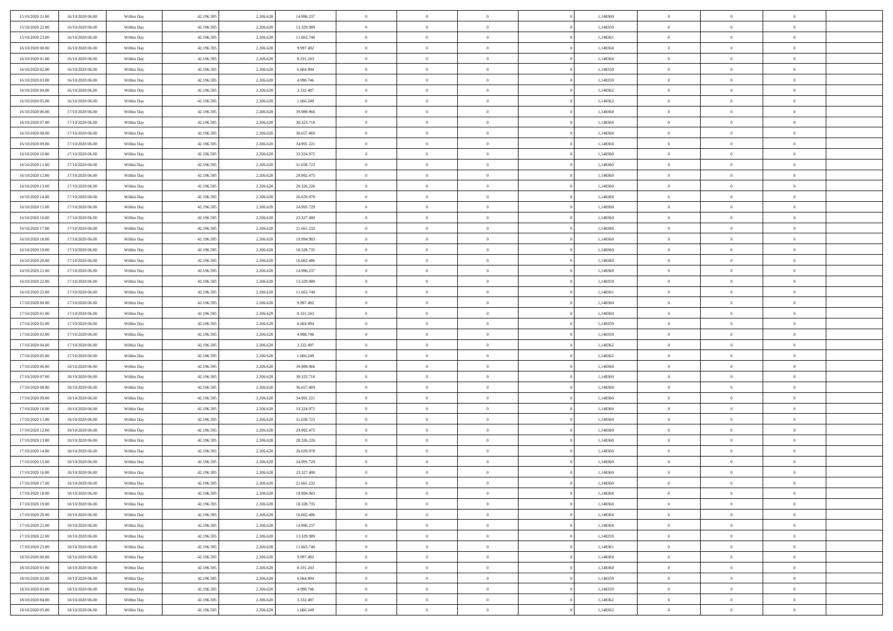| 15/10/2020 21:00                     | 16/10/2020 06:00 | Within Day | 42.196.595 | 2.206.628 | 14.996.237 | $\,$ 0 $\,$          | $\overline{0}$ | $\overline{0}$ |          | 1,148360 | $\bf{0}$                 | $\overline{0}$ | $\,0\,$        |  |
|--------------------------------------|------------------|------------|------------|-----------|------------|----------------------|----------------|----------------|----------|----------|--------------------------|----------------|----------------|--|
| 15/10/2020 22.00                     | 16/10/2020 06:00 | Within Day | 42.196.595 | 2.206.628 | 13.329.989 | $\overline{0}$       | $\overline{0}$ | $\mathbf{0}$   |          | 1,148359 | $\theta$                 | $\overline{0}$ | $\theta$       |  |
| 15/10/2020 23:00                     | 16/10/2020 06:00 | Within Dav | 42.196.595 | 2.206.628 | 11.663.740 | $\theta$             | $\overline{0}$ | $\overline{0}$ |          | 1,148361 | $\mathbf{0}$             | $\overline{0}$ | $\overline{0}$ |  |
| 16/10/2020 00:00                     | 16/10/2020 06:00 | Within Day | 42.196.595 | 2.206.628 | 9.997.492  | $\,$ 0 $\,$          | $\overline{0}$ | $\overline{0}$ |          | 1,148360 | $\bf{0}$                 | $\overline{0}$ | $\bf{0}$       |  |
| 16/10/2020 01:00                     | 16/10/2020 06:00 | Within Day | 42.196.595 | 2.206.628 | 8.331.243  | $\bf{0}$             | $\overline{0}$ | $\mathbf{0}$   |          | 1,148360 | $\bf{0}$                 | $\theta$       | $\,0\,$        |  |
| 16/10/2020 02:00                     | 16/10/2020 06:00 | Within Dav | 42.196.595 | 2.206.628 | 6.664.994  | $\theta$             | $\overline{0}$ | $\mathbf{0}$   |          | 1,148359 | $\mathbf{0}$             | $\overline{0}$ | $\overline{0}$ |  |
| 16/10/2020 03:00                     | 16/10/2020 06:00 | Within Day | 42.196.595 | 2.206.628 | 4.998.746  | $\,$ 0 $\,$          | $\overline{0}$ | $\overline{0}$ |          | 1,148359 | $\bf{0}$                 | $\overline{0}$ | $\bf{0}$       |  |
| 16/10/2020 04:00                     | 16/10/2020 06:00 | Within Day | 42.196.595 | 2.206.628 | 3.332.497  | $\,$ 0               | $\overline{0}$ | $\mathbf{0}$   |          | 1,148362 | $\,$ 0 $\,$              | $\overline{0}$ | $\theta$       |  |
| 16/10/2020 05:00                     | 16/10/2020 06:00 | Within Day | 42.196.595 | 2.206.628 | 1.666.249  | $\theta$             | $\overline{0}$ | $\mathbf{0}$   |          | 1,148362 | $\mathbf{0}$             | $\overline{0}$ | $\overline{0}$ |  |
| 16/10/2020 06:00                     | 17/10/2020 06.00 |            | 42.196.595 | 2.206.628 | 39.989.966 | $\,$ 0 $\,$          | $\overline{0}$ | $\Omega$       |          | 1,148360 | $\bf{0}$                 | $\overline{0}$ | $\,0\,$        |  |
|                                      |                  | Within Day |            |           |            |                      |                |                |          |          |                          | $\mathbf{0}$   | $\theta$       |  |
| 16/10/2020 07.00<br>16/10/2020 08:00 | 17/10/2020 06.00 | Within Day | 42.196.595 | 2.206.628 | 38.323.718 | $\bf{0}$<br>$\theta$ | $\overline{0}$ | $\mathbf{0}$   |          | 1,148360 | $\bf{0}$<br>$\mathbf{0}$ |                | $\overline{0}$ |  |
|                                      | 17/10/2020 06:00 | Within Dav | 42.196.595 | 2.206.628 | 36.657.469 |                      | $\overline{0}$ | $\overline{0}$ |          | 1,148360 |                          | $\overline{0}$ |                |  |
| 16/10/2020 09:00                     | 17/10/2020 06:00 | Within Day | 42.196.595 | 2.206.628 | 34.991.221 | $\,$ 0 $\,$          | $\overline{0}$ | $\overline{0}$ |          | 1,148360 | $\bf{0}$                 | $\overline{0}$ | $\bf{0}$       |  |
| 16/10/2020 10:00                     | 17/10/2020 06:00 | Within Day | 42.196.595 | 2.206.628 | 33.324.972 | $\bf{0}$             | $\overline{0}$ | $\mathbf{0}$   |          | 1,148360 | $\bf{0}$                 | $\theta$       | $\,0\,$        |  |
| 16/10/2020 11:00                     | 17/10/2020 06:00 | Within Dav | 42.196.595 | 2.206.628 | 31.658.723 | $\theta$             | $\overline{0}$ | $\mathbf{0}$   |          | 1,148360 | $\mathbf{0}$             | $\overline{0}$ | $\overline{0}$ |  |
| 16/10/2020 12:00                     | 17/10/2020 06.00 | Within Day | 42.196.595 | 2.206.628 | 29.992.475 | $\,$ 0 $\,$          | $\overline{0}$ | $\overline{0}$ |          | 1,148360 | $\bf{0}$                 | $\overline{0}$ | $\bf{0}$       |  |
| 16/10/2020 13:00                     | 17/10/2020 06.00 | Within Day | 42.196.595 | 2.206.628 | 28.326.226 | $\,$ 0               | $\overline{0}$ | $\mathbf{0}$   |          | 1,148360 | $\bf{0}$                 | $\overline{0}$ | $\theta$       |  |
| 16/10/2020 14:00                     | 17/10/2020 06:00 | Within Day | 42.196.595 | 2.206.628 | 26.659.978 | $\theta$             | $\overline{0}$ | $\mathbf{0}$   |          | 1,148360 | $\mathbf{0}$             | $\overline{0}$ | $\overline{0}$ |  |
| 16/10/2020 15:00                     | 17/10/2020 06.00 | Within Day | 42.196.595 | 2.206.628 | 24.993.729 | $\,$ 0 $\,$          | $\overline{0}$ | $\Omega$       |          | 1,148360 | $\bf{0}$                 | $\overline{0}$ | $\,0\,$        |  |
| 16/10/2020 16:00                     | 17/10/2020 06.00 | Within Day | 42.196.595 | 2.206.628 | 23.327.480 | $\bf{0}$             | $\overline{0}$ | $\mathbf{0}$   |          | 1,148360 | $\bf{0}$                 | $\mathbf{0}$   | $\theta$       |  |
| 16/10/2020 17:00                     | 17/10/2020 06:00 | Within Dav | 42.196.595 | 2.206.628 | 21.661.232 | $\theta$             | $\overline{0}$ | $\mathbf{0}$   |          | 1,148360 | $\mathbf{0}$             | $\overline{0}$ | $\overline{0}$ |  |
| 16/10/2020 18:00                     | 17/10/2020 06:00 | Within Day | 42.196.595 | 2.206.628 | 19.994.983 | $\,$ 0 $\,$          | $\overline{0}$ | $\overline{0}$ |          | 1,148360 | $\bf{0}$                 | $\overline{0}$ | $\bf{0}$       |  |
| 16/10/2020 19:00                     | 17/10/2020 06:00 | Within Day | 42.196.595 | 2.206.628 | 18.328.735 | $\,$ 0               | $\overline{0}$ | $\mathbf{0}$   |          | 1,148360 | $\bf{0}$                 | $\bf{0}$       | $\,0\,$        |  |
| 16/10/2020 20:00                     | 17/10/2020 06:00 | Within Dav | 42.196.595 | 2.206.628 | 16.662.486 | $\theta$             | $\overline{0}$ | $\mathbf{0}$   |          | 1,148360 | $\mathbf{0}$             | $\overline{0}$ | $\overline{0}$ |  |
| 16/10/2020 21:00                     | 17/10/2020 06.00 | Within Day | 42.196.595 | 2.206.628 | 14.996.237 | $\,$ 0 $\,$          | $\overline{0}$ | $\overline{0}$ |          | 1,148360 | $\bf{0}$                 | $\overline{0}$ | $\bf{0}$       |  |
| 16/10/2020 22:00                     | 17/10/2020 06.00 | Within Day | 42.196.595 | 2.206.628 | 13.329.989 | $\,$ 0               | $\overline{0}$ | $\mathbf{0}$   |          | 1,148359 | $\bf{0}$                 | $\overline{0}$ | $\theta$       |  |
| 16/10/2020 23:00                     | 17/10/2020 06:00 | Within Day | 42.196.595 | 2.206.628 | 11.663.740 | $\theta$             | $\overline{0}$ | $\overline{0}$ |          | 1,148361 | $\mathbf{0}$             | $\overline{0}$ | $\overline{0}$ |  |
| 17/10/2020 00:00                     | 17/10/2020 06:00 | Within Day | 42.196.595 | 2.206.628 | 9.997.492  | $\,$ 0 $\,$          | $\overline{0}$ | $\Omega$       |          | 1,148360 | $\bf{0}$                 | $\overline{0}$ | $\bf{0}$       |  |
| 17/10/2020 01:00                     | 17/10/2020 06.00 | Within Day | 42.196.595 | 2.206.628 | 8.331.243  | $\bf{0}$             | $\overline{0}$ | $\mathbf{0}$   |          | 1,148360 | $\bf{0}$                 | $\mathbf{0}$   | $\overline{0}$ |  |
| 17/10/2020 02.00                     | 17/10/2020 06:00 | Within Dav | 42.196.595 | 2.206.628 | 6.664.994  | $\theta$             | $\overline{0}$ | $\overline{0}$ |          | 1,148359 | $\mathbf{0}$             | $\overline{0}$ | $\overline{0}$ |  |
| 17/10/2020 03:00                     | 17/10/2020 06:00 | Within Day | 42.196.595 | 2.206.628 | 4.998.746  | $\,$ 0 $\,$          | $\overline{0}$ | $\overline{0}$ |          | 1,148359 | $\,$ 0                   | $\overline{0}$ | $\,$ 0 $\,$    |  |
| 17/10/2020 04:00                     | 17/10/2020 06:00 | Within Day | 42.196.595 | 2.206.628 | 3.332.497  | $\,$ 0               | $\overline{0}$ | $\mathbf{0}$   |          | 1,148362 | $\bf{0}$                 | $\mathbf{0}$   | $\overline{0}$ |  |
| 17/10/2020 05:00                     | 17/10/2020 06:00 | Within Dav | 42.196.595 | 2.206.628 | 1.666.249  | $\theta$             | $\overline{0}$ | $\mathbf{0}$   |          | 1,148362 | $\mathbf{0}$             | $\overline{0}$ | $\overline{0}$ |  |
| 17/10/2020 06:00                     | 18/10/2020 06:00 | Within Day | 42.196.595 | 2.206.628 | 39.989.966 | $\theta$             | $\overline{0}$ | $\overline{0}$ |          | 1,148360 | $\,$ 0                   | $\overline{0}$ | $\theta$       |  |
| 17/10/2020 07:00                     | 18/10/2020 06:00 | Within Day | 42.196.595 | 2.206.628 | 38.323.718 | $\bf{0}$             | $\overline{0}$ | $\mathbf{0}$   |          | 1,148360 | $\mathbf{0}$             | $\overline{0}$ | $\overline{0}$ |  |
| 17/10/2020 08:00                     | 18/10/2020 06:00 | Within Day | 42.196.595 | 2.206.628 | 36.657.469 | $\theta$             | $\overline{0}$ | $\mathbf{0}$   |          | 1,148360 | $\mathbf{0}$             | $\overline{0}$ | $\overline{0}$ |  |
| 17/10/2020 09:00                     | 18/10/2020 06:00 | Within Day | 42.196.595 | 2.206.628 | 34.991.221 | $\theta$             | $\overline{0}$ | $\overline{0}$ |          | 1,148360 | $\,$ 0                   | $\overline{0}$ | $\theta$       |  |
| 17/10/2020 10:00                     | 18/10/2020 06:00 | Within Day | 42.196.595 | 2.206.628 | 33.324.972 | $\bf{0}$             | $\overline{0}$ | $\mathbf{0}$   |          | 1,148360 | $\bf{0}$                 | $\mathbf{0}$   | $\overline{0}$ |  |
| 17/10/2020 11:00                     | 18/10/2020 06:00 | Within Dav | 42.196.595 | 2.206.628 | 31.658.723 | $\theta$             | $\overline{0}$ | $\overline{0}$ |          | 1,148360 | $\mathbf{0}$             | $\overline{0}$ | $\overline{0}$ |  |
| 17/10/2020 12:00                     | 18/10/2020 06:00 | Within Day | 42.196.595 | 2.206.628 | 29.992.475 | $\,$ 0 $\,$          | $\overline{0}$ | $\overline{0}$ |          | 1,148360 | $\,$ 0                   | $\overline{0}$ | $\,$ 0 $\,$    |  |
| 17/10/2020 13:00                     | 18/10/2020 06:00 | Within Day | 42.196.595 | 2.206.628 | 28.326.226 | $\,$ 0               | $\,$ 0 $\,$    | $\overline{0}$ |          | 1,148360 | $\,$ 0 $\,$              | $\bf{0}$       | $\overline{0}$ |  |
| 17/10/2020 14:00                     | 18/10/2020 06:00 | Within Dav | 42.196.595 | 2.206.628 | 26.659.978 | $\theta$             | $\overline{0}$ | $\mathbf{0}$   |          | 1,148360 | $\mathbf{0}$             | $\overline{0}$ | $\overline{0}$ |  |
| 17/10/2020 15:00                     | 18/10/2020 06:00 | Within Day | 42.196.595 | 2.206.628 | 24.993.729 | $\overline{0}$       | $\overline{0}$ | $\overline{0}$ |          | 1,148360 | $\,$ 0                   | $\overline{0}$ | $\theta$       |  |
| 17/10/2020 16:00                     | 18/10/2020 06:00 | Within Day | 42.196.595 | 2.206.628 | 23.327.480 | $\bf{0}$             | $\overline{0}$ | $\mathbf{0}$   |          | 1,148360 | $\bf{0}$                 | $\overline{0}$ | $\overline{0}$ |  |
| 17/10/2020 17:00                     | 18/10/2020 06:00 | Within Day | 42.196.595 | 2.206.628 | 21.661.232 | $\overline{0}$       | $\theta$       |                |          | 1,148360 | $\overline{0}$           | $\theta$       | $\theta$       |  |
| 17/10/2020 18:00                     | 18/10/2020 06:00 | Within Day | 42.196.595 | 2.206.628 | 19.994.983 | $\,$ 0 $\,$          | $\overline{0}$ | $\overline{0}$ |          | 1,148360 | $\,$ 0 $\,$              | $\bf{0}$       | $\theta$       |  |
| 17/10/2020 19:00                     | 18/10/2020 06:00 | Within Day | 42.196.595 | 2.206.628 | 18.328.735 | $\overline{0}$       | $\,$ 0 $\,$    | $\mathbf{0}$   |          | 1,148360 | $\,$ 0 $\,$              | $\overline{0}$ | $\overline{0}$ |  |
| 17/10/2020 20:00                     | 18/10/2020 06:00 | Within Day | 42.196.595 | 2.206.628 | 16.662.486 | $\mathbf{0}$         | $\overline{0}$ | $\overline{0}$ |          | 1,148360 | $\,$ 0 $\,$              | $\bf{0}$       | $\mathbf{0}$   |  |
|                                      |                  |            |            |           |            | $\,$ 0 $\,$          |                | $\overline{0}$ | $\theta$ |          |                          | $\bf{0}$       | $\,$ 0 $\,$    |  |
| 17/10/2020 21:00<br>17/10/2020 22.00 | 18/10/2020 06:00 | Within Day | 42.196.595 | 2.206.628 | 14.996.237 |                      | $\overline{0}$ |                |          | 1,148360 | $\,$ 0 $\,$              |                |                |  |
|                                      | 18/10/2020 06:00 | Within Day | 42.196.595 | 2.206.628 | 13.329.989 | $\,$ 0 $\,$          | $\,$ 0 $\,$    | $\overline{0}$ |          | 1,148359 | $\,$ 0 $\,$              | $\overline{0}$ | $\overline{0}$ |  |
| 17/10/2020 23:00                     | 18/10/2020 06:00 | Within Day | 42.196.595 | 2.206.628 | 11.663.740 | $\mathbf{0}$         | $\overline{0}$ | $\overline{0}$ |          | 1,148361 | $\mathbf{0}$             | $\overline{0}$ | $\overline{0}$ |  |
| 18/10/2020 00:00                     | 18/10/2020 06:00 | Within Day | 42.196.595 | 2.206.628 | 9.997.492  | $\,$ 0 $\,$          | $\overline{0}$ | $\overline{0}$ |          | 1,148360 | $\,$ 0 $\,$              | $\overline{0}$ | $\,$ 0 $\,$    |  |
| 18/10/2020 01:00                     | 18/10/2020 06:00 | Within Day | 42.196.595 | 2.206.628 | 8.331.243  | $\overline{0}$       | $\overline{0}$ | $\overline{0}$ |          | 1,148360 | $\,$ 0 $\,$              | $\overline{0}$ | $\overline{0}$ |  |
| 18/10/2020 02:00                     | 18/10/2020 06:00 | Within Day | 42.196.595 | 2.206.628 | 6.664.994  | $\overline{0}$       | $\overline{0}$ | $\overline{0}$ |          | 1,148359 | $\mathbf{0}$             | $\bf{0}$       | $\overline{0}$ |  |
| 18/10/2020 03:00                     | 18/10/2020 06:00 | Within Day | 42.196.595 | 2.206.628 | 4.998.746  | $\,$ 0 $\,$          | $\overline{0}$ | $\overline{0}$ |          | 1,148359 | $\,$ 0 $\,$              | $\overline{0}$ | $\,$ 0 $\,$    |  |
| 18/10/2020 04:00                     | 18/10/2020 06:00 | Within Day | 42.196.595 | 2.206.628 | 3.332.497  | $\,$ 0 $\,$          | $\,$ 0 $\,$    | $\overline{0}$ |          | 1,148362 | $\bf{0}$                 | $\overline{0}$ | $\overline{0}$ |  |
| 18/10/2020 05:00                     | 18/10/2020 06:00 | Within Day | 42.196.595 | 2.206.628 | 1.666.249  | $\theta$             | $\overline{0}$ | $\overline{0}$ |          | 1,148362 | $\mathbf{0}$             | $\overline{0}$ | $\overline{0}$ |  |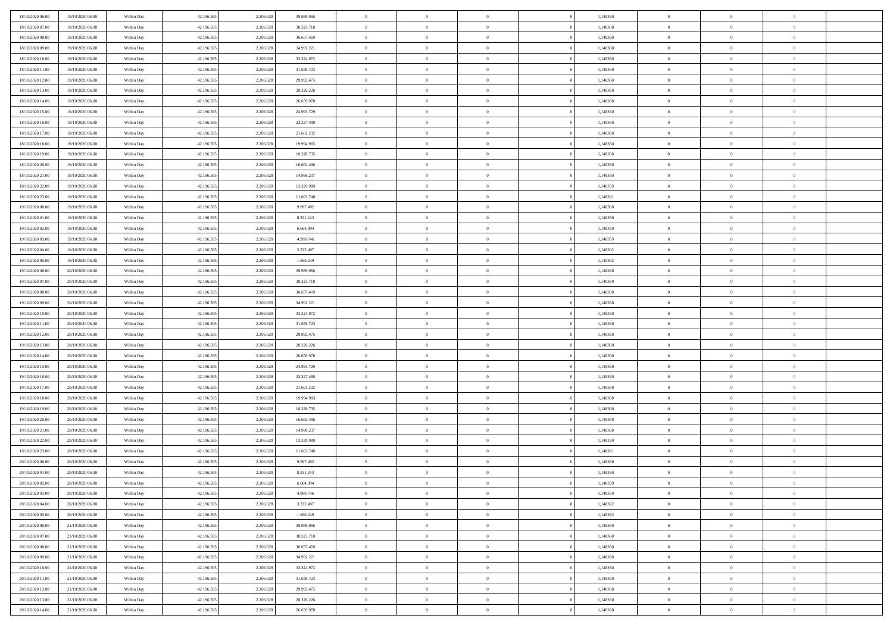| 18/10/2020 06:00 | 19/10/2020 06:00 | Within Day | 42.196.595 | 2.206.628 | 39.989.966 | $\bf{0}$       | $\bf{0}$       | $\Omega$       | 1,148360 | $\bf{0}$       | $\overline{0}$ | $\bf{0}$       |  |
|------------------|------------------|------------|------------|-----------|------------|----------------|----------------|----------------|----------|----------------|----------------|----------------|--|
| 18/10/2020 07:00 | 19/10/2020 06:00 | Within Day | 42.196.595 | 2.206.628 | 38.323.718 | $\overline{0}$ | $\overline{0}$ | $\Omega$       | 1,148360 | $\overline{0}$ | $\theta$       | $\theta$       |  |
| 18/10/2020 08:00 | 19/10/2020 06:00 | Within Day | 42.196.595 | 2.206.628 | 36.657.469 | $\overline{0}$ | $\overline{0}$ | $\overline{0}$ | 1,148360 | $\mathbf{0}$   | $\overline{0}$ | $\theta$       |  |
| 18/10/2020 09:00 | 19/10/2020 06:00 | Within Day | 42.196.595 | 2.206.628 | 34.991.221 | $\bf{0}$       | $\overline{0}$ | $\overline{0}$ | 1,148360 | $\mathbf{0}$   | $\overline{0}$ | $\bf{0}$       |  |
| 18/10/2020 10:00 | 19/10/2020 06:00 | Within Day | 42.196.595 | 2.206.628 | 33.324.972 | $\bf{0}$       | $\overline{0}$ | $\overline{0}$ | 1,148360 | $\bf{0}$       | $\overline{0}$ | $\bf{0}$       |  |
| 18/10/2020 11:00 | 19/10/2020 06:00 | Within Day | 42.196.595 | 2.206.628 | 31.658.723 | $\overline{0}$ | $\overline{0}$ | $\overline{0}$ | 1,148360 | $\mathbf{0}$   | $\overline{0}$ | $\theta$       |  |
| 18/10/2020 12:00 | 19/10/2020 06:00 | Within Day | 42.196.595 | 2.206.628 | 29.992.475 | $\bf{0}$       | $\overline{0}$ | $\overline{0}$ | 1,148360 | $\bf{0}$       | $\overline{0}$ | $\bf{0}$       |  |
| 18/10/2020 13:00 | 19/10/2020 06:00 |            | 42.196.595 | 2.206.628 | 28.326.226 | $\overline{0}$ | $\overline{0}$ | $\overline{0}$ | 1,148360 | $\mathbf{0}$   | $\theta$       | $\theta$       |  |
|                  |                  | Within Day |            |           |            | $\overline{0}$ | $\overline{0}$ |                |          |                |                | $\theta$       |  |
| 18/10/2020 14:00 | 19/10/2020 06:00 | Within Day | 42.196.595 | 2.206.628 | 26.659.978 |                |                | $\overline{0}$ | 1,148360 | $\mathbf{0}$   | $\overline{0}$ |                |  |
| 18/10/2020 15:00 | 19/10/2020 06:00 | Within Day | 42.196.595 | 2.206.628 | 24.993.729 | $\bf{0}$       | $\overline{0}$ | $\Omega$       | 1,148360 | $\mathbf{0}$   | $\overline{0}$ | $\bf{0}$       |  |
| 18/10/2020 16:00 | 19/10/2020 06:00 | Within Day | 42.196.595 | 2.206.628 | 23.327.480 | $\bf{0}$       | $\overline{0}$ | $\overline{0}$ | 1,148360 | $\mathbf{0}$   | $\theta$       | $\theta$       |  |
| 18/10/2020 17:00 | 19/10/2020 06:00 | Within Day | 42.196.595 | 2.206.628 | 21.661.232 | $\overline{0}$ | $\overline{0}$ | $\overline{0}$ | 1,148360 | $\mathbf{0}$   | $\overline{0}$ | $\theta$       |  |
| 18/10/2020 18:00 | 19/10/2020 06:00 | Within Day | 42.196.595 | 2.206.628 | 19.994.983 | $\bf{0}$       | $\overline{0}$ | $\overline{0}$ | 1,148360 | $\mathbf{0}$   | $\overline{0}$ | $\bf{0}$       |  |
| 18/10/2020 19:00 | 19/10/2020 06:00 | Within Day | 42.196.595 | 2.206.628 | 18.328.735 | $\bf{0}$       | $\overline{0}$ | $\overline{0}$ | 1,148360 | $\bf{0}$       | $\theta$       | $\bf{0}$       |  |
| 18/10/2020 20:00 | 19/10/2020 06:00 | Within Day | 42.196.595 | 2.206.628 | 16.662.486 | $\overline{0}$ | $\overline{0}$ | $\overline{0}$ | 1,148360 | $\mathbf{0}$   | $\overline{0}$ | $\theta$       |  |
| 18/10/2020 21.00 | 19/10/2020 06:00 | Within Day | 42.196.595 | 2.206.628 | 14.996.237 | $\bf{0}$       | $\overline{0}$ | $\Omega$       | 1,148360 | $\mathbf{0}$   | $\overline{0}$ | $\bf{0}$       |  |
| 18/10/2020 22.00 | 19/10/2020 06:00 | Within Day | 42.196.595 | 2.206.628 | 13.329.989 | $\,$ 0 $\,$    | $\overline{0}$ | $\overline{0}$ | 1,148359 | $\mathbf{0}$   | $\theta$       | $\theta$       |  |
| 18/10/2020 23:00 | 19/10/2020 06:00 | Within Day | 42.196.595 | 2.206.628 | 11.663.740 | $\overline{0}$ | $\overline{0}$ | $\overline{0}$ | 1,148361 | $\mathbf{0}$   | $\overline{0}$ | $\theta$       |  |
| 19/10/2020 00:00 | 19/10/2020 06:00 | Within Day | 42.196.595 | 2.206.628 | 9.997.492  | $\bf{0}$       | $\overline{0}$ | $\Omega$       | 1,148360 | $\bf{0}$       | $\overline{0}$ | $\bf{0}$       |  |
| 19/10/2020 01:00 | 19/10/2020 06:00 | Within Day | 42.196.595 | 2.206.628 | 8.331.243  | $\bf{0}$       | $\overline{0}$ | $\overline{0}$ | 1,148360 | $\mathbf{0}$   | $\mathbf{0}$   | $\overline{0}$ |  |
| 19/10/2020 02:00 | 19/10/2020 06:00 | Within Day | 42.196.595 | 2.206.628 | 6.664.994  | $\overline{0}$ | $\overline{0}$ | $\overline{0}$ | 1,148359 | $\mathbf{0}$   | $\overline{0}$ | $\theta$       |  |
| 19/10/2020 03:00 | 19/10/2020 06:00 | Within Day | 42.196.595 | 2.206.628 | 4.998.746  | $\bf{0}$       | $\overline{0}$ | $\overline{0}$ | 1,148359 | $\mathbf{0}$   | $\overline{0}$ | $\bf{0}$       |  |
| 19/10/2020 04:00 | 19/10/2020 06:00 | Within Day | 42.196.595 | 2.206.628 | 3.332.497  | $\bf{0}$       | $\overline{0}$ | $\overline{0}$ | 1,148362 | $\,$ 0 $\,$    | $\overline{0}$ | $\bf{0}$       |  |
| 19/10/2020 05:00 | 19/10/2020 06:00 | Within Day | 42.196.595 | 2.206.628 | 1.666.249  | $\overline{0}$ | $\overline{0}$ | $\overline{0}$ | 1,148362 | $\mathbf{0}$   | $\overline{0}$ | $\theta$       |  |
| 19/10/2020 06:00 | 20/10/2020 06:00 | Within Day | 42.196.595 | 2.206.628 | 39.989.966 | $\bf{0}$       | $\overline{0}$ | $\overline{0}$ | 1,148360 | $\bf{0}$       | $\overline{0}$ | $\bf{0}$       |  |
| 19/10/2020 07:00 | 20/10/2020 06:00 | Within Day | 42.196.595 | 2.206.628 | 38.323.718 | $\,$ 0 $\,$    | $\overline{0}$ | $\overline{0}$ | 1,148360 | $\mathbf{0}$   | $\overline{0}$ | $\overline{0}$ |  |
| 19/10/2020 08:00 | 20/10/2020 06:00 | Within Day | 42.196.595 | 2.206.628 | 36.657.469 | $\overline{0}$ | $\overline{0}$ | $\overline{0}$ | 1,148360 | $\mathbf{0}$   | $\overline{0}$ | $\theta$       |  |
| 19/10/2020 09:00 | 20/10/2020 06:00 | Within Day | 42.196.595 | 2.206.628 | 34.991.221 | $\bf{0}$       | $\overline{0}$ | $\Omega$       | 1,148360 | $\mathbf{0}$   | $\overline{0}$ | $\bf{0}$       |  |
| 19/10/2020 10:00 | 20/10/2020 06:00 | Within Day | 42.196.595 | 2.206.628 | 33.324.972 | $\bf{0}$       | $\overline{0}$ | $\overline{0}$ | 1,148360 | $\mathbf{0}$   | $\theta$       | $\overline{0}$ |  |
| 19/10/2020 11:00 | 20/10/2020 06:00 | Within Day | 42.196.595 | 2.206.628 | 31.658.723 | $\overline{0}$ | $\overline{0}$ | $\overline{0}$ | 1,148360 | $\mathbf{0}$   | $\overline{0}$ | $\theta$       |  |
| 19/10/2020 12:00 | 20/10/2020 06:00 | Within Day | 42.196.595 | 2.206.628 | 29.992.475 | $\,$ 0         | $\overline{0}$ | $\overline{0}$ | 1,148360 | $\,$ 0 $\,$    | $\overline{0}$ | $\,0\,$        |  |
| 19/10/2020 13:00 | 20/10/2020 06:00 | Within Day | 42.196.595 | 2.206.628 | 28.326.226 | $\bf{0}$       | $\overline{0}$ | $\overline{0}$ | 1,148360 | $\,$ 0 $\,$    | $\overline{0}$ | $\overline{0}$ |  |
| 19/10/2020 14:00 | 20/10/2020 06:00 | Within Day | 42.196.595 | 2.206.628 | 26.659.978 | $\overline{0}$ | $\overline{0}$ | $\overline{0}$ | 1,148360 | $\mathbf{0}$   | $\overline{0}$ | $\theta$       |  |
| 19/10/2020 15:00 | 20/10/2020 06:00 | Within Day | 42.196.595 | 2.206.628 | 24.993.729 | $\,$ 0         | $\overline{0}$ | $\theta$       | 1,148360 | $\,$ 0         | $\overline{0}$ | $\mathbf{0}$   |  |
| 19/10/2020 16:00 | 20/10/2020 06:00 | Within Day | 42.196.595 | 2.206.628 | 23.327.480 | $\bf{0}$       | $\overline{0}$ | $\overline{0}$ | 1,148360 | $\mathbf{0}$   | $\overline{0}$ | $\overline{0}$ |  |
| 19/10/2020 17:00 | 20/10/2020 06:00 | Within Day | 42.196.595 | 2.206.628 | 21.661.232 | $\overline{0}$ | $\overline{0}$ | $\overline{0}$ | 1,148360 | $\mathbf{0}$   | $\overline{0}$ | $\theta$       |  |
| 19/10/2020 18:00 | 20/10/2020 06:00 | Within Day | 42.196.595 | 2.206.628 | 19.994.983 | $\,$ 0         | $\overline{0}$ | $\overline{0}$ | 1,148360 | $\,$ 0 $\,$    | $\overline{0}$ | $\mathbf{0}$   |  |
| 19/10/2020 19:00 | 20/10/2020 06:00 | Within Day | 42.196.595 | 2.206.628 | 18.328.735 | $\bf{0}$       | $\overline{0}$ | $\overline{0}$ | 1,148360 | $\mathbf{0}$   | $\mathbf{0}$   | $\overline{0}$ |  |
| 19/10/2020 20:00 | 20/10/2020 06:00 | Within Day | 42.196.595 | 2.206.628 | 16.662.486 | $\overline{0}$ | $\overline{0}$ | $\overline{0}$ | 1,148360 | $\mathbf{0}$   | $\overline{0}$ | $\theta$       |  |
| 19/10/2020 21:00 | 20/10/2020 06:00 | Within Day | 42.196.595 | 2.206.628 | 14.996.237 | $\,$ 0         | $\overline{0}$ | $\overline{0}$ | 1,148360 | $\,$ 0 $\,$    | $\overline{0}$ | $\,$ 0 $\,$    |  |
| 19/10/2020 22:00 | 20/10/2020 06:00 | Within Day | 42.196.595 | 2.206.628 | 13.329.989 | $\,$ 0 $\,$    | $\,$ 0 $\,$    | $\overline{0}$ | 1,148359 | $\,$ 0 $\,$    | $\overline{0}$ | $\overline{0}$ |  |
| 19/10/2020 23.00 | 20/10/2020 06:00 | Within Day | 42.196.595 | 2.206.628 | 11.663.740 | $\overline{0}$ | $\overline{0}$ | $\overline{0}$ | 1,148361 | $\mathbf{0}$   | $\overline{0}$ | $\theta$       |  |
| 20/10/2020 00:00 | 20/10/2020 06:00 | Within Day | 42.196.595 | 2.206.628 | 9.997.492  | $\overline{0}$ | $\overline{0}$ | $\overline{0}$ | 1,148360 | $\overline{0}$ | $\overline{0}$ | $\mathbf{0}$   |  |
| 20/10/2020 01:00 | 20/10/2020 06:00 | Within Day | 42.196.595 | 2.206.628 | 8.331.243  | $\bf{0}$       | $\overline{0}$ | $\overline{0}$ | 1,148360 | $\mathbf{0}$   | $\overline{0}$ | $\overline{0}$ |  |
| 20/10/2020 02:00 | 20/10/2020 06:00 | Within Day | 42.196.595 | 2.206.628 | 6.664.994  | $\overline{0}$ | $\theta$       |                | 1,148359 | $\overline{0}$ | $\Omega$       | $\overline{0}$ |  |
| 20/10/2020 03:00 | 20/10/2020 06:00 | Within Day | 42.196.595 | 2.206.628 | 4.998.746  | $\,$ 0 $\,$    | $\overline{0}$ | $\overline{0}$ | 1,148359 | $\,$ 0 $\,$    | $\bf{0}$       | $\,$ 0 $\,$    |  |
| 20/10/2020 04:00 | 20/10/2020 06:00 | Within Day | 42.196.595 | 2.206.628 | 3.332.497  | $\mathbf{0}$   | $\overline{0}$ | $\overline{0}$ | 1,148362 | $\,$ 0 $\,$    | $\overline{0}$ | $\overline{0}$ |  |
|                  |                  |            |            |           |            | $\mathbf{0}$   | $\overline{0}$ |                |          |                |                |                |  |
| 20/10/2020 05:00 | 20/10/2020 06:00 | Within Day | 42.196.595 | 2.206.628 | 1.666.249  |                |                | $\overline{0}$ | 1,148362 | $\mathbf{0}$   | $\bf{0}$       | $\overline{0}$ |  |
| 20/10/2020 06:00 | 21/10/2020 06:00 | Within Day | 42.196.595 | 2.206.628 | 39.989.966 | $\,$ 0 $\,$    | $\overline{0}$ | $\overline{0}$ | 1,148360 | $\,$ 0 $\,$    | $\bf{0}$       | $\theta$       |  |
| 20/10/2020 07:00 | 21/10/2020 06.00 | Within Day | 42.196.595 | 2.206.628 | 38.323.718 | $\,$ 0 $\,$    | $\,$ 0 $\,$    | $\overline{0}$ | 1,148360 | $\,$ 0 $\,$    | $\overline{0}$ | $\overline{0}$ |  |
| 20/10/2020 08:00 | 21/10/2020 06:00 | Within Day | 42.196.595 | 2.206.628 | 36.657.469 | $\mathbf{0}$   | $\overline{0}$ | $\overline{0}$ | 1,148360 | $\mathbf{0}$   | $\bf{0}$       | $\overline{0}$ |  |
| 20/10/2020 09:00 | 21/10/2020 06:00 | Within Day | 42.196.595 | 2.206.628 | 34.991.221 | $\,$ 0 $\,$    | $\overline{0}$ | $\overline{0}$ | 1,148360 | $\,$ 0 $\,$    | $\mathbf{0}$   | $\theta$       |  |
| 20/10/2020 10:00 | 21/10/2020 06.00 | Within Day | 42.196.595 | 2.206.628 | 33.324.972 | $\mathbf{0}$   | $\overline{0}$ | $\overline{0}$ | 1,148360 | $\,$ 0 $\,$    | $\overline{0}$ | $\overline{0}$ |  |
| 20/10/2020 11:00 | 21/10/2020 06:00 | Within Day | 42.196.595 | 2.206.628 | 31.658.723 | $\mathbf{0}$   | $\overline{0}$ | $\overline{0}$ | 1,148360 | $\mathbf{0}$   | $\bf{0}$       | $\overline{0}$ |  |
| 20/10/2020 12:00 | 21/10/2020 06:00 | Within Day | 42.196.595 | 2.206.628 | 29.992.475 | $\,$ 0 $\,$    | $\overline{0}$ | $\overline{0}$ | 1,148360 | $\,$ 0 $\,$    | $\mathbf{0}$   | $\theta$       |  |
| 20/10/2020 13:00 | 21/10/2020 06.00 | Within Day | 42.196.595 | 2.206.628 | 28.326.226 | $\mathbf{0}$   | $\overline{0}$ | $\overline{0}$ | 1,148360 | $\,$ 0 $\,$    | $\overline{0}$ | $\overline{0}$ |  |
| 20/10/2020 14:00 | 21/10/2020 06:00 | Within Day | 42.196.595 | 2.206.628 | 26.659.978 | $\overline{0}$ | $\overline{0}$ | $\overline{0}$ | 1,148360 | $\mathbf{0}$   | $\mathbf{0}$   | $\overline{0}$ |  |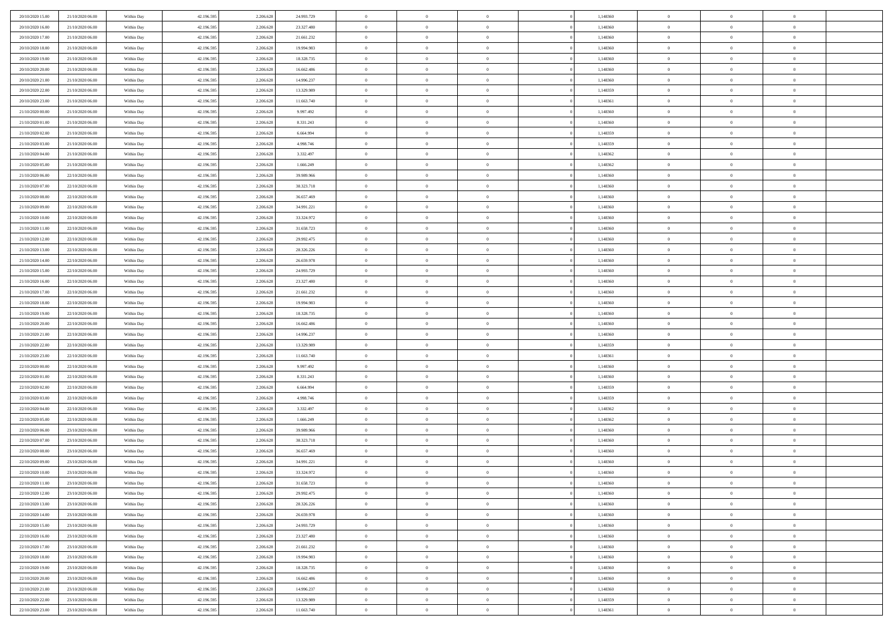| 20/10/2020 15:00 | 21/10/2020 06.00 | Within Day               | 42.196.595 | 2.206.628 | 24.993.729               | $\,$ 0 $\,$    | $\overline{0}$ | $\overline{0}$                   | 1,148360 | $\bf{0}$       | $\overline{0}$ | $\,0\,$        |  |
|------------------|------------------|--------------------------|------------|-----------|--------------------------|----------------|----------------|----------------------------------|----------|----------------|----------------|----------------|--|
| 20/10/2020 16:00 | 21/10/2020 06.00 | Within Day               | 42.196.595 | 2.206.628 | 23.327.480               | $\theta$       | $\overline{0}$ | $\mathbf{0}$                     | 1,148360 | $\theta$       | $\mathbf{0}$   | $\theta$       |  |
| 20/10/2020 17:00 | 21/10/2020 06:00 | Within Dav               | 42.196.595 | 2.206.628 | 21.661.232               | $\theta$       | $\overline{0}$ | $\overline{0}$                   | 1,148360 | $\mathbf{0}$   | $\overline{0}$ | $\overline{0}$ |  |
| 20/10/2020 18:00 | 21/10/2020 06.00 | Within Day               | 42.196.595 | 2.206.628 | 19.994.983               | $\,$ 0 $\,$    | $\overline{0}$ | $\overline{0}$                   | 1,148360 | $\bf{0}$       | $\overline{0}$ | $\bf{0}$       |  |
| 20/10/2020 19:00 | 21/10/2020 06:00 | Within Day               | 42.196.595 | 2.206.628 | 18.328.735               | $\bf{0}$       | $\overline{0}$ | $\mathbf{0}$                     | 1,148360 | $\bf{0}$       | $\theta$       | $\,0\,$        |  |
| 20/10/2020 20:00 | 21/10/2020 06:00 | Within Dav               | 42.196.595 | 2.206.628 | 16.662.486               | $\theta$       | $\overline{0}$ | $\mathbf{0}$                     | 1,148360 | $\mathbf{0}$   | $\overline{0}$ | $\overline{0}$ |  |
| 20/10/2020 21:00 | 21/10/2020 06:00 | Within Day               | 42.196.595 | 2.206.628 | 14.996.237               | $\,$ 0 $\,$    | $\overline{0}$ | $\overline{0}$                   | 1,148360 | $\bf{0}$       | $\overline{0}$ | $\bf{0}$       |  |
| 20/10/2020 22:00 | 21/10/2020 06.00 | Within Day               | 42.196.595 | 2.206.628 | 13.329.989               | $\,$ 0         | $\overline{0}$ | $\mathbf{0}$                     | 1,148359 | $\,$ 0 $\,$    | $\overline{0}$ | $\theta$       |  |
| 20/10/2020 23:00 | 21/10/2020 06:00 | Within Day               | 42.196.595 | 2.206.628 | 11.663.740               | $\theta$       | $\overline{0}$ | $\overline{0}$                   | 1,148361 | $\mathbf{0}$   | $\overline{0}$ | $\overline{0}$ |  |
| 21/10/2020 00:00 | 21/10/2020 06.00 | Within Day               | 42.196.595 | 2.206.628 | 9.997.492                | $\,$ 0 $\,$    | $\overline{0}$ | $\Omega$                         | 1,148360 | $\bf{0}$       | $\overline{0}$ | $\,0\,$        |  |
| 21/10/2020 01:00 | 21/10/2020 06.00 | Within Day               | 42.196.595 | 2.206.628 | 8.331.243                | $\bf{0}$       | $\overline{0}$ | $\mathbf{0}$                     | 1,148360 | $\bf{0}$       | $\mathbf{0}$   | $\theta$       |  |
| 21/10/2020 02.00 | 21/10/2020 06:00 | Within Dav               | 42.196.595 | 2.206.628 | 6.664.994                | $\theta$       | $\overline{0}$ | $\overline{0}$                   | 1,148359 | $\mathbf{0}$   | $\overline{0}$ | $\overline{0}$ |  |
| 21/10/2020 03:00 | 21/10/2020 06.00 | Within Day               | 42.196.595 | 2.206.628 | 4.998.746                | $\,$ 0 $\,$    | $\overline{0}$ | $\overline{0}$                   | 1,148359 | $\bf{0}$       | $\overline{0}$ | $\bf{0}$       |  |
| 21/10/2020 04:00 | 21/10/2020 06:00 | Within Day               | 42.196.595 | 2.206.628 | 3.332.497                | $\,$ 0         | $\overline{0}$ | $\mathbf{0}$                     | 1,148362 | $\bf{0}$       | $\theta$       | $\,0\,$        |  |
| 21/10/2020 05:00 | 21/10/2020 06:00 | Within Dav               | 42.196.595 | 2.206.628 | 1.666.249                | $\theta$       | $\overline{0}$ | $\mathbf{0}$                     | 1,148362 | $\mathbf{0}$   | $\overline{0}$ | $\overline{0}$ |  |
| 21/10/2020 06:00 | 22/10/2020 06.00 | Within Day               | 42.196.595 | 2.206.628 | 39.989.966               | $\,$ 0 $\,$    | $\overline{0}$ | $\Omega$                         | 1,148360 | $\bf{0}$       | $\overline{0}$ | $\bf{0}$       |  |
| 21/10/2020 07:00 | 22/10/2020 06.00 |                          | 42.196.595 | 2.206.628 | 38.323.718               | $\,$ 0 $\,$    | $\overline{0}$ | $\mathbf{0}$                     | 1,148360 | $\bf{0}$       | $\overline{0}$ | $\theta$       |  |
| 21/10/2020 08:00 | 22/10/2020 06:00 | Within Day<br>Within Day | 42.196.595 | 2.206.628 | 36.657.469               | $\theta$       | $\overline{0}$ | $\mathbf{0}$                     | 1,148360 | $\mathbf{0}$   | $\overline{0}$ | $\overline{0}$ |  |
| 21/10/2020 09:00 | 22/10/2020 06:00 | Within Day               | 42.196.595 | 2.206.628 | 34.991.221               | $\,$ 0 $\,$    | $\overline{0}$ | $\Omega$                         | 1,148360 | $\bf{0}$       | $\overline{0}$ | $\,0\,$        |  |
| 21/10/2020 10:00 | 22/10/2020 06.00 |                          | 42.196.595 | 2.206.628 |                          | $\bf{0}$       | $\overline{0}$ | $\mathbf{0}$                     | 1,148360 | $\bf{0}$       | $\mathbf{0}$   | $\theta$       |  |
| 21/10/2020 11:00 | 22/10/2020 06:00 | Within Day<br>Within Dav | 42.196.595 | 2.206.628 | 33.324.972<br>31.658.723 | $\theta$       | $\overline{0}$ |                                  | 1,148360 | $\mathbf{0}$   | $\overline{0}$ | $\overline{0}$ |  |
|                  | 22/10/2020 06:00 |                          |            |           |                          | $\,$ 0 $\,$    |                | $\overline{0}$<br>$\overline{0}$ |          | $\bf{0}$       |                | $\bf{0}$       |  |
| 21/10/2020 12:00 |                  | Within Day               | 42.196.595 | 2.206.628 | 29.992.475               |                | $\overline{0}$ |                                  | 1,148360 |                | $\overline{0}$ |                |  |
| 21/10/2020 13:00 | 22/10/2020 06:00 | Within Day               | 42.196.595 | 2.206.628 | 28.326.226               | $\,$ 0         | $\overline{0}$ | $\mathbf{0}$                     | 1,148360 | $\bf{0}$       | $\overline{0}$ | $\,0\,$        |  |
| 21/10/2020 14:00 | 22/10/2020 06:00 | Within Dav               | 42.196.595 | 2.206.628 | 26.659.978               | $\theta$       | $\overline{0}$ | $\mathbf{0}$                     | 1,148360 | $\mathbf{0}$   | $\overline{0}$ | $\overline{0}$ |  |
| 21/10/2020 15:00 | 22/10/2020 06:00 | Within Day               | 42.196.595 | 2.206.628 | 24.993.729               | $\,$ 0 $\,$    | $\overline{0}$ | $\overline{0}$                   | 1,148360 | $\bf{0}$       | $\overline{0}$ | $\bf{0}$       |  |
| 21/10/2020 16:00 | 22/10/2020 06.00 | Within Day               | 42.196.595 | 2.206.628 | 23.327.480               | $\,$ 0         | $\overline{0}$ | $\mathbf{0}$                     | 1,148360 | $\bf{0}$       | $\overline{0}$ | $\theta$       |  |
| 21/10/2020 17:00 | 22/10/2020 06:00 | Within Day               | 42.196.595 | 2.206.628 | 21.661.232               | $\theta$       | $\overline{0}$ | $\overline{0}$                   | 1,148360 | $\mathbf{0}$   | $\overline{0}$ | $\overline{0}$ |  |
| 21/10/2020 18:00 | 22/10/2020 06:00 | Within Day               | 42.196.595 | 2.206.628 | 19.994.983               | $\,$ 0 $\,$    | $\overline{0}$ | $\Omega$                         | 1,148360 | $\bf{0}$       | $\overline{0}$ | $\bf{0}$       |  |
| 21/10/2020 19:00 | 22/10/2020 06.00 | Within Day               | 42.196.595 | 2.206.628 | 18.328.735               | $\bf{0}$       | $\overline{0}$ | $\mathbf{0}$                     | 1,148360 | $\bf{0}$       | $\mathbf{0}$   | $\theta$       |  |
| 21/10/2020 20:00 | 22/10/2020 06:00 | Within Dav               | 42.196.595 | 2.206.628 | 16.662.486               | $\theta$       | $\overline{0}$ | $\overline{0}$                   | 1,148360 | $\mathbf{0}$   | $\overline{0}$ | $\overline{0}$ |  |
| 21/10/2020 21:00 | 22/10/2020 06:00 | Within Day               | 42.196.595 | 2.206.628 | 14.996.237               | $\theta$       | $\overline{0}$ | $\overline{0}$                   | 1,148360 | $\,$ 0         | $\overline{0}$ | $\,$ 0 $\,$    |  |
| 21/10/2020 22.00 | 22/10/2020 06:00 | Within Day               | 42.196.595 | 2.206.628 | 13.329.989               | $\,$ 0         | $\overline{0}$ | $\mathbf{0}$                     | 1,148359 | $\bf{0}$       | $\mathbf{0}$   | $\overline{0}$ |  |
| 21/10/2020 23:00 | 22/10/2020 06:00 | Within Dav               | 42.196.595 | 2.206.628 | 11.663.740               | $\theta$       | $\overline{0}$ | $\mathbf{0}$                     | 1,148361 | $\mathbf{0}$   | $\overline{0}$ | $\overline{0}$ |  |
| 22/10/2020 00:00 | 22/10/2020 06:00 | Within Day               | 42.196.595 | 2.206.628 | 9.997.492                | $\theta$       | $\overline{0}$ | $\overline{0}$                   | 1,148360 | $\,$ 0         | $\overline{0}$ | $\theta$       |  |
| 22/10/2020 01:00 | 22/10/2020 06.00 | Within Day               | 42.196.595 | 2.206.628 | 8.331.243                | $\bf{0}$       | $\overline{0}$ | $\mathbf{0}$                     | 1,148360 | $\mathbf{0}$   | $\overline{0}$ | $\overline{0}$ |  |
| 22/10/2020 02.00 | 22/10/2020 06:00 | Within Day               | 42.196.595 | 2.206.628 | 6.664.994                | $\theta$       | $\overline{0}$ | $\mathbf{0}$                     | 1,148359 | $\mathbf{0}$   | $\overline{0}$ | $\overline{0}$ |  |
| 22/10/2020 03:00 | 22/10/2020 06:00 | Within Day               | 42.196.595 | 2.206.628 | 4.998.746                | $\theta$       | $\overline{0}$ | $\overline{0}$                   | 1,148359 | $\,$ 0         | $\overline{0}$ | $\theta$       |  |
| 22/10/2020 04:00 | 22/10/2020 06.00 | Within Day               | 42.196.595 | 2.206.628 | 3.332.497                | $\bf{0}$       | $\overline{0}$ | $\mathbf{0}$                     | 1,148362 | $\bf{0}$       | $\mathbf{0}$   | $\overline{0}$ |  |
| 22/10/2020 05:00 | 22/10/2020 06:00 | Within Dav               | 42.196.595 | 2.206.628 | 1.666.249                | $\theta$       | $\overline{0}$ | $\overline{0}$                   | 1,148362 | $\mathbf{0}$   | $\overline{0}$ | $\overline{0}$ |  |
| 22/10/2020 06:00 | 23/10/2020 06:00 | Within Day               | 42.196.595 | 2.206.628 | 39.989.966               | $\,$ 0 $\,$    | $\overline{0}$ | $\overline{0}$                   | 1,148360 | $\,$ 0         | $\overline{0}$ | $\,$ 0 $\,$    |  |
| 22/10/2020 07:00 | 23/10/2020 06:00 | Within Day               | 42.196.595 | 2.206.628 | 38.323.718               | $\bf{0}$       | $\,$ 0 $\,$    | $\overline{0}$                   | 1,148360 | $\,$ 0 $\,$    | $\overline{0}$ | $\overline{0}$ |  |
| 22/10/2020 08:00 | 23/10/2020 06:00 | Within Dav               | 42.196.595 | 2.206.628 | 36.657.469               | $\theta$       | $\overline{0}$ | $\mathbf{0}$                     | 1,148360 | $\mathbf{0}$   | $\overline{0}$ | $\overline{0}$ |  |
| 22/10/2020 09:00 | 23/10/2020 06.00 | Within Day               | 42.196.595 | 2.206.628 | 34.991.221               | $\overline{0}$ | $\overline{0}$ | $\overline{0}$                   | 1,148360 | $\,$ 0         | $\overline{0}$ | $\theta$       |  |
| 22/10/2020 10:00 | 23/10/2020 06.00 | Within Day               | 42.196.595 | 2.206.628 | 33.324.972               | $\bf{0}$       | $\,$ 0 $\,$    | $\mathbf{0}$                     | 1,148360 | $\bf{0}$       | $\overline{0}$ | $\overline{0}$ |  |
| 22/10/2020 11:00 | 23/10/2020 06:00 | Within Day               | 42.196.595 | 2.206.628 | 31.658.723               | $\overline{0}$ | $\theta$       |                                  | 1,148360 | $\overline{0}$ | $\theta$       | $\theta$       |  |
| 22/10/2020 12:00 | 23/10/2020 06:00 | Within Day               | 42.196.595 | 2.206.628 | 29.992.475               | $\,$ 0 $\,$    | $\overline{0}$ | $\overline{0}$                   | 1,148360 | $\,$ 0 $\,$    | $\bf{0}$       | $\theta$       |  |
| 22/10/2020 13.00 | 23/10/2020 06.00 | Within Day               | 42.196.595 | 2.206.628 | 28.326.226               | $\overline{0}$ | $\,$ 0 $\,$    | $\overline{0}$                   | 1,148360 | $\,$ 0 $\,$    | $\overline{0}$ | $\overline{0}$ |  |
| 22/10/2020 14:00 | 23/10/2020 06:00 | Within Day               | 42.196.595 | 2.206.628 | 26.659.978               | $\overline{0}$ | $\overline{0}$ | $\overline{0}$                   | 1,148360 | $\,$ 0 $\,$    | $\bf{0}$       | $\mathbf{0}$   |  |
| 22/10/2020 15:00 | 23/10/2020 06:00 | Within Day               | 42.196.595 | 2.206.628 | 24.993.729               | $\,$ 0 $\,$    | $\overline{0}$ | $\overline{0}$                   | 1,148360 | $\,$ 0 $\,$    | $\bf{0}$       | $\,$ 0 $\,$    |  |
| 22/10/2020 16:00 | 23/10/2020 06.00 | Within Day               | 42.196.595 | 2.206.628 | 23.327.480               | $\,$ 0 $\,$    | $\,$ 0 $\,$    | $\overline{0}$                   | 1,148360 | $\,$ 0 $\,$    | $\overline{0}$ | $\overline{0}$ |  |
| 22/10/2020 17:00 | 23/10/2020 06:00 | Within Day               | 42.196.595 | 2.206.628 | 21.661.232               | $\overline{0}$ | $\overline{0}$ | $\overline{0}$                   | 1,148360 | $\mathbf{0}$   | $\overline{0}$ | $\overline{0}$ |  |
| 22/10/2020 18:00 | 23/10/2020 06:00 | Within Day               | 42.196.595 | 2.206.628 | 19.994.983               | $\,$ 0 $\,$    | $\overline{0}$ | $\overline{0}$                   | 1,148360 | $\,$ 0 $\,$    | $\overline{0}$ | $\,$ 0 $\,$    |  |
| 22/10/2020 19:00 | 23/10/2020 06.00 | Within Day               | 42.196.595 | 2.206.628 | 18.328.735               | $\overline{0}$ | $\overline{0}$ | $\overline{0}$                   | 1,148360 | $\,$ 0 $\,$    | $\overline{0}$ | $\overline{0}$ |  |
| 22/10/2020 20:00 | 23/10/2020 06:00 | Within Day               | 42.196.595 | 2.206.628 | 16.662.486               | $\overline{0}$ | $\overline{0}$ | $\overline{0}$                   | 1,148360 | $\mathbf{0}$   | $\bf{0}$       | $\overline{0}$ |  |
| 22/10/2020 21:00 | 23/10/2020 06:00 | Within Day               | 42.196.595 | 2.206.628 | 14.996.237               | $\,$ 0 $\,$    | $\overline{0}$ | $\overline{0}$                   | 1,148360 | $\,$ 0 $\,$    | $\mathbf{0}$   | $\,$ 0 $\,$    |  |
| 22/10/2020 22.00 | 23/10/2020 06.00 | Within Day               | 42.196.595 | 2.206.628 | 13.329.989               | $\,$ 0 $\,$    | $\,$ 0 $\,$    | $\overline{0}$                   | 1,148359 | $\bf{0}$       | $\overline{0}$ | $\overline{0}$ |  |
| 22/10/2020 23:00 | 23/10/2020 06:00 | Within Day               | 42.196.595 | 2.206.628 | 11.663.740               | $\theta$       | $\overline{0}$ | $\overline{0}$                   | 1,148361 | $\mathbf{0}$   | $\overline{0}$ | $\overline{0}$ |  |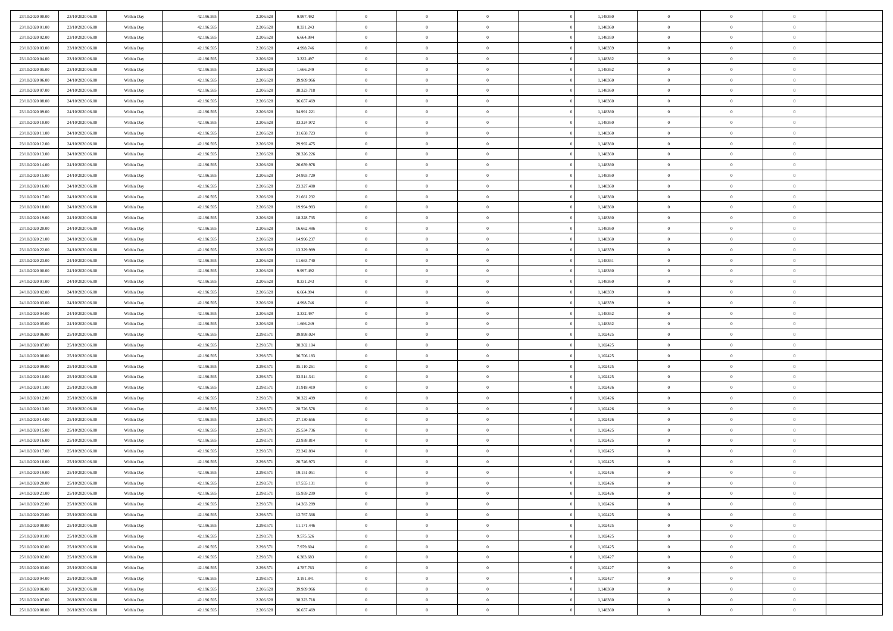| 23/10/2020 00:00 | 23/10/2020 06.00                     | Within Day               | 42.196.595               | 2.206.628              | 9.997.492                | $\,$ 0 $\,$          | $\overline{0}$ | $\overline{0}$ | 1,148360             | $\bf{0}$                     | $\overline{0}$ | $\,0\,$        |  |
|------------------|--------------------------------------|--------------------------|--------------------------|------------------------|--------------------------|----------------------|----------------|----------------|----------------------|------------------------------|----------------|----------------|--|
| 23/10/2020 01:00 | 23/10/2020 06:00                     | Within Day               | 42.196.595               | 2.206.628              | 8.331.243                | $\theta$             | $\overline{0}$ | $\mathbf{0}$   | 1,148360             | $\theta$                     | $\overline{0}$ | $\theta$       |  |
| 23/10/2020 02.00 | 23/10/2020 06:00                     | Within Dav               | 42.196.595               | 2.206.628              | 6.664.994                | $\theta$             | $\overline{0}$ | $\overline{0}$ | 1,148359             | $\mathbf{0}$                 | $\overline{0}$ | $\overline{0}$ |  |
| 23/10/2020 03:00 | 23/10/2020 06:00                     | Within Day               | 42.196.595               | 2.206.628              | 4.998.746                | $\,$ 0 $\,$          | $\overline{0}$ | $\overline{0}$ | 1,148359             | $\bf{0}$                     | $\overline{0}$ | $\bf{0}$       |  |
| 23/10/2020 04:00 | 23/10/2020 06.00                     | Within Day               | 42.196.595               | 2.206.628              | 3.332.497                | $\bf{0}$             | $\overline{0}$ | $\mathbf{0}$   | 1,148362             | $\bf{0}$                     | $\theta$       | $\,0\,$        |  |
| 23/10/2020 05:00 | 23/10/2020 06:00                     | Within Dav               | 42.196.595               | 2.206.628              | 1.666.249                | $\theta$             | $\overline{0}$ | $\mathbf{0}$   | 1,148362             | $\mathbf{0}$                 | $\overline{0}$ | $\overline{0}$ |  |
| 23/10/2020 06:00 | 24/10/2020 06.00                     | Within Day               | 42.196.595               | 2.206.628              | 39.989.966               | $\,$ 0 $\,$          | $\overline{0}$ | $\overline{0}$ | 1,148360             | $\bf{0}$                     | $\overline{0}$ | $\bf{0}$       |  |
|                  |                                      |                          |                          |                        |                          |                      |                |                |                      |                              | $\overline{0}$ |                |  |
| 23/10/2020 07.00 | 24/10/2020 06.00                     | Within Day               | 42.196.595               | 2.206.628              | 38.323.718               | $\,$ 0               | $\overline{0}$ | $\mathbf{0}$   | 1,148360             | $\,$ 0 $\,$                  |                | $\theta$       |  |
| 23/10/2020 08:00 | 24/10/2020 06:00                     | Within Day               | 42.196.595               | 2.206.628              | 36.657.469               | $\theta$             | $\overline{0}$ | $\overline{0}$ | 1,148360             | $\mathbf{0}$                 | $\overline{0}$ | $\overline{0}$ |  |
| 23/10/2020 09:00 | 24/10/2020 06.00                     | Within Day               | 42.196.595               | 2.206.628              | 34.991.221               | $\,$ 0 $\,$          | $\overline{0}$ | $\Omega$       | 1,148360             | $\bf{0}$                     | $\overline{0}$ | $\,0\,$        |  |
| 23/10/2020 10:00 | 24/10/2020 06.00                     | Within Day               | 42.196.595               | 2.206.628              | 33.324.972               | $\bf{0}$             | $\overline{0}$ | $\mathbf{0}$   | 1,148360             | $\bf{0}$                     | $\mathbf{0}$   | $\theta$       |  |
| 23/10/2020 11:00 | 24/10/2020 06:00                     | Within Day               | 42.196.595               | 2.206.628              | 31.658.723               | $\theta$             | $\overline{0}$ | $\overline{0}$ | 1,148360             | $\mathbf{0}$                 | $\overline{0}$ | $\overline{0}$ |  |
| 23/10/2020 12:00 | 24/10/2020 06.00                     | Within Day               | 42.196.595               | 2.206.628              | 29.992.475               | $\,$ 0 $\,$          | $\overline{0}$ | $\overline{0}$ | 1,148360             | $\bf{0}$                     | $\overline{0}$ | $\bf{0}$       |  |
| 23/10/2020 13:00 | 24/10/2020 06.00                     | Within Day               | 42.196.595               | 2.206.628              | 28.326.226               | $\bf{0}$             | $\overline{0}$ | $\mathbf{0}$   | 1,148360             | $\bf{0}$                     | $\theta$       | $\,0\,$        |  |
| 23/10/2020 14:00 | 24/10/2020 06.00                     | Within Day               | 42.196.595               | 2.206.628              | 26.659.978               | $\theta$             | $\overline{0}$ | $\mathbf{0}$   | 1,148360             | $\mathbf{0}$                 | $\overline{0}$ | $\overline{0}$ |  |
| 23/10/2020 15:00 | 24/10/2020 06.00                     | Within Day               | 42.196.595               | 2.206.628              | 24.993.729               | $\,$ 0 $\,$          | $\overline{0}$ | $\overline{0}$ | 1,148360             | $\bf{0}$                     | $\overline{0}$ | $\bf{0}$       |  |
| 23/10/2020 16:00 | 24/10/2020 06.00                     | Within Day               | 42.196.595               | 2.206.628              | 23.327.480               | $\,$ 0               | $\overline{0}$ | $\mathbf{0}$   | 1,148360             | $\bf{0}$                     | $\overline{0}$ | $\theta$       |  |
| 23/10/2020 17:00 | 24/10/2020 06:00                     | Within Day               | 42.196.595               | 2.206.628              | 21.661.232               | $\theta$             | $\overline{0}$ | $\mathbf{0}$   | 1,148360             | $\mathbf{0}$                 | $\overline{0}$ | $\overline{0}$ |  |
| 23/10/2020 18:00 | 24/10/2020 06.00                     | Within Day               | 42.196.595               | 2.206.628              | 19.994.983               | $\,$ 0 $\,$          | $\overline{0}$ | $\Omega$       | 1,148360             | $\bf{0}$                     | $\overline{0}$ | $\,0\,$        |  |
| 23/10/2020 19:00 | 24/10/2020 06.00                     | Within Day               | 42.196.595               | 2.206.628              | 18.328.735               | $\bf{0}$             | $\overline{0}$ | $\mathbf{0}$   | 1,148360             | $\bf{0}$                     | $\mathbf{0}$   | $\theta$       |  |
| 23/10/2020 20:00 | 24/10/2020 06:00                     | Within Day               | 42.196.595               | 2.206.628              | 16.662.486               | $\theta$             | $\overline{0}$ | $\mathbf{0}$   | 1,148360             | $\mathbf{0}$                 | $\overline{0}$ | $\overline{0}$ |  |
| 23/10/2020 21:00 | 24/10/2020 06.00                     | Within Day               | 42.196.595               | 2.206.628              | 14.996.237               | $\,$ 0 $\,$          | $\overline{0}$ | $\overline{0}$ | 1,148360             | $\bf{0}$                     | $\overline{0}$ | $\bf{0}$       |  |
| 23/10/2020 22.00 | 24/10/2020 06.00                     | Within Day               | 42.196.595               | 2.206.628              | 13.329.989               | $\,$ 0               | $\overline{0}$ | $\mathbf{0}$   | 1,148359             | $\bf{0}$                     | $\bf{0}$       | $\,0\,$        |  |
| 23/10/2020 23:00 | 24/10/2020 06:00                     | Within Day               | 42.196.595               | 2.206.628              | 11.663.740               | $\theta$             | $\overline{0}$ | $\mathbf{0}$   | 1,148361             | $\mathbf{0}$                 | $\overline{0}$ | $\overline{0}$ |  |
| 24/10/2020 00:00 | 24/10/2020 06.00                     | Within Day               | 42.196.595               | 2.206.628              | 9.997.492                | $\,$ 0 $\,$          | $\overline{0}$ | $\overline{0}$ | 1,148360             | $\bf{0}$                     | $\overline{0}$ | $\bf{0}$       |  |
| 24/10/2020 01:00 | 24/10/2020 06.00                     | Within Day               | 42.196.595               | 2.206.628              | 8.331.243                | $\,$ 0               | $\overline{0}$ | $\mathbf{0}$   | 1,148360             | $\bf{0}$                     | $\overline{0}$ | $\theta$       |  |
| 24/10/2020 02.00 | 24/10/2020 06:00                     | Within Day               | 42.196.595               | 2.206.628              | 6.664.994                | $\theta$             | $\overline{0}$ | $\overline{0}$ | 1,148359             | $\mathbf{0}$                 | $\overline{0}$ | $\overline{0}$ |  |
| 24/10/2020 03:00 | 24/10/2020 06.00                     | Within Day               | 42.196.595               | 2.206.628              | 4.998.746                | $\,$ 0 $\,$          | $\overline{0}$ | $\Omega$       | 1,148359             | $\bf{0}$                     | $\overline{0}$ | $\bf{0}$       |  |
| 24/10/2020 04:00 | 24/10/2020 06.00                     | Within Day               | 42.196.595               | 2.206.628              | 3.332.497                | $\bf{0}$             | $\overline{0}$ | $\mathbf{0}$   | 1,148362             | $\bf{0}$                     | $\mathbf{0}$   | $\theta$       |  |
| 24/10/2020 05:00 | 24/10/2020 06.00                     | Within Day               | 42.196.595               | 2.206.628              | 1.666.249                | $\theta$             | $\overline{0}$ | $\overline{0}$ | 1,148362             | $\mathbf{0}$                 | $\overline{0}$ | $\overline{0}$ |  |
| 24/10/2020 06:00 | 25/10/2020 06:00                     | Within Day               | 42.196.595               | 2.298.571              | 39.898.024               | $\theta$             | $\overline{0}$ | $\overline{0}$ | 1,102425             | $\,$ 0                       | $\overline{0}$ | $\,$ 0 $\,$    |  |
| 24/10/2020 07:00 | 25/10/2020 06:00                     | Within Day               | 42.196.595               | 2.298.571              | 38.302.104               | $\,$ 0               | $\overline{0}$ | $\mathbf{0}$   | 1,102425             | $\bf{0}$                     | $\mathbf{0}$   | $\bf{0}$       |  |
| 24/10/2020 08:00 | 25/10/2020 06:00                     | Within Day               | 42.196.595               | 2.298.571              | 36.706.183               | $\theta$             | $\overline{0}$ | $\mathbf{0}$   | 1,102425             | $\mathbf{0}$                 | $\overline{0}$ | $\overline{0}$ |  |
| 24/10/2020 09:00 | 25/10/2020 06.00                     |                          | 42.196.595               | 2.298.571              |                          | $\theta$             | $\overline{0}$ | $\overline{0}$ | 1,102425             | $\,$ 0                       | $\overline{0}$ | $\theta$       |  |
| 24/10/2020 10:00 |                                      | Within Day               |                          |                        | 35.110.261               |                      | $\overline{0}$ | $\mathbf{0}$   |                      |                              | $\overline{0}$ | $\overline{0}$ |  |
| 24/10/2020 11:00 | 25/10/2020 06.00<br>25/10/2020 06:00 | Within Day<br>Within Day | 42.196.595<br>42.196.595 | 2.298.571<br>2.298.571 | 33.514.341<br>31.918.419 | $\bf{0}$<br>$\theta$ | $\overline{0}$ |                | 1,102425<br>1,102426 | $\mathbf{0}$<br>$\mathbf{0}$ | $\overline{0}$ | $\overline{0}$ |  |
|                  |                                      |                          |                          |                        |                          |                      |                | $\mathbf{0}$   |                      |                              |                |                |  |
| 24/10/2020 12:00 | 25/10/2020 06:00                     | Within Day               | 42.196.595               | 2.298.571              | 30.322.499               | $\theta$             | $\overline{0}$ | $\overline{0}$ | 1,102426             | $\,$ 0                       | $\overline{0}$ | $\theta$       |  |
| 24/10/2020 13:00 | 25/10/2020 06.00                     | Within Day               | 42.196.595               | 2.298.571              | 28.726.578               | $\bf{0}$             | $\overline{0}$ | $\mathbf{0}$   | 1,102426             | $\bf{0}$                     | $\mathbf{0}$   | $\bf{0}$       |  |
| 24/10/2020 14:00 | 25/10/2020 06:00                     | Within Day               | 42.196.595               | 2.298.571              | 27.130.656               | $\theta$             | $\overline{0}$ | $\mathbf{0}$   | 1,102426             | $\mathbf{0}$                 | $\overline{0}$ | $\overline{0}$ |  |
| 24/10/2020 15:00 | 25/10/2020 06:00                     | Within Day               | 42.196.595               | 2.298.571              | 25.534.736               | $\,$ 0 $\,$          | $\overline{0}$ | $\overline{0}$ | 1,102425             | $\,$ 0                       | $\overline{0}$ | $\,$ 0 $\,$    |  |
| 24/10/2020 16.00 | 25/10/2020 06:00                     | Within Day               | 42.196.595               | 2.298.571              | 23.938.814               | $\,$ 0               | $\,$ 0 $\,$    | $\overline{0}$ | 1,102425             | $\,$ 0 $\,$                  | $\bf{0}$       | $\bf{0}$       |  |
| 24/10/2020 17:00 | 25/10/2020 06:00                     | Within Day               | 42.196.595               | 2.298.571              | 22.342.894               | $\theta$             | $\overline{0}$ | $\mathbf{0}$   | 1,102425             | $\mathbf{0}$                 | $\overline{0}$ | $\overline{0}$ |  |
| 24/10/2020 18:00 | 25/10/2020 06.00                     | Within Day               | 42.196.595               | 2.298.571              | 20.746.973               | $\overline{0}$       | $\overline{0}$ | $\overline{0}$ | 1,102425             | $\,$ 0                       | $\overline{0}$ | $\theta$       |  |
| 24/10/2020 19:00 | 25/10/2020 06.00                     | Within Day               | 42.196.595               | 2.298.571              | 19.151.051               | $\bf{0}$             | $\,$ 0 $\,$    | $\mathbf{0}$   | 1,102426             | $\bf{0}$                     | $\overline{0}$ | $\bf{0}$       |  |
| 24/10/2020 20:00 | 25/10/2020 06:00                     | Within Day               | 42.196.595               | 2.298.571              | 17.555.131               | $\overline{0}$       | $\theta$       |                | 1,102426             | $\overline{0}$               | $\theta$       | $\theta$       |  |
| 24/10/2020 21:00 | 25/10/2020 06:00                     | Within Day               | 42.196.595               | 2.298.571              | 15.959.209               | $\,$ 0 $\,$          | $\overline{0}$ | $\overline{0}$ | 1,102426             | $\,$ 0 $\,$                  | $\bf{0}$       | $\theta$       |  |
| 24/10/2020 22.00 | 25/10/2020 06.00                     | Within Day               | 42.196.595               | 2.298.571              | 14.363.289               | $\overline{0}$       | $\,$ 0 $\,$    | $\mathbf{0}$   | 1,102426             | $\,$ 0 $\,$                  | $\overline{0}$ | $\overline{0}$ |  |
| 24/10/2020 23.00 | 25/10/2020 06:00                     | Within Day               | 42.196.595               | 2.298.571              | 12.767.368               | $\mathbf{0}$         | $\overline{0}$ | $\overline{0}$ | 1,102425             | $\,$ 0 $\,$                  | $\bf{0}$       | $\mathbf{0}$   |  |
| 25/10/2020 00:00 | 25/10/2020 06:00                     | Within Day               | 42.196.595               | 2.298.571              | 11.171.446               | $\,$ 0 $\,$          | $\overline{0}$ | $\overline{0}$ | 1,102425             | $\,$ 0 $\,$                  | $\bf{0}$       | $\,$ 0 $\,$    |  |
| 25/10/2020 01:00 | 25/10/2020 06.00                     | Within Day               | 42.196.595               | 2.298.571              | 9.575.526                | $\,$ 0 $\,$          | $\,$ 0 $\,$    | $\overline{0}$ | 1,102425             | $\,$ 0 $\,$                  | $\overline{0}$ | $\overline{0}$ |  |
| 25/10/2020 02.00 | 25/10/2020 06:00                     | Within Day               | 42.196.595               | 2.298.571              | 7.979.604                | $\mathbf{0}$         | $\overline{0}$ | $\overline{0}$ | 1,102425             | $\mathbf{0}$                 | $\overline{0}$ | $\overline{0}$ |  |
| 25/10/2020 02:00 | 25/10/2020 06:00                     | Within Day               | 42.196.595               | 2.298.571              | 6.383.683                | $\,$ 0 $\,$          | $\overline{0}$ | $\overline{0}$ | 1,102427             | $\,$ 0 $\,$                  | $\overline{0}$ | $\,$ 0 $\,$    |  |
| 25/10/2020 03.00 | 25/10/2020 06.00                     | Within Day               | 42.196.595               | 2.298.571              | 4.787.763                | $\bf{0}$             | $\overline{0}$ | $\overline{0}$ | 1,102427             | $\,$ 0 $\,$                  | $\overline{0}$ | $\overline{0}$ |  |
| 25/10/2020 04:00 | 25/10/2020 06:00                     | Within Day               | 42.196.595               | 2.298.571              | 3.191.841                | $\mathbf{0}$         | $\overline{0}$ | $\overline{0}$ | 1,102427             | $\mathbf{0}$                 | $\bf{0}$       | $\mathbf{0}$   |  |
| 25/10/2020 06:00 | 26/10/2020 06:00                     | Within Day               | 42.196.595               | 2.206.628              | 39.989.966               | $\,$ 0 $\,$          | $\overline{0}$ | $\overline{0}$ | 1,148360             | $\,$ 0 $\,$                  | $\mathbf{0}$   | $\,$ 0 $\,$    |  |
| 25/10/2020 07.00 | 26/10/2020 06.00                     | Within Day               | 42.196.595               | 2.206.628              | 38.323.718               | $\,$ 0 $\,$          | $\overline{0}$ | $\overline{0}$ | 1,148360             | $\bf{0}$                     | $\overline{0}$ | $\overline{0}$ |  |
| 25/10/2020 08:00 | 26/10/2020 06:00                     | Within Day               | 42.196.595               | 2.206.628              | 36.657.469               | $\theta$             | $\overline{0}$ | $\overline{0}$ | 1,148360             | $\mathbf{0}$                 | $\overline{0}$ | $\overline{0}$ |  |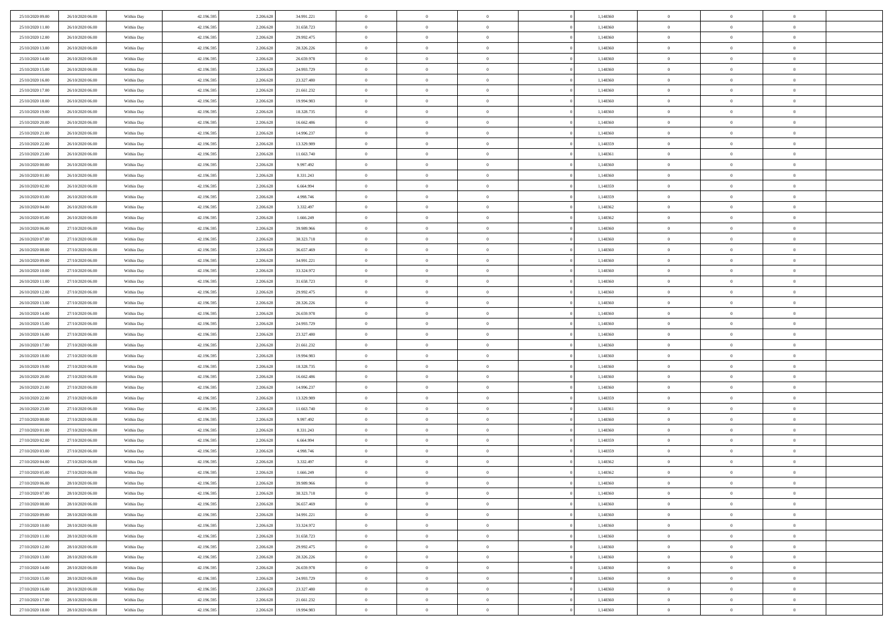| 25/10/2020 09:00                     | 26/10/2020 06:00                     | Within Day               | 42.196.595               | 2.206.628 | 34.991.221 | $\,$ 0 $\,$    | $\overline{0}$ | $\overline{0}$           | 1,148360 | $\bf{0}$       | $\overline{0}$ | $\,0\,$        |  |
|--------------------------------------|--------------------------------------|--------------------------|--------------------------|-----------|------------|----------------|----------------|--------------------------|----------|----------------|----------------|----------------|--|
| 25/10/2020 11:00                     | 26/10/2020 06.00                     | Within Day               | 42.196.595               | 2.206.628 | 31.658.723 | $\theta$       | $\overline{0}$ | $\mathbf{0}$             | 1,148360 | $\theta$       | $\mathbf{0}$   | $\theta$       |  |
| 25/10/2020 12:00                     | 26/10/2020 06:00                     | Within Day               | 42.196.595               | 2.206.628 | 29.992.475 | $\theta$       | $\overline{0}$ | $\overline{0}$           | 1,148360 | $\mathbf{0}$   | $\overline{0}$ | $\overline{0}$ |  |
| 25/10/2020 13:00                     | 26/10/2020 06.00                     | Within Day               | 42.196.595               | 2.206.628 | 28.326.226 | $\,$ 0 $\,$    | $\overline{0}$ | $\overline{0}$           | 1,148360 | $\bf{0}$       | $\overline{0}$ | $\bf{0}$       |  |
| 25/10/2020 14:00                     | 26/10/2020 06:00                     | Within Day               | 42.196.595               | 2.206.628 | 26.659.978 | $\bf{0}$       | $\overline{0}$ | $\mathbf{0}$             | 1,148360 | $\bf{0}$       | $\theta$       | $\,0\,$        |  |
| 25/10/2020 15:00                     | 26/10/2020 06:00                     | Within Day               | 42.196.595               | 2.206.628 | 24.993.729 | $\theta$       | $\overline{0}$ | $\mathbf{0}$             | 1,148360 | $\mathbf{0}$   | $\overline{0}$ | $\overline{0}$ |  |
| 25/10/2020 16:00                     | 26/10/2020 06:00                     | Within Day               | 42.196.595               | 2.206.628 | 23.327.480 | $\,$ 0 $\,$    | $\overline{0}$ | $\overline{0}$           | 1,148360 | $\bf{0}$       | $\overline{0}$ | $\bf{0}$       |  |
| 25/10/2020 17.00                     | 26/10/2020 06:00                     | Within Day               | 42.196.595               | 2.206.628 | 21.661.232 | $\,$ 0         | $\overline{0}$ | $\mathbf{0}$             | 1,148360 | $\,$ 0 $\,$    | $\overline{0}$ | $\theta$       |  |
| 25/10/2020 18:00                     | 26/10/2020 06:00                     | Within Day               | 42.196.595               | 2.206.628 | 19.994.983 | $\theta$       | $\overline{0}$ | $\overline{0}$           | 1,148360 | $\mathbf{0}$   | $\bf{0}$       | $\overline{0}$ |  |
| 25/10/2020 19:00                     | 26/10/2020 06:00                     | Within Day               | 42.196.595               | 2.206.628 | 18.328.735 | $\,$ 0 $\,$    | $\overline{0}$ | $\Omega$                 | 1,148360 | $\bf{0}$       | $\overline{0}$ | $\,0\,$        |  |
| 25/10/2020 20:00                     | 26/10/2020 06:00                     | Within Day               | 42.196.595               | 2.206.628 | 16.662.486 | $\bf{0}$       | $\overline{0}$ | $\mathbf{0}$             | 1,148360 | $\bf{0}$       | $\mathbf{0}$   | $\theta$       |  |
| 25/10/2020 21:00                     | 26/10/2020 06:00                     | Within Day               | 42.196.595               | 2.206.628 | 14.996.237 | $\theta$       | $\overline{0}$ | $\overline{0}$           | 1,148360 | $\mathbf{0}$   | $\overline{0}$ | $\overline{0}$ |  |
| 25/10/2020 22.00                     | 26/10/2020 06:00                     |                          | 42.196.595               | 2.206.628 | 13.329.989 | $\,$ 0 $\,$    | $\overline{0}$ | $\overline{0}$           | 1,148359 | $\bf{0}$       | $\overline{0}$ | $\bf{0}$       |  |
|                                      |                                      | Within Day               |                          | 2.206.628 | 11.663.740 | $\bf{0}$       | $\overline{0}$ | $\mathbf{0}$             | 1,148361 | $\bf{0}$       | $\theta$       | $\,0\,$        |  |
| 25/10/2020 23.00<br>26/10/2020 00:00 | 26/10/2020 06:00<br>26/10/2020 06:00 | Within Day<br>Within Day | 42.196.595<br>42.196.595 | 2.206.628 | 9.997.492  | $\theta$       | $\overline{0}$ |                          | 1,148360 | $\mathbf{0}$   | $\overline{0}$ | $\overline{0}$ |  |
|                                      |                                      |                          |                          |           |            |                |                | $\mathbf{0}$<br>$\Omega$ |          |                | $\overline{0}$ |                |  |
| 26/10/2020 01:00                     | 26/10/2020 06:00                     | Within Day               | 42.196.595               | 2.206.628 | 8.331.243  | $\,$ 0 $\,$    | $\overline{0}$ |                          | 1,148360 | $\bf{0}$       | $\overline{0}$ | $\bf{0}$       |  |
| 26/10/2020 02:00                     | 26/10/2020 06:00                     | Within Day               | 42.196.595               | 2.206.628 | 6.664.994  | $\,$ 0 $\,$    | $\overline{0}$ | $\mathbf{0}$             | 1,148359 | $\bf{0}$       |                | $\theta$       |  |
| 26/10/2020 03:00                     | 26/10/2020 06:00                     | Within Day               | 42.196.595               | 2.206.628 | 4.998.746  | $\theta$       | $\overline{0}$ | $\mathbf{0}$<br>$\Omega$ | 1,148359 | $\mathbf{0}$   | $\overline{0}$ | $\overline{0}$ |  |
| 26/10/2020 04:00                     | 26/10/2020 06:00                     | Within Day               | 42.196.595               | 2.206.628 | 3.332.497  | $\,$ 0 $\,$    | $\overline{0}$ |                          | 1,148362 | $\bf{0}$       | $\overline{0}$ | $\,0\,$        |  |
| 26/10/2020 05:00                     | 26/10/2020 06:00                     | Within Day               | 42.196.595               | 2.206.628 | 1.666.249  | $\bf{0}$       | $\overline{0}$ | $\mathbf{0}$             | 1,148362 | $\bf{0}$       | $\mathbf{0}$   | $\theta$       |  |
| 26/10/2020 06:00                     | 27/10/2020 06:00                     | Within Day               | 42.196.595               | 2.206.628 | 39.989.966 | $\theta$       | $\overline{0}$ | $\overline{0}$           | 1,148360 | $\mathbf{0}$   | $\overline{0}$ | $\overline{0}$ |  |
| 26/10/2020 07.00                     | 27/10/2020 06.00                     | Within Day               | 42.196.595               | 2.206.628 | 38.323.718 | $\,$ 0 $\,$    | $\overline{0}$ | $\overline{0}$           | 1,148360 | $\bf{0}$       | $\overline{0}$ | $\bf{0}$       |  |
| 26/10/2020 08:00                     | 27/10/2020 06:00                     | Within Day               | 42.196.595               | 2.206.628 | 36.657.469 | $\,$ 0         | $\overline{0}$ | $\mathbf{0}$             | 1,148360 | $\bf{0}$       | $\overline{0}$ | $\,0\,$        |  |
| 26/10/2020 09:00                     | 27/10/2020 06:00                     | Within Day               | 42.196.595               | 2.206.628 | 34.991.221 | $\theta$       | $\overline{0}$ | $\mathbf{0}$             | 1,148360 | $\mathbf{0}$   | $\overline{0}$ | $\overline{0}$ |  |
| 26/10/2020 10:00                     | 27/10/2020 06.00                     | Within Day               | 42.196.595               | 2.206.628 | 33.324.972 | $\,$ 0 $\,$    | $\overline{0}$ | $\overline{0}$           | 1,148360 | $\bf{0}$       | $\overline{0}$ | $\,0\,$        |  |
| 26/10/2020 11:00                     | 27/10/2020 06.00                     | Within Day               | 42.196.595               | 2.206.628 | 31.658.723 | $\,$ 0         | $\overline{0}$ | $\mathbf{0}$             | 1,148360 | $\bf{0}$       | $\overline{0}$ | $\theta$       |  |
| 26/10/2020 12:00                     | 27/10/2020 06:00                     | Within Day               | 42.196.595               | 2.206.628 | 29.992.475 | $\theta$       | $\overline{0}$ | $\overline{0}$           | 1,148360 | $\mathbf{0}$   | $\bf{0}$       | $\overline{0}$ |  |
| 26/10/2020 13:00                     | 27/10/2020 06.00                     | Within Day               | 42.196.595               | 2.206.628 | 28.326.226 | $\,$ 0 $\,$    | $\overline{0}$ | $\Omega$                 | 1,148360 | $\bf{0}$       | $\overline{0}$ | $\,0\,$        |  |
| 26/10/2020 14:00                     | 27/10/2020 06.00                     | Within Day               | 42.196.595               | 2.206.628 | 26.659.978 | $\bf{0}$       | $\overline{0}$ | $\mathbf{0}$             | 1,148360 | $\bf{0}$       | $\mathbf{0}$   | $\theta$       |  |
| 26/10/2020 15:00                     | 27/10/2020 06:00                     | Within Day               | 42.196.595               | 2.206.628 | 24.993.729 | $\theta$       | $\overline{0}$ | $\overline{0}$           | 1,148360 | $\mathbf{0}$   | $\overline{0}$ | $\overline{0}$ |  |
| 26/10/2020 16:00                     | 27/10/2020 06:00                     | Within Day               | 42.196.595               | 2.206.628 | 23.327.480 | $\theta$       | $\overline{0}$ | $\overline{0}$           | 1,148360 | $\,$ 0         | $\overline{0}$ | $\,$ 0 $\,$    |  |
| 26/10/2020 17:00                     | 27/10/2020 06:00                     | Within Day               | 42.196.595               | 2.206.628 | 21.661.232 | $\,$ 0         | $\overline{0}$ | $\mathbf{0}$             | 1,148360 | $\bf{0}$       | $\mathbf{0}$   | $\overline{0}$ |  |
| 26/10/2020 18:00                     | 27/10/2020 06:00                     | Within Day               | 42.196.595               | 2.206.628 | 19.994.983 | $\theta$       | $\overline{0}$ | $\mathbf{0}$             | 1,148360 | $\mathbf{0}$   | $\overline{0}$ | $\overline{0}$ |  |
| 26/10/2020 19:00                     | 27/10/2020 06.00                     | Within Day               | 42.196.595               | 2.206.628 | 18.328.735 | $\theta$       | $\overline{0}$ | $\overline{0}$           | 1,148360 | $\,$ 0         | $\overline{0}$ | $\theta$       |  |
| 26/10/2020 20:00                     | 27/10/2020 06.00                     | Within Day               | 42.196.595               | 2.206.628 | 16.662.486 | $\bf{0}$       | $\overline{0}$ | $\mathbf{0}$             | 1,148360 | $\mathbf{0}$   | $\overline{0}$ | $\overline{0}$ |  |
| 26/10/2020 21:00                     | 27/10/2020 06:00                     | Within Day               | 42.196.595               | 2.206.628 | 14.996.237 | $\theta$       | $\overline{0}$ | $\mathbf{0}$             | 1,148360 | $\mathbf{0}$   | $\overline{0}$ | $\overline{0}$ |  |
| 26/10/2020 22.00                     | 27/10/2020 06:00                     | Within Day               | 42.196.595               | 2.206.628 | 13.329.989 | $\theta$       | $\overline{0}$ | $\overline{0}$           | 1,148359 | $\,$ 0         | $\overline{0}$ | $\theta$       |  |
| 26/10/2020 23.00                     | 27/10/2020 06.00                     | Within Day               | 42.196.595               | 2.206.628 | 11.663.740 | $\bf{0}$       | $\overline{0}$ | $\mathbf{0}$             | 1,148361 | $\bf{0}$       | $\mathbf{0}$   | $\overline{0}$ |  |
| 27/10/2020 00:00                     | 27/10/2020 06:00                     | Within Day               | 42.196.595               | 2.206.628 | 9.997.492  | $\theta$       | $\overline{0}$ | $\overline{0}$           | 1,148360 | $\mathbf{0}$   | $\overline{0}$ | $\overline{0}$ |  |
| 27/10/2020 01:00                     | 27/10/2020 06:00                     | Within Day               | 42.196.595               | 2.206.628 | 8.331.243  | $\,$ 0 $\,$    | $\overline{0}$ | $\overline{0}$           | 1,148360 | $\,$ 0         | $\overline{0}$ | $\,$ 0 $\,$    |  |
| 27/10/2020 02.00                     | 27/10/2020 06:00                     | Within Day               | 42.196.595               | 2.206.628 | 6.664.994  | $\bf{0}$       | $\,$ 0 $\,$    | $\overline{0}$           | 1,148359 | $\,$ 0 $\,$    | $\overline{0}$ | $\bf{0}$       |  |
| 27/10/2020 03:00                     | 27/10/2020 06:00                     | Within Day               | 42.196.595               | 2.206.628 | 4.998.746  | $\theta$       | $\overline{0}$ | $\mathbf{0}$             | 1,148359 | $\mathbf{0}$   | $\overline{0}$ | $\theta$       |  |
| 27/10/2020 04.00                     | 27/10/2020 06.00                     | Within Day               | 42.196.595               | 2.206.628 | 3.332.497  | $\overline{0}$ | $\overline{0}$ | $\overline{0}$           | 1,148362 | $\,$ 0         | $\overline{0}$ | $\theta$       |  |
| 27/10/2020 05:00                     | 27/10/2020 06.00                     | Within Day               | 42.196.595               | 2.206.628 | 1.666.249  | $\bf{0}$       | $\,$ 0 $\,$    | $\mathbf{0}$             | 1,148362 | $\bf{0}$       | $\overline{0}$ | $\bf{0}$       |  |
| 27/10/2020 06:00                     | 28/10/2020 06:00                     | Within Day               | 42.196.595               | 2.206.628 | 39.989.966 | $\overline{0}$ | $\theta$       |                          | 1,148360 | $\overline{0}$ | $\theta$       | $\theta$       |  |
| 27/10/2020 07:00                     | 28/10/2020 06:00                     | Within Day               | 42.196.595               | 2.206.628 | 38.323.718 | $\,$ 0 $\,$    | $\overline{0}$ | $\overline{0}$           | 1,148360 | $\,$ 0 $\,$    | $\bf{0}$       | $\theta$       |  |
| 27/10/2020 08.00                     | 28/10/2020 06.00                     | Within Day               | 42.196.595               | 2.206.628 | 36.657.469 | $\bf{0}$       | $\,$ 0 $\,$    | $\overline{0}$           | 1,148360 | $\,$ 0 $\,$    | $\overline{0}$ | $\overline{0}$ |  |
| 27/10/2020 09:00                     | 28/10/2020 06:00                     | Within Day               | 42.196.595               | 2.206.628 | 34.991.221 | $\mathbf{0}$   | $\overline{0}$ | $\overline{0}$           | 1,148360 | $\,$ 0 $\,$    | $\bf{0}$       | $\mathbf{0}$   |  |
| 27/10/2020 10:00                     | 28/10/2020 06:00                     | Within Day               | 42.196.595               | 2.206.628 | 33.324.972 | $\,$ 0 $\,$    | $\overline{0}$ | $\overline{0}$           | 1,148360 | $\,$ 0 $\,$    | $\bf{0}$       | $\,$ 0 $\,$    |  |
| 27/10/2020 11:00                     | 28/10/2020 06.00                     | Within Day               | 42.196.595               | 2.206.628 | 31.658.723 | $\,$ 0 $\,$    | $\,$ 0 $\,$    | $\overline{0}$           | 1,148360 | $\,$ 0 $\,$    | $\overline{0}$ | $\overline{0}$ |  |
| 27/10/2020 12:00                     | 28/10/2020 06:00                     | Within Day               | 42.196.595               | 2.206.628 | 29.992.475 | $\mathbf{0}$   | $\overline{0}$ | $\overline{0}$           | 1,148360 | $\mathbf{0}$   | $\overline{0}$ | $\overline{0}$ |  |
| 27/10/2020 13:00                     | 28/10/2020 06:00                     | Within Day               | 42.196.595               | 2.206.628 | 28.326.226 | $\,$ 0 $\,$    | $\overline{0}$ | $\overline{0}$           | 1,148360 | $\,$ 0 $\,$    | $\mathbf{0}$   | $\,$ 0 $\,$    |  |
| 27/10/2020 14:00                     | 28/10/2020 06.00                     | Within Day               | 42.196.595               | 2.206.628 | 26.659.978 | $\bf{0}$       | $\overline{0}$ | $\overline{0}$           | 1,148360 | $\,$ 0 $\,$    | $\overline{0}$ | $\overline{0}$ |  |
| 27/10/2020 15:00                     | 28/10/2020 06:00                     | Within Day               | 42.196.595               | 2.206.628 | 24.993.729 | $\mathbf{0}$   | $\overline{0}$ | $\overline{0}$           | 1,148360 | $\mathbf{0}$   | $\bf{0}$       | $\overline{0}$ |  |
| 27/10/2020 16:00                     | 28/10/2020 06:00                     | Within Day               | 42.196.595               | 2.206.628 | 23.327.480 | $\,$ 0 $\,$    | $\overline{0}$ | $\overline{0}$           | 1,148360 | $\,$ 0 $\,$    | $\mathbf{0}$   | $\,$ 0 $\,$    |  |
| 27/10/2020 17.00                     | 28/10/2020 06.00                     | Within Day               | 42.196.595               | 2.206.628 | 21.661.232 | $\,$ 0 $\,$    | $\,$ 0 $\,$    | $\overline{0}$           | 1,148360 | $\,$ 0 $\,$    | $\overline{0}$ | $\overline{0}$ |  |
| 27/10/2020 18:00                     | 28/10/2020 06:00                     | Within Day               | 42.196.595               | 2.206.628 | 19.994.983 | $\theta$       | $\overline{0}$ | $\overline{0}$           | 1,148360 | $\mathbf{0}$   | $\overline{0}$ | $\overline{0}$ |  |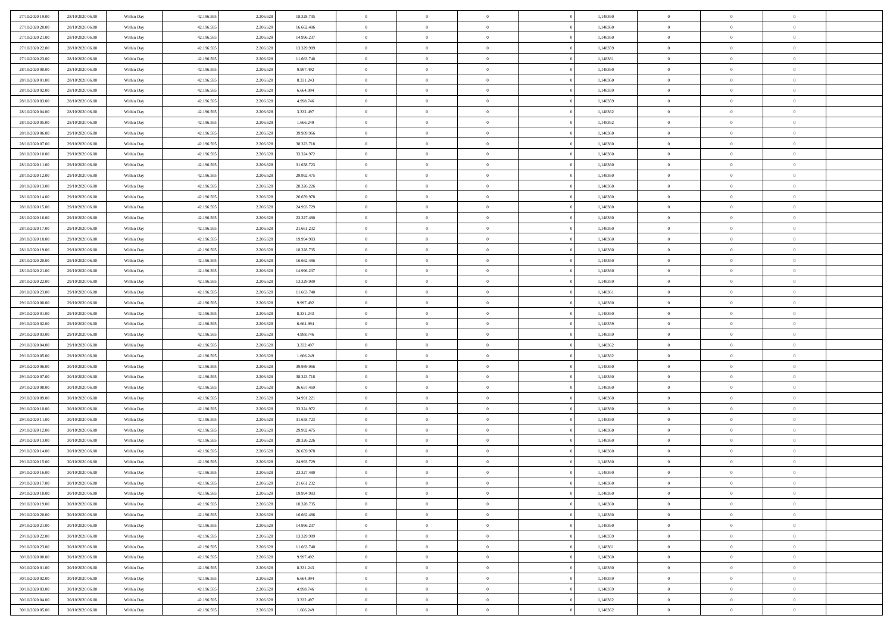| 27/10/2020 19:00                     | 28/10/2020 06.00                     | Within Day               | 42.196.595               | 2.206.628              | 18.328.735             | $\bf{0}$                 | $\overline{0}$                   | $\Omega$                         | 1,148360             | $\bf{0}$                     | $\overline{0}$             | $\bf{0}$                   |  |
|--------------------------------------|--------------------------------------|--------------------------|--------------------------|------------------------|------------------------|--------------------------|----------------------------------|----------------------------------|----------------------|------------------------------|----------------------------|----------------------------|--|
| 27/10/2020 20:00                     | 28/10/2020 06:00                     | Within Day               | 42.196.595               | 2.206.628              | 16.662.486             | $\theta$                 | $\overline{0}$                   | $\overline{0}$                   | 1,148360             | $\mathbf{0}$                 | $\bf{0}$                   | $\overline{0}$             |  |
| 27/10/2020 21:00                     | 28/10/2020 06:00                     | Within Day               | 42.196.595               | 2.206.628              | 14.996.237             | $\theta$                 | $\overline{0}$                   | $\overline{0}$                   | 1,148360             | $\,$ 0                       | $\overline{0}$             | $\,$ 0 $\,$                |  |
| 27/10/2020 22.00                     | 28/10/2020 06:00                     | Within Day               | 42.196.595               | 2.206.628              | 13.329.989             | $\overline{0}$           | $\overline{0}$                   | $\mathbf{0}$                     | 1.148359             | $\bf{0}$                     | $\mathbf{0}$               | $\theta$                   |  |
| 27/10/2020 23:00                     | 28/10/2020 06:00                     | Within Day               | 42.196.595               | 2.206.628              | 11.663.740             | $\mathbf{0}$             | $\overline{0}$                   | $\overline{0}$                   | 1,148361             | $\mathbf{0}$                 | $\bf{0}$                   | $\overline{0}$             |  |
| 28/10/2020 00:00                     | 28/10/2020 06:00                     | Within Day               | 42.196.595               | 2.206.628              | 9.997.492              | $\theta$                 | $\overline{0}$                   | $\bf{0}$                         | 1,148360             | $\,$ 0                       | $\overline{0}$             | $\,$ 0 $\,$                |  |
| 28/10/2020 01:00                     | 28/10/2020 06:00                     | Within Day               | 42.196.595               | 2.206.628              | 8.331.243              | $\,$ 0 $\,$              | $\overline{0}$                   | $\Omega$                         | 1,148360             | $\bf{0}$                     | $\overline{0}$             | $\theta$                   |  |
| 28/10/2020 02:00                     | 28/10/2020 06:00                     | Within Day               | 42.196.595               | 2.206.628              | 6.664.994              | $\overline{0}$           | $\overline{0}$                   | $\overline{0}$                   | 1,148359             | $\mathbf{0}$                 | $\bf{0}$                   | $\overline{0}$             |  |
| 28/10/2020 03:00                     | 28/10/2020 06:00                     | Within Day               | 42.196.595               | 2.206.628              | 4.998.746              | $\theta$                 | $\overline{0}$                   | $\overline{0}$                   | 1,148359             | $\,$ 0                       | $\overline{0}$             | $\,$ 0 $\,$                |  |
| 28/10/2020 04:00                     | 28/10/2020 06.00                     | Within Day               | 42.196.595               | 2.206.628              | 3.332.497              | $\overline{0}$           | $\overline{0}$                   | $\mathbf{0}$                     | 1,148362             | $\bf{0}$                     | $\mathbf{0}$               | $\theta$                   |  |
| 28/10/2020 05:00                     | 28/10/2020 06:00                     | Within Day               | 42.196.595               | 2.206.628              | 1.666.249              | $\mathbf{0}$             | $\overline{0}$                   | $\overline{0}$                   | 1,148362             | $\mathbf{0}$                 | $\bf{0}$                   | $\overline{0}$             |  |
| 28/10/2020 06:00                     | 29/10/2020 06:00                     | Within Day               | 42.196.595               | 2.206.628              | 39.989.966             | $\theta$                 | $\overline{0}$                   | $\bf{0}$                         | 1,148360             | $\,$ 0                       | $\overline{0}$             | $\,$ 0 $\,$                |  |
| 28/10/2020 07:00                     | 29/10/2020 06:00                     | Within Day               | 42.196.595               | 2.206.628              | 38.323.718             | $\theta$                 | $\overline{0}$                   | $\mathbf{0}$                     | 1,148360             | $\bf{0}$                     | $\mathbf{0}$               | $\theta$                   |  |
| 28/10/2020 10:00                     | 29/10/2020 06:00                     | Within Day               | 42.196.595               | 2.206.628              | 33.324.972             | $\overline{0}$           | $\overline{0}$                   | $\overline{0}$                   | 1,148360             | $\mathbf{0}$                 | $\bf{0}$                   | $\overline{0}$             |  |
| 28/10/2020 11:00                     | 29/10/2020 06:00                     | Within Day               | 42.196.595               | 2.206.628              | 31.658.723             | $\theta$                 | $\overline{0}$                   | $\overline{0}$                   | 1,148360             | $\,$ 0                       | $\overline{0}$             | $\,$ 0 $\,$                |  |
| 28/10/2020 12:00                     | 29/10/2020 06.00                     | Within Day               | 42.196.595               | 2.206.628              | 29.992.475             | $\bf{0}$                 | $\overline{0}$                   | $\mathbf{0}$                     | 1,148360             | $\bf{0}$                     | $\mathbf{0}$               | $\bf{0}$                   |  |
| 28/10/2020 13:00                     | 29/10/2020 06:00                     | Within Day               | 42.196.595               | 2.206.628              | 28.326.226             | $\overline{0}$           | $\overline{0}$                   | $\overline{0}$                   | 1,148360             | $\mathbf{0}$                 | $\bf{0}$                   | $\overline{0}$             |  |
| 28/10/2020 14:00                     | 29/10/2020 06:00                     | Within Day               | 42.196.595               | 2.206.628              | 26.659.978             | $\theta$                 | $\overline{0}$                   | $\bf{0}$                         | 1,148360             | $\,$ 0                       | $\overline{0}$             | $\,$ 0 $\,$                |  |
| 28/10/2020 15:00                     | 29/10/2020 06.00                     | Within Day               | 42.196.595               | 2.206.628              | 24.993.729             | $\overline{0}$           | $\overline{0}$                   | $\mathbf{0}$                     | 1,148360             | $\theta$                     | $\mathbf{0}$               | $\theta$                   |  |
| 28/10/2020 16:00                     | 29/10/2020 06:00                     | Within Day               | 42.196.595               | 2.206.628              | 23.327.480             | $\overline{0}$           | $\overline{0}$                   | $\overline{0}$                   | 1,148360             | $\mathbf{0}$                 | $\bf{0}$                   | $\overline{0}$             |  |
| 28/10/2020 17:00                     | 29/10/2020 06:00                     | Within Day               | 42.196.595               | 2.206.628              | 21.661.232             | $\theta$                 | $\overline{0}$                   | $\bf{0}$                         | 1,148360             | $\,$ 0                       | $\overline{0}$             | $\,$ 0 $\,$                |  |
| 28/10/2020 18:00                     | 29/10/2020 06.00                     | Within Day               | 42.196.595               | 2.206.628              | 19,994,983             | $\overline{0}$           | $\overline{0}$                   | $\mathbf{0}$                     | 1,148360             | $\bf{0}$                     | $\mathbf{0}$               | $\theta$                   |  |
| 28/10/2020 19:00                     | 29/10/2020 06:00                     | Within Day               | 42.196.595               | 2.206.628              | 18.328.735             | $\mathbf{0}$             | $\overline{0}$                   | $\overline{0}$                   | 1,148360             | $\mathbf{0}$                 | $\bf{0}$                   | $\overline{0}$             |  |
| 28/10/2020 20:00                     | 29/10/2020 06:00                     | Within Day               | 42.196.595               | 2.206.628              | 16.662.486             | $\theta$                 | $\overline{0}$                   | $\bf{0}$                         | 1,148360             | $\,$ 0                       | $\overline{0}$             | $\,$ 0 $\,$                |  |
| 28/10/2020 21:00                     | 29/10/2020 06:00                     | Within Day               | 42.196.595               | 2.206.628              | 14.996.237             | $\,$ 0 $\,$              | $\overline{0}$                   | $\mathbf{0}$                     | 1,148360             | $\bf{0}$                     | $\bf{0}$                   | $\bf{0}$                   |  |
| 28/10/2020 22.00                     | 29/10/2020 06:00                     | Within Day               | 42.196.595               | 2.206.628              | 13.329.989             | $\overline{0}$           | $\overline{0}$                   | $\overline{0}$                   | 1,148359             | $\mathbf{0}$                 | $\bf{0}$                   | $\overline{0}$             |  |
| 28/10/2020 23:00                     | 29/10/2020 06:00                     | Within Day               | 42.196.595               | 2.206.628              | 11.663.740             | $\theta$                 | $\overline{0}$                   | $\overline{0}$                   | 1,148361             | $\,$ 0                       | $\overline{0}$             | $\,$ 0 $\,$                |  |
| 29/10/2020 00:00                     | 29/10/2020 06:00                     | Within Day               | 42.196.595               | 2.206.628              | 9.997.492              | $\mathbf{0}$             | $\overline{0}$                   | $\mathbf{0}$                     | 1,148360             | $\bf{0}$                     | $\mathbf{0}$               | $\theta$                   |  |
| 29/10/2020 01:00                     | 29/10/2020 06:00                     | Within Day               | 42.196.595               | 2.206.628              | 8.331.243              | $\mathbf{0}$             | $\overline{0}$                   | $\overline{0}$                   | 1,148360             | $\mathbf{0}$                 | $\bf{0}$                   | $\overline{0}$             |  |
| 29/10/2020 02:00                     | 29/10/2020 06:00                     | Within Day               | 42.196.595               | 2.206.628              | 6.664.994              | $\theta$                 | $\overline{0}$                   | $\bf{0}$                         | 1,148359             | $\,$ 0                       | $\overline{0}$             | $\,$ 0 $\,$                |  |
| 29/10/2020 03:00                     | 29/10/2020 06.00                     | Within Day               | 42.196.595               | 2.206.628              | 4.998.746              | $\,$ 0 $\,$              | $\overline{0}$                   | $\overline{0}$                   | 1,148359             | $\bf{0}$                     | $\overline{0}$             | $\,0\,$                    |  |
| 29/10/2020 04:00                     | 29/10/2020 06:00                     | Within Day               | 42.196.595               | 2.206.628              | 3.332.497              | $\overline{0}$           | $\overline{0}$                   | $\overline{0}$                   | 1,148362             | $\mathbf{0}$                 | $\bf{0}$                   | $\overline{0}$             |  |
| 29/10/2020 05:00                     | 29/10/2020 06:00                     | Within Day               | 42.196.595               | 2.206.628              | 1.666.249              | $\theta$                 | $\overline{0}$                   | $\overline{0}$                   | 1,148362             | $\,$ 0                       | $\overline{0}$             | $\,$ 0 $\,$                |  |
| 29/10/2020 06:00                     | 30/10/2020 06:00                     | Within Day               | 42.196.595               | 2.206.628              | 39.989.966             | $\,$ 0 $\,$              | $\overline{0}$                   | $\overline{0}$                   | 1,148360             | $\bf{0}$                     | $\overline{0}$             | $\,0\,$                    |  |
| 29/10/2020 07:00                     | 30/10/2020 06:00                     | Within Day               | 42.196.595               | 2.206.628              | 38.323.718             | $\theta$                 | $\overline{0}$                   | $\overline{0}$                   | 1,148360             | $\mathbf{0}$                 | $\bf{0}$                   | $\overline{0}$             |  |
| 29/10/2020 08:00                     | 30/10/2020 06:00                     | Within Day               | 42.196.595               | 2.206.628              | 36.657.469             | $\theta$                 | $\overline{0}$                   | $\bf{0}$                         | 1,148360             | $\,$ 0                       | $\overline{0}$             | $\,$ 0 $\,$                |  |
| 29/10/2020 09:00                     | 30/10/2020 06:00                     | Within Day               | 42.196.595               | 2.206.628              | 34.991.221             | $\,$ 0 $\,$              | $\overline{0}$                   | $\overline{0}$                   | 1,148360             | $\bf{0}$                     | $\overline{0}$             | $\,0\,$                    |  |
| 29/10/2020 10:00                     | 30/10/2020 06:00                     | Within Day               | 42.196.595               | 2.206.628              | 33.324.972             | $\mathbf{0}$             | $\overline{0}$                   | $\overline{0}$                   | 1,148360             | $\mathbf{0}$                 | $\bf{0}$                   | $\overline{0}$             |  |
| 29/10/2020 11:00                     | 30/10/2020 06:00                     | Within Day               | 42.196.595               | 2.206.628              | 31.658.723             | $\theta$                 | $\overline{0}$                   | $\bf{0}$                         | 1,148360             | $\,$ 0                       | $\overline{0}$             | $\,$ 0 $\,$                |  |
| 29/10/2020 12:00                     | 30/10/2020 06:00                     | Within Day               | 42.196.595               | 2.206.628              | 29.992.475             | $\,$ 0 $\,$              | $\overline{0}$                   | $\overline{0}$                   | 1,148360             | $\bf{0}$                     | $\overline{0}$             | $\,0\,$                    |  |
| 29/10/2020 13:00                     | 30/10/2020 06:00                     | Within Day               | 42.196.595               | 2.206.628              | 28.326.226             | $\theta$                 | $\overline{0}$                   | $\overline{0}$                   | 1,148360             | $\mathbf{0}$                 | $\bf{0}$                   | $\overline{0}$             |  |
| 29/10/2020 14:00                     | 30/10/2020 06:00                     | Within Day               | 42.196.595               | 2.206.628              | 26.659.978             | $\theta$                 | $\overline{0}$                   | $\bf{0}$                         | 1,148360             | $\,$ 0                       | $\overline{0}$             | $\,$ 0 $\,$                |  |
| 29/10/2020 15:00                     | 30/10/2020 06:00                     | Within Day               | 42.196.595               | 2.206.628              | 24.993.729             | $\,$ 0 $\,$              | $\overline{0}$                   | $\overline{0}$                   | 1,148360             | $\bf{0}$                     | $\overline{0}$             | $\,0\,$                    |  |
| 29/10/2020 16:00                     | 30/10/2020 06:00                     | Within Dav               | 42.196.595               | 2.206.628              | 23.327.480             | $\theta$                 | $\overline{0}$                   | $\overline{0}$                   | 1,148360             | $\mathbf{0}$                 | $\bf{0}$                   | $\overline{0}$             |  |
| 29/10/2020 17:00                     | 30/10/2020 06:00                     | Within Day               | 42.196.595               | 2.206.628              | 21.661.232             | $\overline{0}$           | $\overline{0}$                   | $\Omega$                         | 1,148360             | $\overline{0}$               | $\overline{0}$             | $\theta$                   |  |
| 29/10/2020 18:00                     | 30/10/2020 06:00                     | Within Day               | 42.196.595               | 2.206.628              | 19.994.983             | $\bf{0}$                 | $\overline{0}$                   | $\overline{0}$                   | 1,148360             | $\bf{0}$                     | $\overline{0}$             | $\bf{0}$                   |  |
| 29/10/2020 19:00                     | 30/10/2020 06:00                     | Within Day               | 42.196.595               | 2.206.628              | 18.328.735             | $\overline{0}$           | $\overline{0}$                   | $\overline{0}$                   | 1,148360             | $\overline{0}$               | $\bf{0}$                   | $\overline{0}$             |  |
| 29/10/2020 20:00                     | 30/10/2020 06:00                     | Within Day               | 42.196.595               | 2.206.628              | 16.662.486             | $\,$ 0 $\,$              | $\overline{0}$                   | $\overline{0}$                   | 1,148360             | $\,$ 0 $\,$                  | $\,$ 0 $\,$                | $\,$ 0 $\,$                |  |
| 29/10/2020 21:00                     | 30/10/2020 06.00                     | Within Day               | 42.196.595               | 2.206.628              | 14.996.237             | $\bf{0}$                 | $\overline{0}$                   | $\overline{0}$                   | 1,148360             | $\mathbf{0}$                 | $\overline{0}$             | $\bf{0}$                   |  |
| 29/10/2020 22.00                     | 30/10/2020 06:00                     | Within Day               | 42.196.595               | 2.206.628              | 13.329.989             | $\,$ 0 $\,$              | $\overline{0}$                   | $\overline{0}$                   | 1,148359             | $\,$ 0 $\,$                  | $\bf{0}$                   | $\overline{0}$             |  |
| 29/10/2020 23:00                     | 30/10/2020 06:00                     | Within Day               | 42.196.595               | 2.206.628              | 11.663.740             | $\,$ 0                   | $\overline{0}$                   | $\overline{0}$                   | 1,148361             | $\,$ 0 $\,$                  | $\overline{0}$             | $\,$ 0 $\,$                |  |
| 30/10/2020 00:00                     | 30/10/2020 06:00                     | Within Day               | 42.196.595               | 2.206.628              | 9.997.492              | $\bf{0}$                 | $\overline{0}$                   | $\overline{0}$                   | 1,148360             | $\overline{0}$               | $\overline{0}$             | $\overline{0}$             |  |
| 30/10/2020 01:00                     | 30/10/2020 06:00                     | Within Day               | 42.196.595               | 2.206.628              | 8.331.243              | $\,$ 0 $\,$              | $\overline{0}$                   | $\overline{0}$                   | 1,148360             | $\,$ 0 $\,$                  | $\bf{0}$                   | $\overline{0}$             |  |
| 30/10/2020 02:00                     | 30/10/2020 06:00                     | Within Day               | 42.196.595               | 2.206.628              | 6.664.994              | $\,$ 0                   | $\overline{0}$                   | $\overline{0}$                   | 1,148359             | $\,$ 0 $\,$                  | $\,$ 0 $\,$                | $\,$ 0 $\,$                |  |
| 30/10/2020 03:00<br>30/10/2020 04:00 | 30/10/2020 06:00<br>30/10/2020 06:00 | Within Day<br>Within Day | 42.196.595<br>42.196.595 | 2.206.628<br>2.206.628 | 4.998.746<br>3.332.497 | $\bf{0}$<br>$\mathbf{0}$ | $\overline{0}$<br>$\overline{0}$ | $\overline{0}$<br>$\overline{0}$ | 1,148359<br>1,148362 | $\mathbf{0}$<br>$\mathbf{0}$ | $\overline{0}$<br>$\bf{0}$ | $\bf{0}$<br>$\overline{0}$ |  |
|                                      |                                      |                          |                          |                        |                        |                          |                                  |                                  |                      |                              |                            |                            |  |
| 30/10/2020 05:00                     | 30/10/2020 06:00                     | Within Day               | 42.196.595               | 2.206.628              | 1.666.249              | $\,$ 0 $\,$              | $\overline{0}$                   | $\overline{0}$                   | 1,148362             | $\,$ 0 $\,$                  | $\overline{0}$             | $\,$ 0 $\,$                |  |